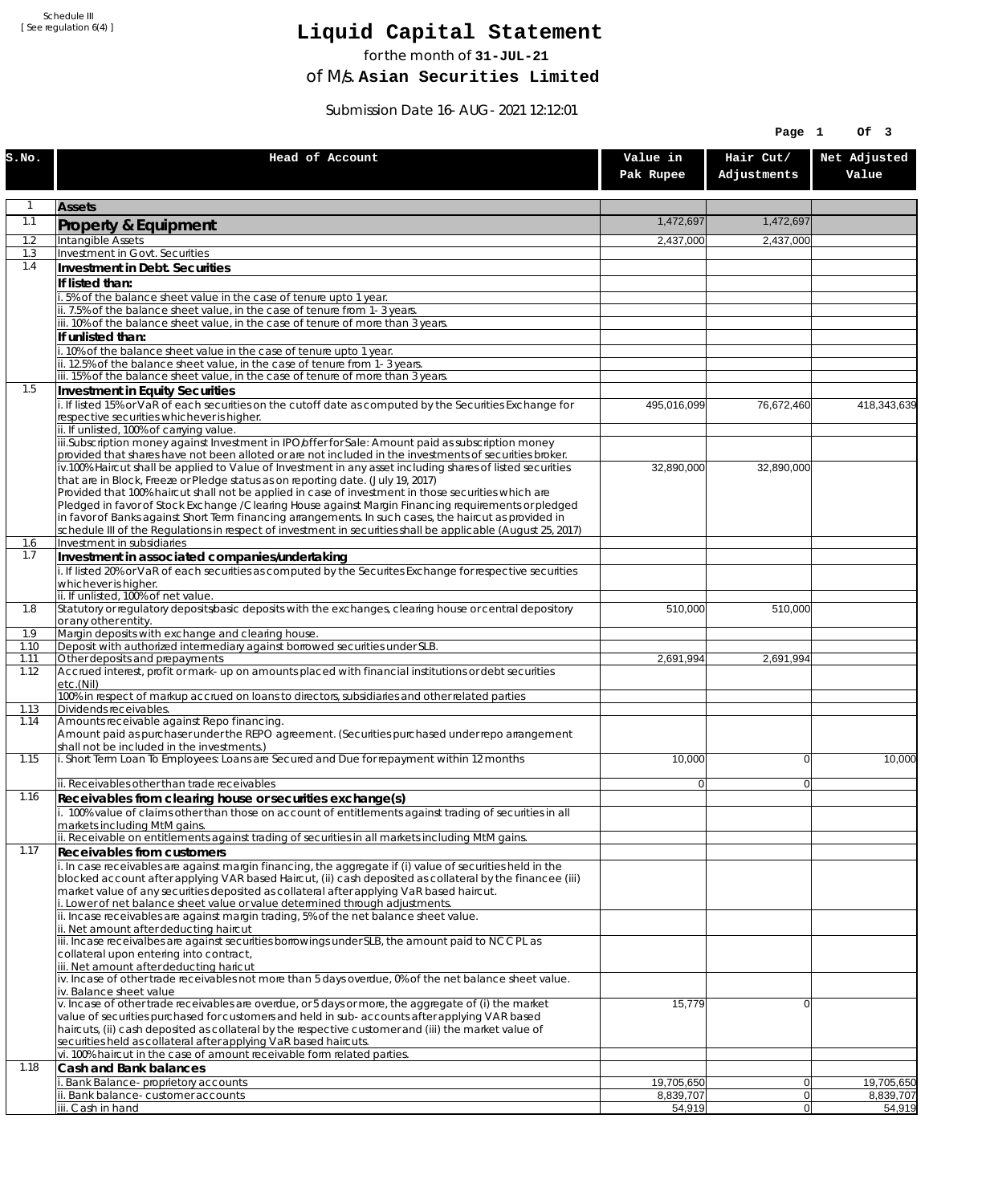# **Liquid Capital Statement**

for the month of **31-JUL-21**

of M/s. **Asian Securities Limited**

Submission Date 16-AUG-2021 12:12:01

|             |                                                                                                                                                                                                                       |                       | Page 1                   | Of 3                  |
|-------------|-----------------------------------------------------------------------------------------------------------------------------------------------------------------------------------------------------------------------|-----------------------|--------------------------|-----------------------|
| S.NO.       | Head of Account                                                                                                                                                                                                       | Value in<br>Pak Rupee | Hair Cut/<br>Adjustments | Net Adjusted<br>Value |
| 1           | <b>Assets</b>                                                                                                                                                                                                         |                       |                          |                       |
| 1.1         | Property & Equipment                                                                                                                                                                                                  | 1,472,697             | 1,472,697                |                       |
| 1.2         | Intangible Assets                                                                                                                                                                                                     | 2,437,000             | 2,437,000                |                       |
| 1.3<br>1.4  | Investment in Govt. Securities<br>Investment in Debt. Securities                                                                                                                                                      |                       |                          |                       |
|             | If listed than:                                                                                                                                                                                                       |                       |                          |                       |
|             | 5% of the balance sheet value in the case of tenure upto 1 year.                                                                                                                                                      |                       |                          |                       |
|             | ii. 7.5% of the balance sheet value, in the case of tenure from 1-3 years.<br>iii. 10% of the balance sheet value, in the case of tenure of more than 3 years.                                                        |                       |                          |                       |
|             | If unlisted than:                                                                                                                                                                                                     |                       |                          |                       |
|             | i. 10% of the balance sheet value in the case of tenure upto 1 year.                                                                                                                                                  |                       |                          |                       |
|             | ii. 12.5% of the balance sheet value, in the case of tenure from 1-3 years.<br>iii. 15% of the balance sheet value, in the case of tenure of more than 3 years.                                                       |                       |                          |                       |
| 1.5         | Investment in Equity Securities                                                                                                                                                                                       |                       |                          |                       |
|             | i. If listed 15% or VaR of each securities on the cutoff date as computed by the Securities Exchange for                                                                                                              | 495,016,099           | 76,672,460               | 418,343,639           |
|             | respective securities whichever is higher.<br>ii. If unlisted, 100% of carrying value.                                                                                                                                |                       |                          |                       |
|             | iii.Subscription money against Investment in IPO/offer for Sale: Amount paid as subscription money                                                                                                                    |                       |                          |                       |
|             | provided that shares have not been alloted or are not included in the investments of securities broker.<br>iv.100% Haircut shall be applied to Value of Investment in any asset including shares of listed securities |                       |                          |                       |
|             | that are in Block, Freeze or Pledge status as on reporting date. (July 19, 2017)                                                                                                                                      | 32,890,000            | 32,890,000               |                       |
|             | Provided that 100% haircut shall not be applied in case of investment in those securities which are                                                                                                                   |                       |                          |                       |
|             | Pledged in favor of Stock Exchange / Clearing House against Margin Financing reguirements or pledged<br>in favor of Banks against Short Term financing arrangements. In such cases, the haircut as provided in        |                       |                          |                       |
|             | schedule III of the Regulations in respect of investment in securities shall be applicable (August 25, 2017)                                                                                                          |                       |                          |                       |
| 1.6<br>1.7  | Investment in subsidiaries                                                                                                                                                                                            |                       |                          |                       |
|             | Investment in associated companies/undertaking<br>i. If listed 20% or VaR of each securities as computed by the Securites Exchange for respective securities                                                          |                       |                          |                       |
|             | whichever is higher.                                                                                                                                                                                                  |                       |                          |                       |
| 1.8         | ii. If unlisted, 100% of net value.<br>Statutory or regulatory deposits/basic deposits with the exchanges, clearing house or central depository                                                                       | 510,000               | 510,000                  |                       |
|             | or any other entity.                                                                                                                                                                                                  |                       |                          |                       |
| 1.9<br>1.10 | Margin deposits with exchange and clearing house.<br>Deposit with authorized intermediary against borrowed securities under SLB.                                                                                      |                       |                          |                       |
| 1.11        | Other deposits and prepayments                                                                                                                                                                                        | 2,691,994             | 2,691,994                |                       |
| 1.12        | Accrued interest, profit or mark-up on amounts placed with financial institutions or debt securities<br>etc.(Nil)                                                                                                     |                       |                          |                       |
| 1.13        | 100% in respect of markup accrued on loans to directors, subsidiaries and other related parties<br>Dividends receivables.                                                                                             |                       |                          |                       |
| 1.14        | Amounts receivable against Repo financing.                                                                                                                                                                            |                       |                          |                       |
|             | Amount paid as purchaser under the REPO agreement. (Securities purchased under repo arrangement<br>shall not be included in the investments.)                                                                         |                       |                          |                       |
| 1.15        | i. Short Term Loan To Employees: Loans are Secured and Due for repayment within 12 months                                                                                                                             | 10,000                | $\Omega$                 | 10,000                |
|             | ii. Receivables other than trade receivables                                                                                                                                                                          | $\overline{0}$        | $\Omega$                 |                       |
| 1.16        | Receivables from clearing house or securities exchange(s)<br>i. 100% value of claims other than those on account of entitlements against trading of securities in all                                                 |                       |                          |                       |
|             | markets including MtM gains.                                                                                                                                                                                          |                       |                          |                       |
|             | ii. Receivable on entitlements against trading of securities in all markets including MtM gains.                                                                                                                      |                       |                          |                       |
| 1.17        | Receivables from customers<br>i. In case receivables are against margin financing, the aggregate if (i) value of securities held in the                                                                               |                       |                          |                       |
|             | blocked account after applying VAR based Haircut, (ii) cash deposited as collateral by the financee (iii)                                                                                                             |                       |                          |                       |
|             | market value of any securities deposited as collateral after applying VaR based haircut.<br>i. Lower of net balance sheet value or value determined through adjustments.                                              |                       |                          |                       |
|             | ii. Incase receivables are against margin trading, 5% of the net balance sheet value.                                                                                                                                 |                       |                          |                       |
|             | ii. Net amount after deducting haircut                                                                                                                                                                                |                       |                          |                       |
|             | iii. Incase receivalbes are against securities borrowings under SLB, the amount paid to NCCPL as<br>collateral upon entering into contract,                                                                           |                       |                          |                       |
|             | iii. Net amount after deducting haricut                                                                                                                                                                               |                       |                          |                       |
|             | iv. Incase of other trade receivables not more than 5 days overdue, 0% of the net balance sheet value.<br>iv. Balance sheet value                                                                                     |                       |                          |                       |
|             | v. Incase of other trade receivables are overdue, or 5 days or more, the aggregate of (i) the market                                                                                                                  | 15,779                | $\Omega$                 |                       |
|             | value of securities purchased for customers and held in sub-accounts after applying VAR based<br>haircuts, (ii) cash deposited as collateral by the respective customer and (iii) the market value of                 |                       |                          |                       |
|             | securities held as collateral after applying VaR based haircuts.                                                                                                                                                      |                       |                          |                       |
| 1.18        | vi. 100% haircut in the case of amount receivable form related parties.                                                                                                                                               |                       |                          |                       |
|             | Cash and Bank balances<br>i. Bank Balance-proprietory accounts                                                                                                                                                        | 19,705,650            | 0                        | 19,705,650            |
|             | Bank balance-customer accounts                                                                                                                                                                                        | 8,839,707             | $\overline{0}$           | 8,839,707             |
|             | iii. Cash in hand                                                                                                                                                                                                     | 54,919                | 0                        | 54,919                |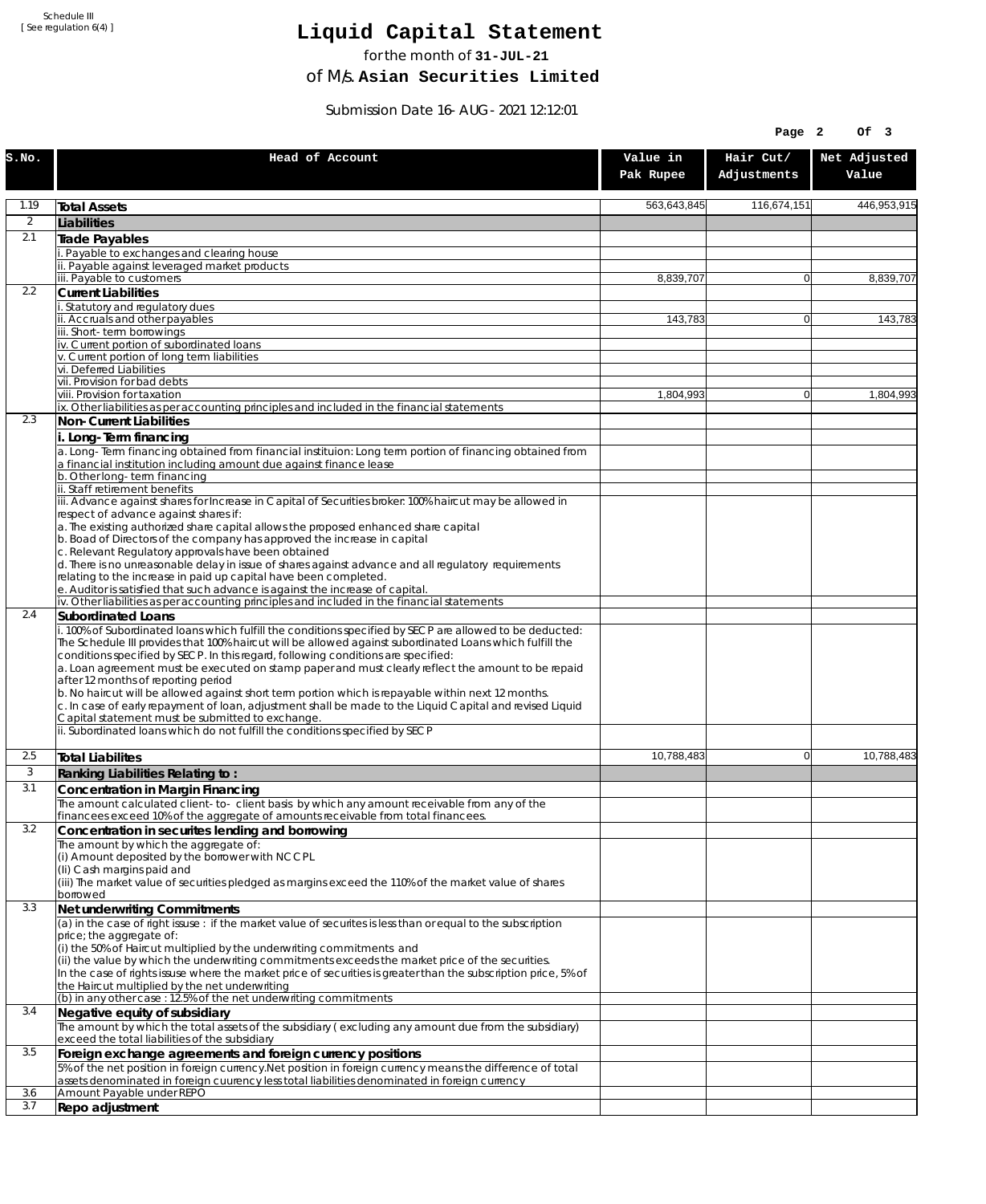# **Liquid Capital Statement**

for the month of **31-JUL-21**

of M/s. **Asian Securities Limited**

Submission Date 16-AUG-2021 12:12:01

| Head of Account<br>Value in<br>S.No.<br>Pak Rupee                                                                                                                                                                                                                                                                                      | Hair Cut/<br>Adjustments | Net Adjusted<br>Value |
|----------------------------------------------------------------------------------------------------------------------------------------------------------------------------------------------------------------------------------------------------------------------------------------------------------------------------------------|--------------------------|-----------------------|
|                                                                                                                                                                                                                                                                                                                                        |                          |                       |
| 1.19<br>563,643,845<br>Total Assets                                                                                                                                                                                                                                                                                                    | 116,674,151              | 446,953,915           |
| 2<br>Liabilities                                                                                                                                                                                                                                                                                                                       |                          |                       |
| 2.1<br>Trade Payables                                                                                                                                                                                                                                                                                                                  |                          |                       |
| Payable to exchanges and clearing house                                                                                                                                                                                                                                                                                                |                          |                       |
| ii. Payable against leveraged market products<br>iii. Payable to customers<br>8.839.707                                                                                                                                                                                                                                                | $\Omega$                 | 8,839,707             |
| 2.2<br><b>Current Liabilities</b>                                                                                                                                                                                                                                                                                                      |                          |                       |
| Statutory and regulatory dues                                                                                                                                                                                                                                                                                                          |                          |                       |
| ii. Accruals and other payables<br>143,783<br>iii. Short-term borrowings                                                                                                                                                                                                                                                               | $\overline{0}$           | 143,783               |
| iv. Current portion of subordinated loans                                                                                                                                                                                                                                                                                              |                          |                       |
| v. Current portion of long term liabilities                                                                                                                                                                                                                                                                                            |                          |                       |
| vi. Deferred Liabilities<br>vii. Provision for bad debts                                                                                                                                                                                                                                                                               |                          |                       |
| viii. Provision for taxation<br>1,804,993                                                                                                                                                                                                                                                                                              | $\Omega$                 | 1,804,993             |
| ix. Other liabilities as per accounting principles and included in the financial statements                                                                                                                                                                                                                                            |                          |                       |
| 2.3<br><b>Non-Current Liabilities</b>                                                                                                                                                                                                                                                                                                  |                          |                       |
| i. Long-Term financing<br>a. Long-Term financing obtained from financial instituion: Long term portion of financing obtained from<br>a financial institution including amount due against finance lease                                                                                                                                |                          |                       |
| b. Other long-term financing<br>ii. Staff retirement benefits                                                                                                                                                                                                                                                                          |                          |                       |
| iii. Advance against shares for Increase in Capital of Securities broker: 100% haircut may be allowed in                                                                                                                                                                                                                               |                          |                       |
| respect of advance against shares if:<br>a. The existing authorized share capital allows the proposed enhanced share capital                                                                                                                                                                                                           |                          |                       |
| b. Boad of Directors of the company has approved the increase in capital                                                                                                                                                                                                                                                               |                          |                       |
| c. Relevant Regulatory approvals have been obtained                                                                                                                                                                                                                                                                                    |                          |                       |
| d. There is no unreasonable delay in issue of shares against advance and all regulatory requirements<br>relating to the increase in paid up capital have been completed.                                                                                                                                                               |                          |                       |
| e. Auditor is satisfied that such advance is against the increase of capital.                                                                                                                                                                                                                                                          |                          |                       |
| iv. Other liabilities as per accounting principles and included in the financial statements<br>2.4                                                                                                                                                                                                                                     |                          |                       |
| <b>Subordinated Loans</b><br>i. 100% of Subordinated loans which fulfill the conditions specified by SECP are allowed to be deducted:<br>The Schedule III provides that 100% haircut will be allowed against subordinated Loans which fulfill the<br>conditions specified by SECP. In this regard, following conditions are specified: |                          |                       |
| a. Loan agreement must be executed on stamp paper and must clearly reflect the amount to be repaid<br>after 12 months of reporting period<br>b. No haircut will be allowed against short term portion which is repayable within next 12 months.                                                                                        |                          |                       |
| c. In case of early repayment of loan, adjustment shall be made to the Liquid Capital and revised Liquid<br>Capital statement must be submitted to exchange.<br>ii. Subordinated loans which do not fulfill the conditions specified by SECP                                                                                           |                          |                       |
|                                                                                                                                                                                                                                                                                                                                        |                          |                       |
| 2.5<br>10,788,483<br><b>Total Liabilites</b>                                                                                                                                                                                                                                                                                           | $\Omega$                 | 10,788,483            |
| 3<br>Ranking Liabilities Relating to:                                                                                                                                                                                                                                                                                                  |                          |                       |
| 3.1<br>Concentration in Margin Financing                                                                                                                                                                                                                                                                                               |                          |                       |
| The amount calculated client-to- client basis by which any amount receivable from any of the<br>financees exceed 10% of the aggregate of amounts receivable from total financees.                                                                                                                                                      |                          |                       |
| 3.2<br>Concentration in securites lending and borrowing                                                                                                                                                                                                                                                                                |                          |                       |
| The amount by which the aggregate of:                                                                                                                                                                                                                                                                                                  |                          |                       |
| (i) Amount deposited by the borrower with NCCPL<br>(Ii) Cash margins paid and                                                                                                                                                                                                                                                          |                          |                       |
| (iii) The market value of securities pledged as margins exceed the 110% of the market value of shares                                                                                                                                                                                                                                  |                          |                       |
| borrowed                                                                                                                                                                                                                                                                                                                               |                          |                       |
| 3.3<br>Net underwriting Commitments<br>$\alpha$ ) in the case of right issuse: if the market value of securites is less than or equal to the subscription                                                                                                                                                                              |                          |                       |
| price; the aggregate of:                                                                                                                                                                                                                                                                                                               |                          |                       |
| (i) the 50% of Haircut multiplied by the underwriting commitments and                                                                                                                                                                                                                                                                  |                          |                       |
| (ii) the value by which the underwriting commitments exceeds the market price of the securities.<br>In the case of rights issuse where the market price of securities is greater than the subscription price, 5% of                                                                                                                    |                          |                       |
| the Haircut multiplied by the net underwriting                                                                                                                                                                                                                                                                                         |                          |                       |
| (b) in any other case: 12.5% of the net underwriting commitments                                                                                                                                                                                                                                                                       |                          |                       |
| 3.4<br>Negative equity of subsidiary<br>The amount by which the total assets of the subsidiary (excluding any amount due from the subsidiary)                                                                                                                                                                                          |                          |                       |
| exceed the total liabilities of the subsidiary                                                                                                                                                                                                                                                                                         |                          |                       |
| 3.5<br>Foreign exchange agreements and foreign currency positions                                                                                                                                                                                                                                                                      |                          |                       |
| 5% of the net position in foreign currency. Net position in foreign currency means the difference of total<br>assets denominated in foreign cuurency less total liabilities denominated in foreign currency                                                                                                                            |                          |                       |
| Amount Payable under REPO<br>3.6                                                                                                                                                                                                                                                                                                       |                          |                       |
| 3.7<br>Repo adjustment                                                                                                                                                                                                                                                                                                                 |                          |                       |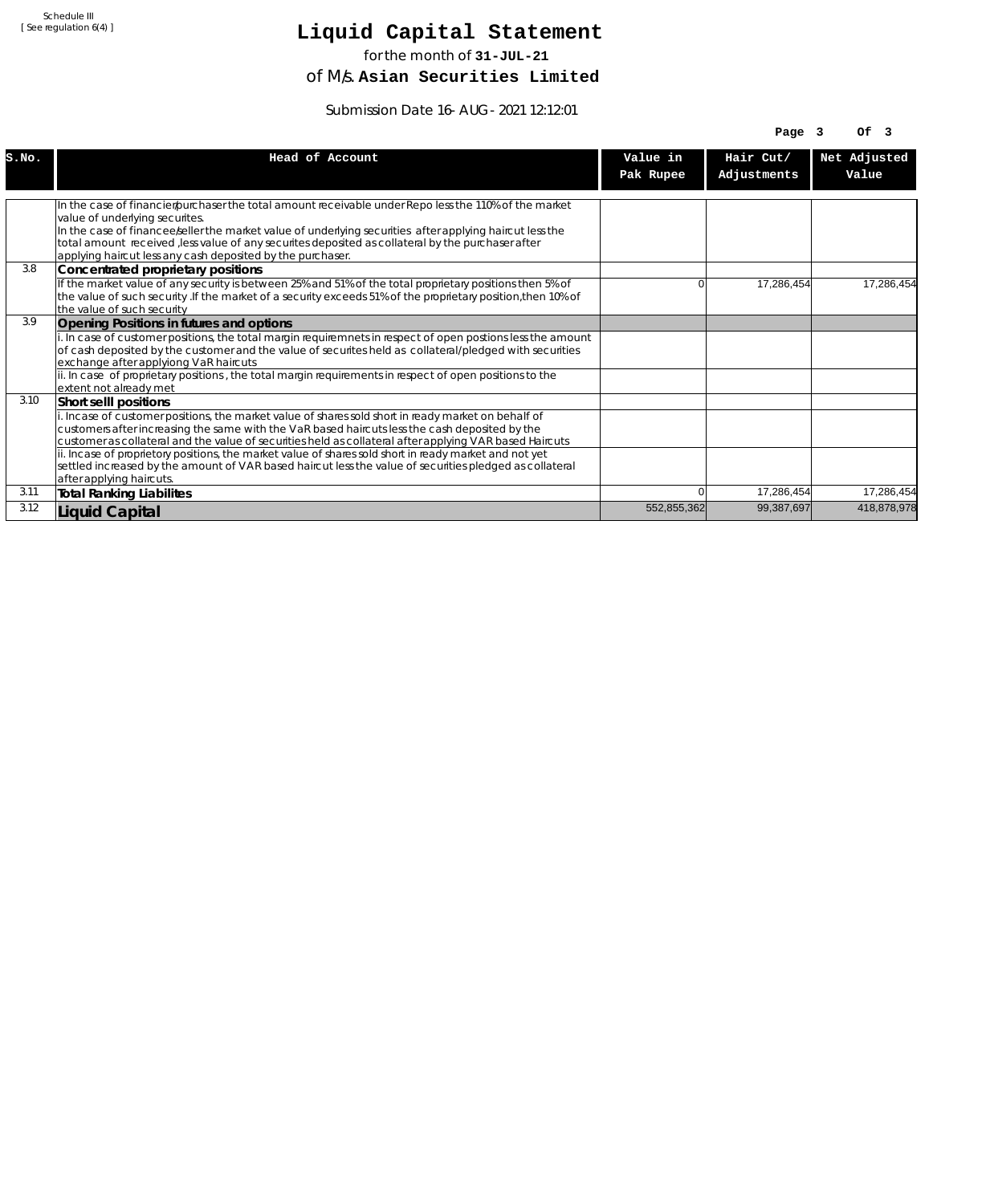# **Liquid Capital Statement**

for the month of **31-JUL-21**

of M/s. **Asian Securities Limited**

Submission Date 16-AUG-2021 12:12:01

|       |                                                                                                                                         |             | Page $3$    | OF <sub>3</sub> |
|-------|-----------------------------------------------------------------------------------------------------------------------------------------|-------------|-------------|-----------------|
| S.NO. | Head of Account                                                                                                                         | Value in    | Hair Cut/   | Net Adjusted    |
|       |                                                                                                                                         | Pak Rupee   | Adjustments | Value           |
|       |                                                                                                                                         |             |             |                 |
|       | In the case of financier/purchaser the total amount receivable under Repo less the 110% of the market<br>value of underlying securites. |             |             |                 |
|       | In the case of financee seller the market value of underlying securities after applying haircut less the                                |             |             |                 |
|       | total amount received , less value of any securites deposited as collateral by the purchaser after                                      |             |             |                 |
|       | applying haircut less any cash deposited by the purchaser.                                                                              |             |             |                 |
| 3.8   | Concentrated proprietary positions                                                                                                      |             |             |                 |
|       | If the market value of any security is between 25% and 51% of the total proprietary positions then 5% of                                | U           | 17,286,454  | 17.286.454      |
|       | the value of such security. If the market of a security exceeds 51% of the proprietary position, then 10% of                            |             |             |                 |
|       | the value of such security                                                                                                              |             |             |                 |
| 3.9   | Opening Positions in futures and options                                                                                                |             |             |                 |
|       | i. In case of customer positions, the total margin requiremnets in respect of open postions less the amount                             |             |             |                 |
|       | of cash deposited by the customer and the value of securites held as collateral/pledged with securities                                 |             |             |                 |
|       | exchange after applyiong VaR haircuts                                                                                                   |             |             |                 |
|       | ii. In case of proprietary positions, the total margin requirements in respect of open positions to the                                 |             |             |                 |
|       | extent not already met                                                                                                                  |             |             |                 |
| 3.10  | Short sellI positions                                                                                                                   |             |             |                 |
|       | i. Incase of customer positions, the market value of shares sold short in ready market on behalf of                                     |             |             |                 |
|       | customers after increasing the same with the VaR based haircuts less the cash deposited by the                                          |             |             |                 |
|       | customer as collateral and the value of securities held as collateral after applying VAR based Haircuts                                 |             |             |                 |
|       | ii. Incase of proprietory positions, the market value of shares sold short in ready market and not yet                                  |             |             |                 |
|       | settled increased by the amount of VAR based haircut less the value of securities pledged as collateral                                 |             |             |                 |
|       | after applying haircuts.                                                                                                                |             |             |                 |
| 3.11  | <b>Total Ranking Liabilites</b>                                                                                                         |             | 17,286,454  | 17,286,454      |
| 3.12  | Liquid Capital                                                                                                                          | 552,855,362 | 99,387,697  | 418,878,978     |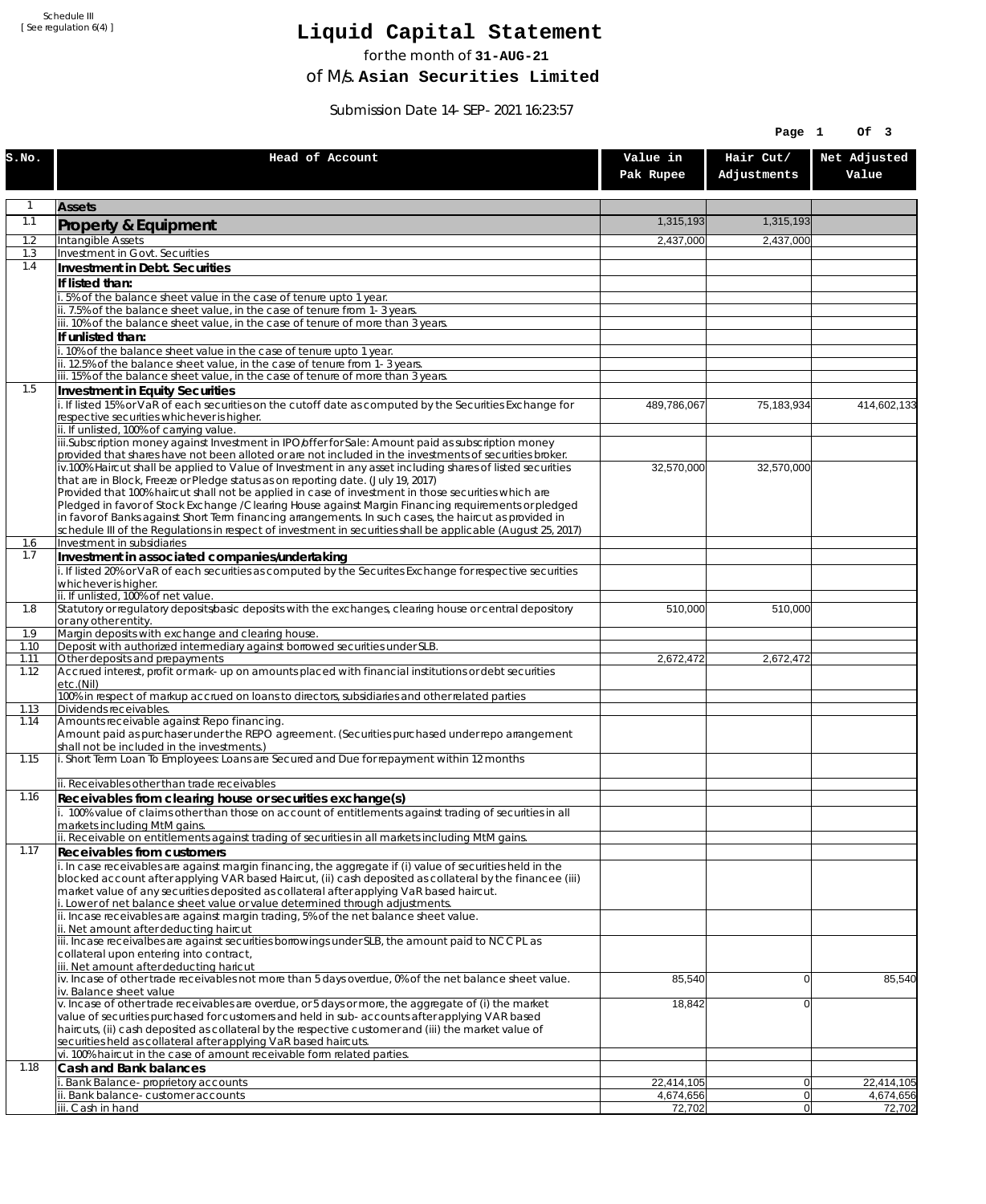# **Liquid Capital Statement**

for the month of **31-AUG-21**

of M/s. **Asian Securities Limited**

Submission Date 14-SEP-2021 16:23:57

|              |                                                                                                                                                                                                                        |                         | Page 1                   | Of 3                    |
|--------------|------------------------------------------------------------------------------------------------------------------------------------------------------------------------------------------------------------------------|-------------------------|--------------------------|-------------------------|
| S.NO.        | Head of Account                                                                                                                                                                                                        | Value in<br>Pak Rupee   | Hair Cut/<br>Adjustments | Net Adjusted<br>Value   |
| 1            | <b>Assets</b>                                                                                                                                                                                                          |                         |                          |                         |
| 1.1          | Property & Equipment                                                                                                                                                                                                   | 1,315,193               | 1,315,193                |                         |
| 1.2          | Intangible Assets                                                                                                                                                                                                      | 2,437,000               | 2,437,000                |                         |
| 1.3<br>1.4   | Investment in Govt. Securities<br>Investment in Debt. Securities                                                                                                                                                       |                         |                          |                         |
|              | If listed than:                                                                                                                                                                                                        |                         |                          |                         |
|              | i. 5% of the balance sheet value in the case of tenure upto 1 year.                                                                                                                                                    |                         |                          |                         |
|              | ii. 7.5% of the balance sheet value, in the case of tenure from 1-3 years.                                                                                                                                             |                         |                          |                         |
|              | iii. 10% of the balance sheet value, in the case of tenure of more than 3 years.<br>If unlisted than:                                                                                                                  |                         |                          |                         |
|              | i. 10% of the balance sheet value in the case of tenure upto 1 year.                                                                                                                                                   |                         |                          |                         |
|              | ii. 12.5% of the balance sheet value, in the case of tenure from 1-3 years.                                                                                                                                            |                         |                          |                         |
| 1.5          | iii. 15% of the balance sheet value, in the case of tenure of more than 3 years.<br>Investment in Equity Securities                                                                                                    |                         |                          |                         |
|              | i. If listed 15% or VaR of each securities on the cutoff date as computed by the Securities Exchange for                                                                                                               | 489,786,067             | 75,183,934               | 414,602,133             |
|              | respective securities whichever is higher.                                                                                                                                                                             |                         |                          |                         |
|              | ii. If unlisted, 100% of carrying value.<br>iii.Subscription money against Investment in IPO/offer for Sale: Amount paid as subscription money                                                                         |                         |                          |                         |
|              | provided that shares have not been alloted or are not included in the investments of securities broker.                                                                                                                |                         |                          |                         |
|              | iv.100% Haircut shall be applied to Value of Investment in any asset including shares of listed securities                                                                                                             | 32,570,000              | 32,570,000               |                         |
|              | that are in Block, Freeze or Pledge status as on reporting date. (July 19, 2017)<br>Provided that 100% haircut shall not be applied in case of investment in those securities which are                                |                         |                          |                         |
|              | Pledged in favor of Stock Exchange / Clearing House against Margin Financing requirements or pledged                                                                                                                   |                         |                          |                         |
|              | in favor of Banks against Short Term financing arrangements. In such cases, the haircut as provided in<br>schedule III of the Regulations in respect of investment in securities shall be applicable (August 25, 2017) |                         |                          |                         |
| 1.6          | Investment in subsidiaries                                                                                                                                                                                             |                         |                          |                         |
| 1.7          | Investment in associated companies/undertaking                                                                                                                                                                         |                         |                          |                         |
|              | i. If listed 20% or VaR of each securities as computed by the Securites Exchange for respective securities<br>whichever is higher.                                                                                     |                         |                          |                         |
|              | ii. If unlisted, 100% of net value.                                                                                                                                                                                    |                         |                          |                         |
| 1.8          | Statutory or regulatory deposits/basic deposits with the exchanges, clearing house or central depository                                                                                                               | 510,000                 | 510,000                  |                         |
| 1.9          | or any other entity.<br>Margin deposits with exchange and clearing house.                                                                                                                                              |                         |                          |                         |
| 1.10         | Deposit with authorized intermediary against borrowed securities under SLB.                                                                                                                                            |                         |                          |                         |
| 1.11<br>1.12 | Other deposits and prepayments<br>Accrued interest, profit or mark-up on amounts placed with financial institutions or debt securities                                                                                 | 2,672,472               | $\overline{2,672,472}$   |                         |
|              | etc.(Nil)                                                                                                                                                                                                              |                         |                          |                         |
| 1.13         | 100% in respect of markup accrued on loans to directors, subsidiaries and other related parties<br>Dividends receivables.                                                                                              |                         |                          |                         |
| 1.14         | Amounts receivable against Repo financing.                                                                                                                                                                             |                         |                          |                         |
|              | Amount paid as purchaser under the REPO agreement. (Securities purchased under repo arrangement                                                                                                                        |                         |                          |                         |
| 1.15         | shall not be included in the investments.)<br>i. Short Term Loan To Employees: Loans are Secured and Due for repayment within 12 months                                                                                |                         |                          |                         |
|              |                                                                                                                                                                                                                        |                         |                          |                         |
| 1.16         | ii. Receivables other than trade receivables                                                                                                                                                                           |                         |                          |                         |
|              | Receivables from clearing house or securities exchange(s)<br>i. 100% value of claims other than those on account of entitlements against trading of securities in all                                                  |                         |                          |                         |
|              | markets including MtM gains.                                                                                                                                                                                           |                         |                          |                         |
| 1.17         | ii. Receivable on entitlements against trading of securities in all markets including MtM gains.                                                                                                                       |                         |                          |                         |
|              | Receivables from customers<br>i. In case receivables are against margin financing, the aggregate if (i) value of securities held in the                                                                                |                         |                          |                         |
|              | blocked account after applying VAR based Haircut, (ii) cash deposited as collateral by the financee (iii)                                                                                                              |                         |                          |                         |
|              | market value of any securities deposited as collateral after applying VaR based haircut.<br>i. Lower of net balance sheet value or value determined through adjustments.                                               |                         |                          |                         |
|              | ii. Incase receivables are against margin trading, 5% of the net balance sheet value.                                                                                                                                  |                         |                          |                         |
|              | ii. Net amount after deducting haircut                                                                                                                                                                                 |                         |                          |                         |
|              | iii. Incase receivalbes are against securities borrowings under SLB, the amount paid to NCCPL as<br>collateral upon entering into contract,                                                                            |                         |                          |                         |
|              | iii. Net amount after deducting haricut                                                                                                                                                                                |                         |                          |                         |
|              | $iv.$ Incase of other trade receivables not more than 5 days overdue, 0% of the net balance sheet value.<br>iv. Balance sheet value                                                                                    | 85,540                  | $\overline{0}$           | 85,540                  |
|              | v. Incase of other trade receivables are overdue, or 5 days or more, the aggregate of (i) the market                                                                                                                   | 18,842                  | $\overline{0}$           |                         |
|              | value of securities purchased for customers and held in sub-accounts after applying VAR based                                                                                                                          |                         |                          |                         |
|              | haircuts, (ii) cash deposited as collateral by the respective customer and (iii) the market value of<br>securities held as collateral after applying VaR based haircuts.                                               |                         |                          |                         |
|              | vi. 100% haircut in the case of amount receivable form related parties.                                                                                                                                                |                         |                          |                         |
| 1.18         | Cash and Bank balances                                                                                                                                                                                                 |                         |                          |                         |
|              | i. Bank Balance-proprietory accounts<br>ii. Bank balance-customer accounts                                                                                                                                             | 22,414,105<br>4,674,656 | 0 <br> 0                 | 22,414,105<br>4,674,656 |
|              | iii. Cash in hand                                                                                                                                                                                                      | 72,702                  | 0                        | 72,702                  |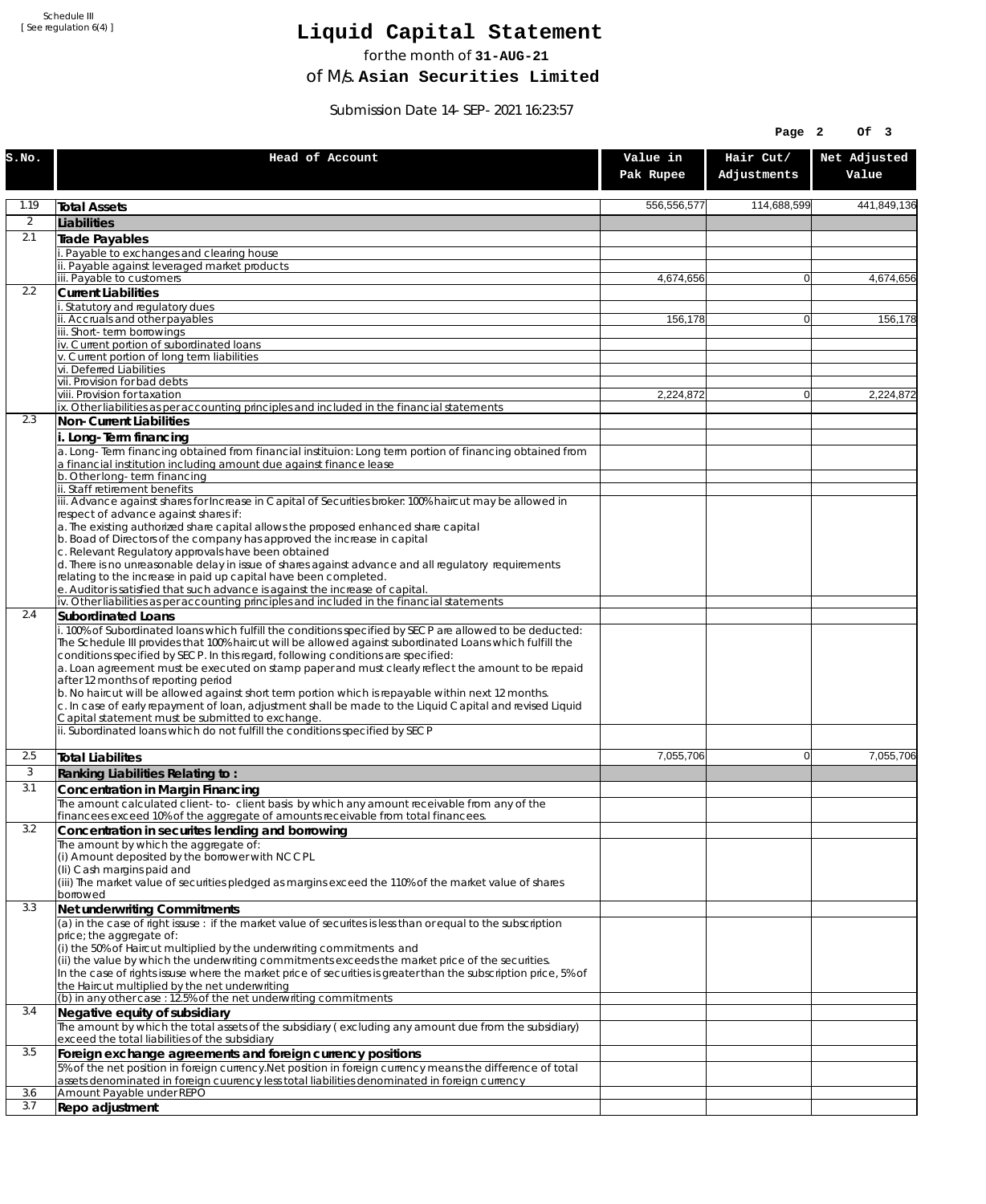# **Liquid Capital Statement**

for the month of **31-AUG-21**

of M/s. **Asian Securities Limited**

Submission Date 14-SEP-2021 16:23:57

|                |                                                                                                                                                                                                                                                                                                     |                       | Page 2                   | Of 3                  |
|----------------|-----------------------------------------------------------------------------------------------------------------------------------------------------------------------------------------------------------------------------------------------------------------------------------------------------|-----------------------|--------------------------|-----------------------|
| S.NO.          | Head of Account                                                                                                                                                                                                                                                                                     | Value in<br>Pak Rupee | Hair Cut/<br>Adjustments | Net Adjusted<br>Value |
| 1.19           | <b>Total Assets</b>                                                                                                                                                                                                                                                                                 | 556,556,577           | 114,688,599              | 441,849,136           |
| $\overline{2}$ | Liabilities                                                                                                                                                                                                                                                                                         |                       |                          |                       |
| 2.1            | Trade Payables                                                                                                                                                                                                                                                                                      |                       |                          |                       |
|                | Payable to exchanges and clearing house<br>ii. Payable against leveraged market products                                                                                                                                                                                                            |                       |                          |                       |
|                | iii. Payable to customers                                                                                                                                                                                                                                                                           | 4.674.656             | $\mathbf{0}$             | 4,674,656             |
| 2.2            | <b>Current Liabilities</b>                                                                                                                                                                                                                                                                          |                       |                          |                       |
|                | . Statutory and regulatory dues<br>ii. Accruals and other payables                                                                                                                                                                                                                                  |                       | $\overline{0}$           | 156,178               |
|                | iii. Short-term borrowings                                                                                                                                                                                                                                                                          | 156,178               |                          |                       |
|                | iv. Current portion of subordinated loans                                                                                                                                                                                                                                                           |                       |                          |                       |
|                | v. Current portion of long term liabilities<br>vi. Deferred Liabilities                                                                                                                                                                                                                             |                       |                          |                       |
|                | vii. Provision for bad debts                                                                                                                                                                                                                                                                        |                       |                          |                       |
|                | viii. Provision for taxation                                                                                                                                                                                                                                                                        | 2,224,872             | $\mathbf{0}$             | 2,224,872             |
| 2.3            | ix. Other liabilities as per accounting principles and included in the financial statements<br>Non-Current Liabilities                                                                                                                                                                              |                       |                          |                       |
|                | i. Long-Term financing                                                                                                                                                                                                                                                                              |                       |                          |                       |
|                | a. Long-Term financing obtained from financial instituion: Long term portion of financing obtained from<br>a financial institution including amount due against finance lease                                                                                                                       |                       |                          |                       |
|                | b. Other long-term financing<br>ii. Staff retirement benefits                                                                                                                                                                                                                                       |                       |                          |                       |
|                | iii. Advance against shares for Increase in Capital of Securities broker: 100% haircut may be allowed in                                                                                                                                                                                            |                       |                          |                       |
|                | respect of advance against shares if:                                                                                                                                                                                                                                                               |                       |                          |                       |
|                | a. The existing authorized share capital allows the proposed enhanced share capital<br>b. Boad of Directors of the company has approved the increase in capital                                                                                                                                     |                       |                          |                       |
|                | c. Relevant Regulatory approvals have been obtained                                                                                                                                                                                                                                                 |                       |                          |                       |
|                | d. There is no unreasonable delay in issue of shares against advance and all regulatory requirements<br>relating to the increase in paid up capital have been completed.                                                                                                                            |                       |                          |                       |
|                | e. Auditor is satisfied that such advance is against the increase of capital.                                                                                                                                                                                                                       |                       |                          |                       |
|                | iv. Other liabilities as per accounting principles and included in the financial statements                                                                                                                                                                                                         |                       |                          |                       |
| 2.4            | <b>Subordinated Loans</b><br>. 100% of Subordinated loans which fulfill the conditions specified by SECP are allowed to be deducted:                                                                                                                                                                |                       |                          |                       |
|                | The Schedule III provides that 100% haircut will be allowed against subordinated Loans which fulfill the<br>conditions specified by SECP. In this regard, following conditions are specified:<br>a. Loan agreement must be executed on stamp paper and must clearly reflect the amount to be repaid |                       |                          |                       |
|                | after 12 months of reporting period                                                                                                                                                                                                                                                                 |                       |                          |                       |
|                | b. No haircut will be allowed against short term portion which is repayable within next 12 months.<br>c. In case of early repayment of loan, adjustment shall be made to the Liquid Capital and revised Liquid<br>Capital statement must be submitted to exchange.                                  |                       |                          |                       |
|                | ii. Subordinated loans which do not fulfill the conditions specified by SECP                                                                                                                                                                                                                        |                       |                          |                       |
| 2.5            | <b>Total Liabilites</b>                                                                                                                                                                                                                                                                             | 7,055,706             | $\mathbf{0}$             | 7.055.706             |
| 3              | Ranking Liabilities Relating to:                                                                                                                                                                                                                                                                    |                       |                          |                       |
| 3.1            | Concentration in Margin Financing                                                                                                                                                                                                                                                                   |                       |                          |                       |
|                | The amount calculated client-to- client basis by which any amount receivable from any of the<br>financees exceed 10% of the aggregate of amounts receivable from total financees.                                                                                                                   |                       |                          |                       |
| 3.2            | Concentration in securites lending and borrowing                                                                                                                                                                                                                                                    |                       |                          |                       |
|                | The amount by which the aggregate of:                                                                                                                                                                                                                                                               |                       |                          |                       |
|                | (i) Amount deposited by the borrower with NCCPL<br>(Ii) Cash margins paid and                                                                                                                                                                                                                       |                       |                          |                       |
|                | (iii) The market value of securities pledged as margins exceed the 110% of the market value of shares                                                                                                                                                                                               |                       |                          |                       |
| 3.3            | borrowed                                                                                                                                                                                                                                                                                            |                       |                          |                       |
|                | Net underwriting Commitments<br>(a) in the case of right issuse : if the market value of securites is less than or equal to the subscription                                                                                                                                                        |                       |                          |                       |
|                | price; the aggregate of:                                                                                                                                                                                                                                                                            |                       |                          |                       |
|                | (i) the 50% of Haircut multiplied by the underwriting commitments and                                                                                                                                                                                                                               |                       |                          |                       |
|                | (ii) the value by which the underwriting commitments exceeds the market price of the securities.<br>In the case of rights issuse where the market price of securities is greater than the subscription price, 5% of                                                                                 |                       |                          |                       |
|                | the Haircut multiplied by the net underwriting                                                                                                                                                                                                                                                      |                       |                          |                       |
| 3.4            | (b) in any other case: 12.5% of the net underwriting commitments                                                                                                                                                                                                                                    |                       |                          |                       |
|                | Negative equity of subsidiary<br>The amount by which the total assets of the subsidiary (excluding any amount due from the subsidiary)                                                                                                                                                              |                       |                          |                       |
|                | exceed the total liabilities of the subsidiary                                                                                                                                                                                                                                                      |                       |                          |                       |
| 3.5            | Foreign exchange agreements and foreign currency positions                                                                                                                                                                                                                                          |                       |                          |                       |
|                | 5% of the net position in foreign currency. Net position in foreign currency means the difference of total<br>assets denominated in foreign cuurency less total liabilities denominated in foreign currency                                                                                         |                       |                          |                       |
| 3.6            | Amount Payable under REPO                                                                                                                                                                                                                                                                           |                       |                          |                       |
| 3.7            | Repo adjustment                                                                                                                                                                                                                                                                                     |                       |                          |                       |
|                |                                                                                                                                                                                                                                                                                                     |                       |                          |                       |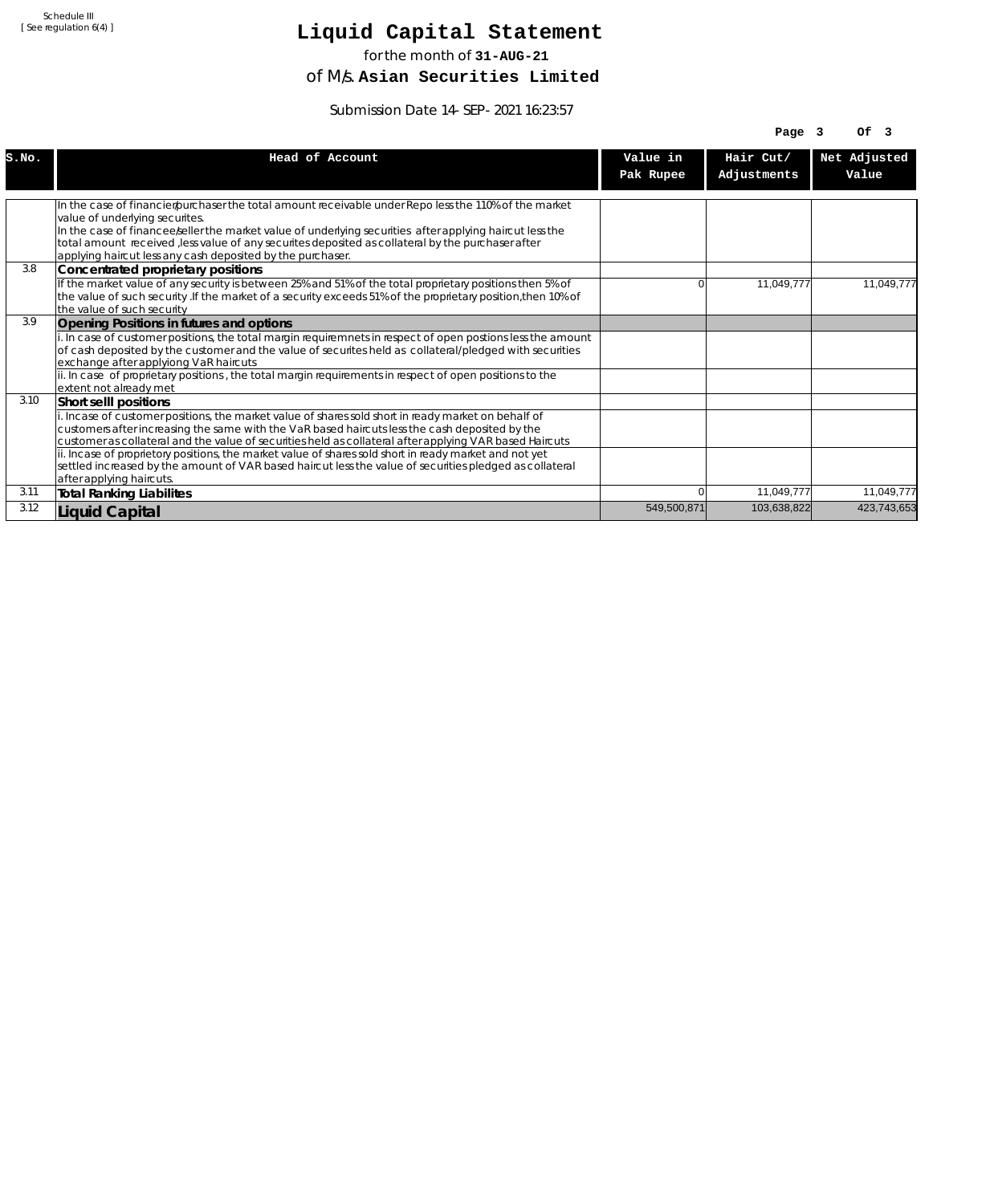# **Liquid Capital Statement**

for the month of **31-AUG-21**

of M/s. **Asian Securities Limited**

Submission Date 14-SEP-2021 16:23:57

|       |                                                                                                                                                                                                                                                                                                                  |             | Page $3$    | OF <sub>3</sub> |
|-------|------------------------------------------------------------------------------------------------------------------------------------------------------------------------------------------------------------------------------------------------------------------------------------------------------------------|-------------|-------------|-----------------|
| S.NO. | Head of Account                                                                                                                                                                                                                                                                                                  | Value in    | Hair Cut/   | Net Adjusted    |
|       |                                                                                                                                                                                                                                                                                                                  | Pak Rupee   | Adjustments | Value           |
|       |                                                                                                                                                                                                                                                                                                                  |             |             |                 |
|       | In the case of financier/purchaser the total amount receivable under Repo less the 110% of the market<br>value of underlying securites.                                                                                                                                                                          |             |             |                 |
|       | In the case of financee keller the market value of underlying securities after applying haircut less the<br>total amount received , less value of any securites deposited as collateral by the purchaser after<br>applying haircut less any cash deposited by the purchaser.                                     |             |             |                 |
| 3.8   | Concentrated proprietary positions                                                                                                                                                                                                                                                                               |             |             |                 |
|       | If the market value of any security is between 25% and 51% of the total proprietary positions then 5% of<br>the value of such security. If the market of a security exceeds 51% of the proprietary position, then 10% of<br>the value of such security                                                           | n           | 11,049,777  | 11,049,777      |
| 3.9   | Opening Positions in futures and options                                                                                                                                                                                                                                                                         |             |             |                 |
|       | i. In case of customer positions, the total margin requiremnets in respect of open postions less the amount<br>of cash deposited by the customer and the value of securites held as collateral/pledged with securities<br>exchange after applyiong VaR haircuts                                                  |             |             |                 |
|       | ii. In case of proprietary positions, the total margin requirements in respect of open positions to the<br>extent not already met                                                                                                                                                                                |             |             |                 |
| 3.10  | Short selll positions                                                                                                                                                                                                                                                                                            |             |             |                 |
|       | i. Incase of customer positions, the market value of shares sold short in ready market on behalf of<br>customers after increasing the same with the VaR based haircuts less the cash deposited by the<br>customer as collateral and the value of securities held as collateral after applying VAR based Haircuts |             |             |                 |
|       | ii. Incase of proprietory positions, the market value of shares sold short in ready market and not yet<br>settled increased by the amount of VAR based haircut less the value of securities pledged as collateral<br>after applying haircuts.                                                                    |             |             |                 |
| 3.11  | <b>Total Ranking Liabilites</b>                                                                                                                                                                                                                                                                                  |             | 11,049,777  | 11,049,777      |
| 3.12  | Liquid Capital                                                                                                                                                                                                                                                                                                   | 549,500,871 | 103,638,822 | 423,743,653     |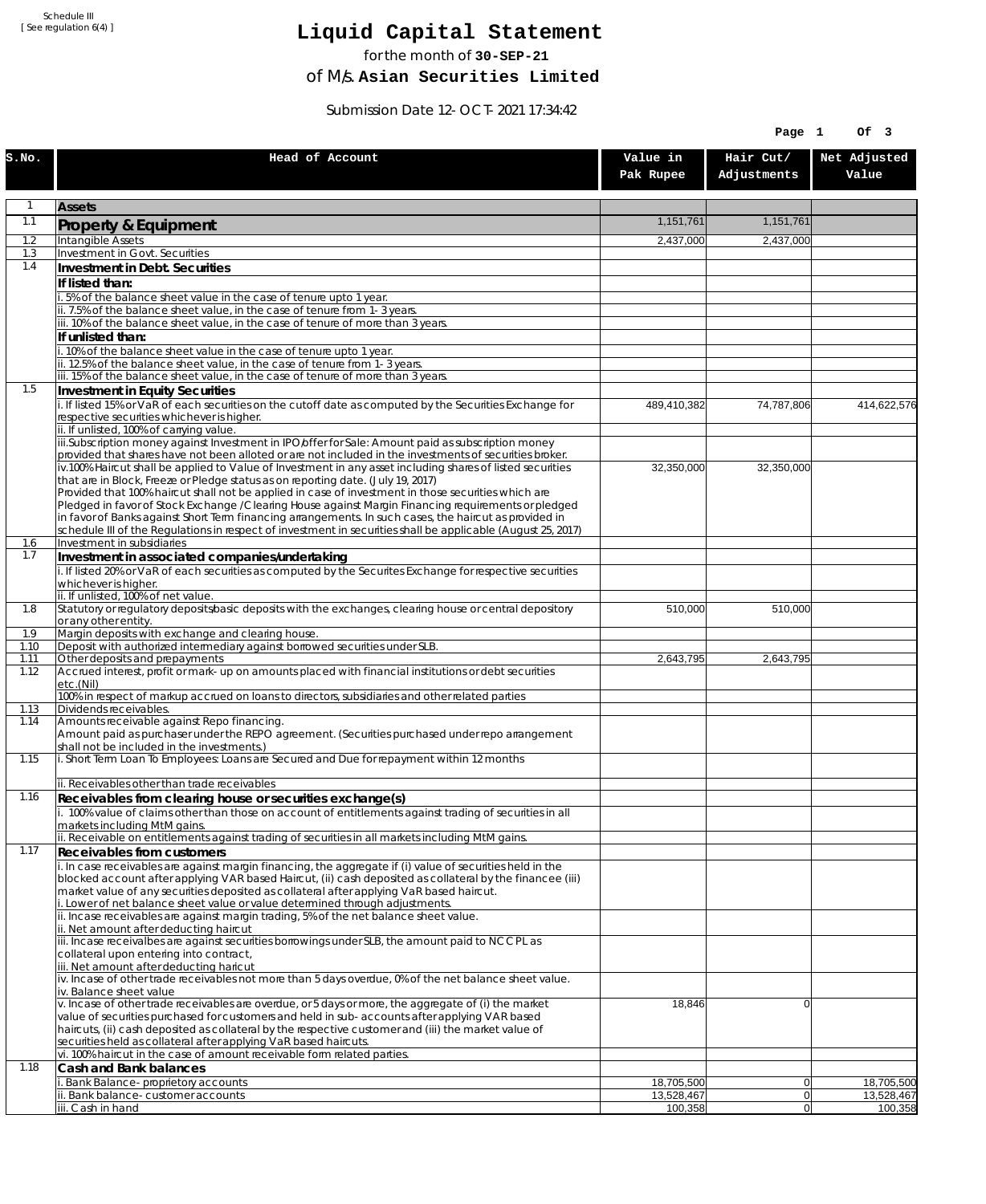# **Liquid Capital Statement**

for the month of **30-SEP-21**

of M/s. **Asian Securities Limited**

Submission Date 12-OCT-2021 17:34:42

|              |                                                                                                                                                                                                                        |                          | Page 1                   | Of 3                     |
|--------------|------------------------------------------------------------------------------------------------------------------------------------------------------------------------------------------------------------------------|--------------------------|--------------------------|--------------------------|
| S.NO.        | Head of Account                                                                                                                                                                                                        | Value in<br>Pak Rupee    | Hair Cut/<br>Adjustments | Net Adjusted<br>Value    |
| 1            | <b>Assets</b>                                                                                                                                                                                                          |                          |                          |                          |
| 1.1          | Property & Equipment                                                                                                                                                                                                   | 1,151,761                | 1,151,761                |                          |
| 1.2          | Intangible Assets                                                                                                                                                                                                      | 2,437,000                | 2,437,000                |                          |
| 1.3<br>1.4   | Investment in Govt. Securities<br>Investment in Debt. Securities                                                                                                                                                       |                          |                          |                          |
|              | If listed than:                                                                                                                                                                                                        |                          |                          |                          |
|              | i. 5% of the balance sheet value in the case of tenure upto 1 year.                                                                                                                                                    |                          |                          |                          |
|              | ii. 7.5% of the balance sheet value, in the case of tenure from 1-3 years.                                                                                                                                             |                          |                          |                          |
|              | iii. 10% of the balance sheet value, in the case of tenure of more than 3 years.<br>If unlisted than:                                                                                                                  |                          |                          |                          |
|              | i. 10% of the balance sheet value in the case of tenure upto 1 year.                                                                                                                                                   |                          |                          |                          |
|              | ii. 12.5% of the balance sheet value, in the case of tenure from 1-3 years.                                                                                                                                            |                          |                          |                          |
| 1.5          | iii. 15% of the balance sheet value, in the case of tenure of more than 3 years.<br>Investment in Equity Securities                                                                                                    |                          |                          |                          |
|              | i. If listed 15% or VaR of each securities on the cutoff date as computed by the Securities Exchange for                                                                                                               | 489,410,382              | 74,787,806               | 414,622,576              |
|              | respective securities whichever is higher.                                                                                                                                                                             |                          |                          |                          |
|              | ii. If unlisted, 100% of carrying value.<br>iii.Subscription money against Investment in IPO/offer for Sale: Amount paid as subscription money                                                                         |                          |                          |                          |
|              | provided that shares have not been alloted or are not included in the investments of securities broker.                                                                                                                |                          |                          |                          |
|              | iv.100% Haircut shall be applied to Value of Investment in any asset including shares of listed securities                                                                                                             | 32,350,000               | 32,350,000               |                          |
|              | that are in Block, Freeze or Pledge status as on reporting date. (July 19, 2017)<br>Provided that 100% haircut shall not be applied in case of investment in those securities which are                                |                          |                          |                          |
|              | Pledged in favor of Stock Exchange / Clearing House against Margin Financing requirements or pledged                                                                                                                   |                          |                          |                          |
|              | in favor of Banks against Short Term financing arrangements. In such cases, the haircut as provided in<br>schedule III of the Regulations in respect of investment in securities shall be applicable (August 25, 2017) |                          |                          |                          |
| 1.6          | Investment in subsidiaries                                                                                                                                                                                             |                          |                          |                          |
| 1.7          | Investment in associated companies/undertaking                                                                                                                                                                         |                          |                          |                          |
|              | i. If listed 20% or VaR of each securities as computed by the Securites Exchange for respective securities                                                                                                             |                          |                          |                          |
|              | whichever is higher.<br>ii. If unlisted, 100% of net value.                                                                                                                                                            |                          |                          |                          |
| 1.8          | Statutory or regulatory deposits/basic deposits with the exchanges, clearing house or central depository                                                                                                               | 510,000                  | 510,000                  |                          |
| 1.9          | or any other entity.<br>Margin deposits with exchange and clearing house.                                                                                                                                              |                          |                          |                          |
| 1.10         | Deposit with authorized intermediary against borrowed securities under SLB.                                                                                                                                            |                          |                          |                          |
| 1.11<br>1.12 | Other deposits and prepayments<br>Accrued interest, profit or mark-up on amounts placed with financial institutions or debt securities                                                                                 | 2,643,795                | 2,643,795                |                          |
|              | etc.(Nil)                                                                                                                                                                                                              |                          |                          |                          |
|              | 100% in respect of markup accrued on loans to directors, subsidiaries and other related parties                                                                                                                        |                          |                          |                          |
| 1.13<br>1.14 | Dividends receivables.<br>Amounts receivable against Repo financing.                                                                                                                                                   |                          |                          |                          |
|              | Amount paid as purchaser under the REPO agreement. (Securities purchased under repo arrangement                                                                                                                        |                          |                          |                          |
| 1.15         | shall not be included in the investments.)<br>i. Short Term Loan To Employees: Loans are Secured and Due for repayment within 12 months                                                                                |                          |                          |                          |
|              |                                                                                                                                                                                                                        |                          |                          |                          |
|              | ii. Receivables other than trade receivables                                                                                                                                                                           |                          |                          |                          |
| 1.16         | Receivables from clearing house or securities exchange(s)<br>i. 100% value of claims other than those on account of entitlements against trading of securities in all                                                  |                          |                          |                          |
|              | markets including MtM gains.                                                                                                                                                                                           |                          |                          |                          |
|              | ii. Receivable on entitlements against trading of securities in all markets including MtM gains.                                                                                                                       |                          |                          |                          |
| 1.17         | Receivables from customers<br>i. In case receivables are against margin financing, the aggregate if (i) value of securities held in the                                                                                |                          |                          |                          |
|              | blocked account after applying VAR based Haircut, (ii) cash deposited as collateral by the financee (iii)                                                                                                              |                          |                          |                          |
|              | market value of any securities deposited as collateral after applying VaR based haircut.                                                                                                                               |                          |                          |                          |
|              | i. Lower of net balance sheet value or value determined through adjustments.<br>ii. Incase receivables are against margin trading, 5% of the net balance sheet value.                                                  |                          |                          |                          |
|              | ii. Net amount after deducting haircut                                                                                                                                                                                 |                          |                          |                          |
|              | iii. Incase receivalbes are against securities borrowings under SLB, the amount paid to NCCPL as<br>collateral upon entering into contract,                                                                            |                          |                          |                          |
|              | iii. Net amount after deducting haricut                                                                                                                                                                                |                          |                          |                          |
|              | $\dot{v}$ . Incase of other trade receivables not more than 5 days overdue, 0% of the net balance sheet value.                                                                                                         |                          |                          |                          |
|              | iv. Balance sheet value<br>v. Incase of other trade receivables are overdue, or 5 days or more, the aggregate of (i) the market                                                                                        | 18,846                   | $\overline{0}$           |                          |
|              | value of securities purchased for customers and held in sub-accounts after applying VAR based                                                                                                                          |                          |                          |                          |
|              | haircuts, (ii) cash deposited as collateral by the respective customer and (iii) the market value of<br>securities held as collateral after applying VaR based haircuts.                                               |                          |                          |                          |
|              | vi. 100% haircut in the case of amount receivable form related parties.                                                                                                                                                |                          |                          |                          |
| 1.18         | Cash and Bank balances                                                                                                                                                                                                 |                          |                          |                          |
|              | i. Bank Balance-proprietory accounts<br>ii. Bank balance-customer accounts                                                                                                                                             | 18,705,500<br>13,528,467 | 0 <br> 0                 | 18,705,500<br>13,528,467 |
|              | iii. Cash in hand                                                                                                                                                                                                      | 100,358                  | 0                        | 100,358                  |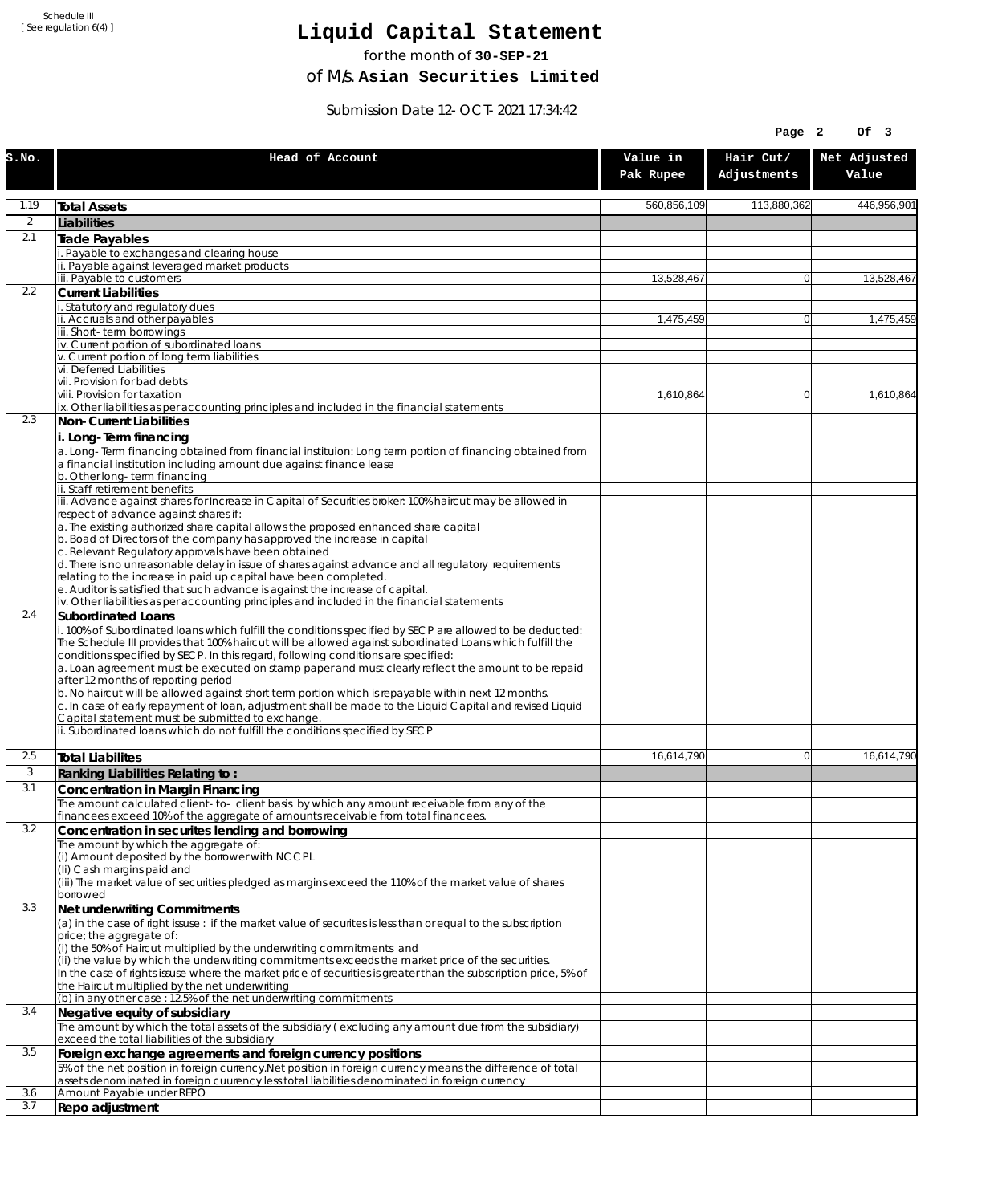# **Liquid Capital Statement**

for the month of **30-SEP-21**

of M/s. **Asian Securities Limited**

Submission Date 12-OCT-2021 17:34:42

| Hair Cut/<br>Net Adjusted<br>Head of Account<br>Value in<br>Adjustments<br>Value<br>Pak Rupee<br>1.19<br>560.856.109<br>113,880,362<br>446,956,901<br><b>Total Assets</b><br>$\overline{2}$<br>Liabilities<br>2.1<br>Trade Payables<br>Payable to exchanges and clearing house<br>ii. Payable against leveraged market products<br>iii. Payable to customers<br>13,528,467<br>13,528,467<br>$\Omega$<br>2.2<br><b>Current Liabilities</b><br>Statutory and regulatory dues<br>ii. Accruals and other payables<br>1,475,459<br>1.475.459<br>$\Omega$<br>iii. Short-term borrowings<br>iv. Current portion of subordinated loans<br>v. Current portion of long term liabilities<br>vi. Deferred Liabilities<br>vii. Provision for bad debts<br>viii. Provision for taxation<br>1,610,864<br>$\Omega$<br>1,610,864<br>ix. Other liabilities as per accounting principles and included in the financial statements<br>2.3<br>Non-Current Liabilities<br>i. Long-Term financing<br>a. Long-Term financing obtained from financial instituion: Long term portion of financing obtained from<br>a financial institution including amount due against finance lease<br>b. Other long-term financing<br>ii. Staff retirement benefits<br>iii. Advance against shares for Increase in Capital of Securities broker: 100% haircut may be allowed in<br>respect of advance against shares if:<br>a. The existing authorized share capital allows the proposed enhanced share capital<br>b. Boad of Directors of the company has approved the increase in capital<br>c. Relevant Regulatory approvals have been obtained<br>d. There is no unreasonable delay in issue of shares against advance and all regulatory requirements<br>relating to the increase in paid up capital have been completed.<br>e. Auditor is satisfied that such advance is against the increase of capital.<br>iv. Other liabilities as per accounting principles and included in the financial statements<br>2.4<br><b>Subordinated Loans</b><br>i. 100% of Subordinated loans which fulfill the conditions specified by SECP are allowed to be deducted:<br>The Schedule III provides that 100% haircut will be allowed against subordinated Loans which fulfill the<br>conditions specified by SECP. In this regard, following conditions are specified:<br>a. Loan agreement must be executed on stamp paper and must clearly reflect the amount to be repaid<br>after 12 months of reporting period<br>b. No haircut will be allowed against short term portion which is repayable within next 12 months.<br>c. In case of early repayment of loan, adjustment shall be made to the Liquid Capital and revised Liquid<br>Capital statement must be submitted to exchange.<br>ii. Subordinated loans which do not fulfill the conditions specified by SECP<br>2.5<br>16,614,790<br>$\Omega$<br>16,614,790<br><b>Total Liabilites</b><br>3<br>Ranking Liabilities Relating to:<br>3.1<br>Concentration in Margin Financing<br>The amount calculated client-to- client basis by which any amount receivable from any of the<br>financees exceed 10% of the aggregate of amounts receivable from total financees.<br>3.2<br>Concentration in securites lending and borrowing<br>The amount by which the aggregate of:<br>(i) Amount deposited by the borrower with NCCPL<br>(Ii) Cash margins paid and<br>(iii) The market value of securities pledged as margins exceed the 110% of the market value of shares<br>borrowed<br>3.3<br>Net underwriting Commitments<br>(a) in the case of right issuse : if the market value of securites is less than or equal to the subscription<br>price; the aggregate of:<br>(i) the 50% of Haircut multiplied by the underwriting commitments and<br>(ii) the value by which the underwriting commitments exceeds the market price of the securities.<br>In the case of rights issuse where the market price of securities is greater than the subscription price, 5% of<br>the Haircut multiplied by the net underwriting<br>(b) in any other case: 12.5% of the net underwriting commitments<br>3.4<br>Negative equity of subsidiary<br>The amount by which the total assets of the subsidiary (excluding any amount due from the subsidiary)<br>exceed the total liabilities of the subsidiary<br>3.5<br>Foreign exchange agreements and foreign currency positions<br>5% of the net position in foreign currency. Net position in foreign currency means the difference of total<br>assets denominated in foreign cuurency less total liabilities denominated in foreign currency<br>3.6<br>Amount Payable under REPO<br>3.7<br>Repo adjustment |       |  | Page 2 | Of 3 |
|---------------------------------------------------------------------------------------------------------------------------------------------------------------------------------------------------------------------------------------------------------------------------------------------------------------------------------------------------------------------------------------------------------------------------------------------------------------------------------------------------------------------------------------------------------------------------------------------------------------------------------------------------------------------------------------------------------------------------------------------------------------------------------------------------------------------------------------------------------------------------------------------------------------------------------------------------------------------------------------------------------------------------------------------------------------------------------------------------------------------------------------------------------------------------------------------------------------------------------------------------------------------------------------------------------------------------------------------------------------------------------------------------------------------------------------------------------------------------------------------------------------------------------------------------------------------------------------------------------------------------------------------------------------------------------------------------------------------------------------------------------------------------------------------------------------------------------------------------------------------------------------------------------------------------------------------------------------------------------------------------------------------------------------------------------------------------------------------------------------------------------------------------------------------------------------------------------------------------------------------------------------------------------------------------------------------------------------------------------------------------------------------------------------------------------------------------------------------------------------------------------------------------------------------------------------------------------------------------------------------------------------------------------------------------------------------------------------------------------------------------------------------------------------------------------------------------------------------------------------------------------------------------------------------------------------------------------------------------------------------------------------------------------------------------------------------------------------------------------------------------------------------------------------------------------------------------------------------------------------------------------------------------------------------------------------------------------------------------------------------------------------------------------------------------------------------------------------------------------------------------------------------------------------------------------------------------------------------------------------------------------------------------------------------------------------------------------------------------------------------------------------------------------------------------------------------------------------------------------------------------------------------------------------------------------------------------------------------------------------------------------------------------------------------------------------------------------------------------------------------------------------------------------------------------------------------------------------------------------------------------------------------------------------------------------------------------------------------------------------------------------------------------------------------------------------------------------------------------------------------------------------------------------------------------------------------------------------------------------------------------------------------------------|-------|--|--------|------|
|                                                                                                                                                                                                                                                                                                                                                                                                                                                                                                                                                                                                                                                                                                                                                                                                                                                                                                                                                                                                                                                                                                                                                                                                                                                                                                                                                                                                                                                                                                                                                                                                                                                                                                                                                                                                                                                                                                                                                                                                                                                                                                                                                                                                                                                                                                                                                                                                                                                                                                                                                                                                                                                                                                                                                                                                                                                                                                                                                                                                                                                                                                                                                                                                                                                                                                                                                                                                                                                                                                                                                                                                                                                                                                                                                                                                                                                                                                                                                                                                                                                                                                                                                                                                                                                                                                                                                                                                                                                                                                                                                                                                                                                         | S.NO. |  |        |      |
|                                                                                                                                                                                                                                                                                                                                                                                                                                                                                                                                                                                                                                                                                                                                                                                                                                                                                                                                                                                                                                                                                                                                                                                                                                                                                                                                                                                                                                                                                                                                                                                                                                                                                                                                                                                                                                                                                                                                                                                                                                                                                                                                                                                                                                                                                                                                                                                                                                                                                                                                                                                                                                                                                                                                                                                                                                                                                                                                                                                                                                                                                                                                                                                                                                                                                                                                                                                                                                                                                                                                                                                                                                                                                                                                                                                                                                                                                                                                                                                                                                                                                                                                                                                                                                                                                                                                                                                                                                                                                                                                                                                                                                                         |       |  |        |      |
|                                                                                                                                                                                                                                                                                                                                                                                                                                                                                                                                                                                                                                                                                                                                                                                                                                                                                                                                                                                                                                                                                                                                                                                                                                                                                                                                                                                                                                                                                                                                                                                                                                                                                                                                                                                                                                                                                                                                                                                                                                                                                                                                                                                                                                                                                                                                                                                                                                                                                                                                                                                                                                                                                                                                                                                                                                                                                                                                                                                                                                                                                                                                                                                                                                                                                                                                                                                                                                                                                                                                                                                                                                                                                                                                                                                                                                                                                                                                                                                                                                                                                                                                                                                                                                                                                                                                                                                                                                                                                                                                                                                                                                                         |       |  |        |      |
|                                                                                                                                                                                                                                                                                                                                                                                                                                                                                                                                                                                                                                                                                                                                                                                                                                                                                                                                                                                                                                                                                                                                                                                                                                                                                                                                                                                                                                                                                                                                                                                                                                                                                                                                                                                                                                                                                                                                                                                                                                                                                                                                                                                                                                                                                                                                                                                                                                                                                                                                                                                                                                                                                                                                                                                                                                                                                                                                                                                                                                                                                                                                                                                                                                                                                                                                                                                                                                                                                                                                                                                                                                                                                                                                                                                                                                                                                                                                                                                                                                                                                                                                                                                                                                                                                                                                                                                                                                                                                                                                                                                                                                                         |       |  |        |      |
|                                                                                                                                                                                                                                                                                                                                                                                                                                                                                                                                                                                                                                                                                                                                                                                                                                                                                                                                                                                                                                                                                                                                                                                                                                                                                                                                                                                                                                                                                                                                                                                                                                                                                                                                                                                                                                                                                                                                                                                                                                                                                                                                                                                                                                                                                                                                                                                                                                                                                                                                                                                                                                                                                                                                                                                                                                                                                                                                                                                                                                                                                                                                                                                                                                                                                                                                                                                                                                                                                                                                                                                                                                                                                                                                                                                                                                                                                                                                                                                                                                                                                                                                                                                                                                                                                                                                                                                                                                                                                                                                                                                                                                                         |       |  |        |      |
|                                                                                                                                                                                                                                                                                                                                                                                                                                                                                                                                                                                                                                                                                                                                                                                                                                                                                                                                                                                                                                                                                                                                                                                                                                                                                                                                                                                                                                                                                                                                                                                                                                                                                                                                                                                                                                                                                                                                                                                                                                                                                                                                                                                                                                                                                                                                                                                                                                                                                                                                                                                                                                                                                                                                                                                                                                                                                                                                                                                                                                                                                                                                                                                                                                                                                                                                                                                                                                                                                                                                                                                                                                                                                                                                                                                                                                                                                                                                                                                                                                                                                                                                                                                                                                                                                                                                                                                                                                                                                                                                                                                                                                                         |       |  |        |      |
|                                                                                                                                                                                                                                                                                                                                                                                                                                                                                                                                                                                                                                                                                                                                                                                                                                                                                                                                                                                                                                                                                                                                                                                                                                                                                                                                                                                                                                                                                                                                                                                                                                                                                                                                                                                                                                                                                                                                                                                                                                                                                                                                                                                                                                                                                                                                                                                                                                                                                                                                                                                                                                                                                                                                                                                                                                                                                                                                                                                                                                                                                                                                                                                                                                                                                                                                                                                                                                                                                                                                                                                                                                                                                                                                                                                                                                                                                                                                                                                                                                                                                                                                                                                                                                                                                                                                                                                                                                                                                                                                                                                                                                                         |       |  |        |      |
|                                                                                                                                                                                                                                                                                                                                                                                                                                                                                                                                                                                                                                                                                                                                                                                                                                                                                                                                                                                                                                                                                                                                                                                                                                                                                                                                                                                                                                                                                                                                                                                                                                                                                                                                                                                                                                                                                                                                                                                                                                                                                                                                                                                                                                                                                                                                                                                                                                                                                                                                                                                                                                                                                                                                                                                                                                                                                                                                                                                                                                                                                                                                                                                                                                                                                                                                                                                                                                                                                                                                                                                                                                                                                                                                                                                                                                                                                                                                                                                                                                                                                                                                                                                                                                                                                                                                                                                                                                                                                                                                                                                                                                                         |       |  |        |      |
|                                                                                                                                                                                                                                                                                                                                                                                                                                                                                                                                                                                                                                                                                                                                                                                                                                                                                                                                                                                                                                                                                                                                                                                                                                                                                                                                                                                                                                                                                                                                                                                                                                                                                                                                                                                                                                                                                                                                                                                                                                                                                                                                                                                                                                                                                                                                                                                                                                                                                                                                                                                                                                                                                                                                                                                                                                                                                                                                                                                                                                                                                                                                                                                                                                                                                                                                                                                                                                                                                                                                                                                                                                                                                                                                                                                                                                                                                                                                                                                                                                                                                                                                                                                                                                                                                                                                                                                                                                                                                                                                                                                                                                                         |       |  |        |      |
|                                                                                                                                                                                                                                                                                                                                                                                                                                                                                                                                                                                                                                                                                                                                                                                                                                                                                                                                                                                                                                                                                                                                                                                                                                                                                                                                                                                                                                                                                                                                                                                                                                                                                                                                                                                                                                                                                                                                                                                                                                                                                                                                                                                                                                                                                                                                                                                                                                                                                                                                                                                                                                                                                                                                                                                                                                                                                                                                                                                                                                                                                                                                                                                                                                                                                                                                                                                                                                                                                                                                                                                                                                                                                                                                                                                                                                                                                                                                                                                                                                                                                                                                                                                                                                                                                                                                                                                                                                                                                                                                                                                                                                                         |       |  |        |      |
|                                                                                                                                                                                                                                                                                                                                                                                                                                                                                                                                                                                                                                                                                                                                                                                                                                                                                                                                                                                                                                                                                                                                                                                                                                                                                                                                                                                                                                                                                                                                                                                                                                                                                                                                                                                                                                                                                                                                                                                                                                                                                                                                                                                                                                                                                                                                                                                                                                                                                                                                                                                                                                                                                                                                                                                                                                                                                                                                                                                                                                                                                                                                                                                                                                                                                                                                                                                                                                                                                                                                                                                                                                                                                                                                                                                                                                                                                                                                                                                                                                                                                                                                                                                                                                                                                                                                                                                                                                                                                                                                                                                                                                                         |       |  |        |      |
|                                                                                                                                                                                                                                                                                                                                                                                                                                                                                                                                                                                                                                                                                                                                                                                                                                                                                                                                                                                                                                                                                                                                                                                                                                                                                                                                                                                                                                                                                                                                                                                                                                                                                                                                                                                                                                                                                                                                                                                                                                                                                                                                                                                                                                                                                                                                                                                                                                                                                                                                                                                                                                                                                                                                                                                                                                                                                                                                                                                                                                                                                                                                                                                                                                                                                                                                                                                                                                                                                                                                                                                                                                                                                                                                                                                                                                                                                                                                                                                                                                                                                                                                                                                                                                                                                                                                                                                                                                                                                                                                                                                                                                                         |       |  |        |      |
|                                                                                                                                                                                                                                                                                                                                                                                                                                                                                                                                                                                                                                                                                                                                                                                                                                                                                                                                                                                                                                                                                                                                                                                                                                                                                                                                                                                                                                                                                                                                                                                                                                                                                                                                                                                                                                                                                                                                                                                                                                                                                                                                                                                                                                                                                                                                                                                                                                                                                                                                                                                                                                                                                                                                                                                                                                                                                                                                                                                                                                                                                                                                                                                                                                                                                                                                                                                                                                                                                                                                                                                                                                                                                                                                                                                                                                                                                                                                                                                                                                                                                                                                                                                                                                                                                                                                                                                                                                                                                                                                                                                                                                                         |       |  |        |      |
|                                                                                                                                                                                                                                                                                                                                                                                                                                                                                                                                                                                                                                                                                                                                                                                                                                                                                                                                                                                                                                                                                                                                                                                                                                                                                                                                                                                                                                                                                                                                                                                                                                                                                                                                                                                                                                                                                                                                                                                                                                                                                                                                                                                                                                                                                                                                                                                                                                                                                                                                                                                                                                                                                                                                                                                                                                                                                                                                                                                                                                                                                                                                                                                                                                                                                                                                                                                                                                                                                                                                                                                                                                                                                                                                                                                                                                                                                                                                                                                                                                                                                                                                                                                                                                                                                                                                                                                                                                                                                                                                                                                                                                                         |       |  |        |      |
|                                                                                                                                                                                                                                                                                                                                                                                                                                                                                                                                                                                                                                                                                                                                                                                                                                                                                                                                                                                                                                                                                                                                                                                                                                                                                                                                                                                                                                                                                                                                                                                                                                                                                                                                                                                                                                                                                                                                                                                                                                                                                                                                                                                                                                                                                                                                                                                                                                                                                                                                                                                                                                                                                                                                                                                                                                                                                                                                                                                                                                                                                                                                                                                                                                                                                                                                                                                                                                                                                                                                                                                                                                                                                                                                                                                                                                                                                                                                                                                                                                                                                                                                                                                                                                                                                                                                                                                                                                                                                                                                                                                                                                                         |       |  |        |      |
|                                                                                                                                                                                                                                                                                                                                                                                                                                                                                                                                                                                                                                                                                                                                                                                                                                                                                                                                                                                                                                                                                                                                                                                                                                                                                                                                                                                                                                                                                                                                                                                                                                                                                                                                                                                                                                                                                                                                                                                                                                                                                                                                                                                                                                                                                                                                                                                                                                                                                                                                                                                                                                                                                                                                                                                                                                                                                                                                                                                                                                                                                                                                                                                                                                                                                                                                                                                                                                                                                                                                                                                                                                                                                                                                                                                                                                                                                                                                                                                                                                                                                                                                                                                                                                                                                                                                                                                                                                                                                                                                                                                                                                                         |       |  |        |      |
|                                                                                                                                                                                                                                                                                                                                                                                                                                                                                                                                                                                                                                                                                                                                                                                                                                                                                                                                                                                                                                                                                                                                                                                                                                                                                                                                                                                                                                                                                                                                                                                                                                                                                                                                                                                                                                                                                                                                                                                                                                                                                                                                                                                                                                                                                                                                                                                                                                                                                                                                                                                                                                                                                                                                                                                                                                                                                                                                                                                                                                                                                                                                                                                                                                                                                                                                                                                                                                                                                                                                                                                                                                                                                                                                                                                                                                                                                                                                                                                                                                                                                                                                                                                                                                                                                                                                                                                                                                                                                                                                                                                                                                                         |       |  |        |      |
|                                                                                                                                                                                                                                                                                                                                                                                                                                                                                                                                                                                                                                                                                                                                                                                                                                                                                                                                                                                                                                                                                                                                                                                                                                                                                                                                                                                                                                                                                                                                                                                                                                                                                                                                                                                                                                                                                                                                                                                                                                                                                                                                                                                                                                                                                                                                                                                                                                                                                                                                                                                                                                                                                                                                                                                                                                                                                                                                                                                                                                                                                                                                                                                                                                                                                                                                                                                                                                                                                                                                                                                                                                                                                                                                                                                                                                                                                                                                                                                                                                                                                                                                                                                                                                                                                                                                                                                                                                                                                                                                                                                                                                                         |       |  |        |      |
|                                                                                                                                                                                                                                                                                                                                                                                                                                                                                                                                                                                                                                                                                                                                                                                                                                                                                                                                                                                                                                                                                                                                                                                                                                                                                                                                                                                                                                                                                                                                                                                                                                                                                                                                                                                                                                                                                                                                                                                                                                                                                                                                                                                                                                                                                                                                                                                                                                                                                                                                                                                                                                                                                                                                                                                                                                                                                                                                                                                                                                                                                                                                                                                                                                                                                                                                                                                                                                                                                                                                                                                                                                                                                                                                                                                                                                                                                                                                                                                                                                                                                                                                                                                                                                                                                                                                                                                                                                                                                                                                                                                                                                                         |       |  |        |      |
|                                                                                                                                                                                                                                                                                                                                                                                                                                                                                                                                                                                                                                                                                                                                                                                                                                                                                                                                                                                                                                                                                                                                                                                                                                                                                                                                                                                                                                                                                                                                                                                                                                                                                                                                                                                                                                                                                                                                                                                                                                                                                                                                                                                                                                                                                                                                                                                                                                                                                                                                                                                                                                                                                                                                                                                                                                                                                                                                                                                                                                                                                                                                                                                                                                                                                                                                                                                                                                                                                                                                                                                                                                                                                                                                                                                                                                                                                                                                                                                                                                                                                                                                                                                                                                                                                                                                                                                                                                                                                                                                                                                                                                                         |       |  |        |      |
|                                                                                                                                                                                                                                                                                                                                                                                                                                                                                                                                                                                                                                                                                                                                                                                                                                                                                                                                                                                                                                                                                                                                                                                                                                                                                                                                                                                                                                                                                                                                                                                                                                                                                                                                                                                                                                                                                                                                                                                                                                                                                                                                                                                                                                                                                                                                                                                                                                                                                                                                                                                                                                                                                                                                                                                                                                                                                                                                                                                                                                                                                                                                                                                                                                                                                                                                                                                                                                                                                                                                                                                                                                                                                                                                                                                                                                                                                                                                                                                                                                                                                                                                                                                                                                                                                                                                                                                                                                                                                                                                                                                                                                                         |       |  |        |      |
|                                                                                                                                                                                                                                                                                                                                                                                                                                                                                                                                                                                                                                                                                                                                                                                                                                                                                                                                                                                                                                                                                                                                                                                                                                                                                                                                                                                                                                                                                                                                                                                                                                                                                                                                                                                                                                                                                                                                                                                                                                                                                                                                                                                                                                                                                                                                                                                                                                                                                                                                                                                                                                                                                                                                                                                                                                                                                                                                                                                                                                                                                                                                                                                                                                                                                                                                                                                                                                                                                                                                                                                                                                                                                                                                                                                                                                                                                                                                                                                                                                                                                                                                                                                                                                                                                                                                                                                                                                                                                                                                                                                                                                                         |       |  |        |      |
|                                                                                                                                                                                                                                                                                                                                                                                                                                                                                                                                                                                                                                                                                                                                                                                                                                                                                                                                                                                                                                                                                                                                                                                                                                                                                                                                                                                                                                                                                                                                                                                                                                                                                                                                                                                                                                                                                                                                                                                                                                                                                                                                                                                                                                                                                                                                                                                                                                                                                                                                                                                                                                                                                                                                                                                                                                                                                                                                                                                                                                                                                                                                                                                                                                                                                                                                                                                                                                                                                                                                                                                                                                                                                                                                                                                                                                                                                                                                                                                                                                                                                                                                                                                                                                                                                                                                                                                                                                                                                                                                                                                                                                                         |       |  |        |      |
|                                                                                                                                                                                                                                                                                                                                                                                                                                                                                                                                                                                                                                                                                                                                                                                                                                                                                                                                                                                                                                                                                                                                                                                                                                                                                                                                                                                                                                                                                                                                                                                                                                                                                                                                                                                                                                                                                                                                                                                                                                                                                                                                                                                                                                                                                                                                                                                                                                                                                                                                                                                                                                                                                                                                                                                                                                                                                                                                                                                                                                                                                                                                                                                                                                                                                                                                                                                                                                                                                                                                                                                                                                                                                                                                                                                                                                                                                                                                                                                                                                                                                                                                                                                                                                                                                                                                                                                                                                                                                                                                                                                                                                                         |       |  |        |      |
|                                                                                                                                                                                                                                                                                                                                                                                                                                                                                                                                                                                                                                                                                                                                                                                                                                                                                                                                                                                                                                                                                                                                                                                                                                                                                                                                                                                                                                                                                                                                                                                                                                                                                                                                                                                                                                                                                                                                                                                                                                                                                                                                                                                                                                                                                                                                                                                                                                                                                                                                                                                                                                                                                                                                                                                                                                                                                                                                                                                                                                                                                                                                                                                                                                                                                                                                                                                                                                                                                                                                                                                                                                                                                                                                                                                                                                                                                                                                                                                                                                                                                                                                                                                                                                                                                                                                                                                                                                                                                                                                                                                                                                                         |       |  |        |      |
|                                                                                                                                                                                                                                                                                                                                                                                                                                                                                                                                                                                                                                                                                                                                                                                                                                                                                                                                                                                                                                                                                                                                                                                                                                                                                                                                                                                                                                                                                                                                                                                                                                                                                                                                                                                                                                                                                                                                                                                                                                                                                                                                                                                                                                                                                                                                                                                                                                                                                                                                                                                                                                                                                                                                                                                                                                                                                                                                                                                                                                                                                                                                                                                                                                                                                                                                                                                                                                                                                                                                                                                                                                                                                                                                                                                                                                                                                                                                                                                                                                                                                                                                                                                                                                                                                                                                                                                                                                                                                                                                                                                                                                                         |       |  |        |      |
|                                                                                                                                                                                                                                                                                                                                                                                                                                                                                                                                                                                                                                                                                                                                                                                                                                                                                                                                                                                                                                                                                                                                                                                                                                                                                                                                                                                                                                                                                                                                                                                                                                                                                                                                                                                                                                                                                                                                                                                                                                                                                                                                                                                                                                                                                                                                                                                                                                                                                                                                                                                                                                                                                                                                                                                                                                                                                                                                                                                                                                                                                                                                                                                                                                                                                                                                                                                                                                                                                                                                                                                                                                                                                                                                                                                                                                                                                                                                                                                                                                                                                                                                                                                                                                                                                                                                                                                                                                                                                                                                                                                                                                                         |       |  |        |      |
|                                                                                                                                                                                                                                                                                                                                                                                                                                                                                                                                                                                                                                                                                                                                                                                                                                                                                                                                                                                                                                                                                                                                                                                                                                                                                                                                                                                                                                                                                                                                                                                                                                                                                                                                                                                                                                                                                                                                                                                                                                                                                                                                                                                                                                                                                                                                                                                                                                                                                                                                                                                                                                                                                                                                                                                                                                                                                                                                                                                                                                                                                                                                                                                                                                                                                                                                                                                                                                                                                                                                                                                                                                                                                                                                                                                                                                                                                                                                                                                                                                                                                                                                                                                                                                                                                                                                                                                                                                                                                                                                                                                                                                                         |       |  |        |      |
|                                                                                                                                                                                                                                                                                                                                                                                                                                                                                                                                                                                                                                                                                                                                                                                                                                                                                                                                                                                                                                                                                                                                                                                                                                                                                                                                                                                                                                                                                                                                                                                                                                                                                                                                                                                                                                                                                                                                                                                                                                                                                                                                                                                                                                                                                                                                                                                                                                                                                                                                                                                                                                                                                                                                                                                                                                                                                                                                                                                                                                                                                                                                                                                                                                                                                                                                                                                                                                                                                                                                                                                                                                                                                                                                                                                                                                                                                                                                                                                                                                                                                                                                                                                                                                                                                                                                                                                                                                                                                                                                                                                                                                                         |       |  |        |      |
|                                                                                                                                                                                                                                                                                                                                                                                                                                                                                                                                                                                                                                                                                                                                                                                                                                                                                                                                                                                                                                                                                                                                                                                                                                                                                                                                                                                                                                                                                                                                                                                                                                                                                                                                                                                                                                                                                                                                                                                                                                                                                                                                                                                                                                                                                                                                                                                                                                                                                                                                                                                                                                                                                                                                                                                                                                                                                                                                                                                                                                                                                                                                                                                                                                                                                                                                                                                                                                                                                                                                                                                                                                                                                                                                                                                                                                                                                                                                                                                                                                                                                                                                                                                                                                                                                                                                                                                                                                                                                                                                                                                                                                                         |       |  |        |      |
|                                                                                                                                                                                                                                                                                                                                                                                                                                                                                                                                                                                                                                                                                                                                                                                                                                                                                                                                                                                                                                                                                                                                                                                                                                                                                                                                                                                                                                                                                                                                                                                                                                                                                                                                                                                                                                                                                                                                                                                                                                                                                                                                                                                                                                                                                                                                                                                                                                                                                                                                                                                                                                                                                                                                                                                                                                                                                                                                                                                                                                                                                                                                                                                                                                                                                                                                                                                                                                                                                                                                                                                                                                                                                                                                                                                                                                                                                                                                                                                                                                                                                                                                                                                                                                                                                                                                                                                                                                                                                                                                                                                                                                                         |       |  |        |      |
|                                                                                                                                                                                                                                                                                                                                                                                                                                                                                                                                                                                                                                                                                                                                                                                                                                                                                                                                                                                                                                                                                                                                                                                                                                                                                                                                                                                                                                                                                                                                                                                                                                                                                                                                                                                                                                                                                                                                                                                                                                                                                                                                                                                                                                                                                                                                                                                                                                                                                                                                                                                                                                                                                                                                                                                                                                                                                                                                                                                                                                                                                                                                                                                                                                                                                                                                                                                                                                                                                                                                                                                                                                                                                                                                                                                                                                                                                                                                                                                                                                                                                                                                                                                                                                                                                                                                                                                                                                                                                                                                                                                                                                                         |       |  |        |      |
|                                                                                                                                                                                                                                                                                                                                                                                                                                                                                                                                                                                                                                                                                                                                                                                                                                                                                                                                                                                                                                                                                                                                                                                                                                                                                                                                                                                                                                                                                                                                                                                                                                                                                                                                                                                                                                                                                                                                                                                                                                                                                                                                                                                                                                                                                                                                                                                                                                                                                                                                                                                                                                                                                                                                                                                                                                                                                                                                                                                                                                                                                                                                                                                                                                                                                                                                                                                                                                                                                                                                                                                                                                                                                                                                                                                                                                                                                                                                                                                                                                                                                                                                                                                                                                                                                                                                                                                                                                                                                                                                                                                                                                                         |       |  |        |      |
|                                                                                                                                                                                                                                                                                                                                                                                                                                                                                                                                                                                                                                                                                                                                                                                                                                                                                                                                                                                                                                                                                                                                                                                                                                                                                                                                                                                                                                                                                                                                                                                                                                                                                                                                                                                                                                                                                                                                                                                                                                                                                                                                                                                                                                                                                                                                                                                                                                                                                                                                                                                                                                                                                                                                                                                                                                                                                                                                                                                                                                                                                                                                                                                                                                                                                                                                                                                                                                                                                                                                                                                                                                                                                                                                                                                                                                                                                                                                                                                                                                                                                                                                                                                                                                                                                                                                                                                                                                                                                                                                                                                                                                                         |       |  |        |      |
|                                                                                                                                                                                                                                                                                                                                                                                                                                                                                                                                                                                                                                                                                                                                                                                                                                                                                                                                                                                                                                                                                                                                                                                                                                                                                                                                                                                                                                                                                                                                                                                                                                                                                                                                                                                                                                                                                                                                                                                                                                                                                                                                                                                                                                                                                                                                                                                                                                                                                                                                                                                                                                                                                                                                                                                                                                                                                                                                                                                                                                                                                                                                                                                                                                                                                                                                                                                                                                                                                                                                                                                                                                                                                                                                                                                                                                                                                                                                                                                                                                                                                                                                                                                                                                                                                                                                                                                                                                                                                                                                                                                                                                                         |       |  |        |      |
|                                                                                                                                                                                                                                                                                                                                                                                                                                                                                                                                                                                                                                                                                                                                                                                                                                                                                                                                                                                                                                                                                                                                                                                                                                                                                                                                                                                                                                                                                                                                                                                                                                                                                                                                                                                                                                                                                                                                                                                                                                                                                                                                                                                                                                                                                                                                                                                                                                                                                                                                                                                                                                                                                                                                                                                                                                                                                                                                                                                                                                                                                                                                                                                                                                                                                                                                                                                                                                                                                                                                                                                                                                                                                                                                                                                                                                                                                                                                                                                                                                                                                                                                                                                                                                                                                                                                                                                                                                                                                                                                                                                                                                                         |       |  |        |      |
|                                                                                                                                                                                                                                                                                                                                                                                                                                                                                                                                                                                                                                                                                                                                                                                                                                                                                                                                                                                                                                                                                                                                                                                                                                                                                                                                                                                                                                                                                                                                                                                                                                                                                                                                                                                                                                                                                                                                                                                                                                                                                                                                                                                                                                                                                                                                                                                                                                                                                                                                                                                                                                                                                                                                                                                                                                                                                                                                                                                                                                                                                                                                                                                                                                                                                                                                                                                                                                                                                                                                                                                                                                                                                                                                                                                                                                                                                                                                                                                                                                                                                                                                                                                                                                                                                                                                                                                                                                                                                                                                                                                                                                                         |       |  |        |      |
|                                                                                                                                                                                                                                                                                                                                                                                                                                                                                                                                                                                                                                                                                                                                                                                                                                                                                                                                                                                                                                                                                                                                                                                                                                                                                                                                                                                                                                                                                                                                                                                                                                                                                                                                                                                                                                                                                                                                                                                                                                                                                                                                                                                                                                                                                                                                                                                                                                                                                                                                                                                                                                                                                                                                                                                                                                                                                                                                                                                                                                                                                                                                                                                                                                                                                                                                                                                                                                                                                                                                                                                                                                                                                                                                                                                                                                                                                                                                                                                                                                                                                                                                                                                                                                                                                                                                                                                                                                                                                                                                                                                                                                                         |       |  |        |      |
|                                                                                                                                                                                                                                                                                                                                                                                                                                                                                                                                                                                                                                                                                                                                                                                                                                                                                                                                                                                                                                                                                                                                                                                                                                                                                                                                                                                                                                                                                                                                                                                                                                                                                                                                                                                                                                                                                                                                                                                                                                                                                                                                                                                                                                                                                                                                                                                                                                                                                                                                                                                                                                                                                                                                                                                                                                                                                                                                                                                                                                                                                                                                                                                                                                                                                                                                                                                                                                                                                                                                                                                                                                                                                                                                                                                                                                                                                                                                                                                                                                                                                                                                                                                                                                                                                                                                                                                                                                                                                                                                                                                                                                                         |       |  |        |      |
|                                                                                                                                                                                                                                                                                                                                                                                                                                                                                                                                                                                                                                                                                                                                                                                                                                                                                                                                                                                                                                                                                                                                                                                                                                                                                                                                                                                                                                                                                                                                                                                                                                                                                                                                                                                                                                                                                                                                                                                                                                                                                                                                                                                                                                                                                                                                                                                                                                                                                                                                                                                                                                                                                                                                                                                                                                                                                                                                                                                                                                                                                                                                                                                                                                                                                                                                                                                                                                                                                                                                                                                                                                                                                                                                                                                                                                                                                                                                                                                                                                                                                                                                                                                                                                                                                                                                                                                                                                                                                                                                                                                                                                                         |       |  |        |      |
|                                                                                                                                                                                                                                                                                                                                                                                                                                                                                                                                                                                                                                                                                                                                                                                                                                                                                                                                                                                                                                                                                                                                                                                                                                                                                                                                                                                                                                                                                                                                                                                                                                                                                                                                                                                                                                                                                                                                                                                                                                                                                                                                                                                                                                                                                                                                                                                                                                                                                                                                                                                                                                                                                                                                                                                                                                                                                                                                                                                                                                                                                                                                                                                                                                                                                                                                                                                                                                                                                                                                                                                                                                                                                                                                                                                                                                                                                                                                                                                                                                                                                                                                                                                                                                                                                                                                                                                                                                                                                                                                                                                                                                                         |       |  |        |      |
|                                                                                                                                                                                                                                                                                                                                                                                                                                                                                                                                                                                                                                                                                                                                                                                                                                                                                                                                                                                                                                                                                                                                                                                                                                                                                                                                                                                                                                                                                                                                                                                                                                                                                                                                                                                                                                                                                                                                                                                                                                                                                                                                                                                                                                                                                                                                                                                                                                                                                                                                                                                                                                                                                                                                                                                                                                                                                                                                                                                                                                                                                                                                                                                                                                                                                                                                                                                                                                                                                                                                                                                                                                                                                                                                                                                                                                                                                                                                                                                                                                                                                                                                                                                                                                                                                                                                                                                                                                                                                                                                                                                                                                                         |       |  |        |      |
|                                                                                                                                                                                                                                                                                                                                                                                                                                                                                                                                                                                                                                                                                                                                                                                                                                                                                                                                                                                                                                                                                                                                                                                                                                                                                                                                                                                                                                                                                                                                                                                                                                                                                                                                                                                                                                                                                                                                                                                                                                                                                                                                                                                                                                                                                                                                                                                                                                                                                                                                                                                                                                                                                                                                                                                                                                                                                                                                                                                                                                                                                                                                                                                                                                                                                                                                                                                                                                                                                                                                                                                                                                                                                                                                                                                                                                                                                                                                                                                                                                                                                                                                                                                                                                                                                                                                                                                                                                                                                                                                                                                                                                                         |       |  |        |      |
|                                                                                                                                                                                                                                                                                                                                                                                                                                                                                                                                                                                                                                                                                                                                                                                                                                                                                                                                                                                                                                                                                                                                                                                                                                                                                                                                                                                                                                                                                                                                                                                                                                                                                                                                                                                                                                                                                                                                                                                                                                                                                                                                                                                                                                                                                                                                                                                                                                                                                                                                                                                                                                                                                                                                                                                                                                                                                                                                                                                                                                                                                                                                                                                                                                                                                                                                                                                                                                                                                                                                                                                                                                                                                                                                                                                                                                                                                                                                                                                                                                                                                                                                                                                                                                                                                                                                                                                                                                                                                                                                                                                                                                                         |       |  |        |      |
|                                                                                                                                                                                                                                                                                                                                                                                                                                                                                                                                                                                                                                                                                                                                                                                                                                                                                                                                                                                                                                                                                                                                                                                                                                                                                                                                                                                                                                                                                                                                                                                                                                                                                                                                                                                                                                                                                                                                                                                                                                                                                                                                                                                                                                                                                                                                                                                                                                                                                                                                                                                                                                                                                                                                                                                                                                                                                                                                                                                                                                                                                                                                                                                                                                                                                                                                                                                                                                                                                                                                                                                                                                                                                                                                                                                                                                                                                                                                                                                                                                                                                                                                                                                                                                                                                                                                                                                                                                                                                                                                                                                                                                                         |       |  |        |      |
|                                                                                                                                                                                                                                                                                                                                                                                                                                                                                                                                                                                                                                                                                                                                                                                                                                                                                                                                                                                                                                                                                                                                                                                                                                                                                                                                                                                                                                                                                                                                                                                                                                                                                                                                                                                                                                                                                                                                                                                                                                                                                                                                                                                                                                                                                                                                                                                                                                                                                                                                                                                                                                                                                                                                                                                                                                                                                                                                                                                                                                                                                                                                                                                                                                                                                                                                                                                                                                                                                                                                                                                                                                                                                                                                                                                                                                                                                                                                                                                                                                                                                                                                                                                                                                                                                                                                                                                                                                                                                                                                                                                                                                                         |       |  |        |      |
|                                                                                                                                                                                                                                                                                                                                                                                                                                                                                                                                                                                                                                                                                                                                                                                                                                                                                                                                                                                                                                                                                                                                                                                                                                                                                                                                                                                                                                                                                                                                                                                                                                                                                                                                                                                                                                                                                                                                                                                                                                                                                                                                                                                                                                                                                                                                                                                                                                                                                                                                                                                                                                                                                                                                                                                                                                                                                                                                                                                                                                                                                                                                                                                                                                                                                                                                                                                                                                                                                                                                                                                                                                                                                                                                                                                                                                                                                                                                                                                                                                                                                                                                                                                                                                                                                                                                                                                                                                                                                                                                                                                                                                                         |       |  |        |      |
|                                                                                                                                                                                                                                                                                                                                                                                                                                                                                                                                                                                                                                                                                                                                                                                                                                                                                                                                                                                                                                                                                                                                                                                                                                                                                                                                                                                                                                                                                                                                                                                                                                                                                                                                                                                                                                                                                                                                                                                                                                                                                                                                                                                                                                                                                                                                                                                                                                                                                                                                                                                                                                                                                                                                                                                                                                                                                                                                                                                                                                                                                                                                                                                                                                                                                                                                                                                                                                                                                                                                                                                                                                                                                                                                                                                                                                                                                                                                                                                                                                                                                                                                                                                                                                                                                                                                                                                                                                                                                                                                                                                                                                                         |       |  |        |      |
|                                                                                                                                                                                                                                                                                                                                                                                                                                                                                                                                                                                                                                                                                                                                                                                                                                                                                                                                                                                                                                                                                                                                                                                                                                                                                                                                                                                                                                                                                                                                                                                                                                                                                                                                                                                                                                                                                                                                                                                                                                                                                                                                                                                                                                                                                                                                                                                                                                                                                                                                                                                                                                                                                                                                                                                                                                                                                                                                                                                                                                                                                                                                                                                                                                                                                                                                                                                                                                                                                                                                                                                                                                                                                                                                                                                                                                                                                                                                                                                                                                                                                                                                                                                                                                                                                                                                                                                                                                                                                                                                                                                                                                                         |       |  |        |      |
|                                                                                                                                                                                                                                                                                                                                                                                                                                                                                                                                                                                                                                                                                                                                                                                                                                                                                                                                                                                                                                                                                                                                                                                                                                                                                                                                                                                                                                                                                                                                                                                                                                                                                                                                                                                                                                                                                                                                                                                                                                                                                                                                                                                                                                                                                                                                                                                                                                                                                                                                                                                                                                                                                                                                                                                                                                                                                                                                                                                                                                                                                                                                                                                                                                                                                                                                                                                                                                                                                                                                                                                                                                                                                                                                                                                                                                                                                                                                                                                                                                                                                                                                                                                                                                                                                                                                                                                                                                                                                                                                                                                                                                                         |       |  |        |      |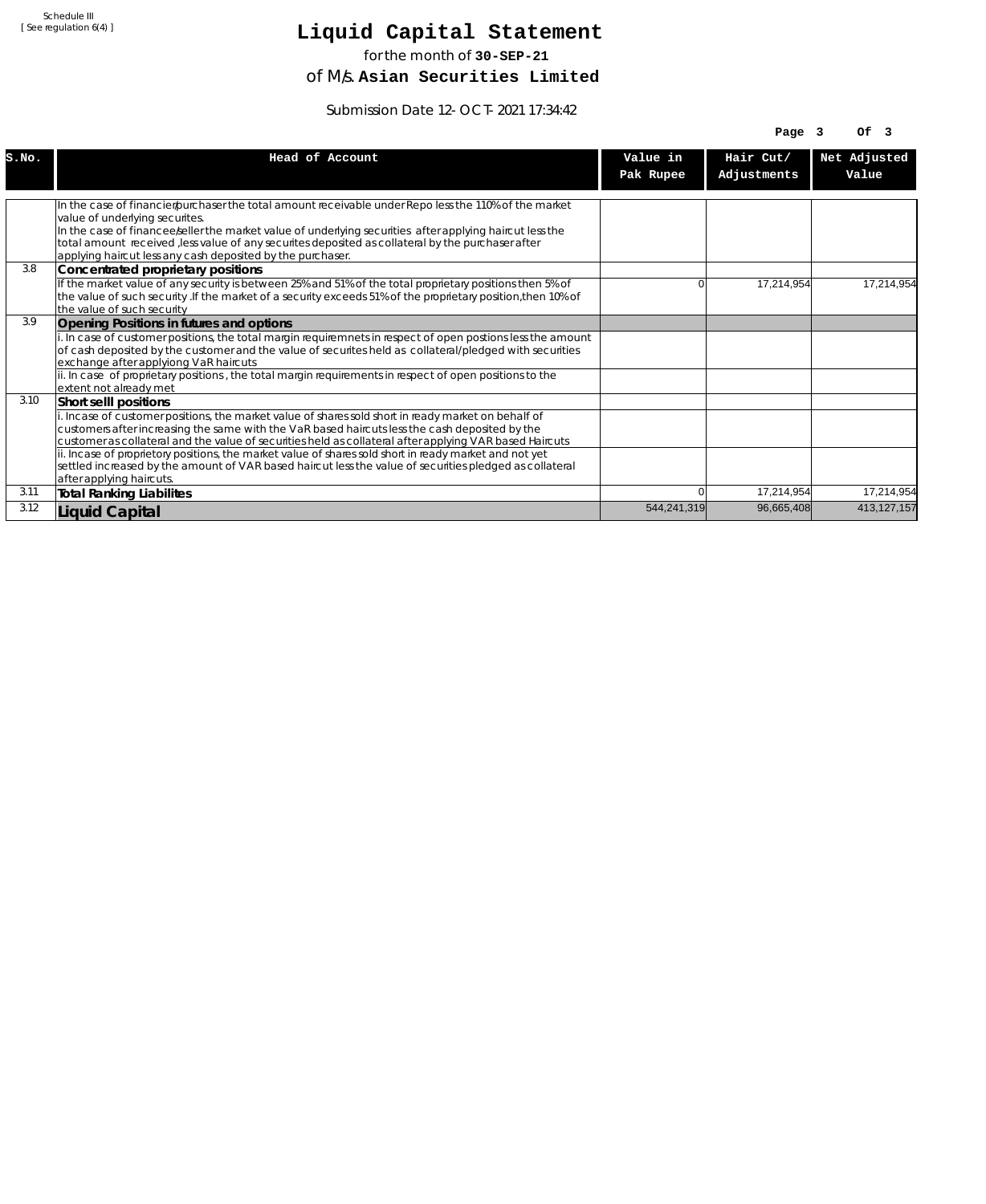# **Liquid Capital Statement**

for the month of **30-SEP-21**

of M/s. **Asian Securities Limited**

Submission Date 12-OCT-2021 17:34:42

|       |                                                                                                                                                                                                                          |             | Page $3$    | OF <sub>3</sub> |
|-------|--------------------------------------------------------------------------------------------------------------------------------------------------------------------------------------------------------------------------|-------------|-------------|-----------------|
| S.NO. | Head of Account                                                                                                                                                                                                          | Value in    | Hair Cut/   | Net Adjusted    |
|       |                                                                                                                                                                                                                          | Pak Rupee   | Adjustments | Value           |
|       |                                                                                                                                                                                                                          |             |             |                 |
|       | In the case of financier/purchaser the total amount receivable under Repo less the 110% of the market<br>value of underlying securites.                                                                                  |             |             |                 |
|       | In the case of financee seller the market value of underlying securities after applying haircut less the<br>total amount received , less value of any securites deposited as collateral by the purchaser after           |             |             |                 |
|       | applying haircut less any cash deposited by the purchaser.                                                                                                                                                               |             |             |                 |
| 3.8   | Concentrated proprietary positions                                                                                                                                                                                       |             |             |                 |
|       | If the market value of any security is between 25% and 51% of the total proprietary positions then 5% of<br>the value of such security. If the market of a security exceeds 51% of the proprietary position, then 10% of | U           | 17,214,954  | 17.214.954      |
|       | the value of such security                                                                                                                                                                                               |             |             |                 |
| 3.9   | Opening Positions in futures and options                                                                                                                                                                                 |             |             |                 |
|       | i. In case of customer positions, the total margin requiremnets in respect of open postions less the amount<br>of cash deposited by the customer and the value of securites held as collateral/pledged with securities   |             |             |                 |
|       | exchange after applyiong VaR haircuts                                                                                                                                                                                    |             |             |                 |
|       | ii. In case of proprietary positions, the total margin requirements in respect of open positions to the<br>extent not already met                                                                                        |             |             |                 |
| 3.10  | Short sellI positions                                                                                                                                                                                                    |             |             |                 |
|       | i. Incase of customer positions, the market value of shares sold short in ready market on behalf of                                                                                                                      |             |             |                 |
|       | customers after increasing the same with the VaR based haircuts less the cash deposited by the                                                                                                                           |             |             |                 |
|       | customer as collateral and the value of securities held as collateral after applying VAR based Haircuts<br>ii. Incase of proprietory positions, the market value of shares sold short in ready market and not yet        |             |             |                 |
|       | settled increased by the amount of VAR based haircut less the value of securities pledged as collateral                                                                                                                  |             |             |                 |
|       | after applying haircuts.                                                                                                                                                                                                 |             |             |                 |
| 3.11  | <b>Total Ranking Liabilites</b>                                                                                                                                                                                          |             | 17,214,954  | 17,214,954      |
| 3.12  | Liquid Capital                                                                                                                                                                                                           | 544,241,319 | 96,665,408  | 413,127,157     |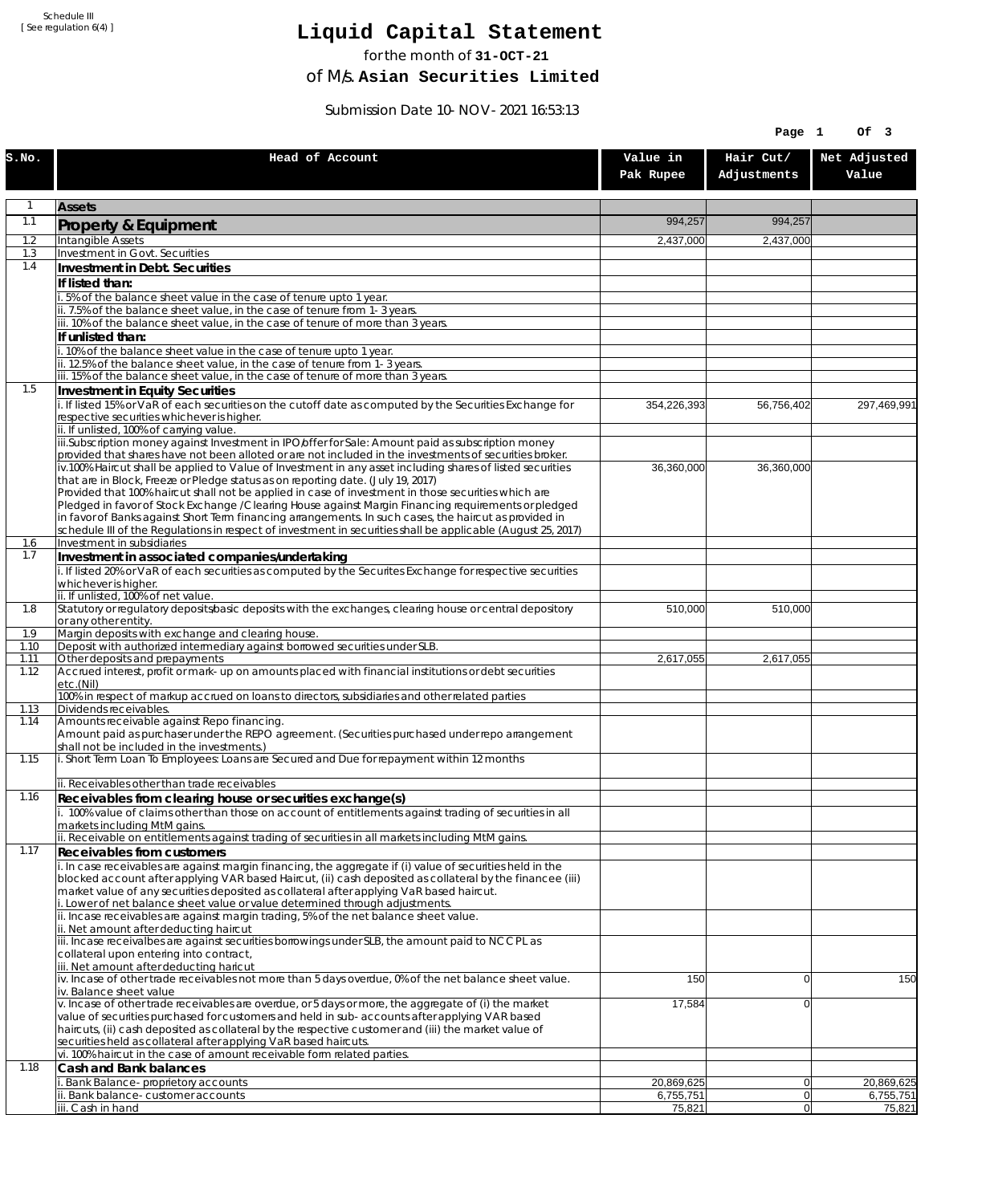# **Liquid Capital Statement**

for the month of **31-OCT-21**

of M/s. **Asian Securities Limited**

Submission Date 10-NOV-2021 16:53:13

|              |                                                                                                                                                                                                                        |                         | Page 1                   | Of 3                    |
|--------------|------------------------------------------------------------------------------------------------------------------------------------------------------------------------------------------------------------------------|-------------------------|--------------------------|-------------------------|
| S.NO.        | Head of Account                                                                                                                                                                                                        | Value in<br>Pak Rupee   | Hair Cut/<br>Adjustments | Net Adjusted<br>Value   |
| 1            | <b>Assets</b>                                                                                                                                                                                                          |                         |                          |                         |
| 1.1          | Property & Equipment                                                                                                                                                                                                   | 994,257                 | 994,257                  |                         |
| 1.2          | Intangible Assets                                                                                                                                                                                                      | 2,437,000               | 2,437,000                |                         |
| 1.3<br>1.4   | Investment in Govt. Securities<br>Investment in Debt. Securities                                                                                                                                                       |                         |                          |                         |
|              | If listed than:                                                                                                                                                                                                        |                         |                          |                         |
|              | i. 5% of the balance sheet value in the case of tenure upto 1 year.                                                                                                                                                    |                         |                          |                         |
|              | ii. 7.5% of the balance sheet value, in the case of tenure from 1-3 years.                                                                                                                                             |                         |                          |                         |
|              | iii. 10% of the balance sheet value, in the case of tenure of more than 3 years.<br>If unlisted than:                                                                                                                  |                         |                          |                         |
|              | i. 10% of the balance sheet value in the case of tenure upto 1 year.                                                                                                                                                   |                         |                          |                         |
|              | ii. 12.5% of the balance sheet value, in the case of tenure from 1-3 years.                                                                                                                                            |                         |                          |                         |
| 1.5          | iii. 15% of the balance sheet value, in the case of tenure of more than 3 years.<br>Investment in Equity Securities                                                                                                    |                         |                          |                         |
|              | i. If listed 15% or VaR of each securities on the cutoff date as computed by the Securities Exchange for                                                                                                               | 354,226,393             | 56,756,402               | 297,469,991             |
|              | respective securities whichever is higher.                                                                                                                                                                             |                         |                          |                         |
|              | ii. If unlisted, 100% of carrying value.<br>iii.Subscription money against Investment in IPO/offer for Sale: Amount paid as subscription money                                                                         |                         |                          |                         |
|              | provided that shares have not been alloted or are not included in the investments of securities broker.                                                                                                                |                         |                          |                         |
|              | iv.100% Haircut shall be applied to Value of Investment in any asset including shares of listed securities                                                                                                             | 36,360,000              | 36,360,000               |                         |
|              | that are in Block, Freeze or Pledge status as on reporting date. (July 19, 2017)<br>Provided that 100% haircut shall not be applied in case of investment in those securities which are                                |                         |                          |                         |
|              | Pledged in favor of Stock Exchange / Clearing House against Margin Financing requirements or pledged                                                                                                                   |                         |                          |                         |
|              | in favor of Banks against Short Term financing arrangements. In such cases, the haircut as provided in<br>schedule III of the Regulations in respect of investment in securities shall be applicable (August 25, 2017) |                         |                          |                         |
| 1.6          | Investment in subsidiaries                                                                                                                                                                                             |                         |                          |                         |
| 1.7          | Investment in associated companies/undertaking                                                                                                                                                                         |                         |                          |                         |
|              | i. If listed 20% or VaR of each securities as computed by the Securites Exchange for respective securities<br>whichever is higher.                                                                                     |                         |                          |                         |
|              | ii. If unlisted, 100% of net value.                                                                                                                                                                                    |                         |                          |                         |
| 1.8          | Statutory or regulatory deposits/basic deposits with the exchanges, clearing house or central depository                                                                                                               | 510,000                 | 510,000                  |                         |
| 1.9          | or any other entity.<br>Margin deposits with exchange and clearing house.                                                                                                                                              |                         |                          |                         |
| 1.10         | Deposit with authorized intermediary against borrowed securities under SLB.                                                                                                                                            |                         |                          |                         |
| 1.11<br>1.12 | Other deposits and prepayments<br>Accrued interest, profit or mark-up on amounts placed with financial institutions or debt securities                                                                                 | 2,617,055               | 2,617,055                |                         |
|              | etc.(Nil)                                                                                                                                                                                                              |                         |                          |                         |
|              | 100% in respect of markup accrued on loans to directors, subsidiaries and other related parties<br>Dividends receivables.                                                                                              |                         |                          |                         |
| 1.13<br>1.14 | Amounts receivable against Repo financing.                                                                                                                                                                             |                         |                          |                         |
|              | Amount paid as purchaser under the REPO agreement. (Securities purchased under repo arrangement                                                                                                                        |                         |                          |                         |
| 1.15         | shall not be included in the investments.)<br>i. Short Term Loan To Employees: Loans are Secured and Due for repayment within 12 months                                                                                |                         |                          |                         |
|              |                                                                                                                                                                                                                        |                         |                          |                         |
| 1.16         | ii. Receivables other than trade receivables                                                                                                                                                                           |                         |                          |                         |
|              | Receivables from clearing house or securities exchange(s)<br>i. 100% value of claims other than those on account of entitlements against trading of securities in all                                                  |                         |                          |                         |
|              | markets including MtM gains.                                                                                                                                                                                           |                         |                          |                         |
| 1.17         | ii. Receivable on entitlements against trading of securities in all markets including MtM gains.                                                                                                                       |                         |                          |                         |
|              | <b>Receivables from customers</b><br>i. In case receivables are against margin financing, the aggregate if (i) value of securities held in the                                                                         |                         |                          |                         |
|              | blocked account after applying VAR based Haircut, (ii) cash deposited as collateral by the financee (iii)                                                                                                              |                         |                          |                         |
|              | market value of any securities deposited as collateral after applying VaR based haircut.<br>i. Lower of net balance sheet value or value determined through adjustments.                                               |                         |                          |                         |
|              | ii. Incase receivables are against margin trading, 5% of the net balance sheet value.                                                                                                                                  |                         |                          |                         |
|              | ii. Net amount after deducting haircut                                                                                                                                                                                 |                         |                          |                         |
|              | iii. Incase receivalbes are against securities borrowings under SLB, the amount paid to NCCPL as<br>collateral upon entering into contract,                                                                            |                         |                          |                         |
|              | iii. Net amount after deducting haricut                                                                                                                                                                                |                         |                          |                         |
|              | $iv.$ Incase of other trade receivables not more than 5 days overdue, 0% of the net balance sheet value.<br>iv. Balance sheet value                                                                                    | 150                     | $\overline{0}$           | 150                     |
|              | v. Incase of other trade receivables are overdue, or 5 days or more, the aggregate of (i) the market                                                                                                                   | 17,584                  | $\overline{0}$           |                         |
|              | value of securities purchased for customers and held in sub-accounts after applying VAR based                                                                                                                          |                         |                          |                         |
|              | haircuts, (ii) cash deposited as collateral by the respective customer and (iii) the market value of<br>securities held as collateral after applying VaR based haircuts.                                               |                         |                          |                         |
|              | vi. 100% haircut in the case of amount receivable form related parties.                                                                                                                                                |                         |                          |                         |
| 1.18         | Cash and Bank balances                                                                                                                                                                                                 |                         |                          |                         |
|              | i. Bank Balance-proprietory accounts<br>ii. Bank balance-customer accounts                                                                                                                                             | 20,869,625<br>6,755,751 | 0 <br> 0                 | 20,869,625<br>6,755,751 |
|              | iii. Cash in hand                                                                                                                                                                                                      | 75,821                  | 0                        | 75,821                  |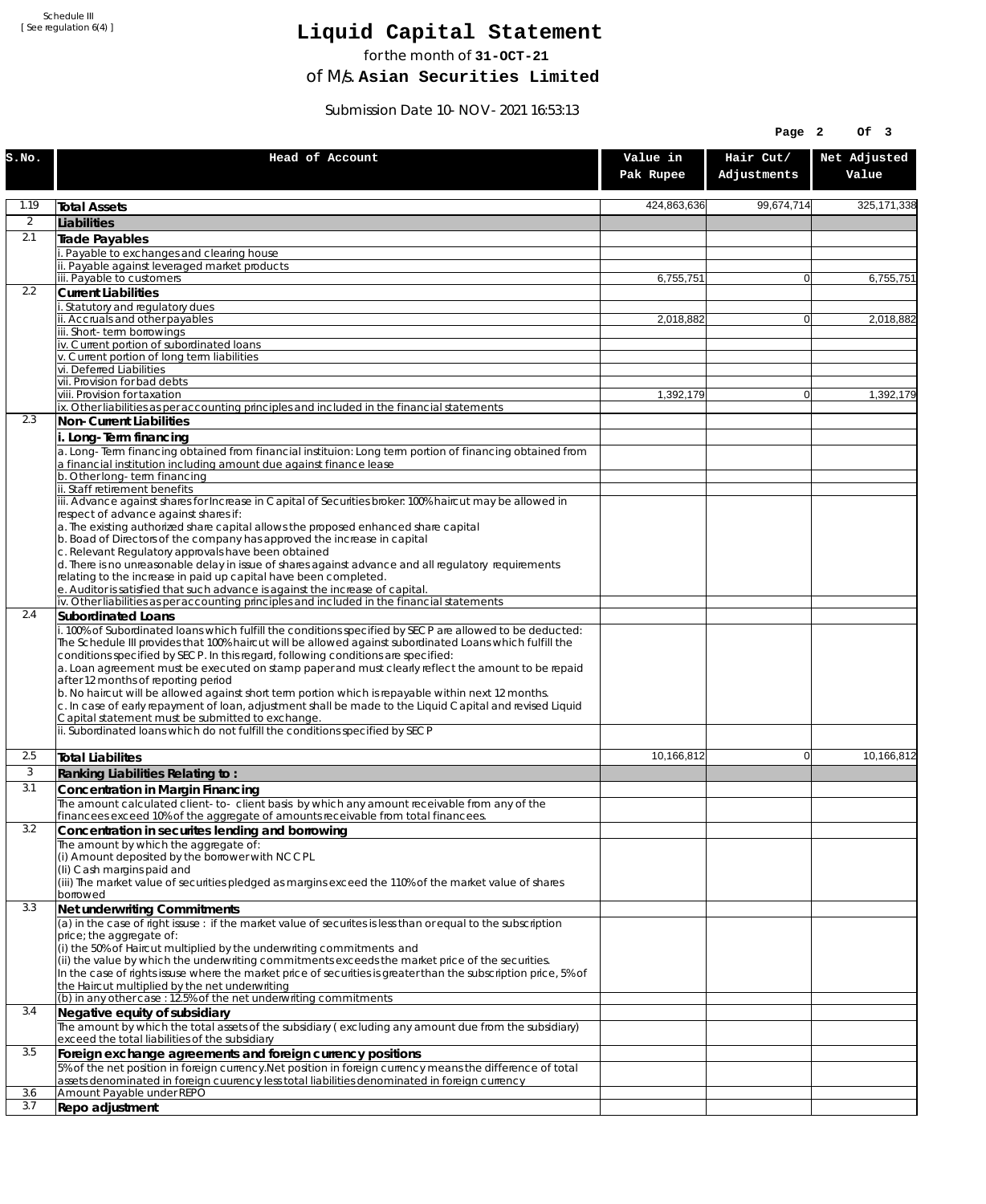# **Liquid Capital Statement**

for the month of **31-OCT-21**

of M/s. **Asian Securities Limited**

Submission Date 10-NOV-2021 16:53:13

|                |                                                                                                                                                                                                                                                                                                                                                                                                                                                                                                                                                                                                                                                                         |                       | Page 2                   | OF <sub>3</sub>       |
|----------------|-------------------------------------------------------------------------------------------------------------------------------------------------------------------------------------------------------------------------------------------------------------------------------------------------------------------------------------------------------------------------------------------------------------------------------------------------------------------------------------------------------------------------------------------------------------------------------------------------------------------------------------------------------------------------|-----------------------|--------------------------|-----------------------|
| S.NO.          | Head of Account                                                                                                                                                                                                                                                                                                                                                                                                                                                                                                                                                                                                                                                         | Value in<br>Pak Rupee | Hair Cut/<br>Adjustments | Net Adjusted<br>Value |
| 1.19           | <b>Total Assets</b>                                                                                                                                                                                                                                                                                                                                                                                                                                                                                                                                                                                                                                                     | 424,863,636           | 99,674,714               | 325, 171, 338         |
| $\overline{2}$ | Liabilities                                                                                                                                                                                                                                                                                                                                                                                                                                                                                                                                                                                                                                                             |                       |                          |                       |
| 2.1            | Trade Payables                                                                                                                                                                                                                                                                                                                                                                                                                                                                                                                                                                                                                                                          |                       |                          |                       |
|                | Payable to exchanges and clearing house                                                                                                                                                                                                                                                                                                                                                                                                                                                                                                                                                                                                                                 |                       |                          |                       |
|                | ii. Payable against leveraged market products<br>iii. Payable to customers                                                                                                                                                                                                                                                                                                                                                                                                                                                                                                                                                                                              | 6,755,751             | $\mathbf{0}$             | 6,755,751             |
| 2.2            | <b>Current Liabilities</b>                                                                                                                                                                                                                                                                                                                                                                                                                                                                                                                                                                                                                                              |                       |                          |                       |
|                | . Statutory and regulatory dues                                                                                                                                                                                                                                                                                                                                                                                                                                                                                                                                                                                                                                         |                       |                          |                       |
|                | ii. Accruals and other payables<br>iii. Short-term borrowings                                                                                                                                                                                                                                                                                                                                                                                                                                                                                                                                                                                                           | 2,018,882             | $\overline{0}$           | 2,018,882             |
|                | iv. Current portion of subordinated loans                                                                                                                                                                                                                                                                                                                                                                                                                                                                                                                                                                                                                               |                       |                          |                       |
|                | v. Current portion of long term liabilities<br>vi. Deferred Liabilities                                                                                                                                                                                                                                                                                                                                                                                                                                                                                                                                                                                                 |                       |                          |                       |
|                | vii. Provision for bad debts                                                                                                                                                                                                                                                                                                                                                                                                                                                                                                                                                                                                                                            |                       |                          |                       |
|                | viii. Provision for taxation                                                                                                                                                                                                                                                                                                                                                                                                                                                                                                                                                                                                                                            | 1,392,179             | $\mathbf{0}$             | 1,392,179             |
| 2.3            | ix. Other liabilities as per accounting principles and included in the financial statements<br>Non-Current Liabilities                                                                                                                                                                                                                                                                                                                                                                                                                                                                                                                                                  |                       |                          |                       |
|                | i. Long-Term financing                                                                                                                                                                                                                                                                                                                                                                                                                                                                                                                                                                                                                                                  |                       |                          |                       |
|                | a. Long-Term financing obtained from financial instituion: Long term portion of financing obtained from<br>a financial institution including amount due against finance lease                                                                                                                                                                                                                                                                                                                                                                                                                                                                                           |                       |                          |                       |
|                | b. Other long-term financing<br>ii. Staff retirement benefits                                                                                                                                                                                                                                                                                                                                                                                                                                                                                                                                                                                                           |                       |                          |                       |
|                | iii. Advance against shares for Increase in Capital of Securities broker: 100% haircut may be allowed in                                                                                                                                                                                                                                                                                                                                                                                                                                                                                                                                                                |                       |                          |                       |
|                | respect of advance against shares if:                                                                                                                                                                                                                                                                                                                                                                                                                                                                                                                                                                                                                                   |                       |                          |                       |
|                | a. The existing authorized share capital allows the proposed enhanced share capital<br>b. Boad of Directors of the company has approved the increase in capital                                                                                                                                                                                                                                                                                                                                                                                                                                                                                                         |                       |                          |                       |
|                | c. Relevant Regulatory approvals have been obtained                                                                                                                                                                                                                                                                                                                                                                                                                                                                                                                                                                                                                     |                       |                          |                       |
|                | d. There is no unreasonable delay in issue of shares against advance and all regulatory requirements                                                                                                                                                                                                                                                                                                                                                                                                                                                                                                                                                                    |                       |                          |                       |
|                | relating to the increase in paid up capital have been completed.<br>e. Auditor is satisfied that such advance is against the increase of capital.                                                                                                                                                                                                                                                                                                                                                                                                                                                                                                                       |                       |                          |                       |
|                | iv. Other liabilities as per accounting principles and included in the financial statements                                                                                                                                                                                                                                                                                                                                                                                                                                                                                                                                                                             |                       |                          |                       |
| 2.4            | <b>Subordinated Loans</b>                                                                                                                                                                                                                                                                                                                                                                                                                                                                                                                                                                                                                                               |                       |                          |                       |
|                | . 100% of Subordinated loans which fulfill the conditions specified by SECP are allowed to be deducted:<br>The Schedule III provides that 100% haircut will be allowed against subordinated Loans which fulfill the<br>conditions specified by SECP. In this regard, following conditions are specified:<br>a. Loan agreement must be executed on stamp paper and must clearly reflect the amount to be repaid<br>after 12 months of reporting period<br>b. No haircut will be allowed against short term portion which is repayable within next 12 months.<br>c. In case of early repayment of loan, adjustment shall be made to the Liquid Capital and revised Liquid |                       |                          |                       |
|                | Capital statement must be submitted to exchange.<br>ii. Subordinated loans which do not fulfill the conditions specified by SECP                                                                                                                                                                                                                                                                                                                                                                                                                                                                                                                                        |                       |                          |                       |
| 2.5            |                                                                                                                                                                                                                                                                                                                                                                                                                                                                                                                                                                                                                                                                         | 10,166,812            | $\mathbf{0}$             | 10,166,812            |
| 3              | <b>Total Liabilites</b><br>Ranking Liabilities Relating to:                                                                                                                                                                                                                                                                                                                                                                                                                                                                                                                                                                                                             |                       |                          |                       |
| 3.1            | Concentration in Margin Financing                                                                                                                                                                                                                                                                                                                                                                                                                                                                                                                                                                                                                                       |                       |                          |                       |
|                | The amount calculated client-to- client basis by which any amount receivable from any of the                                                                                                                                                                                                                                                                                                                                                                                                                                                                                                                                                                            |                       |                          |                       |
|                | financees exceed 10% of the aggregate of amounts receivable from total financees.                                                                                                                                                                                                                                                                                                                                                                                                                                                                                                                                                                                       |                       |                          |                       |
| 3.2            | Concentration in securites lending and borrowing                                                                                                                                                                                                                                                                                                                                                                                                                                                                                                                                                                                                                        |                       |                          |                       |
|                | The amount by which the aggregate of:<br>(i) Amount deposited by the borrower with NCCPL                                                                                                                                                                                                                                                                                                                                                                                                                                                                                                                                                                                |                       |                          |                       |
|                | (Ii) Cash margins paid and                                                                                                                                                                                                                                                                                                                                                                                                                                                                                                                                                                                                                                              |                       |                          |                       |
|                | (iii) The market value of securities pledged as margins exceed the 110% of the market value of shares<br>borrowed                                                                                                                                                                                                                                                                                                                                                                                                                                                                                                                                                       |                       |                          |                       |
| 3.3            | Net underwriting Commitments                                                                                                                                                                                                                                                                                                                                                                                                                                                                                                                                                                                                                                            |                       |                          |                       |
|                | (a) in the case of right issuse : if the market value of securites is less than or equal to the subscription                                                                                                                                                                                                                                                                                                                                                                                                                                                                                                                                                            |                       |                          |                       |
|                | price; the aggregate of:<br>(i) the 50% of Haircut multiplied by the underwriting commitments and                                                                                                                                                                                                                                                                                                                                                                                                                                                                                                                                                                       |                       |                          |                       |
|                | (ii) the value by which the underwriting commitments exceeds the market price of the securities.                                                                                                                                                                                                                                                                                                                                                                                                                                                                                                                                                                        |                       |                          |                       |
|                | In the case of rights issuse where the market price of securities is greater than the subscription price, 5% of                                                                                                                                                                                                                                                                                                                                                                                                                                                                                                                                                         |                       |                          |                       |
|                | the Haircut multiplied by the net underwriting<br>(b) in any other case: 12.5% of the net underwriting commitments                                                                                                                                                                                                                                                                                                                                                                                                                                                                                                                                                      |                       |                          |                       |
| 3.4            | Negative equity of subsidiary                                                                                                                                                                                                                                                                                                                                                                                                                                                                                                                                                                                                                                           |                       |                          |                       |
|                | The amount by which the total assets of the subsidiary (excluding any amount due from the subsidiary)                                                                                                                                                                                                                                                                                                                                                                                                                                                                                                                                                                   |                       |                          |                       |
|                | exceed the total liabilities of the subsidiary                                                                                                                                                                                                                                                                                                                                                                                                                                                                                                                                                                                                                          |                       |                          |                       |
| 3.5            | Foreign exchange agreements and foreign currency positions<br>5% of the net position in foreign currency. Net position in foreign currency means the difference of total                                                                                                                                                                                                                                                                                                                                                                                                                                                                                                |                       |                          |                       |
|                | assets denominated in foreign cuurency less total liabilities denominated in foreign currency                                                                                                                                                                                                                                                                                                                                                                                                                                                                                                                                                                           |                       |                          |                       |
| 3.6            | Amount Payable under REPO                                                                                                                                                                                                                                                                                                                                                                                                                                                                                                                                                                                                                                               |                       |                          |                       |
| 3.7            | Repo adjustment                                                                                                                                                                                                                                                                                                                                                                                                                                                                                                                                                                                                                                                         |                       |                          |                       |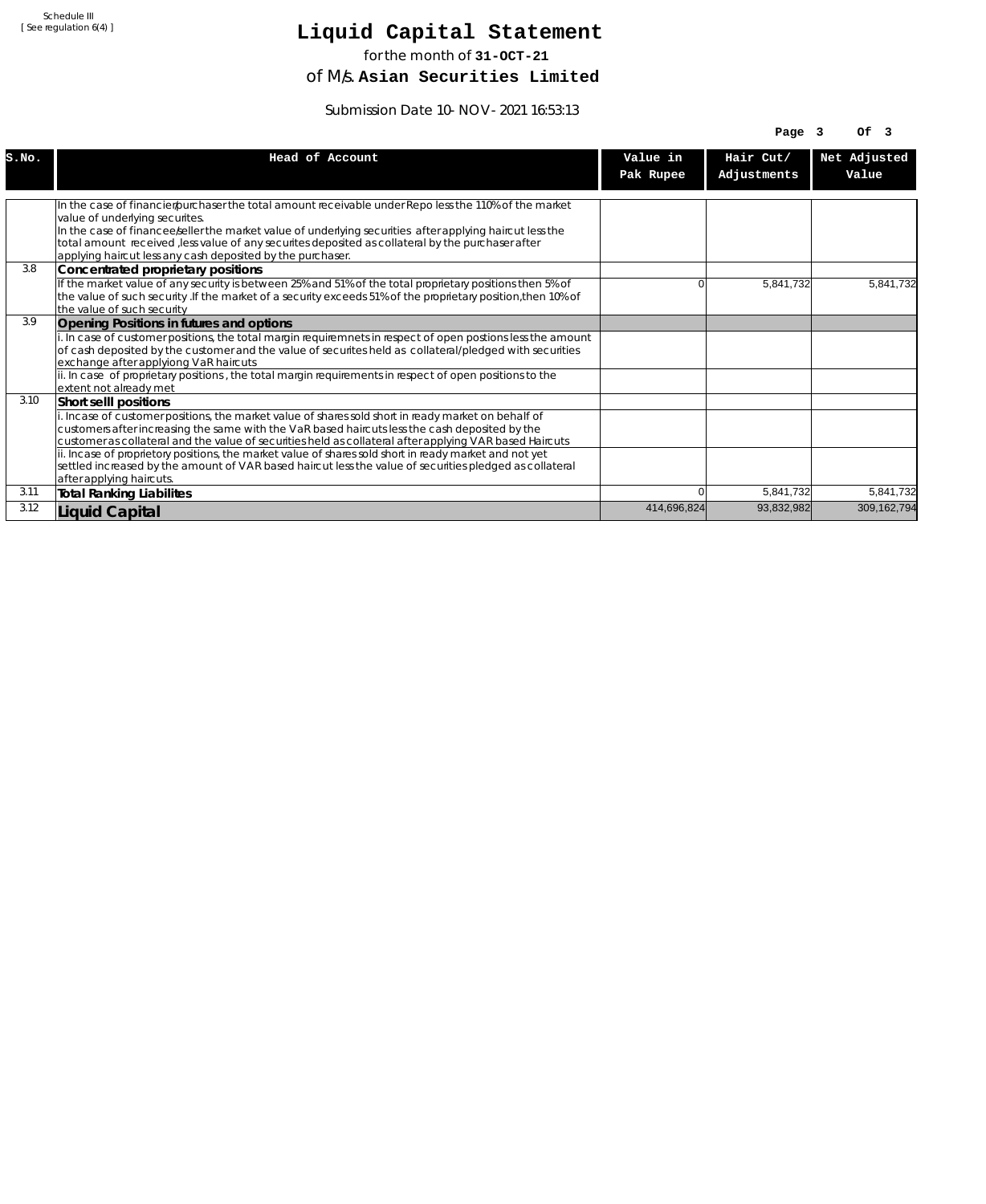# **Liquid Capital Statement**

for the month of **31-OCT-21**

of M/s. **Asian Securities Limited**

Submission Date 10-NOV-2021 16:53:13

|       |                                                                                                                                                                                                                                                                                                                  |             | Page $3$    | OF <sub>3</sub> |
|-------|------------------------------------------------------------------------------------------------------------------------------------------------------------------------------------------------------------------------------------------------------------------------------------------------------------------|-------------|-------------|-----------------|
| S.NO. | Head of Account                                                                                                                                                                                                                                                                                                  | Value in    | Hair Cut/   | Net Adjusted    |
|       |                                                                                                                                                                                                                                                                                                                  | Pak Rupee   | Adjustments | Value           |
|       |                                                                                                                                                                                                                                                                                                                  |             |             |                 |
|       | In the case of financier/purchaser the total amount receivable under Repo less the 110% of the market<br>value of underlying securites.                                                                                                                                                                          |             |             |                 |
|       | In the case of financee seller the market value of underlying securities after applying haircut less the<br>total amount received , less value of any securites deposited as collateral by the purchaser after<br>applying haircut less any cash deposited by the purchaser.                                     |             |             |                 |
| 3.8   | Concentrated proprietary positions                                                                                                                                                                                                                                                                               |             |             |                 |
|       | If the market value of any security is between 25% and 51% of the total proprietary positions then 5% of<br>the value of such security. If the market of a security exceeds 51% of the proprietary position, then 10% of<br>the value of such security                                                           | 0           | 5,841,732   | 5,841,732       |
| 3.9   | Opening Positions in futures and options                                                                                                                                                                                                                                                                         |             |             |                 |
|       | i. In case of customer positions, the total margin requiremnets in respect of open postions less the amount<br>of cash deposited by the customer and the value of securites held as collateral/pledged with securities<br>exchange after applyiong VaR haircuts                                                  |             |             |                 |
|       | ii. In case of proprietary positions, the total margin requirements in respect of open positions to the<br>extent not already met                                                                                                                                                                                |             |             |                 |
| 3.10  | Short selll positions                                                                                                                                                                                                                                                                                            |             |             |                 |
|       | i. Incase of customer positions, the market value of shares sold short in ready market on behalf of<br>customers after increasing the same with the VaR based haircuts less the cash deposited by the<br>customer as collateral and the value of securities held as collateral after applying VAR based Haircuts |             |             |                 |
|       | ii. Incase of proprietory positions, the market value of shares sold short in ready market and not yet<br>settled increased by the amount of VAR based haircut less the value of securities pledged as collateral<br>after applying haircuts.                                                                    |             |             |                 |
| 3.11  | <b>Total Ranking Liabilites</b>                                                                                                                                                                                                                                                                                  |             | 5,841,732   | 5,841,732       |
| 3.12  | Liquid Capital                                                                                                                                                                                                                                                                                                   | 414,696,824 | 93,832,982  | 309, 162, 794   |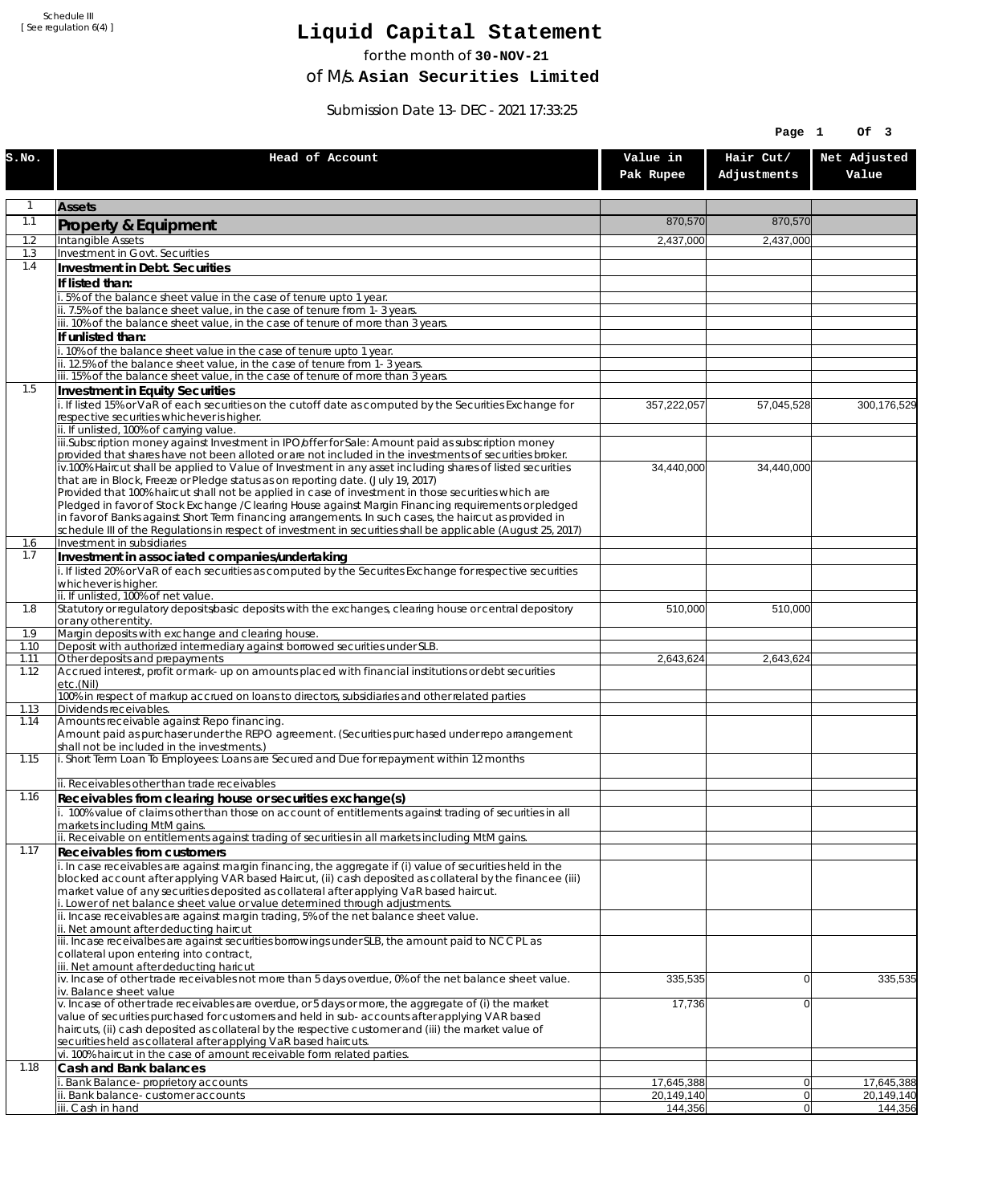# **Liquid Capital Statement**

for the month of **30-NOV-21**

of M/s. **Asian Securities Limited**

Submission Date 13-DEC-2021 17:33:25

|              |                                                                                                                                                                                                                        |                          | Page 1                   | Of 3                     |
|--------------|------------------------------------------------------------------------------------------------------------------------------------------------------------------------------------------------------------------------|--------------------------|--------------------------|--------------------------|
| S.NO.        | Head of Account                                                                                                                                                                                                        | Value in<br>Pak Rupee    | Hair Cut/<br>Adjustments | Net Adjusted<br>Value    |
| 1            | <b>Assets</b>                                                                                                                                                                                                          |                          |                          |                          |
| 1.1          | Property & Equipment                                                                                                                                                                                                   | 870,570                  | 870,570                  |                          |
| 1.2          | Intangible Assets                                                                                                                                                                                                      | 2,437,000                | 2,437,000                |                          |
| 1.3<br>1.4   | Investment in Govt. Securities<br>Investment in Debt. Securities                                                                                                                                                       |                          |                          |                          |
|              | If listed than:                                                                                                                                                                                                        |                          |                          |                          |
|              | i. 5% of the balance sheet value in the case of tenure upto 1 year.                                                                                                                                                    |                          |                          |                          |
|              | ii. 7.5% of the balance sheet value, in the case of tenure from 1-3 years.                                                                                                                                             |                          |                          |                          |
|              | iii. 10% of the balance sheet value, in the case of tenure of more than 3 years.<br>If unlisted than:                                                                                                                  |                          |                          |                          |
|              | i. 10% of the balance sheet value in the case of tenure upto 1 year.                                                                                                                                                   |                          |                          |                          |
|              | ii. 12.5% of the balance sheet value, in the case of tenure from 1-3 years.                                                                                                                                            |                          |                          |                          |
| 1.5          | iii. 15% of the balance sheet value, in the case of tenure of more than 3 years.<br>Investment in Equity Securities                                                                                                    |                          |                          |                          |
|              | i. If listed 15% or VaR of each securities on the cutoff date as computed by the Securities Exchange for                                                                                                               | 357,222,057              | 57,045,528               | 300,176,529              |
|              | respective securities whichever is higher.                                                                                                                                                                             |                          |                          |                          |
|              | ii. If unlisted, 100% of carrying value.<br>iii.Subscription money against Investment in IPO/offer for Sale: Amount paid as subscription money                                                                         |                          |                          |                          |
|              | provided that shares have not been alloted or are not included in the investments of securities broker.                                                                                                                |                          |                          |                          |
|              | iv.100% Haircut shall be applied to Value of Investment in any asset including shares of listed securities                                                                                                             | 34,440,000               | 34,440,000               |                          |
|              | that are in Block, Freeze or Pledge status as on reporting date. (July 19, 2017)<br>Provided that 100% haircut shall not be applied in case of investment in those securities which are                                |                          |                          |                          |
|              | Pledged in favor of Stock Exchange / Clearing House against Margin Financing requirements or pledged                                                                                                                   |                          |                          |                          |
|              | in favor of Banks against Short Term financing arrangements. In such cases, the haircut as provided in<br>schedule III of the Regulations in respect of investment in securities shall be applicable (August 25, 2017) |                          |                          |                          |
| 1.6          | Investment in subsidiaries                                                                                                                                                                                             |                          |                          |                          |
| 1.7          | Investment in associated companies/undertaking                                                                                                                                                                         |                          |                          |                          |
|              | i. If listed 20% or VaR of each securities as computed by the Securites Exchange for respective securities<br>whichever is higher.                                                                                     |                          |                          |                          |
|              | ii. If unlisted, 100% of net value.                                                                                                                                                                                    |                          |                          |                          |
| 1.8          | Statutory or regulatory deposits/basic deposits with the exchanges, clearing house or central depository                                                                                                               | 510,000                  | 510,000                  |                          |
| 1.9          | or any other entity.<br>Margin deposits with exchange and clearing house.                                                                                                                                              |                          |                          |                          |
| 1.10         | Deposit with authorized intermediary against borrowed securities under SLB.                                                                                                                                            |                          |                          |                          |
| 1.11<br>1.12 | Other deposits and prepayments<br>Accrued interest, profit or mark-up on amounts placed with financial institutions or debt securities                                                                                 | 2,643,624                | 2,643,624                |                          |
|              | etc.(Nil)                                                                                                                                                                                                              |                          |                          |                          |
|              | 100% in respect of markup accrued on loans to directors, subsidiaries and other related parties                                                                                                                        |                          |                          |                          |
| 1.13<br>1.14 | Dividends receivables.<br>Amounts receivable against Repo financing.                                                                                                                                                   |                          |                          |                          |
|              | Amount paid as purchaser under the REPO agreement. (Securities purchased under repo arrangement                                                                                                                        |                          |                          |                          |
| 1.15         | shall not be included in the investments.)<br>i. Short Term Loan To Employees: Loans are Secured and Due for repayment within 12 months                                                                                |                          |                          |                          |
|              |                                                                                                                                                                                                                        |                          |                          |                          |
|              | ii. Receivables other than trade receivables                                                                                                                                                                           |                          |                          |                          |
| 1.16         | Receivables from clearing house or securities exchange(s)<br>i. 100% value of claims other than those on account of entitlements against trading of securities in all                                                  |                          |                          |                          |
|              | markets including MtM gains.                                                                                                                                                                                           |                          |                          |                          |
|              | ii. Receivable on entitlements against trading of securities in all markets including MtM gains.                                                                                                                       |                          |                          |                          |
| 1.17         | <b>Receivables from customers</b><br>i. In case receivables are against margin financing, the aggregate if (i) value of securities held in the                                                                         |                          |                          |                          |
|              | blocked account after applying VAR based Haircut, (ii) cash deposited as collateral by the financee (iii)                                                                                                              |                          |                          |                          |
|              | market value of any securities deposited as collateral after applying VaR based haircut.                                                                                                                               |                          |                          |                          |
|              | i. Lower of net balance sheet value or value determined through adjustments.<br>ii. Incase receivables are against margin trading, 5% of the net balance sheet value.                                                  |                          |                          |                          |
|              | ii. Net amount after deducting haircut                                                                                                                                                                                 |                          |                          |                          |
|              | iii. Incase receivalbes are against securities borrowings under SLB, the amount paid to NCCPL as<br>collateral upon entering into contract,                                                                            |                          |                          |                          |
|              | iii. Net amount after deducting haricut                                                                                                                                                                                |                          |                          |                          |
|              | $iv.$ Incase of other trade receivables not more than 5 days overdue, 0% of the net balance sheet value.<br>iv. Balance sheet value                                                                                    | 335,535                  | 0                        | 335,535                  |
|              | v. Incase of other trade receivables are overdue, or 5 days or more, the aggregate of (i) the market                                                                                                                   | 17,736                   | $\overline{0}$           |                          |
|              | value of securities purchased for customers and held in sub-accounts after applying VAR based                                                                                                                          |                          |                          |                          |
|              | haircuts, (ii) cash deposited as collateral by the respective customer and (iii) the market value of<br>securities held as collateral after applying VaR based haircuts.                                               |                          |                          |                          |
|              | vi. 100% haircut in the case of amount receivable form related parties.                                                                                                                                                |                          |                          |                          |
| 1.18         | Cash and Bank balances                                                                                                                                                                                                 |                          |                          |                          |
|              | i. Bank Balance-proprietory accounts<br>ii. Bank balance-customer accounts                                                                                                                                             | 17,645,388<br>20,149,140 | 0 <br> 0                 | 17,645,388<br>20,149,140 |
|              | iii. Cash in hand                                                                                                                                                                                                      | 144,356                  | 0                        | 144,356                  |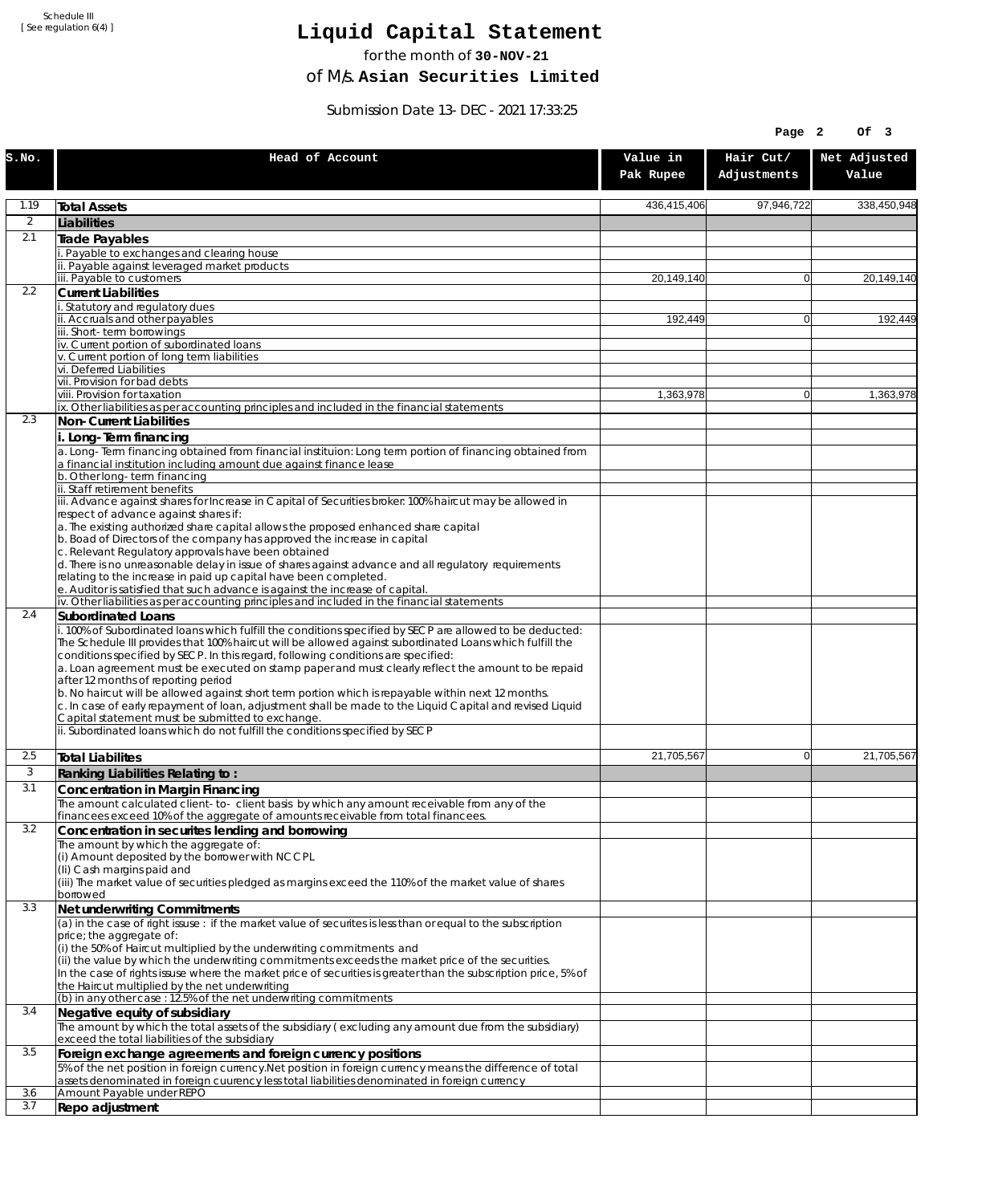# **Liquid Capital Statement**

for the month of **30-NOV-21**

of M/s. **Asian Securities Limited**

Submission Date 13-DEC-2021 17:33:25

|          |                                                                                                                                                                                                                                                                                                                                                                                                                                                                                                                                                                                                                                                                                                                                                                                                             |                       | Page 2                   | Of 3                  |
|----------|-------------------------------------------------------------------------------------------------------------------------------------------------------------------------------------------------------------------------------------------------------------------------------------------------------------------------------------------------------------------------------------------------------------------------------------------------------------------------------------------------------------------------------------------------------------------------------------------------------------------------------------------------------------------------------------------------------------------------------------------------------------------------------------------------------------|-----------------------|--------------------------|-----------------------|
| S.NO.    | Head of Account                                                                                                                                                                                                                                                                                                                                                                                                                                                                                                                                                                                                                                                                                                                                                                                             | Value in<br>Pak Rupee | Hair Cut/<br>Adjustments | Net Adjusted<br>Value |
| 1.19     | <b>Total Assets</b>                                                                                                                                                                                                                                                                                                                                                                                                                                                                                                                                                                                                                                                                                                                                                                                         | 436,415,406           | 97,946,722               | 338,450,948           |
| 2        | Liabilities                                                                                                                                                                                                                                                                                                                                                                                                                                                                                                                                                                                                                                                                                                                                                                                                 |                       |                          |                       |
| 2.1      | <b>Trade Payables</b>                                                                                                                                                                                                                                                                                                                                                                                                                                                                                                                                                                                                                                                                                                                                                                                       |                       |                          |                       |
|          | Payable to exchanges and clearing house<br>ii. Payable against leveraged market products                                                                                                                                                                                                                                                                                                                                                                                                                                                                                                                                                                                                                                                                                                                    |                       |                          |                       |
|          | iii. Payable to customers                                                                                                                                                                                                                                                                                                                                                                                                                                                                                                                                                                                                                                                                                                                                                                                   | 20,149,140            | $\Omega$                 | 20,149,140            |
| 2.2      | <b>Current Liabilities</b>                                                                                                                                                                                                                                                                                                                                                                                                                                                                                                                                                                                                                                                                                                                                                                                  |                       |                          |                       |
|          | Statutory and regulatory dues<br>ii. Accruals and other payables                                                                                                                                                                                                                                                                                                                                                                                                                                                                                                                                                                                                                                                                                                                                            | 192,449               | $\overline{0}$           | 192,449               |
|          | iii. Short-term borrowings                                                                                                                                                                                                                                                                                                                                                                                                                                                                                                                                                                                                                                                                                                                                                                                  |                       |                          |                       |
|          | iv. Current portion of subordinated loans<br>v. Current portion of long term liabilities                                                                                                                                                                                                                                                                                                                                                                                                                                                                                                                                                                                                                                                                                                                    |                       |                          |                       |
|          | vi. Deferred Liabilities                                                                                                                                                                                                                                                                                                                                                                                                                                                                                                                                                                                                                                                                                                                                                                                    |                       |                          |                       |
|          | vii. Provision for bad debts                                                                                                                                                                                                                                                                                                                                                                                                                                                                                                                                                                                                                                                                                                                                                                                |                       |                          |                       |
|          | viii. Provision for taxation<br>ix. Other liabilities as per accounting principles and included in the financial statements                                                                                                                                                                                                                                                                                                                                                                                                                                                                                                                                                                                                                                                                                 | 1,363,978             | $\Omega$                 | 1,363,978             |
| 2.3      | Non-Current Liabilities                                                                                                                                                                                                                                                                                                                                                                                                                                                                                                                                                                                                                                                                                                                                                                                     |                       |                          |                       |
|          | i. Long-Term financing                                                                                                                                                                                                                                                                                                                                                                                                                                                                                                                                                                                                                                                                                                                                                                                      |                       |                          |                       |
|          | a. Long-Term financing obtained from financial instituion: Long term portion of financing obtained from                                                                                                                                                                                                                                                                                                                                                                                                                                                                                                                                                                                                                                                                                                     |                       |                          |                       |
|          | a financial institution including amount due against finance lease<br>b. Other long-term financing                                                                                                                                                                                                                                                                                                                                                                                                                                                                                                                                                                                                                                                                                                          |                       |                          |                       |
|          | ii. Staff retirement benefits                                                                                                                                                                                                                                                                                                                                                                                                                                                                                                                                                                                                                                                                                                                                                                               |                       |                          |                       |
|          | iii. Advance against shares for Increase in Capital of Securities broker: 100% haircut may be allowed in<br>respect of advance against shares if:                                                                                                                                                                                                                                                                                                                                                                                                                                                                                                                                                                                                                                                           |                       |                          |                       |
|          | a. The existing authorized share capital allows the proposed enhanced share capital                                                                                                                                                                                                                                                                                                                                                                                                                                                                                                                                                                                                                                                                                                                         |                       |                          |                       |
|          | b. Boad of Directors of the company has approved the increase in capital                                                                                                                                                                                                                                                                                                                                                                                                                                                                                                                                                                                                                                                                                                                                    |                       |                          |                       |
|          | c. Relevant Regulatory approvals have been obtained<br>d. There is no unreasonable delay in issue of shares against advance and all regulatory requirements                                                                                                                                                                                                                                                                                                                                                                                                                                                                                                                                                                                                                                                 |                       |                          |                       |
|          | relating to the increase in paid up capital have been completed.                                                                                                                                                                                                                                                                                                                                                                                                                                                                                                                                                                                                                                                                                                                                            |                       |                          |                       |
|          | e. Auditor is satisfied that such advance is against the increase of capital.<br>iv. Other liabilities as per accounting principles and included in the financial statements                                                                                                                                                                                                                                                                                                                                                                                                                                                                                                                                                                                                                                |                       |                          |                       |
| 2.4      | Subordinated Loans                                                                                                                                                                                                                                                                                                                                                                                                                                                                                                                                                                                                                                                                                                                                                                                          |                       |                          |                       |
|          | . 100% of Subordinated loans which fulfill the conditions specified by SECP are allowed to be deducted:<br>The Schedule III provides that 100% haircut will be allowed against subordinated Loans which fulfill the<br>conditions specified by SECP. In this regard, following conditions are specified:<br>a. Loan agreement must be executed on stamp paper and must clearly reflect the amount to be repaid<br>after 12 months of reporting period<br>b. No haircut will be allowed against short term portion which is repayable within next 12 months.<br>c. In case of early repayment of loan, adjustment shall be made to the Liquid Capital and revised Liquid<br>Capital statement must be submitted to exchange.<br>ii. Subordinated loans which do not fulfill the conditions specified by SECP |                       |                          |                       |
|          |                                                                                                                                                                                                                                                                                                                                                                                                                                                                                                                                                                                                                                                                                                                                                                                                             |                       |                          |                       |
| 2.5<br>3 | <b>Total Liabilites</b>                                                                                                                                                                                                                                                                                                                                                                                                                                                                                                                                                                                                                                                                                                                                                                                     | 21,705,567            | $\Omega$                 | 21,705,567            |
| 3.1      | Ranking Liabilities Relating to:<br>Concentration in Margin Financing                                                                                                                                                                                                                                                                                                                                                                                                                                                                                                                                                                                                                                                                                                                                       |                       |                          |                       |
|          | The amount calculated client-to-client basis by which any amount receivable from any of the                                                                                                                                                                                                                                                                                                                                                                                                                                                                                                                                                                                                                                                                                                                 |                       |                          |                       |
|          | financees exceed 10% of the aggregate of amounts receivable from total financees.                                                                                                                                                                                                                                                                                                                                                                                                                                                                                                                                                                                                                                                                                                                           |                       |                          |                       |
| 3.2      | Concentration in securites lending and borrowing                                                                                                                                                                                                                                                                                                                                                                                                                                                                                                                                                                                                                                                                                                                                                            |                       |                          |                       |
|          | The amount by which the aggregate of:<br>(i) Amount deposited by the borrower with NCCPL                                                                                                                                                                                                                                                                                                                                                                                                                                                                                                                                                                                                                                                                                                                    |                       |                          |                       |
|          | (Ii) Cash margins paid and                                                                                                                                                                                                                                                                                                                                                                                                                                                                                                                                                                                                                                                                                                                                                                                  |                       |                          |                       |
|          | (iii) The market value of securities pledged as margins exceed the 110% of the market value of shares<br>borrowed                                                                                                                                                                                                                                                                                                                                                                                                                                                                                                                                                                                                                                                                                           |                       |                          |                       |
| 3.3      | Net underwriting Commitments                                                                                                                                                                                                                                                                                                                                                                                                                                                                                                                                                                                                                                                                                                                                                                                |                       |                          |                       |
|          | $\alpha$ ) in the case of right issuse: if the market value of securites is less than or equal to the subscription                                                                                                                                                                                                                                                                                                                                                                                                                                                                                                                                                                                                                                                                                          |                       |                          |                       |
|          | price; the aggregate of:<br>(i) the 50% of Haircut multiplied by the underwriting commitments and                                                                                                                                                                                                                                                                                                                                                                                                                                                                                                                                                                                                                                                                                                           |                       |                          |                       |
|          | (ii) the value by which the underwriting commitments exceeds the market price of the securities.                                                                                                                                                                                                                                                                                                                                                                                                                                                                                                                                                                                                                                                                                                            |                       |                          |                       |
|          | In the case of rights issuse where the market price of securities is greater than the subscription price, 5% of<br>the Haircut multiplied by the net underwriting                                                                                                                                                                                                                                                                                                                                                                                                                                                                                                                                                                                                                                           |                       |                          |                       |
|          | (b) in any other case: 12.5% of the net underwriting commitments                                                                                                                                                                                                                                                                                                                                                                                                                                                                                                                                                                                                                                                                                                                                            |                       |                          |                       |
| 3.4      | Negative equity of subsidiary                                                                                                                                                                                                                                                                                                                                                                                                                                                                                                                                                                                                                                                                                                                                                                               |                       |                          |                       |
|          | The amount by which the total assets of the subsidiary (excluding any amount due from the subsidiary)<br>exceed the total liabilities of the subsidiary                                                                                                                                                                                                                                                                                                                                                                                                                                                                                                                                                                                                                                                     |                       |                          |                       |
| 3.5      | Foreign exchange agreements and foreign currency positions                                                                                                                                                                                                                                                                                                                                                                                                                                                                                                                                                                                                                                                                                                                                                  |                       |                          |                       |
|          | 5% of the net position in foreign currency. Net position in foreign currency means the difference of total                                                                                                                                                                                                                                                                                                                                                                                                                                                                                                                                                                                                                                                                                                  |                       |                          |                       |
| 3.6      | assets denominated in foreign cuurency less total liabilities denominated in foreign currency<br>Amount Payable under REPO                                                                                                                                                                                                                                                                                                                                                                                                                                                                                                                                                                                                                                                                                  |                       |                          |                       |
| 3.7      | Repo adjustment                                                                                                                                                                                                                                                                                                                                                                                                                                                                                                                                                                                                                                                                                                                                                                                             |                       |                          |                       |
|          |                                                                                                                                                                                                                                                                                                                                                                                                                                                                                                                                                                                                                                                                                                                                                                                                             |                       |                          |                       |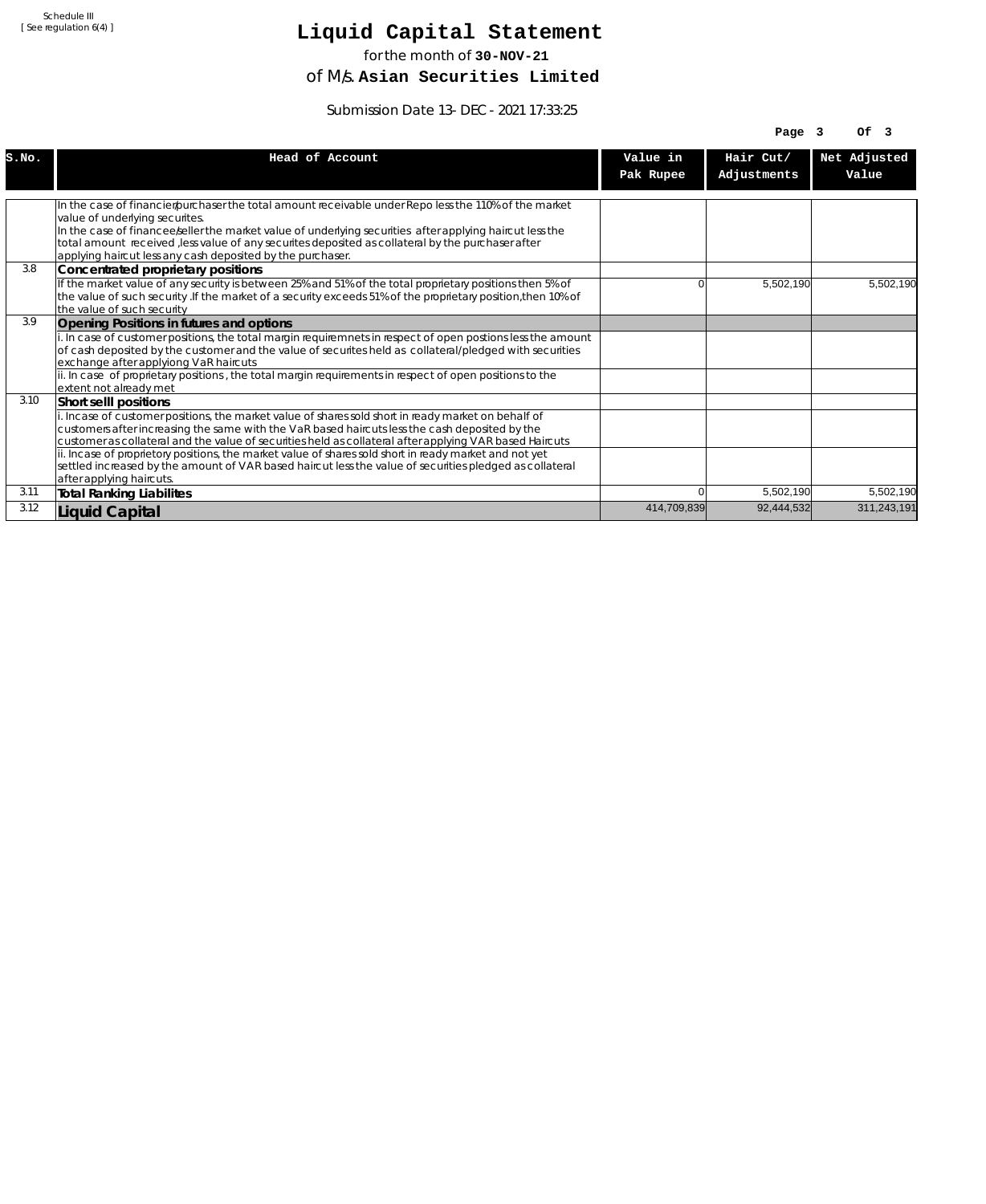# **Liquid Capital Statement**

for the month of **30-NOV-21**

of M/s. **Asian Securities Limited**

Submission Date 13-DEC-2021 17:33:25

|       |                                                                                                                                                                                                                                                                                                                  |             | Page $3$    | OF <sub>3</sub> |
|-------|------------------------------------------------------------------------------------------------------------------------------------------------------------------------------------------------------------------------------------------------------------------------------------------------------------------|-------------|-------------|-----------------|
| S.NO. | Head of Account                                                                                                                                                                                                                                                                                                  | Value in    | Hair Cut/   | Net Adjusted    |
|       |                                                                                                                                                                                                                                                                                                                  | Pak Rupee   | Adjustments | Value           |
|       |                                                                                                                                                                                                                                                                                                                  |             |             |                 |
|       | In the case of financier/purchaser the total amount receivable under Repo less the 110% of the market<br>value of underlying securites.                                                                                                                                                                          |             |             |                 |
|       | In the case of financee seller the market value of underlying securities after applying haircut less the<br>total amount received , less value of any securites deposited as collateral by the purchaser after<br>applying haircut less any cash deposited by the purchaser.                                     |             |             |                 |
| 3.8   | Concentrated proprietary positions                                                                                                                                                                                                                                                                               |             |             |                 |
|       | If the market value of any security is between 25% and 51% of the total proprietary positions then 5% of<br>the value of such security. If the market of a security exceeds 51% of the proprietary position, then 10% of<br>the value of such security                                                           | n           | 5,502,190   | 5,502,190       |
| 3.9   | Opening Positions in futures and options                                                                                                                                                                                                                                                                         |             |             |                 |
|       | i. In case of customer positions, the total margin requiremnets in respect of open postions less the amount<br>of cash deposited by the customer and the value of securites held as collateral/pledged with securities<br>exchange after applyiong VaR haircuts                                                  |             |             |                 |
|       | ii. In case of proprietary positions, the total margin requirements in respect of open positions to the<br>extent not already met                                                                                                                                                                                |             |             |                 |
| 3.10  | Short sellI positions                                                                                                                                                                                                                                                                                            |             |             |                 |
|       | i. Incase of customer positions, the market value of shares sold short in ready market on behalf of<br>customers after increasing the same with the VaR based haircuts less the cash deposited by the<br>customer as collateral and the value of securities held as collateral after applying VAR based Haircuts |             |             |                 |
|       | ii. Incase of proprietory positions, the market value of shares sold short in ready market and not yet<br>settled increased by the amount of VAR based haircut less the value of securities pledged as collateral<br>after applying haircuts.                                                                    |             |             |                 |
| 3.11  | <b>Total Ranking Liabilites</b>                                                                                                                                                                                                                                                                                  |             | 5,502,190   | 5,502,190       |
| 3.12  | Liquid Capital                                                                                                                                                                                                                                                                                                   | 414,709,839 | 92,444,532  | 311,243,191     |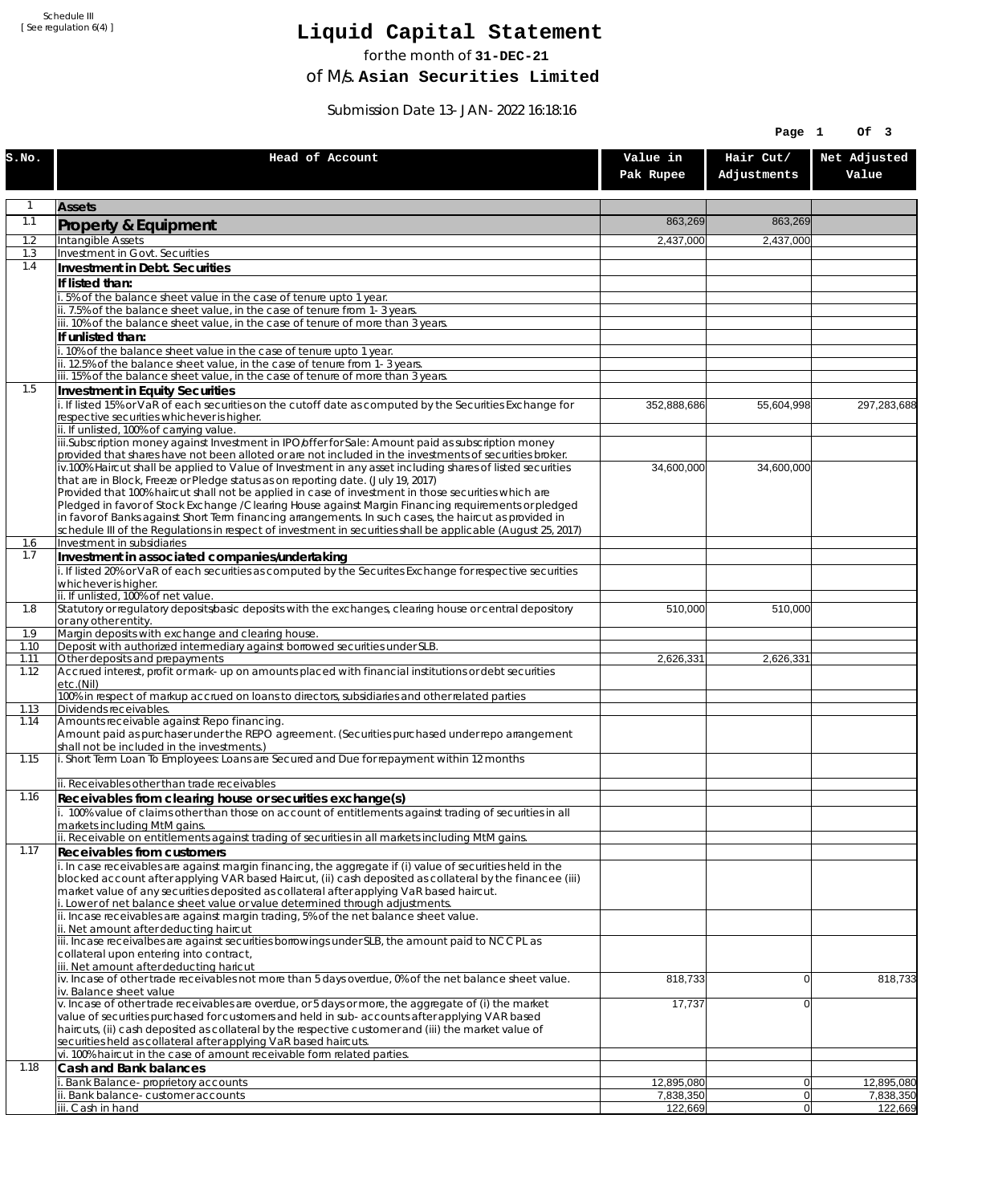# **Liquid Capital Statement**

for the month of **31-DEC-21**

of M/s. **Asian Securities Limited**

Submission Date 13-JAN-2022 16:18:16

|              |                                                                                                                                                                                                                        |                         | Page 1                   | Of 3                    |
|--------------|------------------------------------------------------------------------------------------------------------------------------------------------------------------------------------------------------------------------|-------------------------|--------------------------|-------------------------|
| S.NO.        | Head of Account                                                                                                                                                                                                        | Value in<br>Pak Rupee   | Hair Cut/<br>Adjustments | Net Adjusted<br>Value   |
| 1            | <b>Assets</b>                                                                                                                                                                                                          |                         |                          |                         |
| 1.1          | Property & Equipment                                                                                                                                                                                                   | 863,269                 | 863,269                  |                         |
| 1.2          | Intangible Assets                                                                                                                                                                                                      | 2,437,000               | 2,437,000                |                         |
| 1.3<br>1.4   | Investment in Govt. Securities<br>Investment in Debt. Securities                                                                                                                                                       |                         |                          |                         |
|              | If listed than:                                                                                                                                                                                                        |                         |                          |                         |
|              | i. 5% of the balance sheet value in the case of tenure upto 1 year.                                                                                                                                                    |                         |                          |                         |
|              | ii. 7.5% of the balance sheet value, in the case of tenure from 1-3 years.                                                                                                                                             |                         |                          |                         |
|              | iii. 10% of the balance sheet value, in the case of tenure of more than 3 years.<br>If unlisted than:                                                                                                                  |                         |                          |                         |
|              | i. 10% of the balance sheet value in the case of tenure upto 1 year.                                                                                                                                                   |                         |                          |                         |
|              | ii. 12.5% of the balance sheet value, in the case of tenure from 1-3 years.                                                                                                                                            |                         |                          |                         |
| 1.5          | iii. 15% of the balance sheet value, in the case of tenure of more than 3 years.<br>Investment in Equity Securities                                                                                                    |                         |                          |                         |
|              | i. If listed 15% or VaR of each securities on the cutoff date as computed by the Securities Exchange for                                                                                                               | 352,888,686             | 55,604,998               | 297,283,688             |
|              | respective securities whichever is higher.                                                                                                                                                                             |                         |                          |                         |
|              | ii. If unlisted, 100% of carrying value.<br>iii.Subscription money against Investment in IPO/offer for Sale: Amount paid as subscription money                                                                         |                         |                          |                         |
|              | provided that shares have not been alloted or are not included in the investments of securities broker.                                                                                                                |                         |                          |                         |
|              | iv.100% Haircut shall be applied to Value of Investment in any asset including shares of listed securities                                                                                                             | 34.600.000              | 34,600,000               |                         |
|              | that are in Block, Freeze or Pledge status as on reporting date. (July 19, 2017)<br>Provided that 100% haircut shall not be applied in case of investment in those securities which are                                |                         |                          |                         |
|              | Pledged in favor of Stock Exchange / Clearing House against Margin Financing requirements or pledged                                                                                                                   |                         |                          |                         |
|              | in favor of Banks against Short Term financing arrangements. In such cases, the haircut as provided in<br>schedule III of the Regulations in respect of investment in securities shall be applicable (August 25, 2017) |                         |                          |                         |
| 1.6          | Investment in subsidiaries                                                                                                                                                                                             |                         |                          |                         |
| 1.7          | Investment in associated companies/undertaking                                                                                                                                                                         |                         |                          |                         |
|              | i. If listed 20% or VaR of each securities as computed by the Securites Exchange for respective securities<br>whichever is higher.                                                                                     |                         |                          |                         |
|              | ii. If unlisted, 100% of net value.                                                                                                                                                                                    |                         |                          |                         |
| 1.8          | Statutory or regulatory deposits/basic deposits with the exchanges, clearing house or central depository                                                                                                               | 510,000                 | 510,000                  |                         |
| 1.9          | or any other entity.<br>Margin deposits with exchange and clearing house.                                                                                                                                              |                         |                          |                         |
| 1.10         | Deposit with authorized intermediary against borrowed securities under SLB.                                                                                                                                            |                         |                          |                         |
| 1.11<br>1.12 | Other deposits and prepayments<br>Accrued interest, profit or mark-up on amounts placed with financial institutions or debt securities                                                                                 | 2,626,331               | 2,626,331                |                         |
|              | etc.(Nil)                                                                                                                                                                                                              |                         |                          |                         |
| 1.13         | 100% in respect of markup accrued on loans to directors, subsidiaries and other related parties<br>Dividends receivables.                                                                                              |                         |                          |                         |
| 1.14         | Amounts receivable against Repo financing.                                                                                                                                                                             |                         |                          |                         |
|              | Amount paid as purchaser under the REPO agreement. (Securities purchased under repo arrangement                                                                                                                        |                         |                          |                         |
| 1.15         | shall not be included in the investments.)<br>i. Short Term Loan To Employees: Loans are Secured and Due for repayment within 12 months                                                                                |                         |                          |                         |
|              |                                                                                                                                                                                                                        |                         |                          |                         |
| 1.16         | ii. Receivables other than trade receivables<br>Receivables from clearing house or securities exchange(s)                                                                                                              |                         |                          |                         |
|              | i. 100% value of claims other than those on account of entitlements against trading of securities in all                                                                                                               |                         |                          |                         |
|              | markets including MtM gains.                                                                                                                                                                                           |                         |                          |                         |
| 1.17         | ii. Receivable on entitlements against trading of securities in all markets including MtM gains.                                                                                                                       |                         |                          |                         |
|              | <b>Receivables from customers</b><br>i. In case receivables are against margin financing, the aggregate if (i) value of securities held in the                                                                         |                         |                          |                         |
|              | blocked account after applying VAR based Haircut, (ii) cash deposited as collateral by the financee (iii)                                                                                                              |                         |                          |                         |
|              | market value of any securities deposited as collateral after applying VaR based haircut.<br>i. Lower of net balance sheet value or value determined through adjustments.                                               |                         |                          |                         |
|              | ii. Incase receivables are against margin trading, 5% of the net balance sheet value.                                                                                                                                  |                         |                          |                         |
|              | ii. Net amount after deducting haircut<br>iii. Incase receivalbes are against securities borrowings under SLB, the amount paid to NCCPL as                                                                             |                         |                          |                         |
|              | collateral upon entering into contract,                                                                                                                                                                                |                         |                          |                         |
|              | iii. Net amount after deducting haricut                                                                                                                                                                                |                         |                          |                         |
|              | $iv.$ Incase of other trade receivables not more than 5 days overdue, 0% of the net balance sheet value.<br>iv. Balance sheet value                                                                                    | 818,733                 | 0                        | 818,733                 |
|              | v. Incase of other trade receivables are overdue, or 5 days or more, the aggregate of (i) the market                                                                                                                   | 17,737                  | $\overline{0}$           |                         |
|              | value of securities purchased for customers and held in sub-accounts after applying VAR based<br>haircuts, (ii) cash deposited as collateral by the respective customer and (iii) the market value of                  |                         |                          |                         |
|              | securities held as collateral after applying VaR based haircuts.                                                                                                                                                       |                         |                          |                         |
|              | vi. 100% haircut in the case of amount receivable form related parties.                                                                                                                                                |                         |                          |                         |
| 1.18         | Cash and Bank balances                                                                                                                                                                                                 |                         | 0                        |                         |
|              | i. Bank Balance-proprietory accounts<br>ii. Bank balance-customer accounts                                                                                                                                             | 12,895,080<br>7,838,350 | $\Omega$                 | 12,895,080<br>7,838,350 |
|              | iii. Cash in hand                                                                                                                                                                                                      | 122,669                 | 0                        | 122,669                 |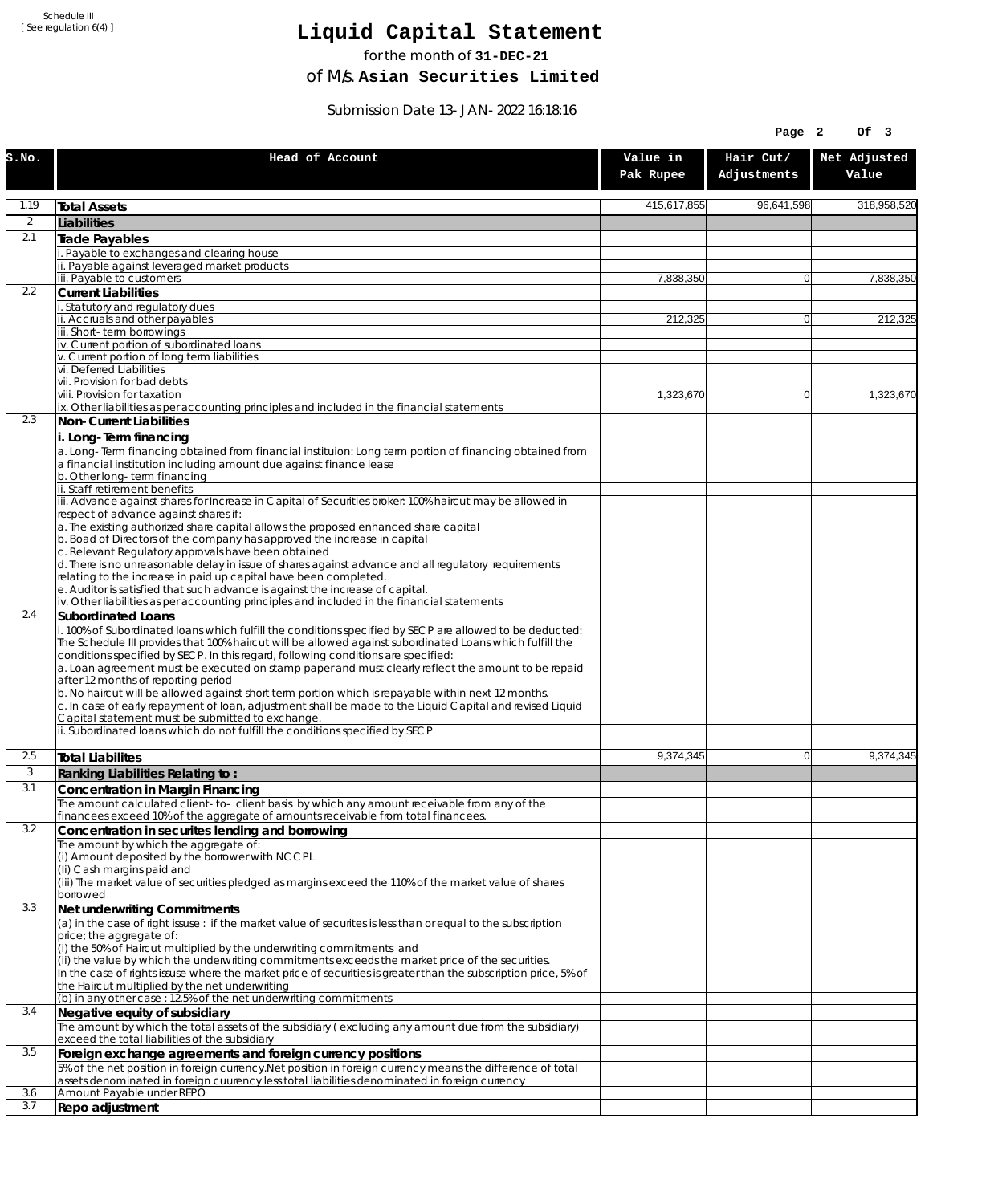# **Liquid Capital Statement**

for the month of **31-DEC-21**

of M/s. **Asian Securities Limited**

Submission Date 13-JAN-2022 16:18:16

| Hair Cut/<br>Net Adjusted<br>Head of Account<br>Value in<br>Adjustments<br>Value<br>Pak Rupee<br>1.19<br>415,617,855<br>96,641,598<br><b>Total Assets</b><br>2<br>Liabilities<br>2.1<br>Trade Payables<br>Payable to exchanges and clearing house<br>ii. Payable against leveraged market products<br>iii. Payable to customers<br>7,838,350<br>$\Omega$<br>7,838,350<br>2.2<br><b>Current Liabilities</b><br>. Statutory and regulatory dues<br>ii. Accruals and other payables<br>212,325<br>212,325<br>$\overline{0}$<br>iii. Short-term borrowings<br>iv. Current portion of subordinated loans<br>v. Current portion of long term liabilities<br>vi. Deferred Liabilities<br>vii. Provision for bad debts<br>viii. Provision for taxation<br>1,323,670<br>$\Omega$<br>1,323,670<br>ix. Other liabilities as per accounting principles and included in the financial statements<br>2.3<br>Non-Current Liabilities<br>i. Long-Term financing<br>a. Long-Term financing obtained from financial instituion: Long term portion of financing obtained from<br>a financial institution including amount due against finance lease<br>b. Other long-term financing<br>ii. Staff retirement benefits<br>iii. Advance against shares for Increase in Capital of Securities broker: 100% haircut may be allowed in<br>respect of advance against shares if:<br>a. The existing authorized share capital allows the proposed enhanced share capital<br>b. Boad of Directors of the company has approved the increase in capital<br>c. Relevant Regulatory approvals have been obtained<br>d. There is no unreasonable delay in issue of shares against advance and all regulatory requirements<br>relating to the increase in paid up capital have been completed.<br>e. Auditor is satisfied that such advance is against the increase of capital.<br>iv. Other liabilities as per accounting principles and included in the financial statements<br>2.4<br>Subordinated Loans<br>. 100% of Subordinated loans which fulfill the conditions specified by SECP are allowed to be deducted:<br>The Schedule III provides that 100% haircut will be allowed against subordinated Loans which fulfill the<br>conditions specified by SECP. In this regard, following conditions are specified:<br>a. Loan agreement must be executed on stamp paper and must clearly reflect the amount to be repaid<br>after 12 months of reporting period<br>b. No haircut will be allowed against short term portion which is repayable within next 12 months.<br>c. In case of early repayment of loan, adjustment shall be made to the Liquid Capital and revised Liquid<br>Capital statement must be submitted to exchange.<br>ii. Subordinated loans which do not fulfill the conditions specified by SECP<br>2.5<br>9,374,345<br>9,374,345<br>$\Omega$<br><b>Total Liabilites</b><br>3<br>Ranking Liabilities Relating to:<br>3.1<br>Concentration in Margin Financing<br>The amount calculated client-to- client basis by which any amount receivable from any of the<br>financees exceed 10% of the aggregate of amounts receivable from total financees.<br>3.2<br>Concentration in securites lending and borrowing<br>The amount by which the aggregate of:<br>(i) Amount deposited by the borrower with NCCPL<br>(Ii) Cash margins paid and<br>(iii) The market value of securities pledged as margins exceed the 110% of the market value of shares<br>borrowed<br>3.3<br>Net underwriting Commitments<br>(a) in the case of right issuse : if the market value of securites is less than or equal to the subscription<br>price; the aggregate of:<br>(i) the 50% of Haircut multiplied by the underwriting commitments and<br>(ii) the value by which the underwriting commitments exceeds the market price of the securities.<br>In the case of rights issuse where the market price of securities is greater than the subscription price, 5% of<br>the Haircut multiplied by the net underwriting<br>(b) in any other case : 12.5% of the net underwriting commitments<br>3.4<br>Negative equity of subsidiary<br>The amount by which the total assets of the subsidiary (excluding any amount due from the subsidiary)<br>exceed the total liabilities of the subsidiary<br>3.5<br>Foreign exchange agreements and foreign currency positions<br>5% of the net position in foreign currency. Net position in foreign currency means the difference of total<br>assets denominated in foreign cuurency less total liabilities denominated in foreign currency<br>Amount Payable under REPO<br>3.6<br>3.7<br>Repo adjustment |       |  | Page 2 | Of 3        |
|---------------------------------------------------------------------------------------------------------------------------------------------------------------------------------------------------------------------------------------------------------------------------------------------------------------------------------------------------------------------------------------------------------------------------------------------------------------------------------------------------------------------------------------------------------------------------------------------------------------------------------------------------------------------------------------------------------------------------------------------------------------------------------------------------------------------------------------------------------------------------------------------------------------------------------------------------------------------------------------------------------------------------------------------------------------------------------------------------------------------------------------------------------------------------------------------------------------------------------------------------------------------------------------------------------------------------------------------------------------------------------------------------------------------------------------------------------------------------------------------------------------------------------------------------------------------------------------------------------------------------------------------------------------------------------------------------------------------------------------------------------------------------------------------------------------------------------------------------------------------------------------------------------------------------------------------------------------------------------------------------------------------------------------------------------------------------------------------------------------------------------------------------------------------------------------------------------------------------------------------------------------------------------------------------------------------------------------------------------------------------------------------------------------------------------------------------------------------------------------------------------------------------------------------------------------------------------------------------------------------------------------------------------------------------------------------------------------------------------------------------------------------------------------------------------------------------------------------------------------------------------------------------------------------------------------------------------------------------------------------------------------------------------------------------------------------------------------------------------------------------------------------------------------------------------------------------------------------------------------------------------------------------------------------------------------------------------------------------------------------------------------------------------------------------------------------------------------------------------------------------------------------------------------------------------------------------------------------------------------------------------------------------------------------------------------------------------------------------------------------------------------------------------------------------------------------------------------------------------------------------------------------------------------------------------------------------------------------------------------------------------------------------------------------------------------------------------------------------------------------------------------------------------------------------------------------------------------------------------------------------------------------------------------------------------------------------------------------------------------------------------------------------------------------------------------------------------------------------------------------------------------------------------------------------------------------------------------------------------------------|-------|--|--------|-------------|
|                                                                                                                                                                                                                                                                                                                                                                                                                                                                                                                                                                                                                                                                                                                                                                                                                                                                                                                                                                                                                                                                                                                                                                                                                                                                                                                                                                                                                                                                                                                                                                                                                                                                                                                                                                                                                                                                                                                                                                                                                                                                                                                                                                                                                                                                                                                                                                                                                                                                                                                                                                                                                                                                                                                                                                                                                                                                                                                                                                                                                                                                                                                                                                                                                                                                                                                                                                                                                                                                                                                                                                                                                                                                                                                                                                                                                                                                                                                                                                                                                                                                                                                                                                                                                                                                                                                                                                                                                                                                                                                                                                                                                     | S.NO. |  |        |             |
|                                                                                                                                                                                                                                                                                                                                                                                                                                                                                                                                                                                                                                                                                                                                                                                                                                                                                                                                                                                                                                                                                                                                                                                                                                                                                                                                                                                                                                                                                                                                                                                                                                                                                                                                                                                                                                                                                                                                                                                                                                                                                                                                                                                                                                                                                                                                                                                                                                                                                                                                                                                                                                                                                                                                                                                                                                                                                                                                                                                                                                                                                                                                                                                                                                                                                                                                                                                                                                                                                                                                                                                                                                                                                                                                                                                                                                                                                                                                                                                                                                                                                                                                                                                                                                                                                                                                                                                                                                                                                                                                                                                                                     |       |  |        | 318,958,520 |
|                                                                                                                                                                                                                                                                                                                                                                                                                                                                                                                                                                                                                                                                                                                                                                                                                                                                                                                                                                                                                                                                                                                                                                                                                                                                                                                                                                                                                                                                                                                                                                                                                                                                                                                                                                                                                                                                                                                                                                                                                                                                                                                                                                                                                                                                                                                                                                                                                                                                                                                                                                                                                                                                                                                                                                                                                                                                                                                                                                                                                                                                                                                                                                                                                                                                                                                                                                                                                                                                                                                                                                                                                                                                                                                                                                                                                                                                                                                                                                                                                                                                                                                                                                                                                                                                                                                                                                                                                                                                                                                                                                                                                     |       |  |        |             |
|                                                                                                                                                                                                                                                                                                                                                                                                                                                                                                                                                                                                                                                                                                                                                                                                                                                                                                                                                                                                                                                                                                                                                                                                                                                                                                                                                                                                                                                                                                                                                                                                                                                                                                                                                                                                                                                                                                                                                                                                                                                                                                                                                                                                                                                                                                                                                                                                                                                                                                                                                                                                                                                                                                                                                                                                                                                                                                                                                                                                                                                                                                                                                                                                                                                                                                                                                                                                                                                                                                                                                                                                                                                                                                                                                                                                                                                                                                                                                                                                                                                                                                                                                                                                                                                                                                                                                                                                                                                                                                                                                                                                                     |       |  |        |             |
|                                                                                                                                                                                                                                                                                                                                                                                                                                                                                                                                                                                                                                                                                                                                                                                                                                                                                                                                                                                                                                                                                                                                                                                                                                                                                                                                                                                                                                                                                                                                                                                                                                                                                                                                                                                                                                                                                                                                                                                                                                                                                                                                                                                                                                                                                                                                                                                                                                                                                                                                                                                                                                                                                                                                                                                                                                                                                                                                                                                                                                                                                                                                                                                                                                                                                                                                                                                                                                                                                                                                                                                                                                                                                                                                                                                                                                                                                                                                                                                                                                                                                                                                                                                                                                                                                                                                                                                                                                                                                                                                                                                                                     |       |  |        |             |
|                                                                                                                                                                                                                                                                                                                                                                                                                                                                                                                                                                                                                                                                                                                                                                                                                                                                                                                                                                                                                                                                                                                                                                                                                                                                                                                                                                                                                                                                                                                                                                                                                                                                                                                                                                                                                                                                                                                                                                                                                                                                                                                                                                                                                                                                                                                                                                                                                                                                                                                                                                                                                                                                                                                                                                                                                                                                                                                                                                                                                                                                                                                                                                                                                                                                                                                                                                                                                                                                                                                                                                                                                                                                                                                                                                                                                                                                                                                                                                                                                                                                                                                                                                                                                                                                                                                                                                                                                                                                                                                                                                                                                     |       |  |        |             |
|                                                                                                                                                                                                                                                                                                                                                                                                                                                                                                                                                                                                                                                                                                                                                                                                                                                                                                                                                                                                                                                                                                                                                                                                                                                                                                                                                                                                                                                                                                                                                                                                                                                                                                                                                                                                                                                                                                                                                                                                                                                                                                                                                                                                                                                                                                                                                                                                                                                                                                                                                                                                                                                                                                                                                                                                                                                                                                                                                                                                                                                                                                                                                                                                                                                                                                                                                                                                                                                                                                                                                                                                                                                                                                                                                                                                                                                                                                                                                                                                                                                                                                                                                                                                                                                                                                                                                                                                                                                                                                                                                                                                                     |       |  |        |             |
|                                                                                                                                                                                                                                                                                                                                                                                                                                                                                                                                                                                                                                                                                                                                                                                                                                                                                                                                                                                                                                                                                                                                                                                                                                                                                                                                                                                                                                                                                                                                                                                                                                                                                                                                                                                                                                                                                                                                                                                                                                                                                                                                                                                                                                                                                                                                                                                                                                                                                                                                                                                                                                                                                                                                                                                                                                                                                                                                                                                                                                                                                                                                                                                                                                                                                                                                                                                                                                                                                                                                                                                                                                                                                                                                                                                                                                                                                                                                                                                                                                                                                                                                                                                                                                                                                                                                                                                                                                                                                                                                                                                                                     |       |  |        |             |
|                                                                                                                                                                                                                                                                                                                                                                                                                                                                                                                                                                                                                                                                                                                                                                                                                                                                                                                                                                                                                                                                                                                                                                                                                                                                                                                                                                                                                                                                                                                                                                                                                                                                                                                                                                                                                                                                                                                                                                                                                                                                                                                                                                                                                                                                                                                                                                                                                                                                                                                                                                                                                                                                                                                                                                                                                                                                                                                                                                                                                                                                                                                                                                                                                                                                                                                                                                                                                                                                                                                                                                                                                                                                                                                                                                                                                                                                                                                                                                                                                                                                                                                                                                                                                                                                                                                                                                                                                                                                                                                                                                                                                     |       |  |        |             |
|                                                                                                                                                                                                                                                                                                                                                                                                                                                                                                                                                                                                                                                                                                                                                                                                                                                                                                                                                                                                                                                                                                                                                                                                                                                                                                                                                                                                                                                                                                                                                                                                                                                                                                                                                                                                                                                                                                                                                                                                                                                                                                                                                                                                                                                                                                                                                                                                                                                                                                                                                                                                                                                                                                                                                                                                                                                                                                                                                                                                                                                                                                                                                                                                                                                                                                                                                                                                                                                                                                                                                                                                                                                                                                                                                                                                                                                                                                                                                                                                                                                                                                                                                                                                                                                                                                                                                                                                                                                                                                                                                                                                                     |       |  |        |             |
|                                                                                                                                                                                                                                                                                                                                                                                                                                                                                                                                                                                                                                                                                                                                                                                                                                                                                                                                                                                                                                                                                                                                                                                                                                                                                                                                                                                                                                                                                                                                                                                                                                                                                                                                                                                                                                                                                                                                                                                                                                                                                                                                                                                                                                                                                                                                                                                                                                                                                                                                                                                                                                                                                                                                                                                                                                                                                                                                                                                                                                                                                                                                                                                                                                                                                                                                                                                                                                                                                                                                                                                                                                                                                                                                                                                                                                                                                                                                                                                                                                                                                                                                                                                                                                                                                                                                                                                                                                                                                                                                                                                                                     |       |  |        |             |
|                                                                                                                                                                                                                                                                                                                                                                                                                                                                                                                                                                                                                                                                                                                                                                                                                                                                                                                                                                                                                                                                                                                                                                                                                                                                                                                                                                                                                                                                                                                                                                                                                                                                                                                                                                                                                                                                                                                                                                                                                                                                                                                                                                                                                                                                                                                                                                                                                                                                                                                                                                                                                                                                                                                                                                                                                                                                                                                                                                                                                                                                                                                                                                                                                                                                                                                                                                                                                                                                                                                                                                                                                                                                                                                                                                                                                                                                                                                                                                                                                                                                                                                                                                                                                                                                                                                                                                                                                                                                                                                                                                                                                     |       |  |        |             |
|                                                                                                                                                                                                                                                                                                                                                                                                                                                                                                                                                                                                                                                                                                                                                                                                                                                                                                                                                                                                                                                                                                                                                                                                                                                                                                                                                                                                                                                                                                                                                                                                                                                                                                                                                                                                                                                                                                                                                                                                                                                                                                                                                                                                                                                                                                                                                                                                                                                                                                                                                                                                                                                                                                                                                                                                                                                                                                                                                                                                                                                                                                                                                                                                                                                                                                                                                                                                                                                                                                                                                                                                                                                                                                                                                                                                                                                                                                                                                                                                                                                                                                                                                                                                                                                                                                                                                                                                                                                                                                                                                                                                                     |       |  |        |             |
|                                                                                                                                                                                                                                                                                                                                                                                                                                                                                                                                                                                                                                                                                                                                                                                                                                                                                                                                                                                                                                                                                                                                                                                                                                                                                                                                                                                                                                                                                                                                                                                                                                                                                                                                                                                                                                                                                                                                                                                                                                                                                                                                                                                                                                                                                                                                                                                                                                                                                                                                                                                                                                                                                                                                                                                                                                                                                                                                                                                                                                                                                                                                                                                                                                                                                                                                                                                                                                                                                                                                                                                                                                                                                                                                                                                                                                                                                                                                                                                                                                                                                                                                                                                                                                                                                                                                                                                                                                                                                                                                                                                                                     |       |  |        |             |
|                                                                                                                                                                                                                                                                                                                                                                                                                                                                                                                                                                                                                                                                                                                                                                                                                                                                                                                                                                                                                                                                                                                                                                                                                                                                                                                                                                                                                                                                                                                                                                                                                                                                                                                                                                                                                                                                                                                                                                                                                                                                                                                                                                                                                                                                                                                                                                                                                                                                                                                                                                                                                                                                                                                                                                                                                                                                                                                                                                                                                                                                                                                                                                                                                                                                                                                                                                                                                                                                                                                                                                                                                                                                                                                                                                                                                                                                                                                                                                                                                                                                                                                                                                                                                                                                                                                                                                                                                                                                                                                                                                                                                     |       |  |        |             |
|                                                                                                                                                                                                                                                                                                                                                                                                                                                                                                                                                                                                                                                                                                                                                                                                                                                                                                                                                                                                                                                                                                                                                                                                                                                                                                                                                                                                                                                                                                                                                                                                                                                                                                                                                                                                                                                                                                                                                                                                                                                                                                                                                                                                                                                                                                                                                                                                                                                                                                                                                                                                                                                                                                                                                                                                                                                                                                                                                                                                                                                                                                                                                                                                                                                                                                                                                                                                                                                                                                                                                                                                                                                                                                                                                                                                                                                                                                                                                                                                                                                                                                                                                                                                                                                                                                                                                                                                                                                                                                                                                                                                                     |       |  |        |             |
|                                                                                                                                                                                                                                                                                                                                                                                                                                                                                                                                                                                                                                                                                                                                                                                                                                                                                                                                                                                                                                                                                                                                                                                                                                                                                                                                                                                                                                                                                                                                                                                                                                                                                                                                                                                                                                                                                                                                                                                                                                                                                                                                                                                                                                                                                                                                                                                                                                                                                                                                                                                                                                                                                                                                                                                                                                                                                                                                                                                                                                                                                                                                                                                                                                                                                                                                                                                                                                                                                                                                                                                                                                                                                                                                                                                                                                                                                                                                                                                                                                                                                                                                                                                                                                                                                                                                                                                                                                                                                                                                                                                                                     |       |  |        |             |
|                                                                                                                                                                                                                                                                                                                                                                                                                                                                                                                                                                                                                                                                                                                                                                                                                                                                                                                                                                                                                                                                                                                                                                                                                                                                                                                                                                                                                                                                                                                                                                                                                                                                                                                                                                                                                                                                                                                                                                                                                                                                                                                                                                                                                                                                                                                                                                                                                                                                                                                                                                                                                                                                                                                                                                                                                                                                                                                                                                                                                                                                                                                                                                                                                                                                                                                                                                                                                                                                                                                                                                                                                                                                                                                                                                                                                                                                                                                                                                                                                                                                                                                                                                                                                                                                                                                                                                                                                                                                                                                                                                                                                     |       |  |        |             |
|                                                                                                                                                                                                                                                                                                                                                                                                                                                                                                                                                                                                                                                                                                                                                                                                                                                                                                                                                                                                                                                                                                                                                                                                                                                                                                                                                                                                                                                                                                                                                                                                                                                                                                                                                                                                                                                                                                                                                                                                                                                                                                                                                                                                                                                                                                                                                                                                                                                                                                                                                                                                                                                                                                                                                                                                                                                                                                                                                                                                                                                                                                                                                                                                                                                                                                                                                                                                                                                                                                                                                                                                                                                                                                                                                                                                                                                                                                                                                                                                                                                                                                                                                                                                                                                                                                                                                                                                                                                                                                                                                                                                                     |       |  |        |             |
|                                                                                                                                                                                                                                                                                                                                                                                                                                                                                                                                                                                                                                                                                                                                                                                                                                                                                                                                                                                                                                                                                                                                                                                                                                                                                                                                                                                                                                                                                                                                                                                                                                                                                                                                                                                                                                                                                                                                                                                                                                                                                                                                                                                                                                                                                                                                                                                                                                                                                                                                                                                                                                                                                                                                                                                                                                                                                                                                                                                                                                                                                                                                                                                                                                                                                                                                                                                                                                                                                                                                                                                                                                                                                                                                                                                                                                                                                                                                                                                                                                                                                                                                                                                                                                                                                                                                                                                                                                                                                                                                                                                                                     |       |  |        |             |
|                                                                                                                                                                                                                                                                                                                                                                                                                                                                                                                                                                                                                                                                                                                                                                                                                                                                                                                                                                                                                                                                                                                                                                                                                                                                                                                                                                                                                                                                                                                                                                                                                                                                                                                                                                                                                                                                                                                                                                                                                                                                                                                                                                                                                                                                                                                                                                                                                                                                                                                                                                                                                                                                                                                                                                                                                                                                                                                                                                                                                                                                                                                                                                                                                                                                                                                                                                                                                                                                                                                                                                                                                                                                                                                                                                                                                                                                                                                                                                                                                                                                                                                                                                                                                                                                                                                                                                                                                                                                                                                                                                                                                     |       |  |        |             |
|                                                                                                                                                                                                                                                                                                                                                                                                                                                                                                                                                                                                                                                                                                                                                                                                                                                                                                                                                                                                                                                                                                                                                                                                                                                                                                                                                                                                                                                                                                                                                                                                                                                                                                                                                                                                                                                                                                                                                                                                                                                                                                                                                                                                                                                                                                                                                                                                                                                                                                                                                                                                                                                                                                                                                                                                                                                                                                                                                                                                                                                                                                                                                                                                                                                                                                                                                                                                                                                                                                                                                                                                                                                                                                                                                                                                                                                                                                                                                                                                                                                                                                                                                                                                                                                                                                                                                                                                                                                                                                                                                                                                                     |       |  |        |             |
|                                                                                                                                                                                                                                                                                                                                                                                                                                                                                                                                                                                                                                                                                                                                                                                                                                                                                                                                                                                                                                                                                                                                                                                                                                                                                                                                                                                                                                                                                                                                                                                                                                                                                                                                                                                                                                                                                                                                                                                                                                                                                                                                                                                                                                                                                                                                                                                                                                                                                                                                                                                                                                                                                                                                                                                                                                                                                                                                                                                                                                                                                                                                                                                                                                                                                                                                                                                                                                                                                                                                                                                                                                                                                                                                                                                                                                                                                                                                                                                                                                                                                                                                                                                                                                                                                                                                                                                                                                                                                                                                                                                                                     |       |  |        |             |
|                                                                                                                                                                                                                                                                                                                                                                                                                                                                                                                                                                                                                                                                                                                                                                                                                                                                                                                                                                                                                                                                                                                                                                                                                                                                                                                                                                                                                                                                                                                                                                                                                                                                                                                                                                                                                                                                                                                                                                                                                                                                                                                                                                                                                                                                                                                                                                                                                                                                                                                                                                                                                                                                                                                                                                                                                                                                                                                                                                                                                                                                                                                                                                                                                                                                                                                                                                                                                                                                                                                                                                                                                                                                                                                                                                                                                                                                                                                                                                                                                                                                                                                                                                                                                                                                                                                                                                                                                                                                                                                                                                                                                     |       |  |        |             |
|                                                                                                                                                                                                                                                                                                                                                                                                                                                                                                                                                                                                                                                                                                                                                                                                                                                                                                                                                                                                                                                                                                                                                                                                                                                                                                                                                                                                                                                                                                                                                                                                                                                                                                                                                                                                                                                                                                                                                                                                                                                                                                                                                                                                                                                                                                                                                                                                                                                                                                                                                                                                                                                                                                                                                                                                                                                                                                                                                                                                                                                                                                                                                                                                                                                                                                                                                                                                                                                                                                                                                                                                                                                                                                                                                                                                                                                                                                                                                                                                                                                                                                                                                                                                                                                                                                                                                                                                                                                                                                                                                                                                                     |       |  |        |             |
|                                                                                                                                                                                                                                                                                                                                                                                                                                                                                                                                                                                                                                                                                                                                                                                                                                                                                                                                                                                                                                                                                                                                                                                                                                                                                                                                                                                                                                                                                                                                                                                                                                                                                                                                                                                                                                                                                                                                                                                                                                                                                                                                                                                                                                                                                                                                                                                                                                                                                                                                                                                                                                                                                                                                                                                                                                                                                                                                                                                                                                                                                                                                                                                                                                                                                                                                                                                                                                                                                                                                                                                                                                                                                                                                                                                                                                                                                                                                                                                                                                                                                                                                                                                                                                                                                                                                                                                                                                                                                                                                                                                                                     |       |  |        |             |
|                                                                                                                                                                                                                                                                                                                                                                                                                                                                                                                                                                                                                                                                                                                                                                                                                                                                                                                                                                                                                                                                                                                                                                                                                                                                                                                                                                                                                                                                                                                                                                                                                                                                                                                                                                                                                                                                                                                                                                                                                                                                                                                                                                                                                                                                                                                                                                                                                                                                                                                                                                                                                                                                                                                                                                                                                                                                                                                                                                                                                                                                                                                                                                                                                                                                                                                                                                                                                                                                                                                                                                                                                                                                                                                                                                                                                                                                                                                                                                                                                                                                                                                                                                                                                                                                                                                                                                                                                                                                                                                                                                                                                     |       |  |        |             |
|                                                                                                                                                                                                                                                                                                                                                                                                                                                                                                                                                                                                                                                                                                                                                                                                                                                                                                                                                                                                                                                                                                                                                                                                                                                                                                                                                                                                                                                                                                                                                                                                                                                                                                                                                                                                                                                                                                                                                                                                                                                                                                                                                                                                                                                                                                                                                                                                                                                                                                                                                                                                                                                                                                                                                                                                                                                                                                                                                                                                                                                                                                                                                                                                                                                                                                                                                                                                                                                                                                                                                                                                                                                                                                                                                                                                                                                                                                                                                                                                                                                                                                                                                                                                                                                                                                                                                                                                                                                                                                                                                                                                                     |       |  |        |             |
|                                                                                                                                                                                                                                                                                                                                                                                                                                                                                                                                                                                                                                                                                                                                                                                                                                                                                                                                                                                                                                                                                                                                                                                                                                                                                                                                                                                                                                                                                                                                                                                                                                                                                                                                                                                                                                                                                                                                                                                                                                                                                                                                                                                                                                                                                                                                                                                                                                                                                                                                                                                                                                                                                                                                                                                                                                                                                                                                                                                                                                                                                                                                                                                                                                                                                                                                                                                                                                                                                                                                                                                                                                                                                                                                                                                                                                                                                                                                                                                                                                                                                                                                                                                                                                                                                                                                                                                                                                                                                                                                                                                                                     |       |  |        |             |
|                                                                                                                                                                                                                                                                                                                                                                                                                                                                                                                                                                                                                                                                                                                                                                                                                                                                                                                                                                                                                                                                                                                                                                                                                                                                                                                                                                                                                                                                                                                                                                                                                                                                                                                                                                                                                                                                                                                                                                                                                                                                                                                                                                                                                                                                                                                                                                                                                                                                                                                                                                                                                                                                                                                                                                                                                                                                                                                                                                                                                                                                                                                                                                                                                                                                                                                                                                                                                                                                                                                                                                                                                                                                                                                                                                                                                                                                                                                                                                                                                                                                                                                                                                                                                                                                                                                                                                                                                                                                                                                                                                                                                     |       |  |        |             |
|                                                                                                                                                                                                                                                                                                                                                                                                                                                                                                                                                                                                                                                                                                                                                                                                                                                                                                                                                                                                                                                                                                                                                                                                                                                                                                                                                                                                                                                                                                                                                                                                                                                                                                                                                                                                                                                                                                                                                                                                                                                                                                                                                                                                                                                                                                                                                                                                                                                                                                                                                                                                                                                                                                                                                                                                                                                                                                                                                                                                                                                                                                                                                                                                                                                                                                                                                                                                                                                                                                                                                                                                                                                                                                                                                                                                                                                                                                                                                                                                                                                                                                                                                                                                                                                                                                                                                                                                                                                                                                                                                                                                                     |       |  |        |             |
|                                                                                                                                                                                                                                                                                                                                                                                                                                                                                                                                                                                                                                                                                                                                                                                                                                                                                                                                                                                                                                                                                                                                                                                                                                                                                                                                                                                                                                                                                                                                                                                                                                                                                                                                                                                                                                                                                                                                                                                                                                                                                                                                                                                                                                                                                                                                                                                                                                                                                                                                                                                                                                                                                                                                                                                                                                                                                                                                                                                                                                                                                                                                                                                                                                                                                                                                                                                                                                                                                                                                                                                                                                                                                                                                                                                                                                                                                                                                                                                                                                                                                                                                                                                                                                                                                                                                                                                                                                                                                                                                                                                                                     |       |  |        |             |
|                                                                                                                                                                                                                                                                                                                                                                                                                                                                                                                                                                                                                                                                                                                                                                                                                                                                                                                                                                                                                                                                                                                                                                                                                                                                                                                                                                                                                                                                                                                                                                                                                                                                                                                                                                                                                                                                                                                                                                                                                                                                                                                                                                                                                                                                                                                                                                                                                                                                                                                                                                                                                                                                                                                                                                                                                                                                                                                                                                                                                                                                                                                                                                                                                                                                                                                                                                                                                                                                                                                                                                                                                                                                                                                                                                                                                                                                                                                                                                                                                                                                                                                                                                                                                                                                                                                                                                                                                                                                                                                                                                                                                     |       |  |        |             |
|                                                                                                                                                                                                                                                                                                                                                                                                                                                                                                                                                                                                                                                                                                                                                                                                                                                                                                                                                                                                                                                                                                                                                                                                                                                                                                                                                                                                                                                                                                                                                                                                                                                                                                                                                                                                                                                                                                                                                                                                                                                                                                                                                                                                                                                                                                                                                                                                                                                                                                                                                                                                                                                                                                                                                                                                                                                                                                                                                                                                                                                                                                                                                                                                                                                                                                                                                                                                                                                                                                                                                                                                                                                                                                                                                                                                                                                                                                                                                                                                                                                                                                                                                                                                                                                                                                                                                                                                                                                                                                                                                                                                                     |       |  |        |             |
|                                                                                                                                                                                                                                                                                                                                                                                                                                                                                                                                                                                                                                                                                                                                                                                                                                                                                                                                                                                                                                                                                                                                                                                                                                                                                                                                                                                                                                                                                                                                                                                                                                                                                                                                                                                                                                                                                                                                                                                                                                                                                                                                                                                                                                                                                                                                                                                                                                                                                                                                                                                                                                                                                                                                                                                                                                                                                                                                                                                                                                                                                                                                                                                                                                                                                                                                                                                                                                                                                                                                                                                                                                                                                                                                                                                                                                                                                                                                                                                                                                                                                                                                                                                                                                                                                                                                                                                                                                                                                                                                                                                                                     |       |  |        |             |
|                                                                                                                                                                                                                                                                                                                                                                                                                                                                                                                                                                                                                                                                                                                                                                                                                                                                                                                                                                                                                                                                                                                                                                                                                                                                                                                                                                                                                                                                                                                                                                                                                                                                                                                                                                                                                                                                                                                                                                                                                                                                                                                                                                                                                                                                                                                                                                                                                                                                                                                                                                                                                                                                                                                                                                                                                                                                                                                                                                                                                                                                                                                                                                                                                                                                                                                                                                                                                                                                                                                                                                                                                                                                                                                                                                                                                                                                                                                                                                                                                                                                                                                                                                                                                                                                                                                                                                                                                                                                                                                                                                                                                     |       |  |        |             |
|                                                                                                                                                                                                                                                                                                                                                                                                                                                                                                                                                                                                                                                                                                                                                                                                                                                                                                                                                                                                                                                                                                                                                                                                                                                                                                                                                                                                                                                                                                                                                                                                                                                                                                                                                                                                                                                                                                                                                                                                                                                                                                                                                                                                                                                                                                                                                                                                                                                                                                                                                                                                                                                                                                                                                                                                                                                                                                                                                                                                                                                                                                                                                                                                                                                                                                                                                                                                                                                                                                                                                                                                                                                                                                                                                                                                                                                                                                                                                                                                                                                                                                                                                                                                                                                                                                                                                                                                                                                                                                                                                                                                                     |       |  |        |             |
|                                                                                                                                                                                                                                                                                                                                                                                                                                                                                                                                                                                                                                                                                                                                                                                                                                                                                                                                                                                                                                                                                                                                                                                                                                                                                                                                                                                                                                                                                                                                                                                                                                                                                                                                                                                                                                                                                                                                                                                                                                                                                                                                                                                                                                                                                                                                                                                                                                                                                                                                                                                                                                                                                                                                                                                                                                                                                                                                                                                                                                                                                                                                                                                                                                                                                                                                                                                                                                                                                                                                                                                                                                                                                                                                                                                                                                                                                                                                                                                                                                                                                                                                                                                                                                                                                                                                                                                                                                                                                                                                                                                                                     |       |  |        |             |
|                                                                                                                                                                                                                                                                                                                                                                                                                                                                                                                                                                                                                                                                                                                                                                                                                                                                                                                                                                                                                                                                                                                                                                                                                                                                                                                                                                                                                                                                                                                                                                                                                                                                                                                                                                                                                                                                                                                                                                                                                                                                                                                                                                                                                                                                                                                                                                                                                                                                                                                                                                                                                                                                                                                                                                                                                                                                                                                                                                                                                                                                                                                                                                                                                                                                                                                                                                                                                                                                                                                                                                                                                                                                                                                                                                                                                                                                                                                                                                                                                                                                                                                                                                                                                                                                                                                                                                                                                                                                                                                                                                                                                     |       |  |        |             |
|                                                                                                                                                                                                                                                                                                                                                                                                                                                                                                                                                                                                                                                                                                                                                                                                                                                                                                                                                                                                                                                                                                                                                                                                                                                                                                                                                                                                                                                                                                                                                                                                                                                                                                                                                                                                                                                                                                                                                                                                                                                                                                                                                                                                                                                                                                                                                                                                                                                                                                                                                                                                                                                                                                                                                                                                                                                                                                                                                                                                                                                                                                                                                                                                                                                                                                                                                                                                                                                                                                                                                                                                                                                                                                                                                                                                                                                                                                                                                                                                                                                                                                                                                                                                                                                                                                                                                                                                                                                                                                                                                                                                                     |       |  |        |             |
|                                                                                                                                                                                                                                                                                                                                                                                                                                                                                                                                                                                                                                                                                                                                                                                                                                                                                                                                                                                                                                                                                                                                                                                                                                                                                                                                                                                                                                                                                                                                                                                                                                                                                                                                                                                                                                                                                                                                                                                                                                                                                                                                                                                                                                                                                                                                                                                                                                                                                                                                                                                                                                                                                                                                                                                                                                                                                                                                                                                                                                                                                                                                                                                                                                                                                                                                                                                                                                                                                                                                                                                                                                                                                                                                                                                                                                                                                                                                                                                                                                                                                                                                                                                                                                                                                                                                                                                                                                                                                                                                                                                                                     |       |  |        |             |
|                                                                                                                                                                                                                                                                                                                                                                                                                                                                                                                                                                                                                                                                                                                                                                                                                                                                                                                                                                                                                                                                                                                                                                                                                                                                                                                                                                                                                                                                                                                                                                                                                                                                                                                                                                                                                                                                                                                                                                                                                                                                                                                                                                                                                                                                                                                                                                                                                                                                                                                                                                                                                                                                                                                                                                                                                                                                                                                                                                                                                                                                                                                                                                                                                                                                                                                                                                                                                                                                                                                                                                                                                                                                                                                                                                                                                                                                                                                                                                                                                                                                                                                                                                                                                                                                                                                                                                                                                                                                                                                                                                                                                     |       |  |        |             |
|                                                                                                                                                                                                                                                                                                                                                                                                                                                                                                                                                                                                                                                                                                                                                                                                                                                                                                                                                                                                                                                                                                                                                                                                                                                                                                                                                                                                                                                                                                                                                                                                                                                                                                                                                                                                                                                                                                                                                                                                                                                                                                                                                                                                                                                                                                                                                                                                                                                                                                                                                                                                                                                                                                                                                                                                                                                                                                                                                                                                                                                                                                                                                                                                                                                                                                                                                                                                                                                                                                                                                                                                                                                                                                                                                                                                                                                                                                                                                                                                                                                                                                                                                                                                                                                                                                                                                                                                                                                                                                                                                                                                                     |       |  |        |             |
|                                                                                                                                                                                                                                                                                                                                                                                                                                                                                                                                                                                                                                                                                                                                                                                                                                                                                                                                                                                                                                                                                                                                                                                                                                                                                                                                                                                                                                                                                                                                                                                                                                                                                                                                                                                                                                                                                                                                                                                                                                                                                                                                                                                                                                                                                                                                                                                                                                                                                                                                                                                                                                                                                                                                                                                                                                                                                                                                                                                                                                                                                                                                                                                                                                                                                                                                                                                                                                                                                                                                                                                                                                                                                                                                                                                                                                                                                                                                                                                                                                                                                                                                                                                                                                                                                                                                                                                                                                                                                                                                                                                                                     |       |  |        |             |
|                                                                                                                                                                                                                                                                                                                                                                                                                                                                                                                                                                                                                                                                                                                                                                                                                                                                                                                                                                                                                                                                                                                                                                                                                                                                                                                                                                                                                                                                                                                                                                                                                                                                                                                                                                                                                                                                                                                                                                                                                                                                                                                                                                                                                                                                                                                                                                                                                                                                                                                                                                                                                                                                                                                                                                                                                                                                                                                                                                                                                                                                                                                                                                                                                                                                                                                                                                                                                                                                                                                                                                                                                                                                                                                                                                                                                                                                                                                                                                                                                                                                                                                                                                                                                                                                                                                                                                                                                                                                                                                                                                                                                     |       |  |        |             |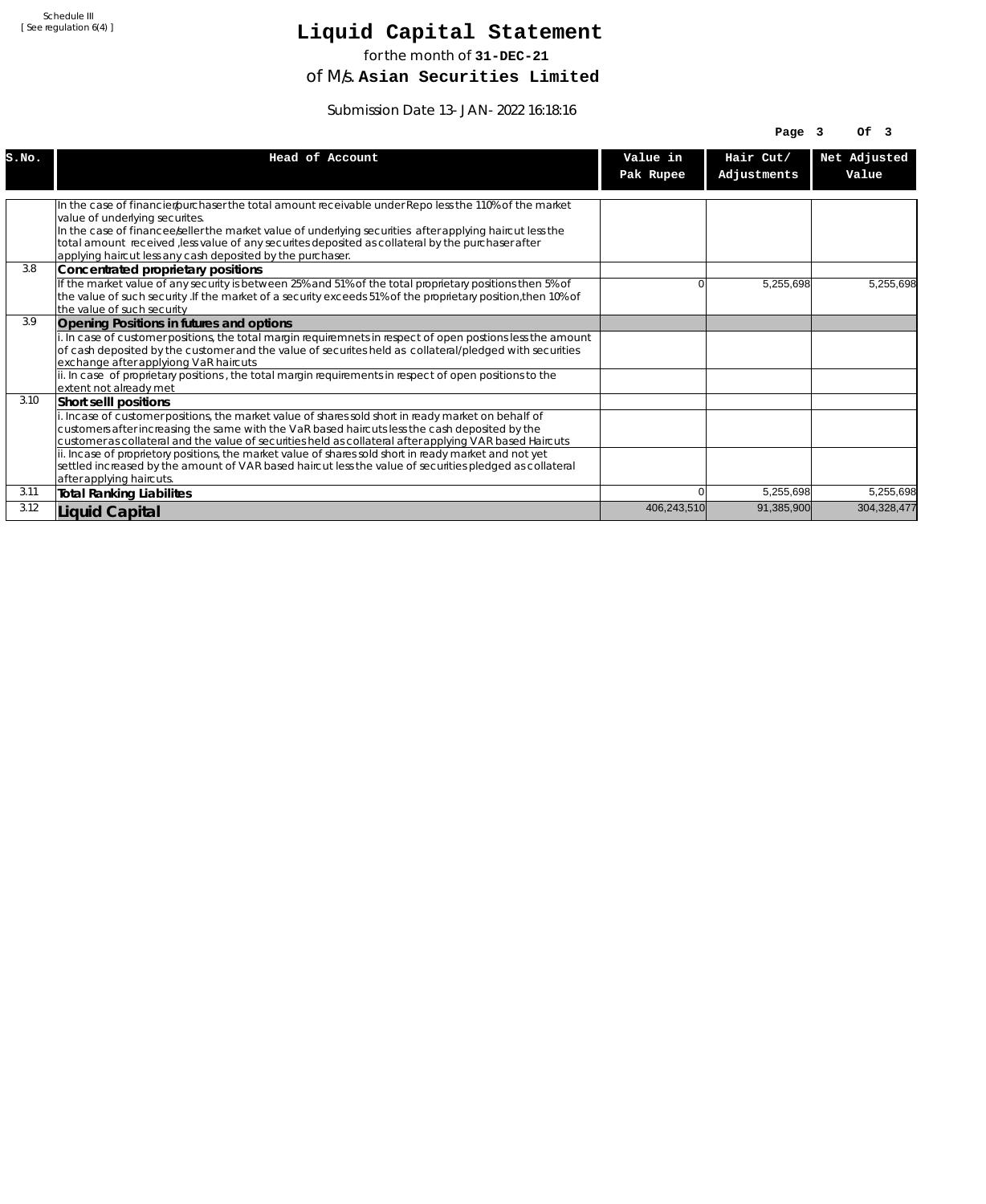# **Liquid Capital Statement**

for the month of **31-DEC-21**

of M/s. **Asian Securities Limited**

Submission Date 13-JAN-2022 16:18:16

|       |                                                                                                                                                                                                                                                                                                                                                                                                                                                                                                                                                                                            |                       | Page 3                   | Of <sub>3</sub>       |
|-------|--------------------------------------------------------------------------------------------------------------------------------------------------------------------------------------------------------------------------------------------------------------------------------------------------------------------------------------------------------------------------------------------------------------------------------------------------------------------------------------------------------------------------------------------------------------------------------------------|-----------------------|--------------------------|-----------------------|
| S.NO. | Head of Account                                                                                                                                                                                                                                                                                                                                                                                                                                                                                                                                                                            | Value in<br>Pak Rupee | Hair Cut/<br>Adjustments | Net Adjusted<br>Value |
|       | In the case of financier/purchaser the total amount receivable under Repo less the 110% of the market<br>value of underlying securites.<br>In the case of financee seller the market value of underlying securities after applying haircut less the<br>total amount received , less value of any securites deposited as collateral by the purchaser after<br>applying haircut less any cash deposited by the purchaser.                                                                                                                                                                    |                       |                          |                       |
| 3.8   | Concentrated proprietary positions<br>If the market value of any security is between 25% and 51% of the total proprietary positions then 5% of<br>the value of such security . If the market of a security exceeds 51% of the proprietary position, then 10% of<br>the value of such security                                                                                                                                                                                                                                                                                              | 0                     | 5,255,698                | 5.255.698             |
| 3.9   | Opening Positions in futures and options<br>i. In case of customer positions, the total margin requiremnets in respect of open postions less the amount<br>of cash deposited by the customer and the value of securites held as collateral/pledged with securities<br>exchange after applyiong VaR haircuts<br>ii. In case of proprietary positions, the total margin requirements in respect of open positions to the<br>lextent not alreadv met                                                                                                                                          |                       |                          |                       |
| 3.10  | Short selll positions<br>i. Incase of customer positions, the market value of shares sold short in ready market on behalf of<br>customers after increasing the same with the VaR based haircuts less the cash deposited by the<br>customer as collateral and the value of securities held as collateral after applying VAR based Haircuts<br>ii. Incase of proprietory positions, the market value of shares sold short in ready market and not yet<br>settled increased by the amount of VAR based haircut less the value of securities pledged as collateral<br>after applying haircuts. |                       |                          |                       |
| 3.11  | <b>Total Ranking Liabilites</b>                                                                                                                                                                                                                                                                                                                                                                                                                                                                                                                                                            |                       | 5,255,698                | 5,255,698             |
| 3.12  | Liquid Capital                                                                                                                                                                                                                                                                                                                                                                                                                                                                                                                                                                             | 406,243,510           | 91,385,900               | 304,328,477           |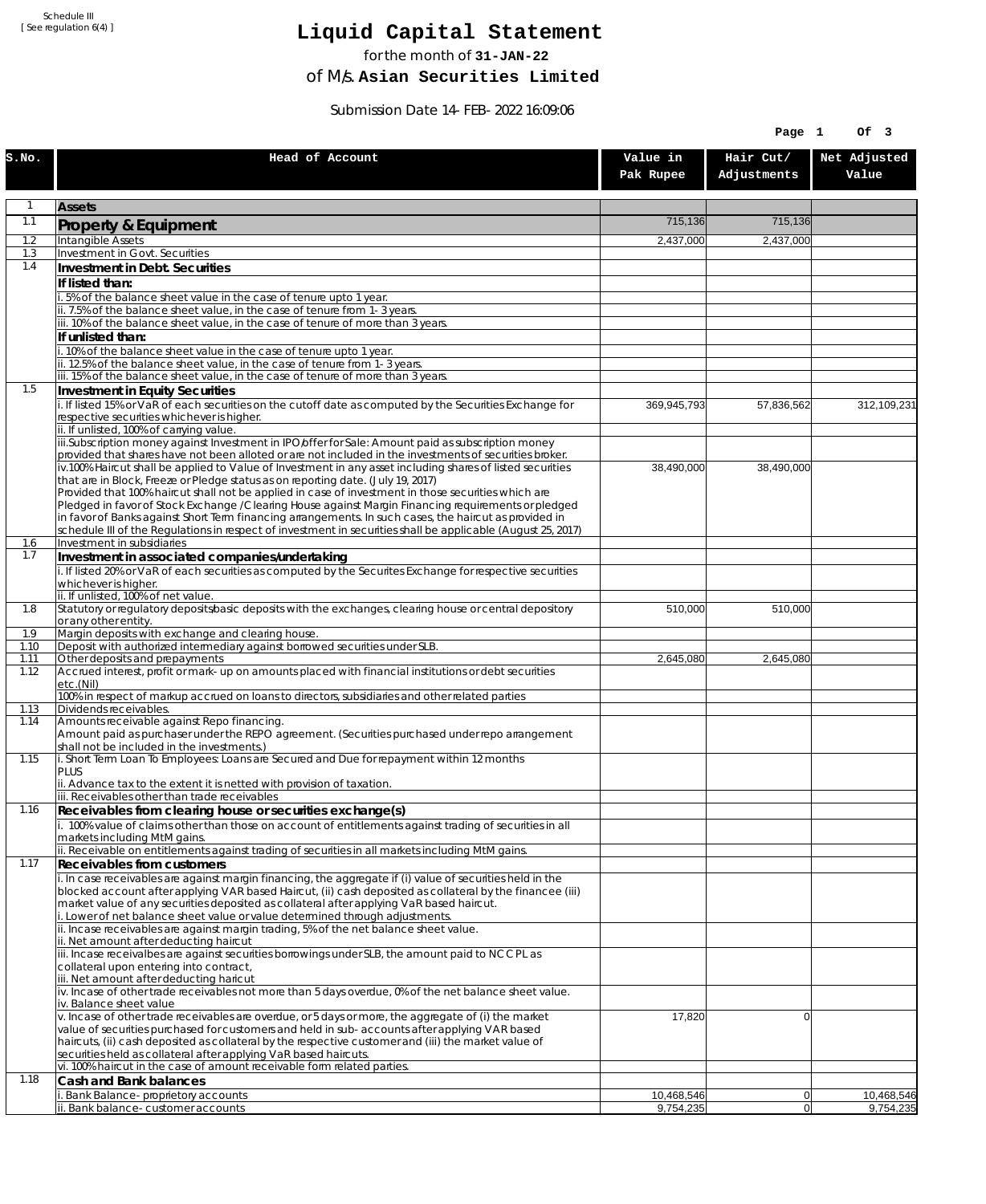## **Liquid Capital Statement**

for the month of **31-JAN-22**

of M/s. **Asian Securities Limited**

Submission Date 14-FEB-2022 16:09:06

| Hair Cut/<br>Net Adjusted<br>Head of Account<br>Value in<br>Adjustments<br>Value<br>Pak Rupee<br>1<br><b>Assets</b><br>1.1<br>715,136<br>715,136<br>Property & Equipment<br>1.2<br>Intangible Assets<br>2,437,000<br>2,437,000<br>1.3<br>Investment in Govt. Securities<br>1.4<br>Investment in Debt. Securities<br>If listed than:<br>i. 5% of the balance sheet value in the case of tenure upto 1 year.<br>ii. 7.5% of the balance sheet value, in the case of tenure from 1-3 years.<br>iii. 10% of the balance sheet value, in the case of tenure of more than 3 years.<br>If unlisted than:<br>i. 10% of the balance sheet value in the case of tenure upto 1 year.<br>ii. 12.5% of the balance sheet value, in the case of tenure from 1-3 years.<br>iii. 15% of the balance sheet value, in the case of tenure of more than 3 years.<br>1.5<br>Investment in Equity Securities<br>i. If listed 15% or VaR of each securities on the cutoff date as computed by the Securities Exchange for<br>312, 109, 231<br>369,945,793<br>57,836,562<br>respective securities whichever is higher.<br>ii. If unlisted, 100% of carrying value.<br>iii.Subscription money against Investment in IPO/offer for Sale: Amount paid as subscription money<br>provided that shares have not been alloted or are not included in the investments of securities broker.<br>iv.100% Haircut shall be applied to Value of Investment in any asset including shares of listed securities<br>38,490,000<br>38,490,000<br>that are in Block, Freeze or Pledge status as on reporting date. (July 19, 2017)<br>Provided that 100% haircut shall not be applied in case of investment in those securities which are<br>Pledged in favor of Stock Exchange / Clearing House against Margin Financing requirements or pledged<br>in favor of Banks against Short Term financing arrangements. In such cases, the haircut as provided in<br>schedule III of the Regulations in respect of investment in securities shall be applicable (August 25, 2017)<br>Investment in subsidiaries<br>1.6<br>1.7<br>Investment in associated companies/undertaking<br>i. If listed 20% or VaR of each securities as computed by the Securites Exchange for respective securities<br>whichever is higher.<br>ii. If unlisted, 100% of net value.<br>Statutory or regulatory deposits/basic deposits with the exchanges, clearing house or central depository<br>1.8<br>510,000<br>510,000<br>or any other entity.<br>Margin deposits with exchange and clearing house.<br>1.9<br>Deposit with authorized intermediary against borrowed securities under SLB.<br>1.10<br>Other deposits and prepayments<br>1.11<br>2,645,080<br>2,645,080<br>Accrued interest, profit or mark-up on amounts placed with financial institutions or debt securities<br>1.12<br>etc.(Nil)<br>100% in respect of markup accrued on loans to directors, subsidiaries and other related parties<br>Dividends receivables.<br>1.13<br>Amounts receivable against Repo financing.<br>1.14<br>Amount paid as purchaser under the REPO agreement. (Securities purchased under repo arrangement<br>shall not be included in the investments.)<br>i. Short Term Loan To Employees: Loans are Secured and Due for repayment within 12 months<br>1.15<br><b>PLUS</b><br>ii. Advance tax to the extent it is netted with provision of taxation.<br>iii. Receivables other than trade receivables<br>1.16<br>Receivables from clearing house or securities exchange(s)<br>i. 100% value of claims other than those on account of entitlements against trading of securities in all<br>markets including MtM gains.<br>ii. Receivable on entitlements against trading of securities in all markets including MtM gains.<br>1.17<br><b>Receivables from customers</b><br>i. In case receivables are against margin financing, the aggregate if (i) value of securities held in the<br>blocked account after applying VAR based Haircut, (ii) cash deposited as collateral by the financee (iii)<br>market value of any securities deposited as collateral after applying VaR based haircut.<br>i. Lower of net balance sheet value or value determined through adjustments.<br>ii. Incase receivables are against margin trading, 5% of the net balance sheet value.<br>ii. Net amount after deducting haircut<br>iii. Incase receivalbes are against securities borrowings under SLB, the amount paid to NCCPL as<br>collateral upon entering into contract,<br>iii. Net amount after deducting haricut<br>$\dot{v}$ . Incase of other trade receivables not more than 5 days overdue, 0% of the net balance sheet value.<br>iv. Balance sheet value<br>v. Incase of other trade receivables are overdue, or 5 days or more, the aggregate of (i) the market<br>17,820<br>$\overline{0}$<br>value of securities purchased for customers and held in sub-accounts after applying VAR based<br>haircuts, (ii) cash deposited as collateral by the respective customer and (iii) the market value of<br>securities held as collateral after applying VaR based haircuts.<br>vi. 100% haircut in the case of amount receivable form related parties.<br>1.18<br>Cash and Bank balances<br>10,468,546<br>Bank Balance-proprietory accounts<br>10,468,546<br> 0 <br>ii. Bank balance-customer accounts<br>9,754,235<br> 0 <br>9,754,235 |       |  | Page 1 | Of 3 |
|--------------------------------------------------------------------------------------------------------------------------------------------------------------------------------------------------------------------------------------------------------------------------------------------------------------------------------------------------------------------------------------------------------------------------------------------------------------------------------------------------------------------------------------------------------------------------------------------------------------------------------------------------------------------------------------------------------------------------------------------------------------------------------------------------------------------------------------------------------------------------------------------------------------------------------------------------------------------------------------------------------------------------------------------------------------------------------------------------------------------------------------------------------------------------------------------------------------------------------------------------------------------------------------------------------------------------------------------------------------------------------------------------------------------------------------------------------------------------------------------------------------------------------------------------------------------------------------------------------------------------------------------------------------------------------------------------------------------------------------------------------------------------------------------------------------------------------------------------------------------------------------------------------------------------------------------------------------------------------------------------------------------------------------------------------------------------------------------------------------------------------------------------------------------------------------------------------------------------------------------------------------------------------------------------------------------------------------------------------------------------------------------------------------------------------------------------------------------------------------------------------------------------------------------------------------------------------------------------------------------------------------------------------------------------------------------------------------------------------------------------------------------------------------------------------------------------------------------------------------------------------------------------------------------------------------------------------------------------------------------------------------------------------------------------------------------------------------------------------------------------------------------------------------------------------------------------------------------------------------------------------------------------------------------------------------------------------------------------------------------------------------------------------------------------------------------------------------------------------------------------------------------------------------------------------------------------------------------------------------------------------------------------------------------------------------------------------------------------------------------------------------------------------------------------------------------------------------------------------------------------------------------------------------------------------------------------------------------------------------------------------------------------------------------------------------------------------------------------------------------------------------------------------------------------------------------------------------------------------------------------------------------------------------------------------------------------------------------------------------------------------------------------------------------------------------------------------------------------------------------------------------------------------------------------------------------------------------------------------------------------------------------------------------------------------------------------------------------------------------------------------------------------------------------------------------------------------------------------------------------------------------------------------------------------------------------------------------------------------------------------------------------------------------------------------------------------------------------------------------------------------------------------------------------------------------------------------------------------------------------------------------------------------------------------------------------------------------------------------------|-------|--|--------|------|
|                                                                                                                                                                                                                                                                                                                                                                                                                                                                                                                                                                                                                                                                                                                                                                                                                                                                                                                                                                                                                                                                                                                                                                                                                                                                                                                                                                                                                                                                                                                                                                                                                                                                                                                                                                                                                                                                                                                                                                                                                                                                                                                                                                                                                                                                                                                                                                                                                                                                                                                                                                                                                                                                                                                                                                                                                                                                                                                                                                                                                                                                                                                                                                                                                                                                                                                                                                                                                                                                                                                                                                                                                                                                                                                                                                                                                                                                                                                                                                                                                                                                                                                                                                                                                                                                                                                                                                                                                                                                                                                                                                                                                                                                                                                                                                                                                                                                                                                                                                                                                                                                                                                                                                                                                                                                                                                                                              | S.NO. |  |        |      |
|                                                                                                                                                                                                                                                                                                                                                                                                                                                                                                                                                                                                                                                                                                                                                                                                                                                                                                                                                                                                                                                                                                                                                                                                                                                                                                                                                                                                                                                                                                                                                                                                                                                                                                                                                                                                                                                                                                                                                                                                                                                                                                                                                                                                                                                                                                                                                                                                                                                                                                                                                                                                                                                                                                                                                                                                                                                                                                                                                                                                                                                                                                                                                                                                                                                                                                                                                                                                                                                                                                                                                                                                                                                                                                                                                                                                                                                                                                                                                                                                                                                                                                                                                                                                                                                                                                                                                                                                                                                                                                                                                                                                                                                                                                                                                                                                                                                                                                                                                                                                                                                                                                                                                                                                                                                                                                                                                              |       |  |        |      |
|                                                                                                                                                                                                                                                                                                                                                                                                                                                                                                                                                                                                                                                                                                                                                                                                                                                                                                                                                                                                                                                                                                                                                                                                                                                                                                                                                                                                                                                                                                                                                                                                                                                                                                                                                                                                                                                                                                                                                                                                                                                                                                                                                                                                                                                                                                                                                                                                                                                                                                                                                                                                                                                                                                                                                                                                                                                                                                                                                                                                                                                                                                                                                                                                                                                                                                                                                                                                                                                                                                                                                                                                                                                                                                                                                                                                                                                                                                                                                                                                                                                                                                                                                                                                                                                                                                                                                                                                                                                                                                                                                                                                                                                                                                                                                                                                                                                                                                                                                                                                                                                                                                                                                                                                                                                                                                                                                              |       |  |        |      |
|                                                                                                                                                                                                                                                                                                                                                                                                                                                                                                                                                                                                                                                                                                                                                                                                                                                                                                                                                                                                                                                                                                                                                                                                                                                                                                                                                                                                                                                                                                                                                                                                                                                                                                                                                                                                                                                                                                                                                                                                                                                                                                                                                                                                                                                                                                                                                                                                                                                                                                                                                                                                                                                                                                                                                                                                                                                                                                                                                                                                                                                                                                                                                                                                                                                                                                                                                                                                                                                                                                                                                                                                                                                                                                                                                                                                                                                                                                                                                                                                                                                                                                                                                                                                                                                                                                                                                                                                                                                                                                                                                                                                                                                                                                                                                                                                                                                                                                                                                                                                                                                                                                                                                                                                                                                                                                                                                              |       |  |        |      |
|                                                                                                                                                                                                                                                                                                                                                                                                                                                                                                                                                                                                                                                                                                                                                                                                                                                                                                                                                                                                                                                                                                                                                                                                                                                                                                                                                                                                                                                                                                                                                                                                                                                                                                                                                                                                                                                                                                                                                                                                                                                                                                                                                                                                                                                                                                                                                                                                                                                                                                                                                                                                                                                                                                                                                                                                                                                                                                                                                                                                                                                                                                                                                                                                                                                                                                                                                                                                                                                                                                                                                                                                                                                                                                                                                                                                                                                                                                                                                                                                                                                                                                                                                                                                                                                                                                                                                                                                                                                                                                                                                                                                                                                                                                                                                                                                                                                                                                                                                                                                                                                                                                                                                                                                                                                                                                                                                              |       |  |        |      |
|                                                                                                                                                                                                                                                                                                                                                                                                                                                                                                                                                                                                                                                                                                                                                                                                                                                                                                                                                                                                                                                                                                                                                                                                                                                                                                                                                                                                                                                                                                                                                                                                                                                                                                                                                                                                                                                                                                                                                                                                                                                                                                                                                                                                                                                                                                                                                                                                                                                                                                                                                                                                                                                                                                                                                                                                                                                                                                                                                                                                                                                                                                                                                                                                                                                                                                                                                                                                                                                                                                                                                                                                                                                                                                                                                                                                                                                                                                                                                                                                                                                                                                                                                                                                                                                                                                                                                                                                                                                                                                                                                                                                                                                                                                                                                                                                                                                                                                                                                                                                                                                                                                                                                                                                                                                                                                                                                              |       |  |        |      |
|                                                                                                                                                                                                                                                                                                                                                                                                                                                                                                                                                                                                                                                                                                                                                                                                                                                                                                                                                                                                                                                                                                                                                                                                                                                                                                                                                                                                                                                                                                                                                                                                                                                                                                                                                                                                                                                                                                                                                                                                                                                                                                                                                                                                                                                                                                                                                                                                                                                                                                                                                                                                                                                                                                                                                                                                                                                                                                                                                                                                                                                                                                                                                                                                                                                                                                                                                                                                                                                                                                                                                                                                                                                                                                                                                                                                                                                                                                                                                                                                                                                                                                                                                                                                                                                                                                                                                                                                                                                                                                                                                                                                                                                                                                                                                                                                                                                                                                                                                                                                                                                                                                                                                                                                                                                                                                                                                              |       |  |        |      |
|                                                                                                                                                                                                                                                                                                                                                                                                                                                                                                                                                                                                                                                                                                                                                                                                                                                                                                                                                                                                                                                                                                                                                                                                                                                                                                                                                                                                                                                                                                                                                                                                                                                                                                                                                                                                                                                                                                                                                                                                                                                                                                                                                                                                                                                                                                                                                                                                                                                                                                                                                                                                                                                                                                                                                                                                                                                                                                                                                                                                                                                                                                                                                                                                                                                                                                                                                                                                                                                                                                                                                                                                                                                                                                                                                                                                                                                                                                                                                                                                                                                                                                                                                                                                                                                                                                                                                                                                                                                                                                                                                                                                                                                                                                                                                                                                                                                                                                                                                                                                                                                                                                                                                                                                                                                                                                                                                              |       |  |        |      |
|                                                                                                                                                                                                                                                                                                                                                                                                                                                                                                                                                                                                                                                                                                                                                                                                                                                                                                                                                                                                                                                                                                                                                                                                                                                                                                                                                                                                                                                                                                                                                                                                                                                                                                                                                                                                                                                                                                                                                                                                                                                                                                                                                                                                                                                                                                                                                                                                                                                                                                                                                                                                                                                                                                                                                                                                                                                                                                                                                                                                                                                                                                                                                                                                                                                                                                                                                                                                                                                                                                                                                                                                                                                                                                                                                                                                                                                                                                                                                                                                                                                                                                                                                                                                                                                                                                                                                                                                                                                                                                                                                                                                                                                                                                                                                                                                                                                                                                                                                                                                                                                                                                                                                                                                                                                                                                                                                              |       |  |        |      |
|                                                                                                                                                                                                                                                                                                                                                                                                                                                                                                                                                                                                                                                                                                                                                                                                                                                                                                                                                                                                                                                                                                                                                                                                                                                                                                                                                                                                                                                                                                                                                                                                                                                                                                                                                                                                                                                                                                                                                                                                                                                                                                                                                                                                                                                                                                                                                                                                                                                                                                                                                                                                                                                                                                                                                                                                                                                                                                                                                                                                                                                                                                                                                                                                                                                                                                                                                                                                                                                                                                                                                                                                                                                                                                                                                                                                                                                                                                                                                                                                                                                                                                                                                                                                                                                                                                                                                                                                                                                                                                                                                                                                                                                                                                                                                                                                                                                                                                                                                                                                                                                                                                                                                                                                                                                                                                                                                              |       |  |        |      |
|                                                                                                                                                                                                                                                                                                                                                                                                                                                                                                                                                                                                                                                                                                                                                                                                                                                                                                                                                                                                                                                                                                                                                                                                                                                                                                                                                                                                                                                                                                                                                                                                                                                                                                                                                                                                                                                                                                                                                                                                                                                                                                                                                                                                                                                                                                                                                                                                                                                                                                                                                                                                                                                                                                                                                                                                                                                                                                                                                                                                                                                                                                                                                                                                                                                                                                                                                                                                                                                                                                                                                                                                                                                                                                                                                                                                                                                                                                                                                                                                                                                                                                                                                                                                                                                                                                                                                                                                                                                                                                                                                                                                                                                                                                                                                                                                                                                                                                                                                                                                                                                                                                                                                                                                                                                                                                                                                              |       |  |        |      |
|                                                                                                                                                                                                                                                                                                                                                                                                                                                                                                                                                                                                                                                                                                                                                                                                                                                                                                                                                                                                                                                                                                                                                                                                                                                                                                                                                                                                                                                                                                                                                                                                                                                                                                                                                                                                                                                                                                                                                                                                                                                                                                                                                                                                                                                                                                                                                                                                                                                                                                                                                                                                                                                                                                                                                                                                                                                                                                                                                                                                                                                                                                                                                                                                                                                                                                                                                                                                                                                                                                                                                                                                                                                                                                                                                                                                                                                                                                                                                                                                                                                                                                                                                                                                                                                                                                                                                                                                                                                                                                                                                                                                                                                                                                                                                                                                                                                                                                                                                                                                                                                                                                                                                                                                                                                                                                                                                              |       |  |        |      |
|                                                                                                                                                                                                                                                                                                                                                                                                                                                                                                                                                                                                                                                                                                                                                                                                                                                                                                                                                                                                                                                                                                                                                                                                                                                                                                                                                                                                                                                                                                                                                                                                                                                                                                                                                                                                                                                                                                                                                                                                                                                                                                                                                                                                                                                                                                                                                                                                                                                                                                                                                                                                                                                                                                                                                                                                                                                                                                                                                                                                                                                                                                                                                                                                                                                                                                                                                                                                                                                                                                                                                                                                                                                                                                                                                                                                                                                                                                                                                                                                                                                                                                                                                                                                                                                                                                                                                                                                                                                                                                                                                                                                                                                                                                                                                                                                                                                                                                                                                                                                                                                                                                                                                                                                                                                                                                                                                              |       |  |        |      |
|                                                                                                                                                                                                                                                                                                                                                                                                                                                                                                                                                                                                                                                                                                                                                                                                                                                                                                                                                                                                                                                                                                                                                                                                                                                                                                                                                                                                                                                                                                                                                                                                                                                                                                                                                                                                                                                                                                                                                                                                                                                                                                                                                                                                                                                                                                                                                                                                                                                                                                                                                                                                                                                                                                                                                                                                                                                                                                                                                                                                                                                                                                                                                                                                                                                                                                                                                                                                                                                                                                                                                                                                                                                                                                                                                                                                                                                                                                                                                                                                                                                                                                                                                                                                                                                                                                                                                                                                                                                                                                                                                                                                                                                                                                                                                                                                                                                                                                                                                                                                                                                                                                                                                                                                                                                                                                                                                              |       |  |        |      |
|                                                                                                                                                                                                                                                                                                                                                                                                                                                                                                                                                                                                                                                                                                                                                                                                                                                                                                                                                                                                                                                                                                                                                                                                                                                                                                                                                                                                                                                                                                                                                                                                                                                                                                                                                                                                                                                                                                                                                                                                                                                                                                                                                                                                                                                                                                                                                                                                                                                                                                                                                                                                                                                                                                                                                                                                                                                                                                                                                                                                                                                                                                                                                                                                                                                                                                                                                                                                                                                                                                                                                                                                                                                                                                                                                                                                                                                                                                                                                                                                                                                                                                                                                                                                                                                                                                                                                                                                                                                                                                                                                                                                                                                                                                                                                                                                                                                                                                                                                                                                                                                                                                                                                                                                                                                                                                                                                              |       |  |        |      |
|                                                                                                                                                                                                                                                                                                                                                                                                                                                                                                                                                                                                                                                                                                                                                                                                                                                                                                                                                                                                                                                                                                                                                                                                                                                                                                                                                                                                                                                                                                                                                                                                                                                                                                                                                                                                                                                                                                                                                                                                                                                                                                                                                                                                                                                                                                                                                                                                                                                                                                                                                                                                                                                                                                                                                                                                                                                                                                                                                                                                                                                                                                                                                                                                                                                                                                                                                                                                                                                                                                                                                                                                                                                                                                                                                                                                                                                                                                                                                                                                                                                                                                                                                                                                                                                                                                                                                                                                                                                                                                                                                                                                                                                                                                                                                                                                                                                                                                                                                                                                                                                                                                                                                                                                                                                                                                                                                              |       |  |        |      |
|                                                                                                                                                                                                                                                                                                                                                                                                                                                                                                                                                                                                                                                                                                                                                                                                                                                                                                                                                                                                                                                                                                                                                                                                                                                                                                                                                                                                                                                                                                                                                                                                                                                                                                                                                                                                                                                                                                                                                                                                                                                                                                                                                                                                                                                                                                                                                                                                                                                                                                                                                                                                                                                                                                                                                                                                                                                                                                                                                                                                                                                                                                                                                                                                                                                                                                                                                                                                                                                                                                                                                                                                                                                                                                                                                                                                                                                                                                                                                                                                                                                                                                                                                                                                                                                                                                                                                                                                                                                                                                                                                                                                                                                                                                                                                                                                                                                                                                                                                                                                                                                                                                                                                                                                                                                                                                                                                              |       |  |        |      |
|                                                                                                                                                                                                                                                                                                                                                                                                                                                                                                                                                                                                                                                                                                                                                                                                                                                                                                                                                                                                                                                                                                                                                                                                                                                                                                                                                                                                                                                                                                                                                                                                                                                                                                                                                                                                                                                                                                                                                                                                                                                                                                                                                                                                                                                                                                                                                                                                                                                                                                                                                                                                                                                                                                                                                                                                                                                                                                                                                                                                                                                                                                                                                                                                                                                                                                                                                                                                                                                                                                                                                                                                                                                                                                                                                                                                                                                                                                                                                                                                                                                                                                                                                                                                                                                                                                                                                                                                                                                                                                                                                                                                                                                                                                                                                                                                                                                                                                                                                                                                                                                                                                                                                                                                                                                                                                                                                              |       |  |        |      |
|                                                                                                                                                                                                                                                                                                                                                                                                                                                                                                                                                                                                                                                                                                                                                                                                                                                                                                                                                                                                                                                                                                                                                                                                                                                                                                                                                                                                                                                                                                                                                                                                                                                                                                                                                                                                                                                                                                                                                                                                                                                                                                                                                                                                                                                                                                                                                                                                                                                                                                                                                                                                                                                                                                                                                                                                                                                                                                                                                                                                                                                                                                                                                                                                                                                                                                                                                                                                                                                                                                                                                                                                                                                                                                                                                                                                                                                                                                                                                                                                                                                                                                                                                                                                                                                                                                                                                                                                                                                                                                                                                                                                                                                                                                                                                                                                                                                                                                                                                                                                                                                                                                                                                                                                                                                                                                                                                              |       |  |        |      |
|                                                                                                                                                                                                                                                                                                                                                                                                                                                                                                                                                                                                                                                                                                                                                                                                                                                                                                                                                                                                                                                                                                                                                                                                                                                                                                                                                                                                                                                                                                                                                                                                                                                                                                                                                                                                                                                                                                                                                                                                                                                                                                                                                                                                                                                                                                                                                                                                                                                                                                                                                                                                                                                                                                                                                                                                                                                                                                                                                                                                                                                                                                                                                                                                                                                                                                                                                                                                                                                                                                                                                                                                                                                                                                                                                                                                                                                                                                                                                                                                                                                                                                                                                                                                                                                                                                                                                                                                                                                                                                                                                                                                                                                                                                                                                                                                                                                                                                                                                                                                                                                                                                                                                                                                                                                                                                                                                              |       |  |        |      |
|                                                                                                                                                                                                                                                                                                                                                                                                                                                                                                                                                                                                                                                                                                                                                                                                                                                                                                                                                                                                                                                                                                                                                                                                                                                                                                                                                                                                                                                                                                                                                                                                                                                                                                                                                                                                                                                                                                                                                                                                                                                                                                                                                                                                                                                                                                                                                                                                                                                                                                                                                                                                                                                                                                                                                                                                                                                                                                                                                                                                                                                                                                                                                                                                                                                                                                                                                                                                                                                                                                                                                                                                                                                                                                                                                                                                                                                                                                                                                                                                                                                                                                                                                                                                                                                                                                                                                                                                                                                                                                                                                                                                                                                                                                                                                                                                                                                                                                                                                                                                                                                                                                                                                                                                                                                                                                                                                              |       |  |        |      |
|                                                                                                                                                                                                                                                                                                                                                                                                                                                                                                                                                                                                                                                                                                                                                                                                                                                                                                                                                                                                                                                                                                                                                                                                                                                                                                                                                                                                                                                                                                                                                                                                                                                                                                                                                                                                                                                                                                                                                                                                                                                                                                                                                                                                                                                                                                                                                                                                                                                                                                                                                                                                                                                                                                                                                                                                                                                                                                                                                                                                                                                                                                                                                                                                                                                                                                                                                                                                                                                                                                                                                                                                                                                                                                                                                                                                                                                                                                                                                                                                                                                                                                                                                                                                                                                                                                                                                                                                                                                                                                                                                                                                                                                                                                                                                                                                                                                                                                                                                                                                                                                                                                                                                                                                                                                                                                                                                              |       |  |        |      |
|                                                                                                                                                                                                                                                                                                                                                                                                                                                                                                                                                                                                                                                                                                                                                                                                                                                                                                                                                                                                                                                                                                                                                                                                                                                                                                                                                                                                                                                                                                                                                                                                                                                                                                                                                                                                                                                                                                                                                                                                                                                                                                                                                                                                                                                                                                                                                                                                                                                                                                                                                                                                                                                                                                                                                                                                                                                                                                                                                                                                                                                                                                                                                                                                                                                                                                                                                                                                                                                                                                                                                                                                                                                                                                                                                                                                                                                                                                                                                                                                                                                                                                                                                                                                                                                                                                                                                                                                                                                                                                                                                                                                                                                                                                                                                                                                                                                                                                                                                                                                                                                                                                                                                                                                                                                                                                                                                              |       |  |        |      |
|                                                                                                                                                                                                                                                                                                                                                                                                                                                                                                                                                                                                                                                                                                                                                                                                                                                                                                                                                                                                                                                                                                                                                                                                                                                                                                                                                                                                                                                                                                                                                                                                                                                                                                                                                                                                                                                                                                                                                                                                                                                                                                                                                                                                                                                                                                                                                                                                                                                                                                                                                                                                                                                                                                                                                                                                                                                                                                                                                                                                                                                                                                                                                                                                                                                                                                                                                                                                                                                                                                                                                                                                                                                                                                                                                                                                                                                                                                                                                                                                                                                                                                                                                                                                                                                                                                                                                                                                                                                                                                                                                                                                                                                                                                                                                                                                                                                                                                                                                                                                                                                                                                                                                                                                                                                                                                                                                              |       |  |        |      |
|                                                                                                                                                                                                                                                                                                                                                                                                                                                                                                                                                                                                                                                                                                                                                                                                                                                                                                                                                                                                                                                                                                                                                                                                                                                                                                                                                                                                                                                                                                                                                                                                                                                                                                                                                                                                                                                                                                                                                                                                                                                                                                                                                                                                                                                                                                                                                                                                                                                                                                                                                                                                                                                                                                                                                                                                                                                                                                                                                                                                                                                                                                                                                                                                                                                                                                                                                                                                                                                                                                                                                                                                                                                                                                                                                                                                                                                                                                                                                                                                                                                                                                                                                                                                                                                                                                                                                                                                                                                                                                                                                                                                                                                                                                                                                                                                                                                                                                                                                                                                                                                                                                                                                                                                                                                                                                                                                              |       |  |        |      |
|                                                                                                                                                                                                                                                                                                                                                                                                                                                                                                                                                                                                                                                                                                                                                                                                                                                                                                                                                                                                                                                                                                                                                                                                                                                                                                                                                                                                                                                                                                                                                                                                                                                                                                                                                                                                                                                                                                                                                                                                                                                                                                                                                                                                                                                                                                                                                                                                                                                                                                                                                                                                                                                                                                                                                                                                                                                                                                                                                                                                                                                                                                                                                                                                                                                                                                                                                                                                                                                                                                                                                                                                                                                                                                                                                                                                                                                                                                                                                                                                                                                                                                                                                                                                                                                                                                                                                                                                                                                                                                                                                                                                                                                                                                                                                                                                                                                                                                                                                                                                                                                                                                                                                                                                                                                                                                                                                              |       |  |        |      |
|                                                                                                                                                                                                                                                                                                                                                                                                                                                                                                                                                                                                                                                                                                                                                                                                                                                                                                                                                                                                                                                                                                                                                                                                                                                                                                                                                                                                                                                                                                                                                                                                                                                                                                                                                                                                                                                                                                                                                                                                                                                                                                                                                                                                                                                                                                                                                                                                                                                                                                                                                                                                                                                                                                                                                                                                                                                                                                                                                                                                                                                                                                                                                                                                                                                                                                                                                                                                                                                                                                                                                                                                                                                                                                                                                                                                                                                                                                                                                                                                                                                                                                                                                                                                                                                                                                                                                                                                                                                                                                                                                                                                                                                                                                                                                                                                                                                                                                                                                                                                                                                                                                                                                                                                                                                                                                                                                              |       |  |        |      |
|                                                                                                                                                                                                                                                                                                                                                                                                                                                                                                                                                                                                                                                                                                                                                                                                                                                                                                                                                                                                                                                                                                                                                                                                                                                                                                                                                                                                                                                                                                                                                                                                                                                                                                                                                                                                                                                                                                                                                                                                                                                                                                                                                                                                                                                                                                                                                                                                                                                                                                                                                                                                                                                                                                                                                                                                                                                                                                                                                                                                                                                                                                                                                                                                                                                                                                                                                                                                                                                                                                                                                                                                                                                                                                                                                                                                                                                                                                                                                                                                                                                                                                                                                                                                                                                                                                                                                                                                                                                                                                                                                                                                                                                                                                                                                                                                                                                                                                                                                                                                                                                                                                                                                                                                                                                                                                                                                              |       |  |        |      |
|                                                                                                                                                                                                                                                                                                                                                                                                                                                                                                                                                                                                                                                                                                                                                                                                                                                                                                                                                                                                                                                                                                                                                                                                                                                                                                                                                                                                                                                                                                                                                                                                                                                                                                                                                                                                                                                                                                                                                                                                                                                                                                                                                                                                                                                                                                                                                                                                                                                                                                                                                                                                                                                                                                                                                                                                                                                                                                                                                                                                                                                                                                                                                                                                                                                                                                                                                                                                                                                                                                                                                                                                                                                                                                                                                                                                                                                                                                                                                                                                                                                                                                                                                                                                                                                                                                                                                                                                                                                                                                                                                                                                                                                                                                                                                                                                                                                                                                                                                                                                                                                                                                                                                                                                                                                                                                                                                              |       |  |        |      |
|                                                                                                                                                                                                                                                                                                                                                                                                                                                                                                                                                                                                                                                                                                                                                                                                                                                                                                                                                                                                                                                                                                                                                                                                                                                                                                                                                                                                                                                                                                                                                                                                                                                                                                                                                                                                                                                                                                                                                                                                                                                                                                                                                                                                                                                                                                                                                                                                                                                                                                                                                                                                                                                                                                                                                                                                                                                                                                                                                                                                                                                                                                                                                                                                                                                                                                                                                                                                                                                                                                                                                                                                                                                                                                                                                                                                                                                                                                                                                                                                                                                                                                                                                                                                                                                                                                                                                                                                                                                                                                                                                                                                                                                                                                                                                                                                                                                                                                                                                                                                                                                                                                                                                                                                                                                                                                                                                              |       |  |        |      |
|                                                                                                                                                                                                                                                                                                                                                                                                                                                                                                                                                                                                                                                                                                                                                                                                                                                                                                                                                                                                                                                                                                                                                                                                                                                                                                                                                                                                                                                                                                                                                                                                                                                                                                                                                                                                                                                                                                                                                                                                                                                                                                                                                                                                                                                                                                                                                                                                                                                                                                                                                                                                                                                                                                                                                                                                                                                                                                                                                                                                                                                                                                                                                                                                                                                                                                                                                                                                                                                                                                                                                                                                                                                                                                                                                                                                                                                                                                                                                                                                                                                                                                                                                                                                                                                                                                                                                                                                                                                                                                                                                                                                                                                                                                                                                                                                                                                                                                                                                                                                                                                                                                                                                                                                                                                                                                                                                              |       |  |        |      |
|                                                                                                                                                                                                                                                                                                                                                                                                                                                                                                                                                                                                                                                                                                                                                                                                                                                                                                                                                                                                                                                                                                                                                                                                                                                                                                                                                                                                                                                                                                                                                                                                                                                                                                                                                                                                                                                                                                                                                                                                                                                                                                                                                                                                                                                                                                                                                                                                                                                                                                                                                                                                                                                                                                                                                                                                                                                                                                                                                                                                                                                                                                                                                                                                                                                                                                                                                                                                                                                                                                                                                                                                                                                                                                                                                                                                                                                                                                                                                                                                                                                                                                                                                                                                                                                                                                                                                                                                                                                                                                                                                                                                                                                                                                                                                                                                                                                                                                                                                                                                                                                                                                                                                                                                                                                                                                                                                              |       |  |        |      |
|                                                                                                                                                                                                                                                                                                                                                                                                                                                                                                                                                                                                                                                                                                                                                                                                                                                                                                                                                                                                                                                                                                                                                                                                                                                                                                                                                                                                                                                                                                                                                                                                                                                                                                                                                                                                                                                                                                                                                                                                                                                                                                                                                                                                                                                                                                                                                                                                                                                                                                                                                                                                                                                                                                                                                                                                                                                                                                                                                                                                                                                                                                                                                                                                                                                                                                                                                                                                                                                                                                                                                                                                                                                                                                                                                                                                                                                                                                                                                                                                                                                                                                                                                                                                                                                                                                                                                                                                                                                                                                                                                                                                                                                                                                                                                                                                                                                                                                                                                                                                                                                                                                                                                                                                                                                                                                                                                              |       |  |        |      |
|                                                                                                                                                                                                                                                                                                                                                                                                                                                                                                                                                                                                                                                                                                                                                                                                                                                                                                                                                                                                                                                                                                                                                                                                                                                                                                                                                                                                                                                                                                                                                                                                                                                                                                                                                                                                                                                                                                                                                                                                                                                                                                                                                                                                                                                                                                                                                                                                                                                                                                                                                                                                                                                                                                                                                                                                                                                                                                                                                                                                                                                                                                                                                                                                                                                                                                                                                                                                                                                                                                                                                                                                                                                                                                                                                                                                                                                                                                                                                                                                                                                                                                                                                                                                                                                                                                                                                                                                                                                                                                                                                                                                                                                                                                                                                                                                                                                                                                                                                                                                                                                                                                                                                                                                                                                                                                                                                              |       |  |        |      |
|                                                                                                                                                                                                                                                                                                                                                                                                                                                                                                                                                                                                                                                                                                                                                                                                                                                                                                                                                                                                                                                                                                                                                                                                                                                                                                                                                                                                                                                                                                                                                                                                                                                                                                                                                                                                                                                                                                                                                                                                                                                                                                                                                                                                                                                                                                                                                                                                                                                                                                                                                                                                                                                                                                                                                                                                                                                                                                                                                                                                                                                                                                                                                                                                                                                                                                                                                                                                                                                                                                                                                                                                                                                                                                                                                                                                                                                                                                                                                                                                                                                                                                                                                                                                                                                                                                                                                                                                                                                                                                                                                                                                                                                                                                                                                                                                                                                                                                                                                                                                                                                                                                                                                                                                                                                                                                                                                              |       |  |        |      |
|                                                                                                                                                                                                                                                                                                                                                                                                                                                                                                                                                                                                                                                                                                                                                                                                                                                                                                                                                                                                                                                                                                                                                                                                                                                                                                                                                                                                                                                                                                                                                                                                                                                                                                                                                                                                                                                                                                                                                                                                                                                                                                                                                                                                                                                                                                                                                                                                                                                                                                                                                                                                                                                                                                                                                                                                                                                                                                                                                                                                                                                                                                                                                                                                                                                                                                                                                                                                                                                                                                                                                                                                                                                                                                                                                                                                                                                                                                                                                                                                                                                                                                                                                                                                                                                                                                                                                                                                                                                                                                                                                                                                                                                                                                                                                                                                                                                                                                                                                                                                                                                                                                                                                                                                                                                                                                                                                              |       |  |        |      |
|                                                                                                                                                                                                                                                                                                                                                                                                                                                                                                                                                                                                                                                                                                                                                                                                                                                                                                                                                                                                                                                                                                                                                                                                                                                                                                                                                                                                                                                                                                                                                                                                                                                                                                                                                                                                                                                                                                                                                                                                                                                                                                                                                                                                                                                                                                                                                                                                                                                                                                                                                                                                                                                                                                                                                                                                                                                                                                                                                                                                                                                                                                                                                                                                                                                                                                                                                                                                                                                                                                                                                                                                                                                                                                                                                                                                                                                                                                                                                                                                                                                                                                                                                                                                                                                                                                                                                                                                                                                                                                                                                                                                                                                                                                                                                                                                                                                                                                                                                                                                                                                                                                                                                                                                                                                                                                                                                              |       |  |        |      |
|                                                                                                                                                                                                                                                                                                                                                                                                                                                                                                                                                                                                                                                                                                                                                                                                                                                                                                                                                                                                                                                                                                                                                                                                                                                                                                                                                                                                                                                                                                                                                                                                                                                                                                                                                                                                                                                                                                                                                                                                                                                                                                                                                                                                                                                                                                                                                                                                                                                                                                                                                                                                                                                                                                                                                                                                                                                                                                                                                                                                                                                                                                                                                                                                                                                                                                                                                                                                                                                                                                                                                                                                                                                                                                                                                                                                                                                                                                                                                                                                                                                                                                                                                                                                                                                                                                                                                                                                                                                                                                                                                                                                                                                                                                                                                                                                                                                                                                                                                                                                                                                                                                                                                                                                                                                                                                                                                              |       |  |        |      |
|                                                                                                                                                                                                                                                                                                                                                                                                                                                                                                                                                                                                                                                                                                                                                                                                                                                                                                                                                                                                                                                                                                                                                                                                                                                                                                                                                                                                                                                                                                                                                                                                                                                                                                                                                                                                                                                                                                                                                                                                                                                                                                                                                                                                                                                                                                                                                                                                                                                                                                                                                                                                                                                                                                                                                                                                                                                                                                                                                                                                                                                                                                                                                                                                                                                                                                                                                                                                                                                                                                                                                                                                                                                                                                                                                                                                                                                                                                                                                                                                                                                                                                                                                                                                                                                                                                                                                                                                                                                                                                                                                                                                                                                                                                                                                                                                                                                                                                                                                                                                                                                                                                                                                                                                                                                                                                                                                              |       |  |        |      |
|                                                                                                                                                                                                                                                                                                                                                                                                                                                                                                                                                                                                                                                                                                                                                                                                                                                                                                                                                                                                                                                                                                                                                                                                                                                                                                                                                                                                                                                                                                                                                                                                                                                                                                                                                                                                                                                                                                                                                                                                                                                                                                                                                                                                                                                                                                                                                                                                                                                                                                                                                                                                                                                                                                                                                                                                                                                                                                                                                                                                                                                                                                                                                                                                                                                                                                                                                                                                                                                                                                                                                                                                                                                                                                                                                                                                                                                                                                                                                                                                                                                                                                                                                                                                                                                                                                                                                                                                                                                                                                                                                                                                                                                                                                                                                                                                                                                                                                                                                                                                                                                                                                                                                                                                                                                                                                                                                              |       |  |        |      |
|                                                                                                                                                                                                                                                                                                                                                                                                                                                                                                                                                                                                                                                                                                                                                                                                                                                                                                                                                                                                                                                                                                                                                                                                                                                                                                                                                                                                                                                                                                                                                                                                                                                                                                                                                                                                                                                                                                                                                                                                                                                                                                                                                                                                                                                                                                                                                                                                                                                                                                                                                                                                                                                                                                                                                                                                                                                                                                                                                                                                                                                                                                                                                                                                                                                                                                                                                                                                                                                                                                                                                                                                                                                                                                                                                                                                                                                                                                                                                                                                                                                                                                                                                                                                                                                                                                                                                                                                                                                                                                                                                                                                                                                                                                                                                                                                                                                                                                                                                                                                                                                                                                                                                                                                                                                                                                                                                              |       |  |        |      |
|                                                                                                                                                                                                                                                                                                                                                                                                                                                                                                                                                                                                                                                                                                                                                                                                                                                                                                                                                                                                                                                                                                                                                                                                                                                                                                                                                                                                                                                                                                                                                                                                                                                                                                                                                                                                                                                                                                                                                                                                                                                                                                                                                                                                                                                                                                                                                                                                                                                                                                                                                                                                                                                                                                                                                                                                                                                                                                                                                                                                                                                                                                                                                                                                                                                                                                                                                                                                                                                                                                                                                                                                                                                                                                                                                                                                                                                                                                                                                                                                                                                                                                                                                                                                                                                                                                                                                                                                                                                                                                                                                                                                                                                                                                                                                                                                                                                                                                                                                                                                                                                                                                                                                                                                                                                                                                                                                              |       |  |        |      |
|                                                                                                                                                                                                                                                                                                                                                                                                                                                                                                                                                                                                                                                                                                                                                                                                                                                                                                                                                                                                                                                                                                                                                                                                                                                                                                                                                                                                                                                                                                                                                                                                                                                                                                                                                                                                                                                                                                                                                                                                                                                                                                                                                                                                                                                                                                                                                                                                                                                                                                                                                                                                                                                                                                                                                                                                                                                                                                                                                                                                                                                                                                                                                                                                                                                                                                                                                                                                                                                                                                                                                                                                                                                                                                                                                                                                                                                                                                                                                                                                                                                                                                                                                                                                                                                                                                                                                                                                                                                                                                                                                                                                                                                                                                                                                                                                                                                                                                                                                                                                                                                                                                                                                                                                                                                                                                                                                              |       |  |        |      |
|                                                                                                                                                                                                                                                                                                                                                                                                                                                                                                                                                                                                                                                                                                                                                                                                                                                                                                                                                                                                                                                                                                                                                                                                                                                                                                                                                                                                                                                                                                                                                                                                                                                                                                                                                                                                                                                                                                                                                                                                                                                                                                                                                                                                                                                                                                                                                                                                                                                                                                                                                                                                                                                                                                                                                                                                                                                                                                                                                                                                                                                                                                                                                                                                                                                                                                                                                                                                                                                                                                                                                                                                                                                                                                                                                                                                                                                                                                                                                                                                                                                                                                                                                                                                                                                                                                                                                                                                                                                                                                                                                                                                                                                                                                                                                                                                                                                                                                                                                                                                                                                                                                                                                                                                                                                                                                                                                              |       |  |        |      |
|                                                                                                                                                                                                                                                                                                                                                                                                                                                                                                                                                                                                                                                                                                                                                                                                                                                                                                                                                                                                                                                                                                                                                                                                                                                                                                                                                                                                                                                                                                                                                                                                                                                                                                                                                                                                                                                                                                                                                                                                                                                                                                                                                                                                                                                                                                                                                                                                                                                                                                                                                                                                                                                                                                                                                                                                                                                                                                                                                                                                                                                                                                                                                                                                                                                                                                                                                                                                                                                                                                                                                                                                                                                                                                                                                                                                                                                                                                                                                                                                                                                                                                                                                                                                                                                                                                                                                                                                                                                                                                                                                                                                                                                                                                                                                                                                                                                                                                                                                                                                                                                                                                                                                                                                                                                                                                                                                              |       |  |        |      |
|                                                                                                                                                                                                                                                                                                                                                                                                                                                                                                                                                                                                                                                                                                                                                                                                                                                                                                                                                                                                                                                                                                                                                                                                                                                                                                                                                                                                                                                                                                                                                                                                                                                                                                                                                                                                                                                                                                                                                                                                                                                                                                                                                                                                                                                                                                                                                                                                                                                                                                                                                                                                                                                                                                                                                                                                                                                                                                                                                                                                                                                                                                                                                                                                                                                                                                                                                                                                                                                                                                                                                                                                                                                                                                                                                                                                                                                                                                                                                                                                                                                                                                                                                                                                                                                                                                                                                                                                                                                                                                                                                                                                                                                                                                                                                                                                                                                                                                                                                                                                                                                                                                                                                                                                                                                                                                                                                              |       |  |        |      |
|                                                                                                                                                                                                                                                                                                                                                                                                                                                                                                                                                                                                                                                                                                                                                                                                                                                                                                                                                                                                                                                                                                                                                                                                                                                                                                                                                                                                                                                                                                                                                                                                                                                                                                                                                                                                                                                                                                                                                                                                                                                                                                                                                                                                                                                                                                                                                                                                                                                                                                                                                                                                                                                                                                                                                                                                                                                                                                                                                                                                                                                                                                                                                                                                                                                                                                                                                                                                                                                                                                                                                                                                                                                                                                                                                                                                                                                                                                                                                                                                                                                                                                                                                                                                                                                                                                                                                                                                                                                                                                                                                                                                                                                                                                                                                                                                                                                                                                                                                                                                                                                                                                                                                                                                                                                                                                                                                              |       |  |        |      |
|                                                                                                                                                                                                                                                                                                                                                                                                                                                                                                                                                                                                                                                                                                                                                                                                                                                                                                                                                                                                                                                                                                                                                                                                                                                                                                                                                                                                                                                                                                                                                                                                                                                                                                                                                                                                                                                                                                                                                                                                                                                                                                                                                                                                                                                                                                                                                                                                                                                                                                                                                                                                                                                                                                                                                                                                                                                                                                                                                                                                                                                                                                                                                                                                                                                                                                                                                                                                                                                                                                                                                                                                                                                                                                                                                                                                                                                                                                                                                                                                                                                                                                                                                                                                                                                                                                                                                                                                                                                                                                                                                                                                                                                                                                                                                                                                                                                                                                                                                                                                                                                                                                                                                                                                                                                                                                                                                              |       |  |        |      |
|                                                                                                                                                                                                                                                                                                                                                                                                                                                                                                                                                                                                                                                                                                                                                                                                                                                                                                                                                                                                                                                                                                                                                                                                                                                                                                                                                                                                                                                                                                                                                                                                                                                                                                                                                                                                                                                                                                                                                                                                                                                                                                                                                                                                                                                                                                                                                                                                                                                                                                                                                                                                                                                                                                                                                                                                                                                                                                                                                                                                                                                                                                                                                                                                                                                                                                                                                                                                                                                                                                                                                                                                                                                                                                                                                                                                                                                                                                                                                                                                                                                                                                                                                                                                                                                                                                                                                                                                                                                                                                                                                                                                                                                                                                                                                                                                                                                                                                                                                                                                                                                                                                                                                                                                                                                                                                                                                              |       |  |        |      |
|                                                                                                                                                                                                                                                                                                                                                                                                                                                                                                                                                                                                                                                                                                                                                                                                                                                                                                                                                                                                                                                                                                                                                                                                                                                                                                                                                                                                                                                                                                                                                                                                                                                                                                                                                                                                                                                                                                                                                                                                                                                                                                                                                                                                                                                                                                                                                                                                                                                                                                                                                                                                                                                                                                                                                                                                                                                                                                                                                                                                                                                                                                                                                                                                                                                                                                                                                                                                                                                                                                                                                                                                                                                                                                                                                                                                                                                                                                                                                                                                                                                                                                                                                                                                                                                                                                                                                                                                                                                                                                                                                                                                                                                                                                                                                                                                                                                                                                                                                                                                                                                                                                                                                                                                                                                                                                                                                              |       |  |        |      |
|                                                                                                                                                                                                                                                                                                                                                                                                                                                                                                                                                                                                                                                                                                                                                                                                                                                                                                                                                                                                                                                                                                                                                                                                                                                                                                                                                                                                                                                                                                                                                                                                                                                                                                                                                                                                                                                                                                                                                                                                                                                                                                                                                                                                                                                                                                                                                                                                                                                                                                                                                                                                                                                                                                                                                                                                                                                                                                                                                                                                                                                                                                                                                                                                                                                                                                                                                                                                                                                                                                                                                                                                                                                                                                                                                                                                                                                                                                                                                                                                                                                                                                                                                                                                                                                                                                                                                                                                                                                                                                                                                                                                                                                                                                                                                                                                                                                                                                                                                                                                                                                                                                                                                                                                                                                                                                                                                              |       |  |        |      |
|                                                                                                                                                                                                                                                                                                                                                                                                                                                                                                                                                                                                                                                                                                                                                                                                                                                                                                                                                                                                                                                                                                                                                                                                                                                                                                                                                                                                                                                                                                                                                                                                                                                                                                                                                                                                                                                                                                                                                                                                                                                                                                                                                                                                                                                                                                                                                                                                                                                                                                                                                                                                                                                                                                                                                                                                                                                                                                                                                                                                                                                                                                                                                                                                                                                                                                                                                                                                                                                                                                                                                                                                                                                                                                                                                                                                                                                                                                                                                                                                                                                                                                                                                                                                                                                                                                                                                                                                                                                                                                                                                                                                                                                                                                                                                                                                                                                                                                                                                                                                                                                                                                                                                                                                                                                                                                                                                              |       |  |        |      |
|                                                                                                                                                                                                                                                                                                                                                                                                                                                                                                                                                                                                                                                                                                                                                                                                                                                                                                                                                                                                                                                                                                                                                                                                                                                                                                                                                                                                                                                                                                                                                                                                                                                                                                                                                                                                                                                                                                                                                                                                                                                                                                                                                                                                                                                                                                                                                                                                                                                                                                                                                                                                                                                                                                                                                                                                                                                                                                                                                                                                                                                                                                                                                                                                                                                                                                                                                                                                                                                                                                                                                                                                                                                                                                                                                                                                                                                                                                                                                                                                                                                                                                                                                                                                                                                                                                                                                                                                                                                                                                                                                                                                                                                                                                                                                                                                                                                                                                                                                                                                                                                                                                                                                                                                                                                                                                                                                              |       |  |        |      |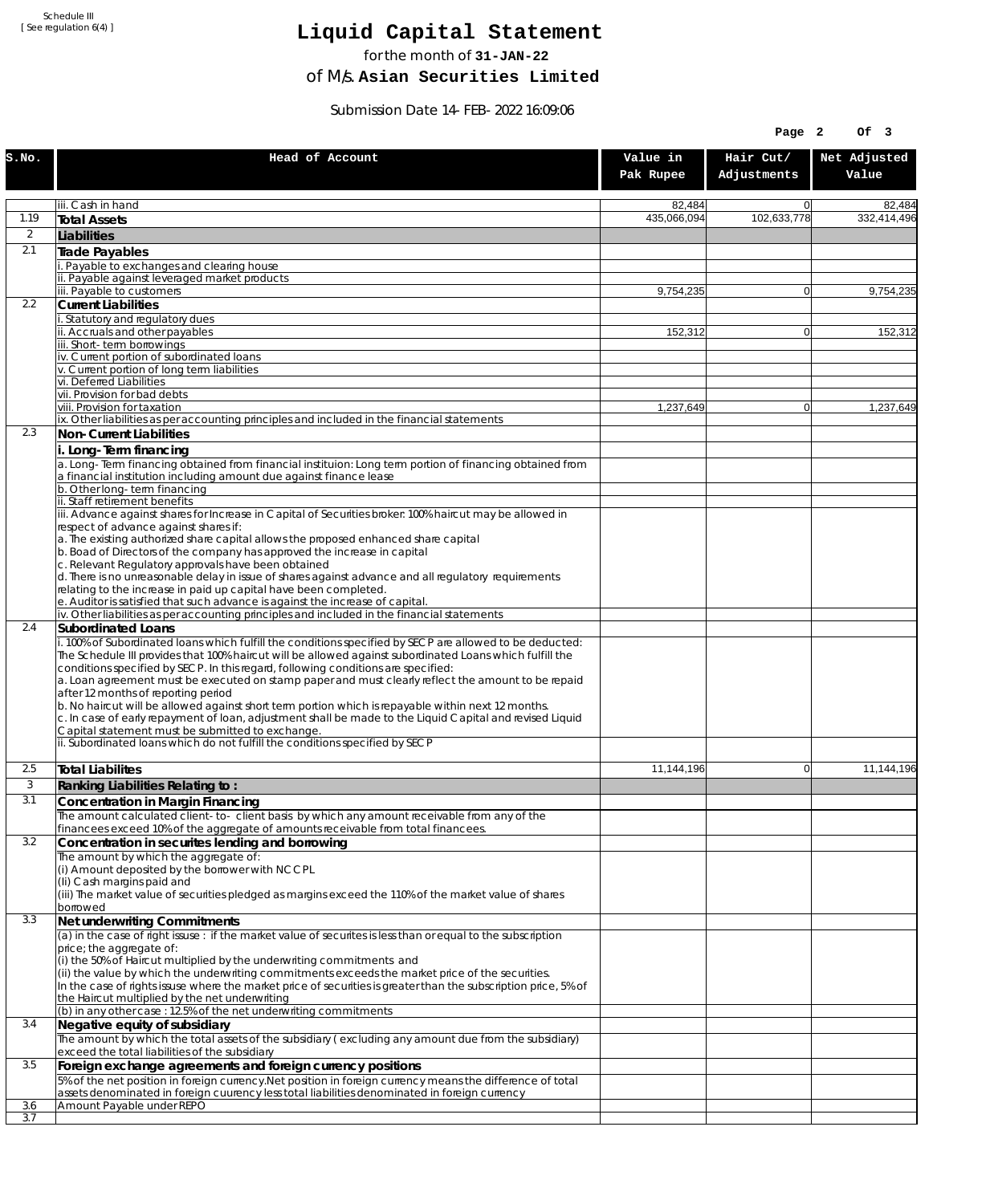# **Liquid Capital Statement**

for the month of **31-JAN-22**

of M/s. **Asian Securities Limited**

Submission Date 14-FEB-2022 16:09:06

|       |                                                                                                                                                                                                                                                                                                                                                                                                                                                                                                                                                              |                       | Page 2                   | Of 3                  |
|-------|--------------------------------------------------------------------------------------------------------------------------------------------------------------------------------------------------------------------------------------------------------------------------------------------------------------------------------------------------------------------------------------------------------------------------------------------------------------------------------------------------------------------------------------------------------------|-----------------------|--------------------------|-----------------------|
| S.NO. | Head of Account                                                                                                                                                                                                                                                                                                                                                                                                                                                                                                                                              | Value in<br>Pak Rupee | Hair Cut/<br>Adjustments | Net Adjusted<br>Value |
|       | iii. Cash in hand                                                                                                                                                                                                                                                                                                                                                                                                                                                                                                                                            | 82,484                | $\overline{0}$           | 82,484                |
| 1.19  | Total Assets                                                                                                                                                                                                                                                                                                                                                                                                                                                                                                                                                 | 435,066,094           | 102,633,778              | 332,414,496           |
| 2     | Liabilities                                                                                                                                                                                                                                                                                                                                                                                                                                                                                                                                                  |                       |                          |                       |
| 2.1   | Trade Payables                                                                                                                                                                                                                                                                                                                                                                                                                                                                                                                                               |                       |                          |                       |
|       | i. Payable to exchanges and clearing house<br>ii. Payable against leveraged market products                                                                                                                                                                                                                                                                                                                                                                                                                                                                  |                       |                          |                       |
|       | iii. Pavable to customers                                                                                                                                                                                                                                                                                                                                                                                                                                                                                                                                    | 9.754.235             | $\overline{0}$           | 9,754,235             |
| 2.2   | <b>Current Liabilities</b>                                                                                                                                                                                                                                                                                                                                                                                                                                                                                                                                   |                       |                          |                       |
|       | i. Statutory and regulatory dues<br>ii. Accruals and other payables                                                                                                                                                                                                                                                                                                                                                                                                                                                                                          |                       | $\Omega$                 |                       |
|       | iii. Short-term borrowings                                                                                                                                                                                                                                                                                                                                                                                                                                                                                                                                   | 152,312               |                          | 152,312               |
|       | iv. Current portion of subordinated loans                                                                                                                                                                                                                                                                                                                                                                                                                                                                                                                    |                       |                          |                       |
|       | v. Current portion of long term liabilities<br>vi. Deferred Liabilities                                                                                                                                                                                                                                                                                                                                                                                                                                                                                      |                       |                          |                       |
|       | vii. Provision for bad debts                                                                                                                                                                                                                                                                                                                                                                                                                                                                                                                                 |                       |                          |                       |
|       | viii. Provision for taxation                                                                                                                                                                                                                                                                                                                                                                                                                                                                                                                                 | 1,237,649             | $\overline{0}$           | 1,237,649             |
| 2.3   | ix. Other liabilities as per accounting principles and included in the financial statements<br>Non-Current Liabilities                                                                                                                                                                                                                                                                                                                                                                                                                                       |                       |                          |                       |
|       |                                                                                                                                                                                                                                                                                                                                                                                                                                                                                                                                                              |                       |                          |                       |
|       | i. Long-Term financing<br>a. Long-Term financing obtained from financial instituion: Long term portion of financing obtained from<br>a financial institution including amount due against finance lease                                                                                                                                                                                                                                                                                                                                                      |                       |                          |                       |
|       | b. Other long-term financing                                                                                                                                                                                                                                                                                                                                                                                                                                                                                                                                 |                       |                          |                       |
|       | ii. Staff retirement benefits<br>iii. Advance against shares for Increase in Capital of Securities broker: 100% haircut may be allowed in                                                                                                                                                                                                                                                                                                                                                                                                                    |                       |                          |                       |
|       | respect of advance against shares if:                                                                                                                                                                                                                                                                                                                                                                                                                                                                                                                        |                       |                          |                       |
|       | a. The existing authorized share capital allows the proposed enhanced share capital                                                                                                                                                                                                                                                                                                                                                                                                                                                                          |                       |                          |                       |
|       | b. Boad of Directors of the company has approved the increase in capital<br>c. Relevant Regulatory approvals have been obtained                                                                                                                                                                                                                                                                                                                                                                                                                              |                       |                          |                       |
|       | d. There is no unreasonable delay in issue of shares against advance and all regulatory requirements                                                                                                                                                                                                                                                                                                                                                                                                                                                         |                       |                          |                       |
|       | relating to the increase in paid up capital have been completed.                                                                                                                                                                                                                                                                                                                                                                                                                                                                                             |                       |                          |                       |
|       | e. Auditor is satisfied that such advance is against the increase of capital.<br>iv. Other liabilities as per accounting principles and included in the financial statements                                                                                                                                                                                                                                                                                                                                                                                 |                       |                          |                       |
| 2.4   | Subordinated Loans                                                                                                                                                                                                                                                                                                                                                                                                                                                                                                                                           |                       |                          |                       |
|       | i. 100% of Subordinated loans which fulfill the conditions specified by SECP are allowed to be deducted:<br>The Schedule III provides that 100% haircut will be allowed against subordinated Loans which fulfill the<br>conditions specified by SECP. In this regard, following conditions are specified:<br>a. Loan agreement must be executed on stamp paper and must clearly reflect the amount to be repaid<br>after 12 months of reporting period<br>b. No haircut will be allowed against short term portion which is repayable within next 12 months. |                       |                          |                       |
|       | c. In case of early repayment of loan, adjustment shall be made to the Liquid Capital and revised Liquid<br>Capital statement must be submitted to exchange.                                                                                                                                                                                                                                                                                                                                                                                                 |                       |                          |                       |
|       | ii. Subordinated loans which do not fulfill the conditions specified by SECP                                                                                                                                                                                                                                                                                                                                                                                                                                                                                 |                       |                          |                       |
|       |                                                                                                                                                                                                                                                                                                                                                                                                                                                                                                                                                              |                       |                          |                       |
| 2.5   | Total Liabilites                                                                                                                                                                                                                                                                                                                                                                                                                                                                                                                                             | 11,144,196            | 0                        | 11.144.196            |
| 3     | Ranking Liabilities Relating to:                                                                                                                                                                                                                                                                                                                                                                                                                                                                                                                             |                       |                          |                       |
| 3.1   | Concentration in Margin Financing<br>The amount calculated client-to- client basis by which any amount receivable from any of the                                                                                                                                                                                                                                                                                                                                                                                                                            |                       |                          |                       |
|       | financees exceed 10% of the aggregate of amounts receivable from total financees.                                                                                                                                                                                                                                                                                                                                                                                                                                                                            |                       |                          |                       |
| 3.2   | Concentration in securites lending and borrowing                                                                                                                                                                                                                                                                                                                                                                                                                                                                                                             |                       |                          |                       |
|       | The amount by which the aggregate of:<br>(i) Amount deposited by the borrower with NCCPL                                                                                                                                                                                                                                                                                                                                                                                                                                                                     |                       |                          |                       |
|       | (Ii) Cash margins paid and                                                                                                                                                                                                                                                                                                                                                                                                                                                                                                                                   |                       |                          |                       |
|       | (iii) The market value of securities pledged as margins exceed the 110% of the market value of shares                                                                                                                                                                                                                                                                                                                                                                                                                                                        |                       |                          |                       |
| 3.3   | borrowed                                                                                                                                                                                                                                                                                                                                                                                                                                                                                                                                                     |                       |                          |                       |
|       | Net underwriting Commitments<br>(a) in the case of right issuse : if the market value of securites is less than or equal to the subscription                                                                                                                                                                                                                                                                                                                                                                                                                 |                       |                          |                       |
|       | price; the aggregate of:                                                                                                                                                                                                                                                                                                                                                                                                                                                                                                                                     |                       |                          |                       |
|       | (i) the 50% of Haircut multiplied by the underwriting commitments and                                                                                                                                                                                                                                                                                                                                                                                                                                                                                        |                       |                          |                       |
|       | (ii) the value by which the underwriting commitments exceeds the market price of the securities.<br>In the case of rights issuse where the market price of securities is greater than the subscription price, 5% of                                                                                                                                                                                                                                                                                                                                          |                       |                          |                       |
|       | the Haircut multiplied by the net underwriting                                                                                                                                                                                                                                                                                                                                                                                                                                                                                                               |                       |                          |                       |
|       | (b) in any other case : 12.5% of the net underwriting commitments                                                                                                                                                                                                                                                                                                                                                                                                                                                                                            |                       |                          |                       |
| 3.4   | Negative equity of subsidiary<br>The amount by which the total assets of the subsidiary (excluding any amount due from the subsidiary)                                                                                                                                                                                                                                                                                                                                                                                                                       |                       |                          |                       |
|       | exceed the total liabilities of the subsidiary                                                                                                                                                                                                                                                                                                                                                                                                                                                                                                               |                       |                          |                       |
| 3.5   | Foreign exchange agreements and foreign currency positions                                                                                                                                                                                                                                                                                                                                                                                                                                                                                                   |                       |                          |                       |
|       | 5% of the net position in foreign currency. Net position in foreign currency means the difference of total                                                                                                                                                                                                                                                                                                                                                                                                                                                   |                       |                          |                       |
| 3.6   | assets denominated in foreign cuurency less total liabilities denominated in foreign currency<br>Amount Payable under REPO                                                                                                                                                                                                                                                                                                                                                                                                                                   |                       |                          |                       |
| 3.7   |                                                                                                                                                                                                                                                                                                                                                                                                                                                                                                                                                              |                       |                          |                       |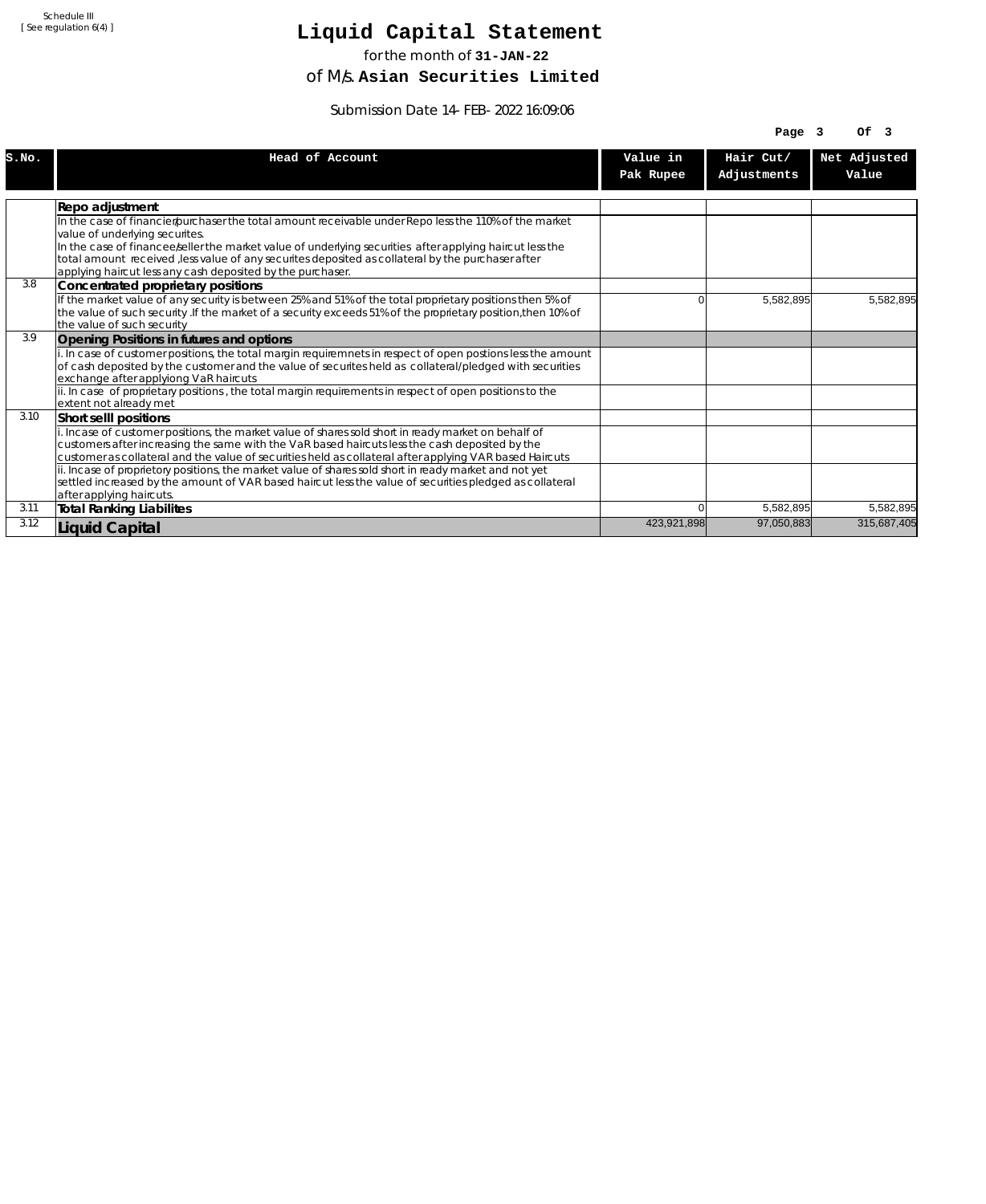## **Liquid Capital Statement**

for the month of **31-JAN-22**

of M/s. **Asian Securities Limited**

Submission Date 14-FEB-2022 16:09:06

|       |                                                                                                                                                |             | Page $3$    | OF <sub>3</sub> |
|-------|------------------------------------------------------------------------------------------------------------------------------------------------|-------------|-------------|-----------------|
| S.NO. | Head of Account                                                                                                                                | Value in    | Hair Cut/   | Net Adjusted    |
|       |                                                                                                                                                | Pak Rupee   | Adjustments | Value           |
|       |                                                                                                                                                |             |             |                 |
|       | Repo adjustment                                                                                                                                |             |             |                 |
|       | In the case of financier/purchaser the total amount receivable under Repo less the 110% of the market                                          |             |             |                 |
|       | value of underlying securites.                                                                                                                 |             |             |                 |
|       | In the case of financee seller the market value of underlying securities after applying haircut less the                                       |             |             |                 |
|       | total amount received , less value of any securites deposited as collateral by the purchaser after                                             |             |             |                 |
| 3.8   | applying haircut less any cash deposited by the purchaser.                                                                                     |             |             |                 |
|       | Concentrated proprietary positions<br>If the market value of any security is between 25% and 51% of the total proprietary positions then 5% of |             |             |                 |
|       | the value of such security . If the market of a security exceeds 51% of the proprietary position, then 10% of                                  |             | 5,582,895   | 5,582,895       |
|       | the value of such security                                                                                                                     |             |             |                 |
| 3.9   | Opening Positions in futures and options                                                                                                       |             |             |                 |
|       | i. In case of customer positions, the total margin requiremnets in respect of open postions less the amount                                    |             |             |                 |
|       | of cash deposited by the customer and the value of securites held as collateral/pledged with securities                                        |             |             |                 |
|       | exchange after applyiong VaR haircuts                                                                                                          |             |             |                 |
|       | ii. In case of proprietary positions, the total margin requirements in respect of open positions to the                                        |             |             |                 |
|       | lextent not alreadv met                                                                                                                        |             |             |                 |
| 3.10  | Short selll positions                                                                                                                          |             |             |                 |
|       | i. Incase of customer positions, the market value of shares sold short in ready market on behalf of                                            |             |             |                 |
|       | customers after increasing the same with the VaR based haircuts less the cash deposited by the                                                 |             |             |                 |
|       | customer as collateral and the value of securities held as collateral after applying VAR based Haircuts                                        |             |             |                 |
|       | ii. Incase of proprietory positions, the market value of shares sold short in ready market and not yet                                         |             |             |                 |
|       | settled increased by the amount of VAR based haircut less the value of securities pledged as collateral                                        |             |             |                 |
|       | after applying haircuts.                                                                                                                       |             |             |                 |
| 3.11  | <b>Total Ranking Liabilites</b>                                                                                                                | 0           | 5,582,895   | 5,582,895       |
| 3.12  | <b>Liquid Capital</b>                                                                                                                          | 423,921,898 | 97.050.883  | 315,687,405     |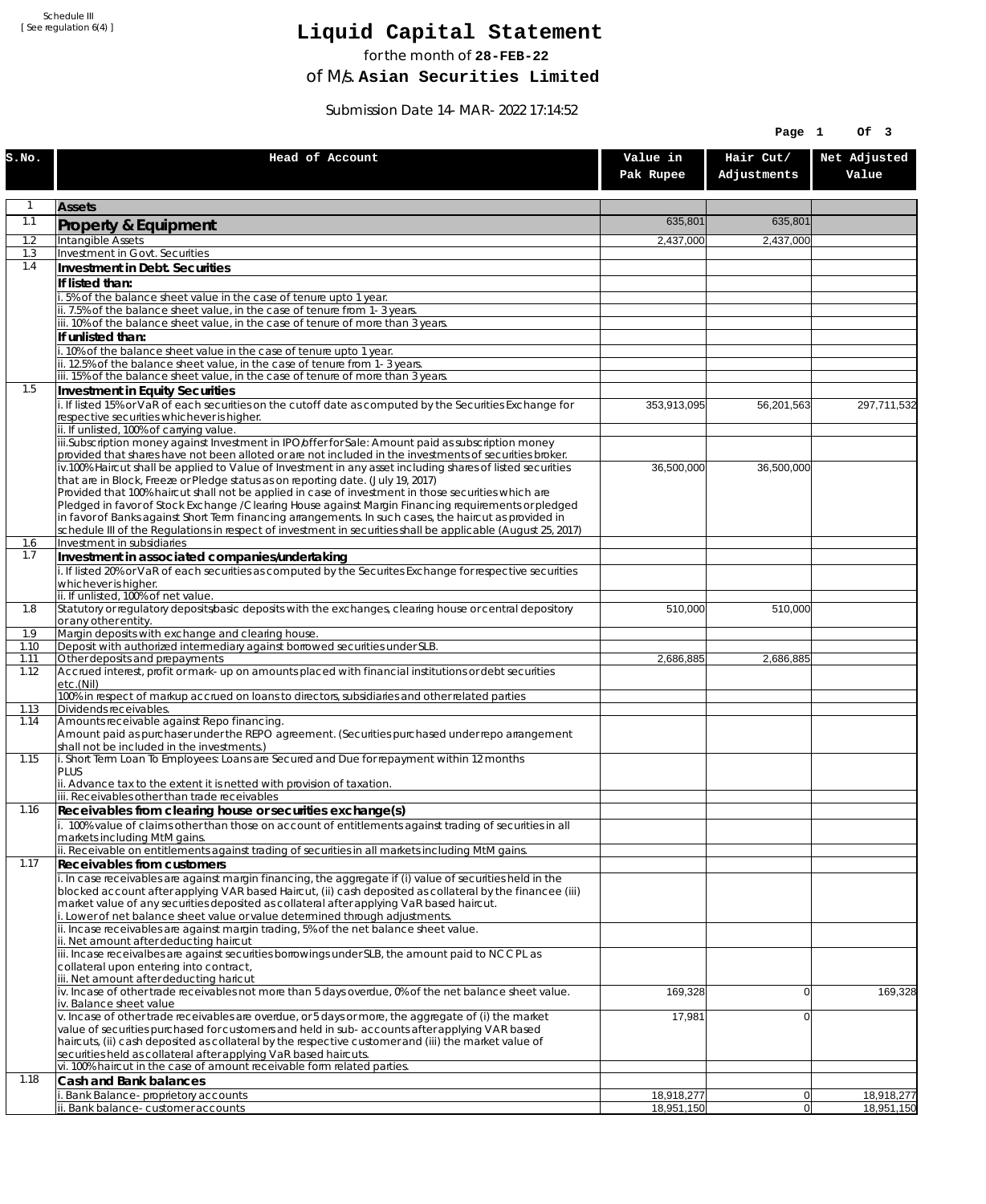## **Liquid Capital Statement**

for the month of **28-FEB-22**

of M/s. **Asian Securities Limited**

Submission Date 14-MAR-2022 17:14:52

|              |                                                                                                                                                                                                                |                       | Page 1                   | Of 3                  |
|--------------|----------------------------------------------------------------------------------------------------------------------------------------------------------------------------------------------------------------|-----------------------|--------------------------|-----------------------|
| S.NO.        | Head of Account                                                                                                                                                                                                | Value in<br>Pak Rupee | Hair Cut/<br>Adjustments | Net Adjusted<br>Value |
| 1            | <b>Assets</b>                                                                                                                                                                                                  |                       |                          |                       |
| 1.1          | Property & Equipment                                                                                                                                                                                           | 635,801               | 635,801                  |                       |
| 1.2          | Intangible Assets                                                                                                                                                                                              | 2,437,000             | 2,437,000                |                       |
| 1.3<br>1.4   | Investment in Govt. Securities<br>Investment in Debt. Securities                                                                                                                                               |                       |                          |                       |
|              | If listed than:                                                                                                                                                                                                |                       |                          |                       |
|              | .5% of the balance sheet value in the case of tenure upto 1 year.                                                                                                                                              |                       |                          |                       |
|              | ii. 7.5% of the balance sheet value, in the case of tenure from 1-3 years.<br>iii. 10% of the balance sheet value, in the case of tenure of more than 3 years.                                                 |                       |                          |                       |
|              | If unlisted than:                                                                                                                                                                                              |                       |                          |                       |
|              | i. 10% of the balance sheet value in the case of tenure upto 1 year.                                                                                                                                           |                       |                          |                       |
|              | ii. 12.5% of the balance sheet value, in the case of tenure from 1-3 years.<br>iii. 15% of the balance sheet value, in the case of tenure of more than 3 years.                                                |                       |                          |                       |
| 1.5          | Investment in Equity Securities                                                                                                                                                                                |                       |                          |                       |
|              | i. If listed 15% or VaR of each securities on the cutoff date as computed by the Securities Exchange for                                                                                                       | 353,913,095           | 56,201,563               | 297,711,532           |
|              | respective securities whichever is higher.<br>ii. If unlisted, 100% of carrying value.                                                                                                                         |                       |                          |                       |
|              | iii.Subscription money against Investment in IPO/offer for Sale: Amount paid as subscription money                                                                                                             |                       |                          |                       |
|              | provided that shares have not been alloted or are not included in the investments of securities broker.                                                                                                        |                       |                          |                       |
|              | iv.100% Haircut shall be applied to Value of Investment in any asset including shares of listed securities<br>that are in Block, Freeze or Pledge status as on reporting date. (July 19, 2017)                 | 36,500,000            | 36,500,000               |                       |
|              | Provided that 100% haircut shall not be applied in case of investment in those securities which are                                                                                                            |                       |                          |                       |
|              | Pledged in favor of Stock Exchange / Clearing House against Margin Financing reguirements or pledged<br>in favor of Banks against Short Term financing arrangements. In such cases, the haircut as provided in |                       |                          |                       |
|              | schedule III of the Regulations in respect of investment in securities shall be applicable (August 25, 2017)                                                                                                   |                       |                          |                       |
| 1.6<br>1.7   | Investment in subsidiaries                                                                                                                                                                                     |                       |                          |                       |
|              | Investment in associated companies/undertaking<br>i. If listed 20% or VaR of each securities as computed by the Securites Exchange for respective securities                                                   |                       |                          |                       |
|              | whichever is higher.                                                                                                                                                                                           |                       |                          |                       |
| 1.8          | ii. If unlisted, 100% of net value.<br>Statutory or regulatory deposits/basic deposits with the exchanges, clearing house or central depository                                                                | 510,000               | 510,000                  |                       |
|              | or any other entity.                                                                                                                                                                                           |                       |                          |                       |
| 1.9          | Margin deposits with exchange and clearing house.                                                                                                                                                              |                       |                          |                       |
| 1.10<br>1.11 | Deposit with authorized intermediary against borrowed securities under SLB.<br>Other deposits and prepayments                                                                                                  | 2,686,885             | 2,686,885                |                       |
| 1.12         | Accrued interest, profit or mark-up on amounts placed with financial institutions or debt securities<br>etc.(Nil)                                                                                              |                       |                          |                       |
| 1.13         | 100% in respect of markup accrued on loans to directors, subsidiaries and other related parties<br>Dividends receivables.                                                                                      |                       |                          |                       |
| 1.14         | Amounts receivable against Repo financing.                                                                                                                                                                     |                       |                          |                       |
|              | Amount paid as purchaser under the REPO agreement. (Securities purchased under repo arrangement                                                                                                                |                       |                          |                       |
| 1.15         | shall not be included in the investments.)<br>i. Short Term Loan To Employees: Loans are Secured and Due for repayment within 12 months                                                                        |                       |                          |                       |
|              | PLUS                                                                                                                                                                                                           |                       |                          |                       |
|              | ii. Advance tax to the extent it is netted with provision of taxation.<br>iii. Receivables other than trade receivables                                                                                        |                       |                          |                       |
| 1.16         | Receivables from clearing house or securities exchange(s)                                                                                                                                                      |                       |                          |                       |
|              | i. 100% value of claims other than those on account of entitlements against trading of securities in all                                                                                                       |                       |                          |                       |
|              | markets including MtM gains.<br>ii. Receivable on entitlements against trading of securities in all markets including MtM gains.                                                                               |                       |                          |                       |
| 1.17         | Receivables from customers                                                                                                                                                                                     |                       |                          |                       |
|              | i. In case receivables are against margin financing, the aggregate if (i) value of securities held in the                                                                                                      |                       |                          |                       |
|              | blocked account after applying VAR based Haircut, (ii) cash deposited as collateral by the financee (iii)<br>market value of any securities deposited as collateral after applying VaR based haircut.          |                       |                          |                       |
|              | i. Lower of net balance sheet value or value determined through adjustments.                                                                                                                                   |                       |                          |                       |
|              | ii. Incase receivables are against margin trading, 5% of the net balance sheet value.<br>ii. Net amount after deducting haircut                                                                                |                       |                          |                       |
|              | iii. Incase receivalbes are against securities borrowings under SLB, the amount paid to NCCPL as                                                                                                               |                       |                          |                       |
|              | collateral upon entering into contract,<br>iii. Net amount after deducting haricut                                                                                                                             |                       |                          |                       |
|              | iv. Incase of other trade receivables not more than 5 days overdue, 0% of the net balance sheet value.                                                                                                         | 169,328               | $\overline{0}$           | 169,328               |
|              | iv. Balance sheet value<br>v. Incase of other trade receivables are overdue, or 5 days or more, the aggregate of (i) the market                                                                                |                       | $\overline{0}$           |                       |
|              | value of securities purchased for customers and held in sub-accounts after applying VAR based                                                                                                                  | 17,981                |                          |                       |
|              | haircuts, (ii) cash deposited as collateral by the respective customer and (iii) the market value of                                                                                                           |                       |                          |                       |
|              | securities held as collateral after applying VaR based haircuts.<br>vi. 100% haircut in the case of amount receivable form related parties.                                                                    |                       |                          |                       |
| 1.18         | Cash and Bank balances                                                                                                                                                                                         |                       |                          |                       |
|              | Bank Balance-proprietory accounts                                                                                                                                                                              | 18,918,277            | 0                        | 18,918,277            |
|              | i. Bank balance-customer accounts                                                                                                                                                                              | 18,951,150            | 0                        | 18,951,150            |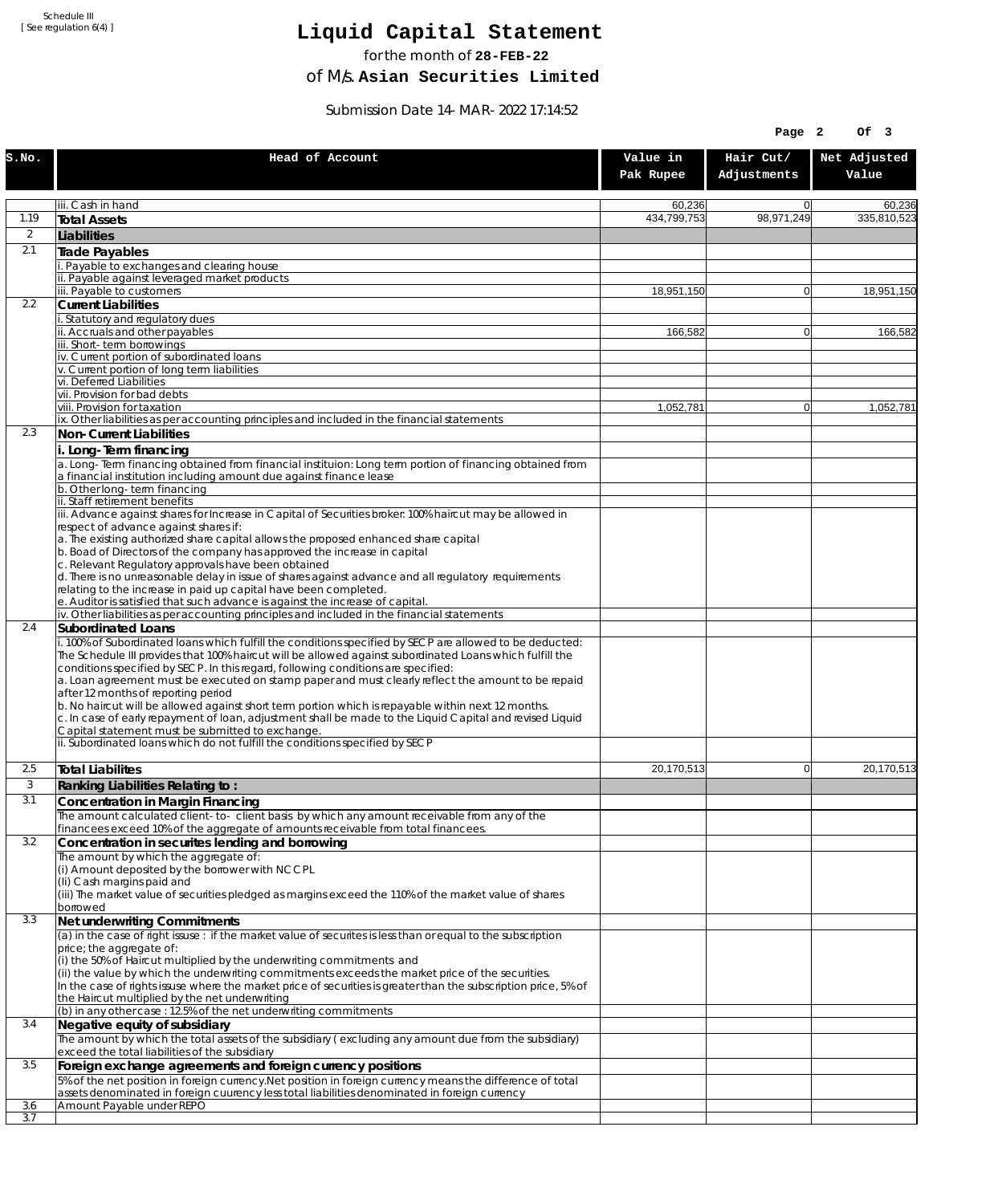# **Liquid Capital Statement**

for the month of **28-FEB-22**

of M/s. **Asian Securities Limited**

Submission Date 14-MAR-2022 17:14:52

|                  |                                                                                                                                                                                                                                                                                                                                                                                                                                                                                                                                                                                                                                                                                                |                       | Page 2                   | Of 3                  |
|------------------|------------------------------------------------------------------------------------------------------------------------------------------------------------------------------------------------------------------------------------------------------------------------------------------------------------------------------------------------------------------------------------------------------------------------------------------------------------------------------------------------------------------------------------------------------------------------------------------------------------------------------------------------------------------------------------------------|-----------------------|--------------------------|-----------------------|
| S.NO.            | Head of Account                                                                                                                                                                                                                                                                                                                                                                                                                                                                                                                                                                                                                                                                                | Value in<br>Pak Rupee | Hair Cut/<br>Adjustments | Net Adjusted<br>Value |
|                  | iii. Cash in hand                                                                                                                                                                                                                                                                                                                                                                                                                                                                                                                                                                                                                                                                              | 60,236                | $\Omega$                 | 60,236                |
| 1.19             | <b>Total Assets</b>                                                                                                                                                                                                                                                                                                                                                                                                                                                                                                                                                                                                                                                                            | 434,799,753           | 98,971,249               | 335,810,523           |
| $\overline{2}$   | Liabilities                                                                                                                                                                                                                                                                                                                                                                                                                                                                                                                                                                                                                                                                                    |                       |                          |                       |
| 2.1              | <b>Trade Payables</b><br>. Payable to exchanges and clearing house                                                                                                                                                                                                                                                                                                                                                                                                                                                                                                                                                                                                                             |                       |                          |                       |
|                  | ii. Payable against leveraged market products                                                                                                                                                                                                                                                                                                                                                                                                                                                                                                                                                                                                                                                  |                       |                          |                       |
|                  | iii. Payable to customers                                                                                                                                                                                                                                                                                                                                                                                                                                                                                                                                                                                                                                                                      | 18.951.150            | $\overline{0}$           | 18,951,150            |
| $2.2\phantom{0}$ | <b>Current Liabilities</b><br>i. Statutory and regulatory dues                                                                                                                                                                                                                                                                                                                                                                                                                                                                                                                                                                                                                                 |                       |                          |                       |
|                  | ii. Accruals and other payables                                                                                                                                                                                                                                                                                                                                                                                                                                                                                                                                                                                                                                                                | 166,582               | $\Omega$                 | 166.582               |
|                  | iii. Short-term borrowings                                                                                                                                                                                                                                                                                                                                                                                                                                                                                                                                                                                                                                                                     |                       |                          |                       |
|                  | iv. Current portion of subordinated loans<br>v. Current portion of long term liabilities                                                                                                                                                                                                                                                                                                                                                                                                                                                                                                                                                                                                       |                       |                          |                       |
|                  | vi. Deferred Liabilities                                                                                                                                                                                                                                                                                                                                                                                                                                                                                                                                                                                                                                                                       |                       |                          |                       |
|                  | vii. Provision for bad debts<br>viii. Provision for taxation                                                                                                                                                                                                                                                                                                                                                                                                                                                                                                                                                                                                                                   | 1,052,781             | $\overline{0}$           | 1,052,781             |
|                  | ix. Other liabilities as per accounting principles and included in the financial statements                                                                                                                                                                                                                                                                                                                                                                                                                                                                                                                                                                                                    |                       |                          |                       |
| 2.3              | Non-Current Liabilities                                                                                                                                                                                                                                                                                                                                                                                                                                                                                                                                                                                                                                                                        |                       |                          |                       |
|                  | i. Long-Term financing<br>a. Long-Term financing obtained from financial instituion: Long term portion of financing obtained from<br>a financial institution including amount due against finance lease                                                                                                                                                                                                                                                                                                                                                                                                                                                                                        |                       |                          |                       |
|                  | b. Other long-term financing<br>ii. Staff retirement benefits                                                                                                                                                                                                                                                                                                                                                                                                                                                                                                                                                                                                                                  |                       |                          |                       |
|                  | iii. Advance against shares for Increase in Capital of Securities broker: 100% haircut may be allowed in                                                                                                                                                                                                                                                                                                                                                                                                                                                                                                                                                                                       |                       |                          |                       |
|                  | respect of advance against shares if:                                                                                                                                                                                                                                                                                                                                                                                                                                                                                                                                                                                                                                                          |                       |                          |                       |
|                  | a. The existing authorized share capital allows the proposed enhanced share capital<br>b. Boad of Directors of the company has approved the increase in capital                                                                                                                                                                                                                                                                                                                                                                                                                                                                                                                                |                       |                          |                       |
|                  | c. Relevant Regulatory approvals have been obtained                                                                                                                                                                                                                                                                                                                                                                                                                                                                                                                                                                                                                                            |                       |                          |                       |
|                  | d. There is no unreasonable delay in issue of shares against advance and all regulatory requirements<br>relating to the increase in paid up capital have been completed.                                                                                                                                                                                                                                                                                                                                                                                                                                                                                                                       |                       |                          |                       |
|                  | e. Auditor is satisfied that such advance is against the increase of capital.                                                                                                                                                                                                                                                                                                                                                                                                                                                                                                                                                                                                                  |                       |                          |                       |
| 2.4              | iv. Other liabilities as per accounting principles and included in the financial statements                                                                                                                                                                                                                                                                                                                                                                                                                                                                                                                                                                                                    |                       |                          |                       |
|                  | Subordinated Loans<br>i. 100% of Subordinated loans which fulfill the conditions specified by SECP are allowed to be deducted:<br>The Schedule III provides that 100% haircut will be allowed against subordinated Loans which fulfill the<br>conditions specified by SECP. In this regard, following conditions are specified:<br>a. Loan agreement must be executed on stamp paper and must clearly reflect the amount to be repaid<br>after 12 months of reporting period<br>b. No haircut will be allowed against short term portion which is repayable within next 12 months.<br>c. In case of early repayment of loan, adjustment shall be made to the Liquid Capital and revised Liquid |                       |                          |                       |
|                  | Capital statement must be submitted to exchange.<br>ii. Subordinated loans which do not fulfill the conditions specified by SECP                                                                                                                                                                                                                                                                                                                                                                                                                                                                                                                                                               |                       |                          |                       |
|                  |                                                                                                                                                                                                                                                                                                                                                                                                                                                                                                                                                                                                                                                                                                |                       |                          |                       |
| 2.5              | <b>Total Liabilites</b>                                                                                                                                                                                                                                                                                                                                                                                                                                                                                                                                                                                                                                                                        | 20.170.513            | $\Omega$                 | 20,170,513            |
| 3                | Ranking Liabilities Relating to:                                                                                                                                                                                                                                                                                                                                                                                                                                                                                                                                                                                                                                                               |                       |                          |                       |
| 3.1              | <b>Concentration in Margin Financing</b><br>The amount calculated client-to- client basis by which any amount receivable from any of the<br>financees exceed 10% of the aggregate of amounts receivable from total financees.                                                                                                                                                                                                                                                                                                                                                                                                                                                                  |                       |                          |                       |
| 3.2              | Concentration in securites lending and borrowing                                                                                                                                                                                                                                                                                                                                                                                                                                                                                                                                                                                                                                               |                       |                          |                       |
|                  | The amount by which the aggregate of:<br>(i) Amount deposited by the borrower with NCCPL<br>(Ii) Cash margins paid and<br>(iii) The market value of securities pledged as margins exceed the 110% of the market value of shares<br>borrowed                                                                                                                                                                                                                                                                                                                                                                                                                                                    |                       |                          |                       |
| 3.3              | Net underwriting Commitments<br>(a) in the case of right issuse: if the market value of securites is less than or equal to the subscription                                                                                                                                                                                                                                                                                                                                                                                                                                                                                                                                                    |                       |                          |                       |
|                  | price; the aggregate of:<br>(i) the 50% of Haircut multiplied by the underwriting commitments and<br>(ii) the value by which the underwriting commitments exceeds the market price of the securities.<br>In the case of rights issuse where the market price of securities is greater than the subscription price, 5% of<br>the Haircut multiplied by the net underwriting                                                                                                                                                                                                                                                                                                                     |                       |                          |                       |
| 3.4              | (b) in any other case : 12.5% of the net underwriting commitments<br>Negative equity of subsidiary                                                                                                                                                                                                                                                                                                                                                                                                                                                                                                                                                                                             |                       |                          |                       |
|                  | The amount by which the total assets of the subsidiary (excluding any amount due from the subsidiary)                                                                                                                                                                                                                                                                                                                                                                                                                                                                                                                                                                                          |                       |                          |                       |
|                  | exceed the total liabilities of the subsidiary                                                                                                                                                                                                                                                                                                                                                                                                                                                                                                                                                                                                                                                 |                       |                          |                       |
| 3.5              | Foreign exchange agreements and foreign currency positions<br>5% of the net position in foreign currency. Net position in foreign currency means the difference of total                                                                                                                                                                                                                                                                                                                                                                                                                                                                                                                       |                       |                          |                       |
|                  | assets denominated in foreign cuurency less total liabilities denominated in foreign currency                                                                                                                                                                                                                                                                                                                                                                                                                                                                                                                                                                                                  |                       |                          |                       |
| 3.6              | Amount Payable under REPO                                                                                                                                                                                                                                                                                                                                                                                                                                                                                                                                                                                                                                                                      |                       |                          |                       |
| 3.7              |                                                                                                                                                                                                                                                                                                                                                                                                                                                                                                                                                                                                                                                                                                |                       |                          |                       |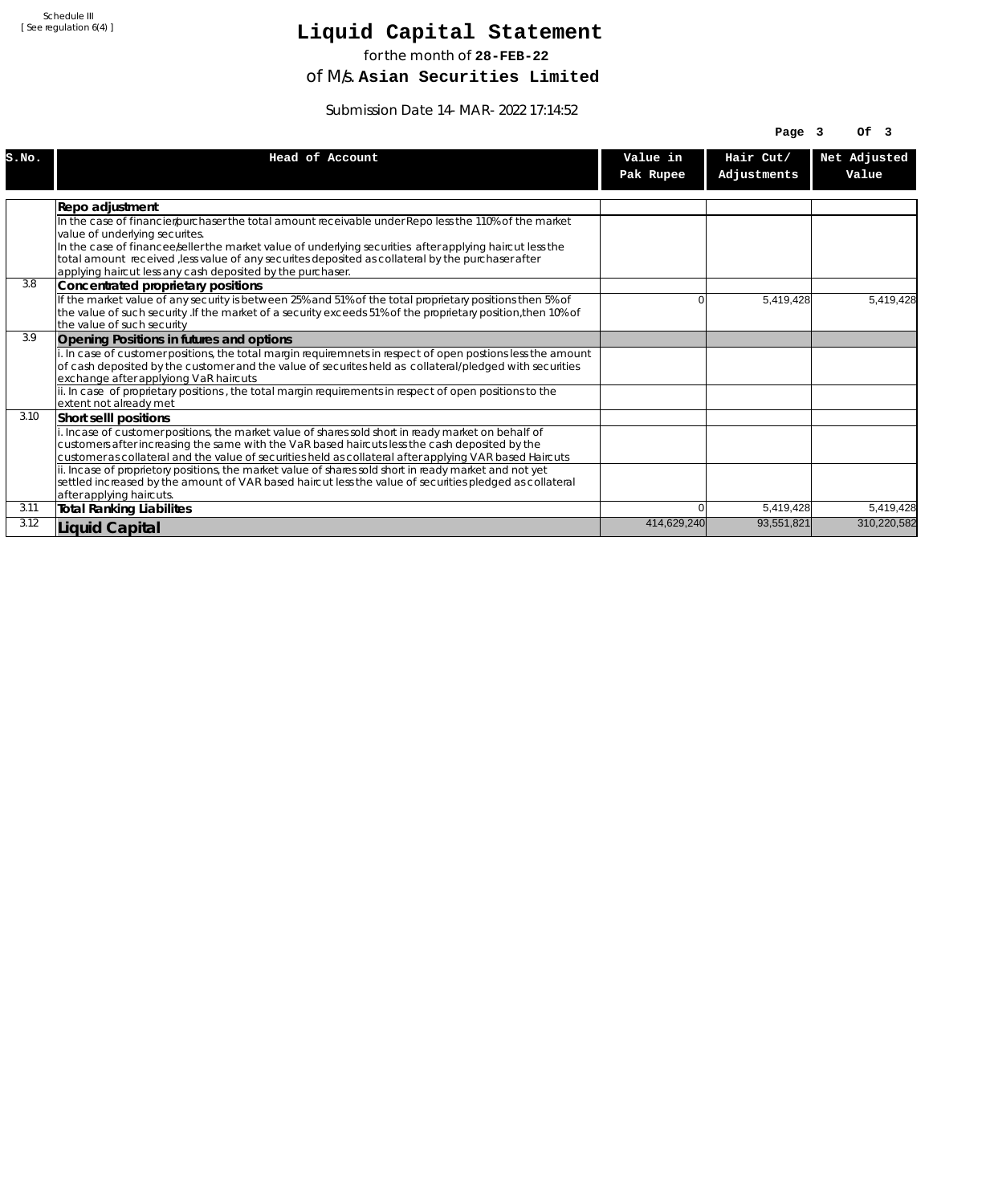# **Liquid Capital Statement**

for the month of **28-FEB-22**

of M/s. **Asian Securities Limited**

Submission Date 14-MAR-2022 17:14:52

|       |                                                                                                                                                                                                                   |             | Page $3$    | Of <sub>3</sub> |
|-------|-------------------------------------------------------------------------------------------------------------------------------------------------------------------------------------------------------------------|-------------|-------------|-----------------|
| S.NO. | Head of Account                                                                                                                                                                                                   | Value in    | Hair Cut/   | Net Adjusted    |
|       |                                                                                                                                                                                                                   | Pak Rupee   | Adjustments | Value           |
|       |                                                                                                                                                                                                                   |             |             |                 |
|       | Repo adjustment                                                                                                                                                                                                   |             |             |                 |
|       | In the case of financier/purchaser the total amount receivable under Repo less the 110% of the market                                                                                                             |             |             |                 |
|       | value of underlying securites.                                                                                                                                                                                    |             |             |                 |
|       | In the case of financee seller the market value of underlying securities after applying haircut less the                                                                                                          |             |             |                 |
|       | total amount received , less value of any securites deposited as collateral by the purchaser after                                                                                                                |             |             |                 |
| 3.8   | applying haircut less any cash deposited by the purchaser.<br>Concentrated proprietary positions                                                                                                                  |             |             |                 |
|       | If the market value of any security is between 25% and 51% of the total proprietary positions then 5% of                                                                                                          | n           | 5,419,428   | 5.419.428       |
|       | the value of such security . If the market of a security exceeds 51% of the proprietary position, then 10% of                                                                                                     |             |             |                 |
|       | the value of such security                                                                                                                                                                                        |             |             |                 |
| 3.9   | Opening Positions in futures and options                                                                                                                                                                          |             |             |                 |
|       | i. In case of customer positions, the total margin requiremnets in respect of open postions less the amount                                                                                                       |             |             |                 |
|       | of cash deposited by the customer and the value of securites held as collateral/pledged with securities                                                                                                           |             |             |                 |
|       | exchange after applyiong VaR haircuts                                                                                                                                                                             |             |             |                 |
|       | ii. In case of proprietary positions, the total margin requirements in respect of open positions to the                                                                                                           |             |             |                 |
|       | lextent not alreadv met                                                                                                                                                                                           |             |             |                 |
| 3.10  | Short selll positions                                                                                                                                                                                             |             |             |                 |
|       | i. Incase of customer positions, the market value of shares sold short in ready market on behalf of                                                                                                               |             |             |                 |
|       | customers after increasing the same with the VaR based haircuts less the cash deposited by the                                                                                                                    |             |             |                 |
|       | customer as collateral and the value of securities held as collateral after applying VAR based Haircuts                                                                                                           |             |             |                 |
|       | ii. Incase of proprietory positions, the market value of shares sold short in ready market and not yet<br>settled increased by the amount of VAR based haircut less the value of securities pledged as collateral |             |             |                 |
|       | after applying haircuts.                                                                                                                                                                                          |             |             |                 |
| 3.11  | <b>Total Ranking Liabilites</b>                                                                                                                                                                                   | 0           | 5,419,428   | 5,419,428       |
| 3.12  |                                                                                                                                                                                                                   | 414,629,240 | 93,551,821  | 310,220,582     |
|       | <b>Liquid Capital</b>                                                                                                                                                                                             |             |             |                 |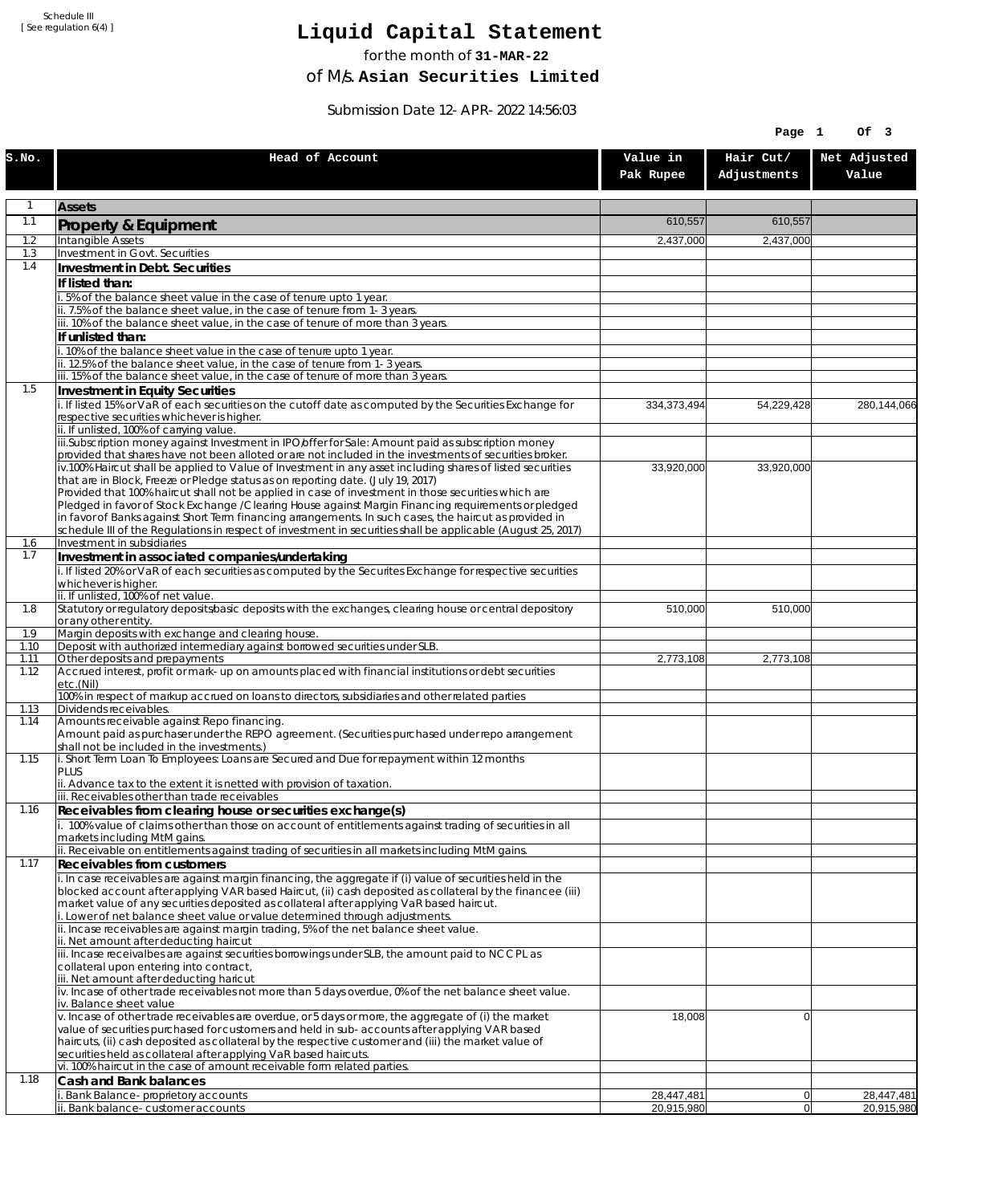# **Liquid Capital Statement**

for the month of **31-MAR-22**

of M/s. **Asian Securities Limited**

Submission Date 12-APR-2022 14:56:03

|              |                                                                                                                                                                                                                       |                       | Page 1                   | Of 3                  |
|--------------|-----------------------------------------------------------------------------------------------------------------------------------------------------------------------------------------------------------------------|-----------------------|--------------------------|-----------------------|
| S.NO.        | Head of Account                                                                                                                                                                                                       | Value in<br>Pak Rupee | Hair Cut/<br>Adjustments | Net Adjusted<br>Value |
| 1            | <b>Assets</b>                                                                                                                                                                                                         |                       |                          |                       |
| 1.1          | Property & Equipment                                                                                                                                                                                                  | 610,557               | 610,557                  |                       |
| 1.2          | Intangible Assets                                                                                                                                                                                                     | 2,437,000             | 2,437,000                |                       |
| 1.3<br>1.4   | Investment in Govt. Securities<br>Investment in Debt. Securities                                                                                                                                                      |                       |                          |                       |
|              | If listed than:                                                                                                                                                                                                       |                       |                          |                       |
|              | i. 5% of the balance sheet value in the case of tenure upto 1 year.                                                                                                                                                   |                       |                          |                       |
|              | ii. 7.5% of the balance sheet value, in the case of tenure from 1-3 years.<br>iii. 10% of the balance sheet value, in the case of tenure of more than 3 years.                                                        |                       |                          |                       |
|              | If unlisted than:                                                                                                                                                                                                     |                       |                          |                       |
|              | i. 10% of the balance sheet value in the case of tenure upto 1 year.                                                                                                                                                  |                       |                          |                       |
|              | ii. 12.5% of the balance sheet value, in the case of tenure from 1-3 years.<br>iii. 15% of the balance sheet value, in the case of tenure of more than 3 years.                                                       |                       |                          |                       |
| 1.5          | Investment in Equity Securities                                                                                                                                                                                       |                       |                          |                       |
|              | i. If listed 15% or VaR of each securities on the cutoff date as computed by the Securities Exchange for<br>respective securities whichever is higher.                                                                | 334,373,494           | 54,229,428               | 280,144,066           |
|              | ii. If unlisted, 100% of carrying value.<br>iii.Subscription money against Investment in IPO/offer for Sale: Amount paid as subscription money                                                                        |                       |                          |                       |
|              | provided that shares have not been alloted or are not included in the investments of securities broker.<br>iv.100% Haircut shall be applied to Value of Investment in any asset including shares of listed securities | 33,920,000            | 33,920,000               |                       |
|              | that are in Block, Freeze or Pledge status as on reporting date. (July 19, 2017)                                                                                                                                      |                       |                          |                       |
|              | Provided that 100% haircut shall not be applied in case of investment in those securities which are<br>Pledged in favor of Stock Exchange / Clearing House against Margin Financing requirements or pledged           |                       |                          |                       |
|              | in favor of Banks against Short Term financing arrangements. In such cases, the haircut as provided in                                                                                                                |                       |                          |                       |
| 1.6          | schedule III of the Regulations in respect of investment in securities shall be applicable (August 25, 2017)<br>Investment in subsidiaries                                                                            |                       |                          |                       |
| 1.7          | Investment in associated companies/undertaking                                                                                                                                                                        |                       |                          |                       |
|              | i. If listed 20% or VaR of each securities as computed by the Securites Exchange for respective securities                                                                                                            |                       |                          |                       |
|              | whichever is higher.<br>ii. If unlisted, 100% of net value.                                                                                                                                                           |                       |                          |                       |
| 1.8          | Statutory or regulatory deposits/basic deposits with the exchanges, clearing house or central depository                                                                                                              | 510,000               | 510,000                  |                       |
| 1.9          | or any other entity.<br>Margin deposits with exchange and clearing house.                                                                                                                                             |                       |                          |                       |
| 1.10         | Deposit with authorized intermediary against borrowed securities under SLB.                                                                                                                                           |                       |                          |                       |
| 1.11<br>1.12 | Other deposits and prepayments<br>Accrued interest, profit or mark-up on amounts placed with financial institutions or debt securities                                                                                | 2,773,108             | 2,773,108                |                       |
|              | etc.(Nil)                                                                                                                                                                                                             |                       |                          |                       |
| 1.13         | 100% in respect of markup accrued on loans to directors, subsidiaries and other related parties<br>Dividends receivables.                                                                                             |                       |                          |                       |
| 1.14         | Amounts receivable against Repo financing.                                                                                                                                                                            |                       |                          |                       |
|              | Amount paid as purchaser under the REPO agreement. (Securities purchased under repo arrangement<br>shall not be included in the investments.)                                                                         |                       |                          |                       |
| 1.15         | i. Short Term Loan To Employees: Loans are Secured and Due for repayment within 12 months                                                                                                                             |                       |                          |                       |
|              | <b>PLUS</b><br>ii. Advance tax to the extent it is netted with provision of taxation.                                                                                                                                 |                       |                          |                       |
|              | iii. Receivables other than trade receivables                                                                                                                                                                         |                       |                          |                       |
| 1.16         | Receivables from clearing house or securities exchange(s)<br>i. 100% value of claims other than those on account of entitlements against trading of securities in all                                                 |                       |                          |                       |
|              | markets including MtM gains.                                                                                                                                                                                          |                       |                          |                       |
| 1.17         | ii. Receivable on entitlements against trading of securities in all markets including MtM gains.                                                                                                                      |                       |                          |                       |
|              | <b>Receivables from customers</b><br>i. In case receivables are against margin financing, the aggregate if (i) value of securities held in the                                                                        |                       |                          |                       |
|              | blocked account after applying VAR based Haircut, (ii) cash deposited as collateral by the financee (iii)                                                                                                             |                       |                          |                       |
|              | market value of any securities deposited as collateral after applying VaR based haircut.<br>i. Lower of net balance sheet value or value determined through adjustments.                                              |                       |                          |                       |
|              | ii. Incase receivables are against margin trading, 5% of the net balance sheet value.                                                                                                                                 |                       |                          |                       |
|              | ii. Net amount after deducting haircut<br>iii. Incase receivalbes are against securities borrowings under SLB, the amount paid to NCCPL as                                                                            |                       |                          |                       |
|              | collateral upon entering into contract,                                                                                                                                                                               |                       |                          |                       |
|              | iii. Net amount after deducting haricut<br>$\dot{v}$ . Incase of other trade receivables not more than 5 days overdue, 0% of the net balance sheet value.                                                             |                       |                          |                       |
|              | iv. Balance sheet value                                                                                                                                                                                               |                       |                          |                       |
|              | v. Incase of other trade receivables are overdue, or 5 days or more, the aggregate of (i) the market<br>value of securities purchased for customers and held in sub-accounts after applying VAR based                 | 18,008                | $\overline{0}$           |                       |
|              | haircuts, (ii) cash deposited as collateral by the respective customer and (iii) the market value of                                                                                                                  |                       |                          |                       |
|              | securities held as collateral after applying VaR based haircuts.<br>vi. 100% haircut in the case of amount receivable form related parties.                                                                           |                       |                          |                       |
| 1.18         | Cash and Bank balances                                                                                                                                                                                                |                       |                          |                       |
|              | Bank Balance-proprietory accounts                                                                                                                                                                                     | 28,447,481            | 0                        | 28,447,481            |
|              | ii. Bank balance-customer accounts                                                                                                                                                                                    | 20,915,980            | 0                        | 20,915,980            |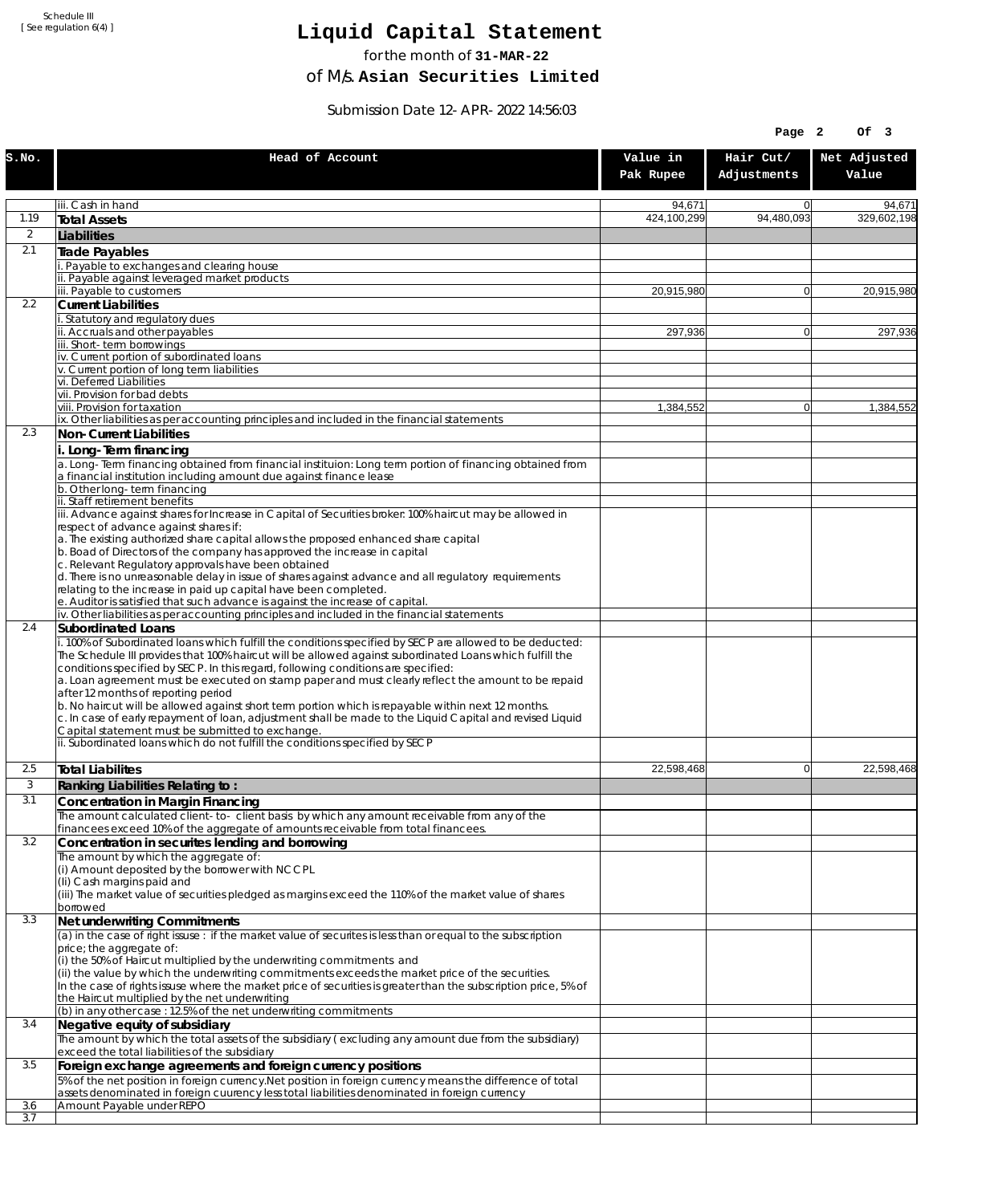# **Liquid Capital Statement**

for the month of **31-MAR-22**

of M/s. **Asian Securities Limited**

Submission Date 12-APR-2022 14:56:03

|                  |                                                                                                                                                                                                                                                                                                                                                                                                                                                                                                                                                                                                                                                                                                                                                                                                                                    |                       | Page 2                   | Of 3                  |
|------------------|------------------------------------------------------------------------------------------------------------------------------------------------------------------------------------------------------------------------------------------------------------------------------------------------------------------------------------------------------------------------------------------------------------------------------------------------------------------------------------------------------------------------------------------------------------------------------------------------------------------------------------------------------------------------------------------------------------------------------------------------------------------------------------------------------------------------------------|-----------------------|--------------------------|-----------------------|
| S.NO.            | Head of Account                                                                                                                                                                                                                                                                                                                                                                                                                                                                                                                                                                                                                                                                                                                                                                                                                    | Value in<br>Pak Rupee | Hair Cut/<br>Adjustments | Net Adjusted<br>Value |
|                  | iii. Cash in hand                                                                                                                                                                                                                                                                                                                                                                                                                                                                                                                                                                                                                                                                                                                                                                                                                  | 94,671                | $\Omega$                 | 94,671                |
| 1.19             | <b>Total Assets</b>                                                                                                                                                                                                                                                                                                                                                                                                                                                                                                                                                                                                                                                                                                                                                                                                                | 424,100,299           | 94,480,093               | 329,602,198           |
| 2                | Liabilities                                                                                                                                                                                                                                                                                                                                                                                                                                                                                                                                                                                                                                                                                                                                                                                                                        |                       |                          |                       |
| 2.1              | <b>Trade Payables</b>                                                                                                                                                                                                                                                                                                                                                                                                                                                                                                                                                                                                                                                                                                                                                                                                              |                       |                          |                       |
|                  | Payable to exchanges and clearing house<br>ii. Payable against leveraged market products                                                                                                                                                                                                                                                                                                                                                                                                                                                                                                                                                                                                                                                                                                                                           |                       |                          |                       |
|                  | iii. Payable to customers                                                                                                                                                                                                                                                                                                                                                                                                                                                                                                                                                                                                                                                                                                                                                                                                          | 20,915,980            | $\overline{0}$           | 20,915,980            |
| $2.2\phantom{0}$ | <b>Current Liabilities</b>                                                                                                                                                                                                                                                                                                                                                                                                                                                                                                                                                                                                                                                                                                                                                                                                         |                       |                          |                       |
|                  | i. Statutory and regulatory dues<br>ii. Accruals and other payables                                                                                                                                                                                                                                                                                                                                                                                                                                                                                                                                                                                                                                                                                                                                                                | 297,936               | $\Omega$                 | 297,936               |
|                  | iii. Short-term borrowings                                                                                                                                                                                                                                                                                                                                                                                                                                                                                                                                                                                                                                                                                                                                                                                                         |                       |                          |                       |
|                  | iv. Current portion of subordinated loans<br>v. Current portion of long term liabilities                                                                                                                                                                                                                                                                                                                                                                                                                                                                                                                                                                                                                                                                                                                                           |                       |                          |                       |
|                  | vi. Deferred Liabilities                                                                                                                                                                                                                                                                                                                                                                                                                                                                                                                                                                                                                                                                                                                                                                                                           |                       |                          |                       |
|                  | vii. Provision for bad debts<br>viii. Provision for taxation                                                                                                                                                                                                                                                                                                                                                                                                                                                                                                                                                                                                                                                                                                                                                                       | 1,384,552             | $\overline{0}$           | 1,384,552             |
|                  | ix. Other liabilities as per accounting principles and included in the financial statements                                                                                                                                                                                                                                                                                                                                                                                                                                                                                                                                                                                                                                                                                                                                        |                       |                          |                       |
| 2.3              | Non-Current Liabilities                                                                                                                                                                                                                                                                                                                                                                                                                                                                                                                                                                                                                                                                                                                                                                                                            |                       |                          |                       |
|                  | i. Long-Term financing<br>a. Long-Term financing obtained from financial instituion: Long term portion of financing obtained from<br>a financial institution including amount due against finance lease                                                                                                                                                                                                                                                                                                                                                                                                                                                                                                                                                                                                                            |                       |                          |                       |
|                  | b. Other long-term financing                                                                                                                                                                                                                                                                                                                                                                                                                                                                                                                                                                                                                                                                                                                                                                                                       |                       |                          |                       |
|                  | ii. Staff retirement benefits<br>iii. Advance against shares for Increase in Capital of Securities broker: 100% haircut may be allowed in                                                                                                                                                                                                                                                                                                                                                                                                                                                                                                                                                                                                                                                                                          |                       |                          |                       |
|                  | respect of advance against shares if:                                                                                                                                                                                                                                                                                                                                                                                                                                                                                                                                                                                                                                                                                                                                                                                              |                       |                          |                       |
|                  | a. The existing authorized share capital allows the proposed enhanced share capital                                                                                                                                                                                                                                                                                                                                                                                                                                                                                                                                                                                                                                                                                                                                                |                       |                          |                       |
|                  | b. Boad of Directors of the company has approved the increase in capital<br>c. Relevant Regulatory approvals have been obtained                                                                                                                                                                                                                                                                                                                                                                                                                                                                                                                                                                                                                                                                                                    |                       |                          |                       |
|                  | d. There is no unreasonable delay in issue of shares against advance and all regulatory requirements                                                                                                                                                                                                                                                                                                                                                                                                                                                                                                                                                                                                                                                                                                                               |                       |                          |                       |
|                  | relating to the increase in paid up capital have been completed.<br>e. Auditor is satisfied that such advance is against the increase of capital.                                                                                                                                                                                                                                                                                                                                                                                                                                                                                                                                                                                                                                                                                  |                       |                          |                       |
|                  | iv. Other liabilities as per accounting principles and included in the financial statements                                                                                                                                                                                                                                                                                                                                                                                                                                                                                                                                                                                                                                                                                                                                        |                       |                          |                       |
| 2.4              | Subordinated Loans<br>i. 100% of Subordinated loans which fulfill the conditions specified by SECP are allowed to be deducted:<br>The Schedule III provides that 100% haircut will be allowed against subordinated Loans which fulfill the<br>conditions specified by SECP. In this regard, following conditions are specified:<br>a. Loan agreement must be executed on stamp paper and must clearly reflect the amount to be repaid<br>after 12 months of reporting period<br>b. No haircut will be allowed against short term portion which is repayable within next 12 months.<br>c. In case of early repayment of loan, adjustment shall be made to the Liquid Capital and revised Liquid<br>Capital statement must be submitted to exchange.<br>ii. Subordinated loans which do not fulfill the conditions specified by SECP |                       |                          |                       |
| 2.5              |                                                                                                                                                                                                                                                                                                                                                                                                                                                                                                                                                                                                                                                                                                                                                                                                                                    | 22,598,468            | 0                        | 22.598.468            |
| 3                | <b>Total Liabilites</b><br>Ranking Liabilities Relating to:                                                                                                                                                                                                                                                                                                                                                                                                                                                                                                                                                                                                                                                                                                                                                                        |                       |                          |                       |
| 3.1              | <b>Concentration in Margin Financing</b>                                                                                                                                                                                                                                                                                                                                                                                                                                                                                                                                                                                                                                                                                                                                                                                           |                       |                          |                       |
|                  | The amount calculated client-to- client basis by which any amount receivable from any of the                                                                                                                                                                                                                                                                                                                                                                                                                                                                                                                                                                                                                                                                                                                                       |                       |                          |                       |
| 3.2              | financees exceed 10% of the aggregate of amounts receivable from total financees.<br>Concentration in securites lending and borrowing                                                                                                                                                                                                                                                                                                                                                                                                                                                                                                                                                                                                                                                                                              |                       |                          |                       |
|                  | The amount by which the aggregate of:                                                                                                                                                                                                                                                                                                                                                                                                                                                                                                                                                                                                                                                                                                                                                                                              |                       |                          |                       |
|                  | (i) Amount deposited by the borrower with NCCPL<br>(Ii) Cash margins paid and<br>(iii) The market value of securities pledged as margins exceed the 110% of the market value of shares<br>borrowed                                                                                                                                                                                                                                                                                                                                                                                                                                                                                                                                                                                                                                 |                       |                          |                       |
| 3.3              | Net underwriting Commitments                                                                                                                                                                                                                                                                                                                                                                                                                                                                                                                                                                                                                                                                                                                                                                                                       |                       |                          |                       |
|                  | (a) in the case of right issuse: if the market value of securites is less than or equal to the subscription<br>price; the aggregate of:<br>(i) the 50% of Haircut multiplied by the underwriting commitments and<br>(ii) the value by which the underwriting commitments exceeds the market price of the securities.<br>In the case of rights issuse where the market price of securities is greater than the subscription price, 5% of<br>the Haircut multiplied by the net underwriting<br>(b) in any other case : 12.5% of the net underwriting commitments                                                                                                                                                                                                                                                                     |                       |                          |                       |
| 3.4              | Negative equity of subsidiary                                                                                                                                                                                                                                                                                                                                                                                                                                                                                                                                                                                                                                                                                                                                                                                                      |                       |                          |                       |
|                  | The amount by which the total assets of the subsidiary (excluding any amount due from the subsidiary)                                                                                                                                                                                                                                                                                                                                                                                                                                                                                                                                                                                                                                                                                                                              |                       |                          |                       |
| 3.5              | exceed the total liabilities of the subsidiary<br>Foreign exchange agreements and foreign currency positions                                                                                                                                                                                                                                                                                                                                                                                                                                                                                                                                                                                                                                                                                                                       |                       |                          |                       |
|                  | 5% of the net position in foreign currency. Net position in foreign currency means the difference of total<br>assets denominated in foreign cuurency less total liabilities denominated in foreign currency                                                                                                                                                                                                                                                                                                                                                                                                                                                                                                                                                                                                                        |                       |                          |                       |
| 3.6<br>3.7       | Amount Payable under REPO                                                                                                                                                                                                                                                                                                                                                                                                                                                                                                                                                                                                                                                                                                                                                                                                          |                       |                          |                       |
|                  |                                                                                                                                                                                                                                                                                                                                                                                                                                                                                                                                                                                                                                                                                                                                                                                                                                    |                       |                          |                       |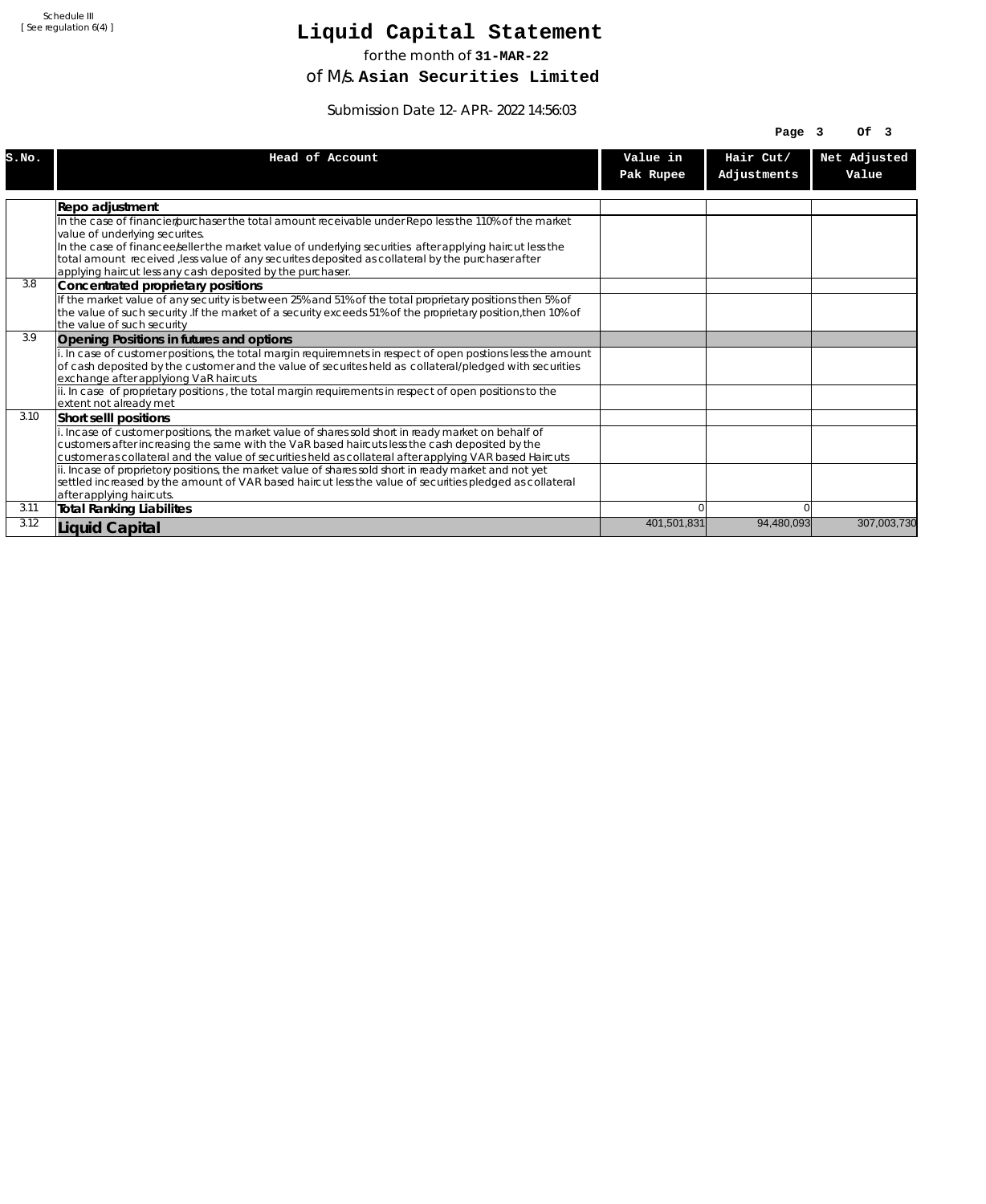# **Liquid Capital Statement**

for the month of **31-MAR-22**

of M/s. **Asian Securities Limited**

Submission Date 12-APR-2022 14:56:03

|       |                                                                                                                                                  |                       | Page $3$                 | OF <sub>3</sub>       |
|-------|--------------------------------------------------------------------------------------------------------------------------------------------------|-----------------------|--------------------------|-----------------------|
| S.NO. | Head of Account                                                                                                                                  | Value in<br>Pak Rupee | Hair Cut/<br>Adjustments | Net Adjusted<br>Value |
|       |                                                                                                                                                  |                       |                          |                       |
|       | Repo adjustment                                                                                                                                  |                       |                          |                       |
|       | In the case of financier/purchaser the total amount receivable under Repo less the 110% of the market                                            |                       |                          |                       |
|       | value of underlying securites.                                                                                                                   |                       |                          |                       |
|       | In the case of financee seller the market value of underlying securities after applying haircut less the                                         |                       |                          |                       |
|       | total amount received , less value of any securites deposited as collateral by the purchaser after                                               |                       |                          |                       |
| 3.8   | applying haircut less any cash deposited by the purchaser.                                                                                       |                       |                          |                       |
|       | Concentrated proprietary positions<br>If the market value of any security is between 25% and 51% of the total proprietary positions then 5% of   |                       |                          |                       |
|       | the value of such security . If the market of a security exceeds 51% of the proprietary position, then 10% of                                    |                       |                          |                       |
|       | the value of such security                                                                                                                       |                       |                          |                       |
| 3.9   | Opening Positions in futures and options                                                                                                         |                       |                          |                       |
|       | i. In case of customer positions, the total margin requiremnets in respect of open postions less the amount                                      |                       |                          |                       |
|       | of cash deposited by the customer and the value of securites held as collateral/pledged with securities                                          |                       |                          |                       |
|       | exchange after applyiong VaR haircuts<br>ii. In case of proprietary positions, the total margin requirements in respect of open positions to the |                       |                          |                       |
|       | extent not already met                                                                                                                           |                       |                          |                       |
| 3.10  | Short selll positions                                                                                                                            |                       |                          |                       |
|       | i. Incase of customer positions, the market value of shares sold short in ready market on behalf of                                              |                       |                          |                       |
|       | customers after increasing the same with the VaR based haircuts less the cash deposited by the                                                   |                       |                          |                       |
|       | customer as collateral and the value of securities held as collateral after applying VAR based Haircuts                                          |                       |                          |                       |
|       | ii. Incase of proprietory positions, the market value of shares sold short in ready market and not yet                                           |                       |                          |                       |
|       | settled increased by the amount of VAR based haircut less the value of securities pledged as collateral                                          |                       |                          |                       |
| 3.11  | after applying haircuts.                                                                                                                         | 0                     | $\Omega$                 |                       |
|       | <b>Total Ranking Liabilites</b>                                                                                                                  |                       |                          |                       |
| 3.12  | <b>Liquid Capital</b>                                                                                                                            | 401,501,831           | 94.480.093               | 307,003,730           |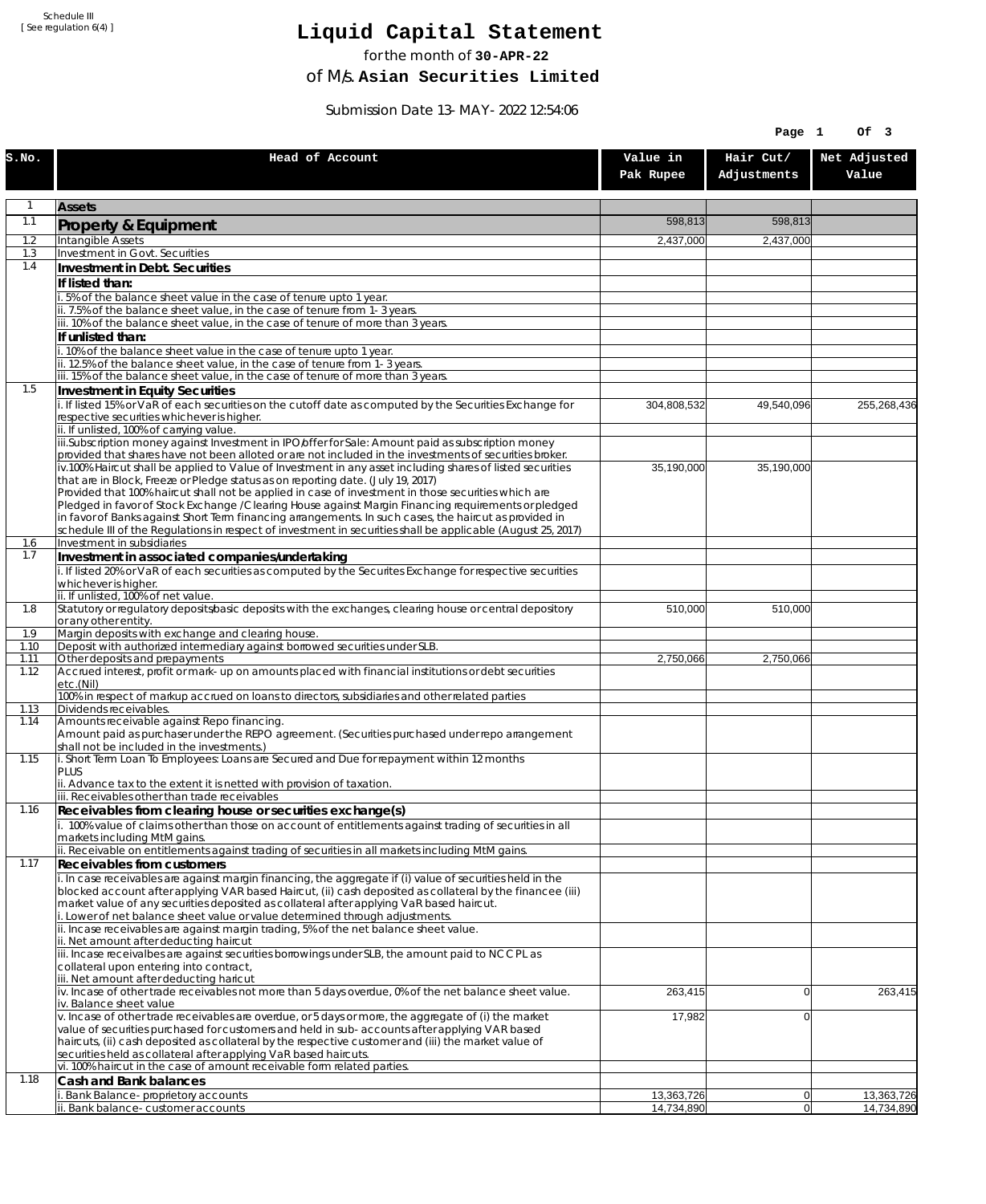## **Liquid Capital Statement**

for the month of **30-APR-22**

of M/s. **Asian Securities Limited**

Submission Date 13-MAY-2022 12:54:06

|              |                                                                                                                                                                                                                        |                       | Page 1                   | Of 3                  |
|--------------|------------------------------------------------------------------------------------------------------------------------------------------------------------------------------------------------------------------------|-----------------------|--------------------------|-----------------------|
| S.NO.        | Head of Account                                                                                                                                                                                                        | Value in<br>Pak Rupee | Hair Cut/<br>Adjustments | Net Adjusted<br>Value |
| 1            | <b>Assets</b>                                                                                                                                                                                                          |                       |                          |                       |
| 1.1          | Property & Equipment                                                                                                                                                                                                   | 598,813               | 598,813                  |                       |
| 1.2          | Intangible Assets                                                                                                                                                                                                      | 2,437,000             | 2,437,000                |                       |
| 1.3<br>1.4   | Investment in Govt. Securities<br>Investment in Debt. Securities                                                                                                                                                       |                       |                          |                       |
|              | If listed than:                                                                                                                                                                                                        |                       |                          |                       |
|              | .5% of the balance sheet value in the case of tenure upto 1 year.                                                                                                                                                      |                       |                          |                       |
|              | ii. 7.5% of the balance sheet value, in the case of tenure from 1-3 years.                                                                                                                                             |                       |                          |                       |
|              | iii. 10% of the balance sheet value, in the case of tenure of more than 3 years.<br>If unlisted than:                                                                                                                  |                       |                          |                       |
|              | i. 10% of the balance sheet value in the case of tenure upto 1 year.                                                                                                                                                   |                       |                          |                       |
|              | ii. 12.5% of the balance sheet value, in the case of tenure from 1-3 years.                                                                                                                                            |                       |                          |                       |
| 1.5          | iii. 15% of the balance sheet value, in the case of tenure of more than 3 years.<br>Investment in Equity Securities                                                                                                    |                       |                          |                       |
|              | i. If listed 15% or VaR of each securities on the cutoff date as computed by the Securities Exchange for                                                                                                               | 304,808,532           | 49,540,096               | 255,268,436           |
|              | respective securities whichever is higher.                                                                                                                                                                             |                       |                          |                       |
|              | ii. If unlisted, 100% of carrying value.<br>iii.Subscription money against Investment in IPO/offer for Sale: Amount paid as subscription money                                                                         |                       |                          |                       |
|              | provided that shares have not been alloted or are not included in the investments of securities broker.                                                                                                                |                       |                          |                       |
|              | iv.100% Haircut shall be applied to Value of Investment in any asset including shares of listed securities                                                                                                             | 35,190,000            | 35.190.000               |                       |
|              | that are in Block, Freeze or Pledge status as on reporting date. (July 19, 2017)<br>Provided that 100% haircut shall not be applied in case of investment in those securities which are                                |                       |                          |                       |
|              | Pledged in favor of Stock Exchange / Clearing House against Margin Financing reguirements or pledged                                                                                                                   |                       |                          |                       |
|              | in favor of Banks against Short Term financing arrangements. In such cases, the haircut as provided in<br>schedule III of the Regulations in respect of investment in securities shall be applicable (August 25, 2017) |                       |                          |                       |
| 1.6          | Investment in subsidiaries                                                                                                                                                                                             |                       |                          |                       |
| 1.7          | Investment in associated companies/undertaking                                                                                                                                                                         |                       |                          |                       |
|              | i. If listed 20% or VaR of each securities as computed by the Securites Exchange for respective securities<br>whichever is higher.                                                                                     |                       |                          |                       |
|              | ii. If unlisted, 100% of net value.                                                                                                                                                                                    |                       |                          |                       |
| 1.8          | Statutory or regulatory deposits/basic deposits with the exchanges, clearing house or central depository                                                                                                               | 510,000               | 510,000                  |                       |
| 1.9          | or any other entity.<br>Margin deposits with exchange and clearing house.                                                                                                                                              |                       |                          |                       |
| 1.10         | Deposit with authorized intermediary against borrowed securities under SLB.                                                                                                                                            |                       |                          |                       |
| 1.11<br>1.12 | Other deposits and prepayments<br>Accrued interest, profit or mark-up on amounts placed with financial institutions or debt securities                                                                                 | 2,750,066             | 2,750,066                |                       |
|              | etc.(Nil)                                                                                                                                                                                                              |                       |                          |                       |
| 1.13         | 100% in respect of markup accrued on loans to directors, subsidiaries and other related parties<br>Dividends receivables.                                                                                              |                       |                          |                       |
| 1.14         | Amounts receivable against Repo financing.                                                                                                                                                                             |                       |                          |                       |
|              | Amount paid as purchaser under the REPO agreement. (Securities purchased under repo arrangement                                                                                                                        |                       |                          |                       |
| 1.15         | shall not be included in the investments.)<br>i. Short Term Loan To Employees: Loans are Secured and Due for repayment within 12 months                                                                                |                       |                          |                       |
|              | PLUS                                                                                                                                                                                                                   |                       |                          |                       |
|              | ii. Advance tax to the extent it is netted with provision of taxation.<br>iii. Receivables other than trade receivables                                                                                                |                       |                          |                       |
| 1.16         | Receivables from clearing house or securities exchange(s)                                                                                                                                                              |                       |                          |                       |
|              | i. 100% value of claims other than those on account of entitlements against trading of securities in all                                                                                                               |                       |                          |                       |
|              | markets including MtM gains.<br>ii. Receivable on entitlements against trading of securities in all markets including MtM gains.                                                                                       |                       |                          |                       |
| 1.17         | Receivables from customers                                                                                                                                                                                             |                       |                          |                       |
|              | i. In case receivables are against margin financing, the aggregate if (i) value of securities held in the                                                                                                              |                       |                          |                       |
|              | blocked account after applying VAR based Haircut, (ii) cash deposited as collateral by the financee (iii)<br>market value of any securities deposited as collateral after applying VaR based haircut.                  |                       |                          |                       |
|              | i. Lower of net balance sheet value or value determined through adjustments.                                                                                                                                           |                       |                          |                       |
|              | ii. Incase receivables are against margin trading, 5% of the net balance sheet value.                                                                                                                                  |                       |                          |                       |
|              | ii. Net amount after deducting haircut<br>iii. Incase receivalbes are against securities borrowings under SLB, the amount paid to NCCPL as                                                                             |                       |                          |                       |
|              | collateral upon entering into contract,                                                                                                                                                                                |                       |                          |                       |
|              | iii. Net amount after deducting haricut<br>iv. Incase of other trade receivables not more than 5 days overdue, 0% of the net balance sheet value.                                                                      | 263,415               | $\overline{0}$           | 263,415               |
|              | iv. Balance sheet value                                                                                                                                                                                                |                       |                          |                       |
|              | v. Incase of other trade receivables are overdue, or 5 days or more, the aggregate of (i) the market                                                                                                                   | 17,982                | $\overline{0}$           |                       |
|              | value of securities purchased for customers and held in sub-accounts after applying VAR based<br>haircuts, (ii) cash deposited as collateral by the respective customer and (iii) the market value of                  |                       |                          |                       |
|              | securities held as collateral after applying VaR based haircuts.                                                                                                                                                       |                       |                          |                       |
| 1.18         | vi. 100% haircut in the case of amount receivable form related parties.                                                                                                                                                |                       |                          |                       |
|              | Cash and Bank balances<br>Bank Balance-proprietory accounts                                                                                                                                                            | 13,363,726            | 0                        | 13,363,726            |
|              | i. Bank balance-customer accounts                                                                                                                                                                                      | 14,734,890            | 0                        | 14,734,890            |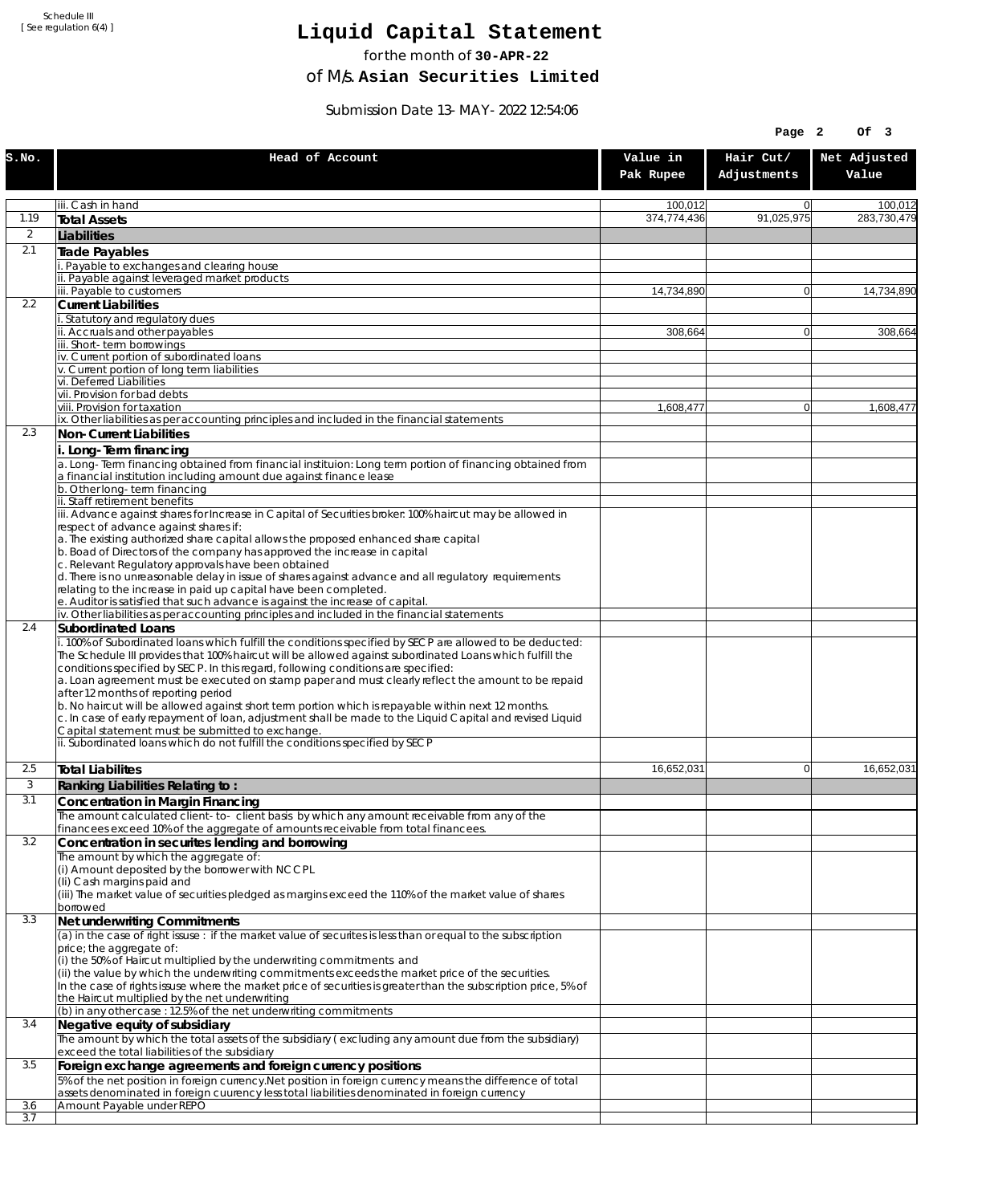# **Liquid Capital Statement**

for the month of **30-APR-22**

of M/s. **Asian Securities Limited**

Submission Date 13-MAY-2022 12:54:06

|                  |                                                                                                                                                                                                                                                                                                                                                                                                                                                                                                                                                                                                                                                                                                                                                                                                                                    |                       | Page 2                   | Of 3                  |
|------------------|------------------------------------------------------------------------------------------------------------------------------------------------------------------------------------------------------------------------------------------------------------------------------------------------------------------------------------------------------------------------------------------------------------------------------------------------------------------------------------------------------------------------------------------------------------------------------------------------------------------------------------------------------------------------------------------------------------------------------------------------------------------------------------------------------------------------------------|-----------------------|--------------------------|-----------------------|
| S.NO.            | Head of Account                                                                                                                                                                                                                                                                                                                                                                                                                                                                                                                                                                                                                                                                                                                                                                                                                    | Value in<br>Pak Rupee | Hair Cut/<br>Adjustments | Net Adjusted<br>Value |
|                  | iii. Cash in hand                                                                                                                                                                                                                                                                                                                                                                                                                                                                                                                                                                                                                                                                                                                                                                                                                  | 100.012               | $\overline{0}$           | 100,012               |
| 1.19             | <b>Total Assets</b>                                                                                                                                                                                                                                                                                                                                                                                                                                                                                                                                                                                                                                                                                                                                                                                                                | 374,774,436           | 91,025,975               | 283.730.479           |
| 2                | Liabilities                                                                                                                                                                                                                                                                                                                                                                                                                                                                                                                                                                                                                                                                                                                                                                                                                        |                       |                          |                       |
| 2.1              | <b>Trade Payables</b>                                                                                                                                                                                                                                                                                                                                                                                                                                                                                                                                                                                                                                                                                                                                                                                                              |                       |                          |                       |
|                  | Payable to exchanges and clearing house<br>ii. Payable against leveraged market products                                                                                                                                                                                                                                                                                                                                                                                                                                                                                                                                                                                                                                                                                                                                           |                       |                          |                       |
|                  | iii. Payable to customers                                                                                                                                                                                                                                                                                                                                                                                                                                                                                                                                                                                                                                                                                                                                                                                                          | 14,734,890            | $\overline{0}$           | 14,734,890            |
| $2.2\phantom{0}$ | <b>Current Liabilities</b><br>i. Statutory and regulatory dues                                                                                                                                                                                                                                                                                                                                                                                                                                                                                                                                                                                                                                                                                                                                                                     |                       |                          |                       |
|                  | ii. Accruals and other payables                                                                                                                                                                                                                                                                                                                                                                                                                                                                                                                                                                                                                                                                                                                                                                                                    | 308,664               | $\overline{0}$           | 308,664               |
|                  | iii. Short-term borrowings                                                                                                                                                                                                                                                                                                                                                                                                                                                                                                                                                                                                                                                                                                                                                                                                         |                       |                          |                       |
|                  | iv. Current portion of subordinated loans<br>v. Current portion of long term liabilities                                                                                                                                                                                                                                                                                                                                                                                                                                                                                                                                                                                                                                                                                                                                           |                       |                          |                       |
|                  | vi. Deferred Liabilities                                                                                                                                                                                                                                                                                                                                                                                                                                                                                                                                                                                                                                                                                                                                                                                                           |                       |                          |                       |
|                  | vii. Provision for bad debts<br>viii. Provision for taxation                                                                                                                                                                                                                                                                                                                                                                                                                                                                                                                                                                                                                                                                                                                                                                       | 1,608,477             | $\overline{0}$           | 1,608,477             |
|                  | ix. Other liabilities as per accounting principles and included in the financial statements                                                                                                                                                                                                                                                                                                                                                                                                                                                                                                                                                                                                                                                                                                                                        |                       |                          |                       |
| 2.3              | Non-Current Liabilities                                                                                                                                                                                                                                                                                                                                                                                                                                                                                                                                                                                                                                                                                                                                                                                                            |                       |                          |                       |
|                  | i. Long-Term financing<br>a. Long-Term financing obtained from financial instituion: Long term portion of financing obtained from<br>a financial institution including amount due against finance lease                                                                                                                                                                                                                                                                                                                                                                                                                                                                                                                                                                                                                            |                       |                          |                       |
|                  | b. Other long-term financing                                                                                                                                                                                                                                                                                                                                                                                                                                                                                                                                                                                                                                                                                                                                                                                                       |                       |                          |                       |
|                  | ii. Staff retirement benefits<br>iii. Advance against shares for Increase in Capital of Securities broker: 100% haircut may be allowed in                                                                                                                                                                                                                                                                                                                                                                                                                                                                                                                                                                                                                                                                                          |                       |                          |                       |
|                  | respect of advance against shares if:                                                                                                                                                                                                                                                                                                                                                                                                                                                                                                                                                                                                                                                                                                                                                                                              |                       |                          |                       |
|                  | a. The existing authorized share capital allows the proposed enhanced share capital<br>b. Boad of Directors of the company has approved the increase in capital                                                                                                                                                                                                                                                                                                                                                                                                                                                                                                                                                                                                                                                                    |                       |                          |                       |
|                  | c. Relevant Regulatory approvals have been obtained                                                                                                                                                                                                                                                                                                                                                                                                                                                                                                                                                                                                                                                                                                                                                                                |                       |                          |                       |
|                  | d. There is no unreasonable delay in issue of shares against advance and all regulatory requirements                                                                                                                                                                                                                                                                                                                                                                                                                                                                                                                                                                                                                                                                                                                               |                       |                          |                       |
|                  | relating to the increase in paid up capital have been completed.<br>e. Auditor is satisfied that such advance is against the increase of capital.                                                                                                                                                                                                                                                                                                                                                                                                                                                                                                                                                                                                                                                                                  |                       |                          |                       |
|                  | iv. Other liabilities as per accounting principles and included in the financial statements                                                                                                                                                                                                                                                                                                                                                                                                                                                                                                                                                                                                                                                                                                                                        |                       |                          |                       |
| 2.4              | Subordinated Loans<br>i. 100% of Subordinated loans which fulfill the conditions specified by SECP are allowed to be deducted:<br>The Schedule III provides that 100% haircut will be allowed against subordinated Loans which fulfill the<br>conditions specified by SECP. In this regard, following conditions are specified:<br>a. Loan agreement must be executed on stamp paper and must clearly reflect the amount to be repaid<br>after 12 months of reporting period<br>b. No haircut will be allowed against short term portion which is repayable within next 12 months.<br>c. In case of early repayment of loan, adjustment shall be made to the Liquid Capital and revised Liquid<br>Capital statement must be submitted to exchange.<br>ii. Subordinated loans which do not fulfill the conditions specified by SECP |                       |                          |                       |
|                  |                                                                                                                                                                                                                                                                                                                                                                                                                                                                                                                                                                                                                                                                                                                                                                                                                                    |                       |                          |                       |
| 2.5              | <b>Total Liabilites</b>                                                                                                                                                                                                                                                                                                                                                                                                                                                                                                                                                                                                                                                                                                                                                                                                            | 16,652,031            | 0                        | 16,652,031            |
| 3<br>3.1         | Ranking Liabilities Relating to:                                                                                                                                                                                                                                                                                                                                                                                                                                                                                                                                                                                                                                                                                                                                                                                                   |                       |                          |                       |
|                  | <b>Concentration in Margin Financing</b><br>The amount calculated client-to- client basis by which any amount receivable from any of the                                                                                                                                                                                                                                                                                                                                                                                                                                                                                                                                                                                                                                                                                           |                       |                          |                       |
|                  | financees exceed 10% of the aggregate of amounts receivable from total financees.                                                                                                                                                                                                                                                                                                                                                                                                                                                                                                                                                                                                                                                                                                                                                  |                       |                          |                       |
| 3.2              | Concentration in securites lending and borrowing<br>The amount by which the aggregate of:                                                                                                                                                                                                                                                                                                                                                                                                                                                                                                                                                                                                                                                                                                                                          |                       |                          |                       |
|                  | (i) Amount deposited by the borrower with NCCPL<br>(Ii) Cash margins paid and<br>(iii) The market value of securities pledged as margins exceed the 110% of the market value of shares<br>borrowed                                                                                                                                                                                                                                                                                                                                                                                                                                                                                                                                                                                                                                 |                       |                          |                       |
| 3.3              | Net underwriting Commitments                                                                                                                                                                                                                                                                                                                                                                                                                                                                                                                                                                                                                                                                                                                                                                                                       |                       |                          |                       |
|                  | (a) in the case of right issuse: if the market value of securites is less than or equal to the subscription<br>price; the aggregate of:<br>(i) the 50% of Haircut multiplied by the underwriting commitments and<br>(ii) the value by which the underwriting commitments exceeds the market price of the securities.<br>In the case of rights issuse where the market price of securities is greater than the subscription price, 5% of<br>the Haircut multiplied by the net underwriting<br>(b) in any other case : 12.5% of the net underwriting commitments                                                                                                                                                                                                                                                                     |                       |                          |                       |
| 3.4              | Negative equity of subsidiary                                                                                                                                                                                                                                                                                                                                                                                                                                                                                                                                                                                                                                                                                                                                                                                                      |                       |                          |                       |
|                  | The amount by which the total assets of the subsidiary (excluding any amount due from the subsidiary)                                                                                                                                                                                                                                                                                                                                                                                                                                                                                                                                                                                                                                                                                                                              |                       |                          |                       |
| 3.5              | exceed the total liabilities of the subsidiary<br>Foreign exchange agreements and foreign currency positions                                                                                                                                                                                                                                                                                                                                                                                                                                                                                                                                                                                                                                                                                                                       |                       |                          |                       |
|                  | 5% of the net position in foreign currency. Net position in foreign currency means the difference of total<br>assets denominated in foreign cuurency less total liabilities denominated in foreign currency                                                                                                                                                                                                                                                                                                                                                                                                                                                                                                                                                                                                                        |                       |                          |                       |
| 3.6<br>3.7       | Amount Payable under REPO                                                                                                                                                                                                                                                                                                                                                                                                                                                                                                                                                                                                                                                                                                                                                                                                          |                       |                          |                       |
|                  |                                                                                                                                                                                                                                                                                                                                                                                                                                                                                                                                                                                                                                                                                                                                                                                                                                    |                       |                          |                       |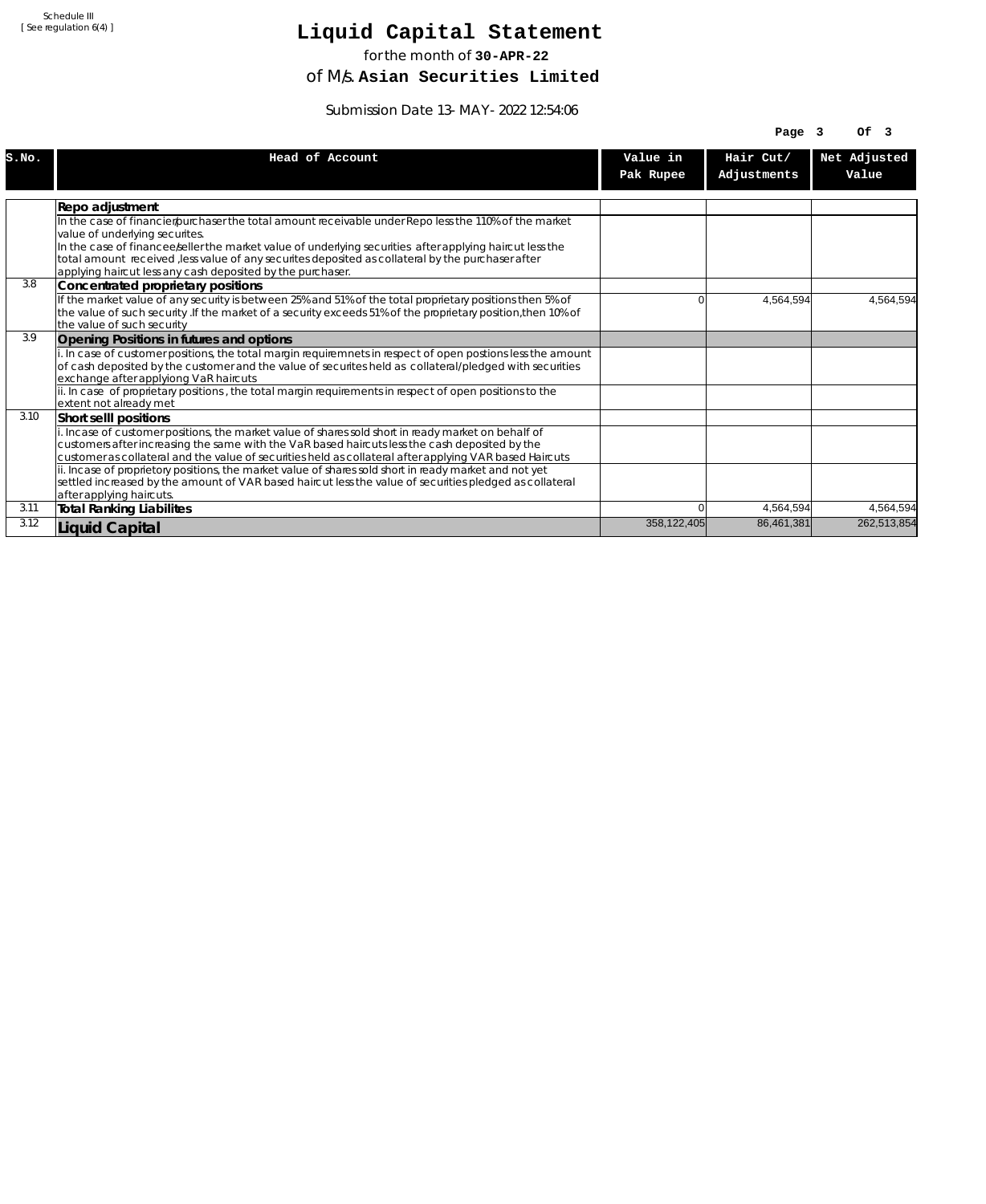# **Liquid Capital Statement**

for the month of **30-APR-22**

of M/s. **Asian Securities Limited**

Submission Date 13-MAY-2022 12:54:06

|       |                                                                                                                                                                                                                                                                                                                  |                       | Page 3                   | Of <sub>3</sub>       |
|-------|------------------------------------------------------------------------------------------------------------------------------------------------------------------------------------------------------------------------------------------------------------------------------------------------------------------|-----------------------|--------------------------|-----------------------|
| S.NO. | Head of Account                                                                                                                                                                                                                                                                                                  | Value in<br>Pak Rupee | Hair Cut/<br>Adjustments | Net Adjusted<br>Value |
|       | Repo adjustment                                                                                                                                                                                                                                                                                                  |                       |                          |                       |
|       | In the case of financier/purchaser the total amount receivable under Repo less the 110% of the market<br>value of underlying securites.                                                                                                                                                                          |                       |                          |                       |
|       | In the case of financee seller the market value of underlying securities after applying haircut less the<br>total amount received , less value of any securites deposited as collateral by the purchaser after<br>applying haircut less any cash deposited by the purchaser.                                     |                       |                          |                       |
| 3.8   | Concentrated proprietary positions                                                                                                                                                                                                                                                                               |                       |                          |                       |
|       | If the market value of any security is between 25% and 51% of the total proprietary positions then 5% of<br>the value of such security . If the market of a security exceeds 51% of the proprietary position, then 10% of<br>the value of such security                                                          | 0                     | 4,564,594                | 4,564,594             |
| 3.9   | Opening Positions in futures and options                                                                                                                                                                                                                                                                         |                       |                          |                       |
|       | i. In case of customer positions, the total margin requiremnets in respect of open postions less the amount<br>of cash deposited by the customer and the value of securites held as collateral/pledged with securities<br>exchange after applyiong VaR haircuts                                                  |                       |                          |                       |
|       | ii. In case of proprietary positions, the total margin requirements in respect of open positions to the<br>extent not already met                                                                                                                                                                                |                       |                          |                       |
| 3.10  | Short selll positions                                                                                                                                                                                                                                                                                            |                       |                          |                       |
|       | i. Incase of customer positions, the market value of shares sold short in ready market on behalf of<br>customers after increasing the same with the VaR based haircuts less the cash deposited by the<br>customer as collateral and the value of securities held as collateral after applying VAR based Haircuts |                       |                          |                       |
|       | ii. Incase of proprietory positions, the market value of shares sold short in ready market and not yet<br>settled increased by the amount of VAR based haircut less the value of securities pledged as collateral<br>after applying haircuts.                                                                    |                       |                          |                       |
| 3.11  | <b>Total Ranking Liabilites</b>                                                                                                                                                                                                                                                                                  | U                     | 4,564,594                | 4,564,594             |
| 3.12  | <b>Liquid Capital</b>                                                                                                                                                                                                                                                                                            | 358,122,405           | 86,461,381               | 262,513,854           |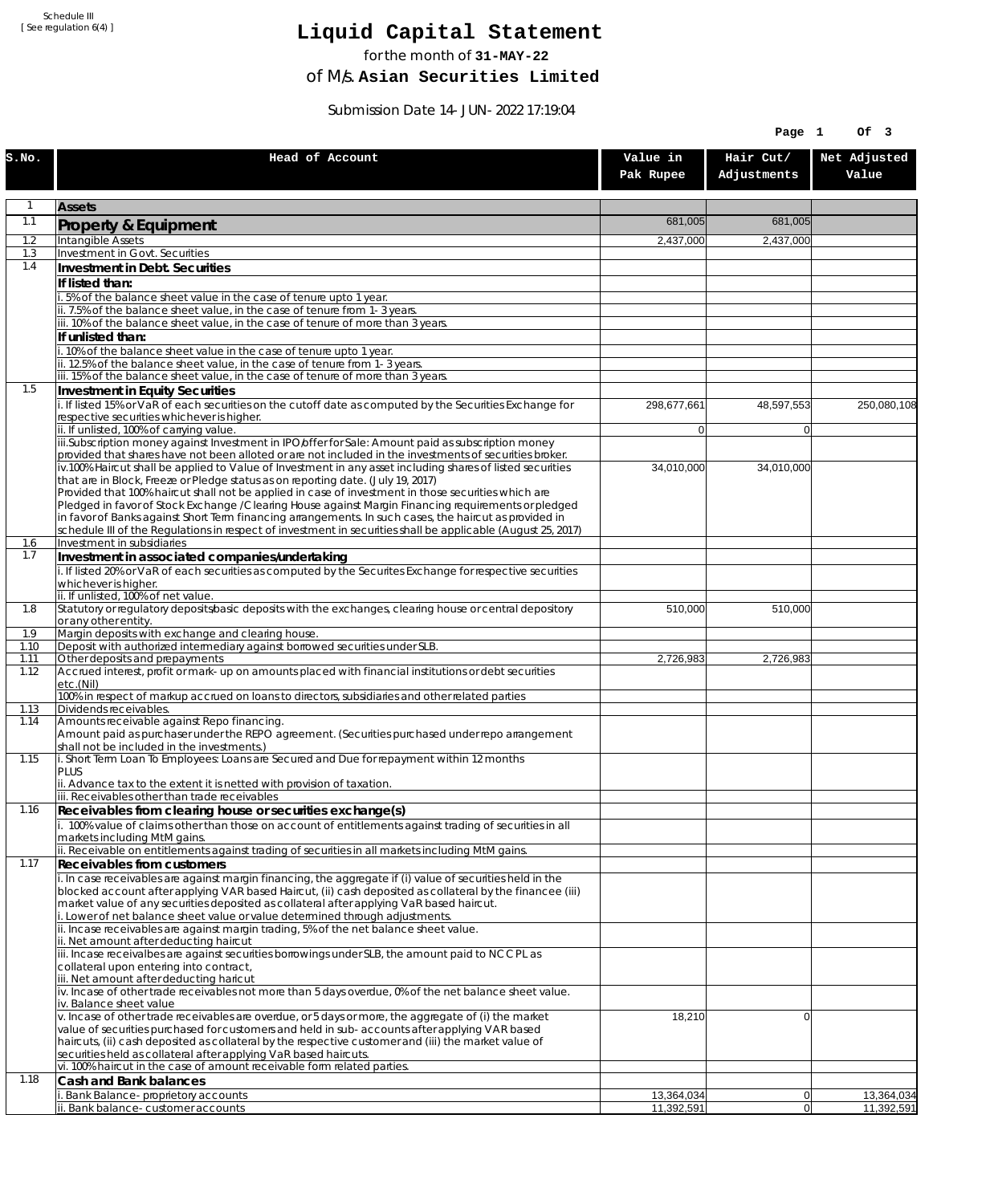# **Liquid Capital Statement**

for the month of **31-MAY-22**

of M/s. **Asian Securities Limited**

Submission Date 14-JUN-2022 17:19:04

|              |                                                                                                                                                                                                                        |                          | Page 1                   | Of 3                     |
|--------------|------------------------------------------------------------------------------------------------------------------------------------------------------------------------------------------------------------------------|--------------------------|--------------------------|--------------------------|
| S.NO.        | Head of Account                                                                                                                                                                                                        | Value in<br>Pak Rupee    | Hair Cut/<br>Adjustments | Net Adjusted<br>Value    |
| 1            | <b>Assets</b>                                                                                                                                                                                                          |                          |                          |                          |
| 1.1          | Property & Equipment                                                                                                                                                                                                   | 681,005                  | 681,005                  |                          |
| 1.2          | Intangible Assets                                                                                                                                                                                                      | 2,437,000                | 2,437,000                |                          |
| 1.3<br>1.4   | Investment in Govt. Securities<br>Investment in Debt. Securities                                                                                                                                                       |                          |                          |                          |
|              | If listed than:                                                                                                                                                                                                        |                          |                          |                          |
|              | i. 5% of the balance sheet value in the case of tenure upto 1 year.                                                                                                                                                    |                          |                          |                          |
|              | ii. 7.5% of the balance sheet value, in the case of tenure from 1-3 years.<br>iii. 10% of the balance sheet value, in the case of tenure of more than 3 years.                                                         |                          |                          |                          |
|              | If unlisted than:                                                                                                                                                                                                      |                          |                          |                          |
|              | i. 10% of the balance sheet value in the case of tenure upto 1 year.<br>ii. 12.5% of the balance sheet value, in the case of tenure from 1-3 years.                                                                    |                          |                          |                          |
|              | iii. 15% of the balance sheet value, in the case of tenure of more than 3 years.                                                                                                                                       |                          |                          |                          |
| 1.5          | Investment in Equity Securities                                                                                                                                                                                        |                          |                          |                          |
|              | i. If listed 15% or VaR of each securities on the cutoff date as computed by the Securities Exchange for<br>respective securities whichever is higher.                                                                 | 298,677,661              | 48,597,553               | 250,080,108              |
|              | ii. If unlisted, 100% of carrying value.                                                                                                                                                                               | $\overline{0}$           | $\overline{0}$           |                          |
|              | iii.Subscription money against Investment in IPO/offer for Sale: Amount paid as subscription money<br>provided that shares have not been alloted or are not included in the investments of securities broker.          |                          |                          |                          |
|              | iv.100% Haircut shall be applied to Value of Investment in any asset including shares of listed securities                                                                                                             | 34,010,000               | 34,010,000               |                          |
|              | that are in Block, Freeze or Pledge status as on reporting date. (July 19, 2017)<br>Provided that 100% haircut shall not be applied in case of investment in those securities which are                                |                          |                          |                          |
|              | Pledged in favor of Stock Exchange / Clearing House against Margin Financing requirements or pledged                                                                                                                   |                          |                          |                          |
|              | in favor of Banks against Short Term financing arrangements. In such cases, the haircut as provided in<br>schedule III of the Regulations in respect of investment in securities shall be applicable (August 25, 2017) |                          |                          |                          |
| 1.6          | Investment in subsidiaries                                                                                                                                                                                             |                          |                          |                          |
| 1.7          | Investment in associated companies/undertaking                                                                                                                                                                         |                          |                          |                          |
|              | i. If listed 20% or VaR of each securities as computed by the Securites Exchange for respective securities<br>whichever is higher.                                                                                     |                          |                          |                          |
|              | ii. If unlisted, 100% of net value.                                                                                                                                                                                    |                          |                          |                          |
| 1.8          | Statutory or regulatory deposits/basic deposits with the exchanges, clearing house or central depository<br>or any other entity.                                                                                       | 510,000                  | 510,000                  |                          |
| 1.9          | Margin deposits with exchange and clearing house.                                                                                                                                                                      |                          |                          |                          |
| 1.10<br>1.11 | Deposit with authorized intermediary against borrowed securities under SLB.<br>Other deposits and prepayments                                                                                                          | 2,726,983                | 2,726,983                |                          |
| 1.12         | Accrued interest, profit or mark-up on amounts placed with financial institutions or debt securities                                                                                                                   |                          |                          |                          |
|              | etc.(Nil)<br>100% in respect of markup accrued on loans to directors, subsidiaries and other related parties                                                                                                           |                          |                          |                          |
| 1.13         | Dividends receivables.                                                                                                                                                                                                 |                          |                          |                          |
| 1.14         | Amounts receivable against Repo financing.<br>Amount paid as purchaser under the REPO agreement. (Securities purchased under repo arrangement                                                                          |                          |                          |                          |
|              | shall not be included in the investments.)                                                                                                                                                                             |                          |                          |                          |
| 1.15         | i. Short Term Loan To Employees: Loans are Secured and Due for repayment within 12 months<br><b>PLUS</b>                                                                                                               |                          |                          |                          |
|              | ii. Advance tax to the extent it is netted with provision of taxation.                                                                                                                                                 |                          |                          |                          |
| 1.16         | iii. Receivables other than trade receivables                                                                                                                                                                          |                          |                          |                          |
|              | Receivables from clearing house or securities exchange(s)<br>i. 100% value of claims other than those on account of entitlements against trading of securities in all                                                  |                          |                          |                          |
|              | markets including MtM gains.                                                                                                                                                                                           |                          |                          |                          |
| 1.17         | ii. Receivable on entitlements against trading of securities in all markets including MtM gains.<br><b>Receivables from customers</b>                                                                                  |                          |                          |                          |
|              | i. In case receivables are against margin financing, the aggregate if (i) value of securities held in the                                                                                                              |                          |                          |                          |
|              | blocked account after applying VAR based Haircut, (ii) cash deposited as collateral by the financee (iii)<br>market value of any securities deposited as collateral after applying VaR based haircut.                  |                          |                          |                          |
|              | i. Lower of net balance sheet value or value determined through adjustments.                                                                                                                                           |                          |                          |                          |
|              | ii. Incase receivables are against margin trading, 5% of the net balance sheet value.<br>ii. Net amount after deducting haircut                                                                                        |                          |                          |                          |
|              | iii. Incase receivalbes are against securities borrowings under SLB, the amount paid to NCCPL as                                                                                                                       |                          |                          |                          |
|              | collateral upon entering into contract,<br>iii. Net amount after deducting haricut                                                                                                                                     |                          |                          |                          |
|              | $\dot{v}$ . Incase of other trade receivables not more than 5 days overdue, 0% of the net balance sheet value.                                                                                                         |                          |                          |                          |
|              | iv. Balance sheet value<br>v. Incase of other trade receivables are overdue, or 5 days or more, the aggregate of (i) the market                                                                                        |                          | $\overline{0}$           |                          |
|              | value of securities purchased for customers and held in sub-accounts after applying VAR based                                                                                                                          | 18,210                   |                          |                          |
|              | haircuts, (ii) cash deposited as collateral by the respective customer and (iii) the market value of                                                                                                                   |                          |                          |                          |
|              | securities held as collateral after applying VaR based haircuts.<br>vi. 100% haircut in the case of amount receivable form related parties.                                                                            |                          |                          |                          |
| 1.18         | Cash and Bank balances                                                                                                                                                                                                 |                          |                          |                          |
|              | Bank Balance-proprietory accounts<br>ii. Bank balance-customer accounts                                                                                                                                                | 13,364,034<br>11,392,591 | 0 <br> 0                 | 13,364,034<br>11,392,591 |
|              |                                                                                                                                                                                                                        |                          |                          |                          |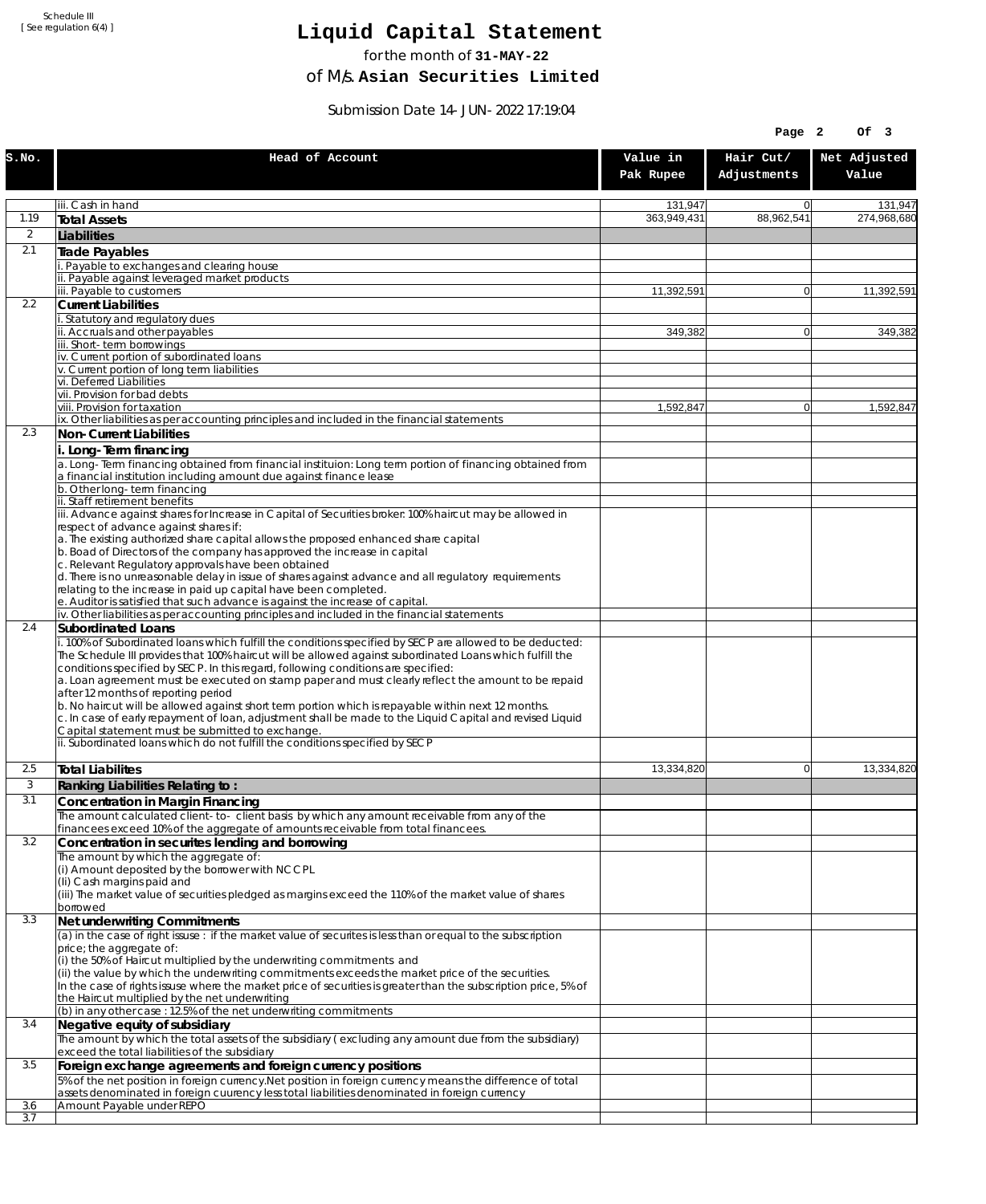# **Liquid Capital Statement**

for the month of **31-MAY-22**

of M/s. **Asian Securities Limited**

Submission Date 14-JUN-2022 17:19:04

|                |                                                                                                                                                                                                                                                                                                                                                                                                                                                                                                                                                                                                                                                                                                                                                                                                                                           |                       | Page 2                   | Of 3                  |
|----------------|-------------------------------------------------------------------------------------------------------------------------------------------------------------------------------------------------------------------------------------------------------------------------------------------------------------------------------------------------------------------------------------------------------------------------------------------------------------------------------------------------------------------------------------------------------------------------------------------------------------------------------------------------------------------------------------------------------------------------------------------------------------------------------------------------------------------------------------------|-----------------------|--------------------------|-----------------------|
| S.NO.          | Head of Account                                                                                                                                                                                                                                                                                                                                                                                                                                                                                                                                                                                                                                                                                                                                                                                                                           | Value in<br>Pak Rupee | Hair Cut/<br>Adjustments | Net Adjusted<br>Value |
|                | iii. Cash in hand                                                                                                                                                                                                                                                                                                                                                                                                                                                                                                                                                                                                                                                                                                                                                                                                                         | 131,947               | $\overline{0}$           | 131,947               |
| 1.19           | <b>Total Assets</b>                                                                                                                                                                                                                                                                                                                                                                                                                                                                                                                                                                                                                                                                                                                                                                                                                       | 363,949,431           | 88.962.541               | 274.968.680           |
| $\overline{2}$ | Liabilities                                                                                                                                                                                                                                                                                                                                                                                                                                                                                                                                                                                                                                                                                                                                                                                                                               |                       |                          |                       |
| 2.1            | Trade Payables                                                                                                                                                                                                                                                                                                                                                                                                                                                                                                                                                                                                                                                                                                                                                                                                                            |                       |                          |                       |
|                | i. Payable to exchanges and clearing house<br>ii. Payable against leveraged market products                                                                                                                                                                                                                                                                                                                                                                                                                                                                                                                                                                                                                                                                                                                                               |                       |                          |                       |
|                | iii. Payable to customers                                                                                                                                                                                                                                                                                                                                                                                                                                                                                                                                                                                                                                                                                                                                                                                                                 | 11,392,591            | $\overline{0}$           | 11,392,591            |
| 2.2            | <b>Current Liabilities</b>                                                                                                                                                                                                                                                                                                                                                                                                                                                                                                                                                                                                                                                                                                                                                                                                                |                       |                          |                       |
|                | i. Statutory and regulatory dues<br>ii. Accruals and other payables                                                                                                                                                                                                                                                                                                                                                                                                                                                                                                                                                                                                                                                                                                                                                                       | 349,382               | $\Omega$                 | 349.382               |
|                | iii. Short-term borrowings                                                                                                                                                                                                                                                                                                                                                                                                                                                                                                                                                                                                                                                                                                                                                                                                                |                       |                          |                       |
|                | iv. Current portion of subordinated loans                                                                                                                                                                                                                                                                                                                                                                                                                                                                                                                                                                                                                                                                                                                                                                                                 |                       |                          |                       |
|                | v. Current portion of long term liabilities<br>vi. Deferred Liabilities                                                                                                                                                                                                                                                                                                                                                                                                                                                                                                                                                                                                                                                                                                                                                                   |                       |                          |                       |
|                | vii. Provision for bad debts                                                                                                                                                                                                                                                                                                                                                                                                                                                                                                                                                                                                                                                                                                                                                                                                              |                       |                          |                       |
|                | viii. Provision for taxation<br>ix. Other liabilities as per accounting principles and included in the financial statements                                                                                                                                                                                                                                                                                                                                                                                                                                                                                                                                                                                                                                                                                                               | 1,592,847             | $\overline{0}$           | 1,592,847             |
| 2.3            | Non-Current Liabilities                                                                                                                                                                                                                                                                                                                                                                                                                                                                                                                                                                                                                                                                                                                                                                                                                   |                       |                          |                       |
|                | i. Long-Term financing                                                                                                                                                                                                                                                                                                                                                                                                                                                                                                                                                                                                                                                                                                                                                                                                                    |                       |                          |                       |
|                | $\alpha$ . Long-Term financing obtained from financial instituion: Long term portion of financing obtained from<br>a financial institution including amount due against finance lease                                                                                                                                                                                                                                                                                                                                                                                                                                                                                                                                                                                                                                                     |                       |                          |                       |
|                | b. Other long-term financing<br>ii. Staff retirement benefits                                                                                                                                                                                                                                                                                                                                                                                                                                                                                                                                                                                                                                                                                                                                                                             |                       |                          |                       |
|                | iii. Advance against shares for Increase in Capital of Securities broker: 100% haircut may be allowed in                                                                                                                                                                                                                                                                                                                                                                                                                                                                                                                                                                                                                                                                                                                                  |                       |                          |                       |
|                | respect of advance against shares if:                                                                                                                                                                                                                                                                                                                                                                                                                                                                                                                                                                                                                                                                                                                                                                                                     |                       |                          |                       |
|                | a. The existing authorized share capital allows the proposed enhanced share capital<br>b. Boad of Directors of the company has approved the increase in capital                                                                                                                                                                                                                                                                                                                                                                                                                                                                                                                                                                                                                                                                           |                       |                          |                       |
|                | c. Relevant Regulatory approvals have been obtained                                                                                                                                                                                                                                                                                                                                                                                                                                                                                                                                                                                                                                                                                                                                                                                       |                       |                          |                       |
|                | d. There is no unreasonable delay in issue of shares against advance and all regulatory requirements                                                                                                                                                                                                                                                                                                                                                                                                                                                                                                                                                                                                                                                                                                                                      |                       |                          |                       |
|                | relating to the increase in paid up capital have been completed.<br>e. Auditor is satisfied that such advance is against the increase of capital.                                                                                                                                                                                                                                                                                                                                                                                                                                                                                                                                                                                                                                                                                         |                       |                          |                       |
|                | iv. Other liabilities as per accounting principles and included in the financial statements                                                                                                                                                                                                                                                                                                                                                                                                                                                                                                                                                                                                                                                                                                                                               |                       |                          |                       |
| 2.4            | <b>Subordinated Loans</b><br>i. 100% of Subordinated loans which fulfill the conditions specified by SECP are allowed to be deducted:<br>The Schedule III provides that 100% haircut will be allowed against subordinated Loans which fulfill the<br>conditions specified by SECP. In this regard, following conditions are specified:<br>a. Loan agreement must be executed on stamp paper and must clearly reflect the amount to be repaid<br>after 12 months of reporting period<br>b. No haircut will be allowed against short term portion which is repayable within next 12 months.<br>c. In case of early repayment of loan, adjustment shall be made to the Liquid Capital and revised Liquid<br>Capital statement must be submitted to exchange.<br>ii. Subordinated loans which do not fulfill the conditions specified by SECP |                       |                          |                       |
| 2.5            | Total Liabilites                                                                                                                                                                                                                                                                                                                                                                                                                                                                                                                                                                                                                                                                                                                                                                                                                          | 13,334,820            | $\mathbf{0}$             | 13,334,820            |
| 3              | Ranking Liabilities Relating to:                                                                                                                                                                                                                                                                                                                                                                                                                                                                                                                                                                                                                                                                                                                                                                                                          |                       |                          |                       |
| 3.1            | Concentration in Margin Financing                                                                                                                                                                                                                                                                                                                                                                                                                                                                                                                                                                                                                                                                                                                                                                                                         |                       |                          |                       |
|                | The amount calculated client-to- client basis by which any amount receivable from any of the                                                                                                                                                                                                                                                                                                                                                                                                                                                                                                                                                                                                                                                                                                                                              |                       |                          |                       |
| 3.2            | financees exceed 10% of the aggregate of amounts receivable from total financees.<br>Concentration in securites lending and borrowing                                                                                                                                                                                                                                                                                                                                                                                                                                                                                                                                                                                                                                                                                                     |                       |                          |                       |
|                | The amount by which the aggregate of:                                                                                                                                                                                                                                                                                                                                                                                                                                                                                                                                                                                                                                                                                                                                                                                                     |                       |                          |                       |
|                | (i) Amount deposited by the borrower with NCCPL                                                                                                                                                                                                                                                                                                                                                                                                                                                                                                                                                                                                                                                                                                                                                                                           |                       |                          |                       |
|                | (Ii) Cash margins paid and<br>(iii) The market value of securities pledged as margins exceed the 110% of the market value of shares                                                                                                                                                                                                                                                                                                                                                                                                                                                                                                                                                                                                                                                                                                       |                       |                          |                       |
|                | borrowed                                                                                                                                                                                                                                                                                                                                                                                                                                                                                                                                                                                                                                                                                                                                                                                                                                  |                       |                          |                       |
| 3.3            | Net underwriting Commitments                                                                                                                                                                                                                                                                                                                                                                                                                                                                                                                                                                                                                                                                                                                                                                                                              |                       |                          |                       |
|                | $\alpha$ ) in the case of right issuse : if the market value of securites is less than or equal to the subscription<br>price; the aggregate of:<br>(i) the 50% of Haircut multiplied by the underwriting commitments and<br>(ii) the value by which the underwriting commitments exceeds the market price of the securities.<br>In the case of rights issuse where the market price of securities is greater than the subscription price, 5% of                                                                                                                                                                                                                                                                                                                                                                                           |                       |                          |                       |
|                | the Haircut multiplied by the net underwriting<br>(b) in any other case : 12.5% of the net underwriting commitments                                                                                                                                                                                                                                                                                                                                                                                                                                                                                                                                                                                                                                                                                                                       |                       |                          |                       |
| 3.4            | Negative equity of subsidiary                                                                                                                                                                                                                                                                                                                                                                                                                                                                                                                                                                                                                                                                                                                                                                                                             |                       |                          |                       |
|                | The amount by which the total assets of the subsidiary (excluding any amount due from the subsidiary)                                                                                                                                                                                                                                                                                                                                                                                                                                                                                                                                                                                                                                                                                                                                     |                       |                          |                       |
| 3.5            | exceed the total liabilities of the subsidiary                                                                                                                                                                                                                                                                                                                                                                                                                                                                                                                                                                                                                                                                                                                                                                                            |                       |                          |                       |
|                | Foreign exchange agreements and foreign currency positions<br>5% of the net position in foreign currency. Net position in foreign currency means the difference of total                                                                                                                                                                                                                                                                                                                                                                                                                                                                                                                                                                                                                                                                  |                       |                          |                       |
|                | assets denominated in foreign cuurency less total liabilities denominated in foreign currency                                                                                                                                                                                                                                                                                                                                                                                                                                                                                                                                                                                                                                                                                                                                             |                       |                          |                       |
| 3.6            | Amount Payable under REPO                                                                                                                                                                                                                                                                                                                                                                                                                                                                                                                                                                                                                                                                                                                                                                                                                 |                       |                          |                       |
| 3.7            |                                                                                                                                                                                                                                                                                                                                                                                                                                                                                                                                                                                                                                                                                                                                                                                                                                           |                       |                          |                       |